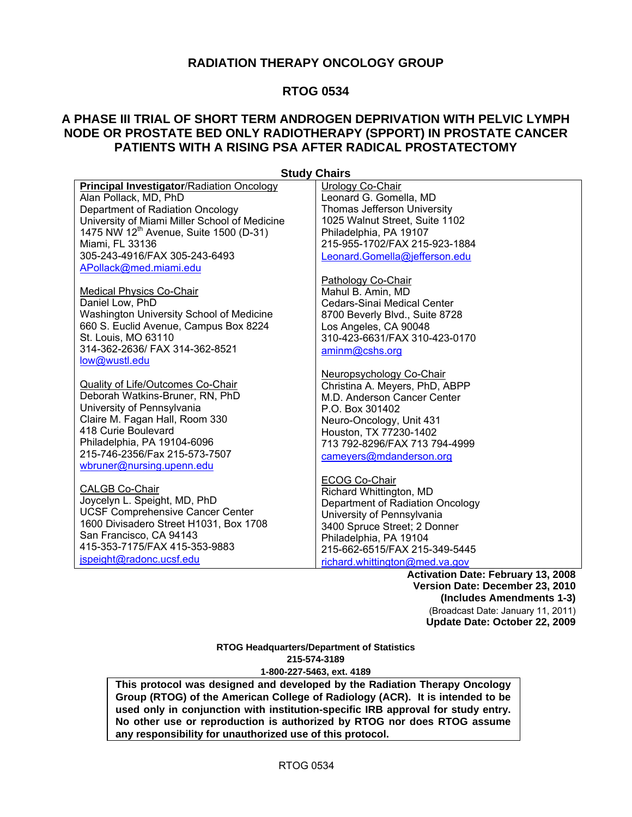# **RADIATION THERAPY ONCOLOGY GROUP**

# **RTOG 0534**

# **A PHASE III TRIAL OF SHORT TERM ANDROGEN DEPRIVATION WITH PELVIC LYMPH NODE OR PROSTATE BED ONLY RADIOTHERAPY (SPPORT) IN PROSTATE CANCER PATIENTS WITH A RISING PSA AFTER RADICAL PROSTATECTOMY**

**Study Chairs Principal Investigator**/Radiation Oncology Alan Pollack, MD, PhD Department of Radiation Oncology University of Miami Miller School of Medicine 1475 NW 12<sup>th</sup> Avenue, Suite 1500 (D-31) Miami, FL 33136 305-243-4916/FAX 305-243-6493 APollack@med.miami.edu Medical Physics Co-Chair Daniel Low, PhD Washington University School of Medicine 660 S. Euclid Avenue, Campus Box 8224 St. Louis, MO 63110 314-362-2636/ FAX 314-362-8521 low@wustl.edu Quality of Life/Outcomes Co-Chair Deborah Watkins-Bruner, RN, PhD University of Pennsylvania Claire M. Fagan Hall, Room 330 418 Curie Boulevard Philadelphia, PA 19104-6096 215-746-2356/Fax 215-573-7507 wbruner@nursing.upenn.edu CALGB Co-Chair Joycelyn L. Speight, MD, PhD UCSF Comprehensive Cancer Center 1600 Divisadero Street H1031, Box 1708 San Francisco, CA 94143 415-353-7175/FAX 415-353-9883 jspeight@radonc.ucsf.edu Urology Co-Chair Leonard G. Gomella, MD Thomas Jefferson University 1025 Walnut Street, Suite 1102 Philadelphia, PA 19107 215-955-1702/FAX 215-923-1884 Leonard.Gomella@jefferson.edu Pathology Co-Chair Mahul B. Amin, MD Cedars-Sinai Medical Center 8700 Beverly Blvd., Suite 8728 Los Angeles, CA 90048 310-423-6631/FAX 310-423-0170 aminm@cshs.org Neuropsychology Co-Chair Christina A. Meyers, PhD, ABPP M.D. Anderson Cancer Center P.O. Box 301402 Neuro-Oncology, Unit 431 Houston, TX 77230-1402 713 792-8296/FAX 713 794-4999 cameyers@mdanderson.org ECOG Co-Chair Richard Whittington, MD Department of Radiation Oncology University of Pennsylvania 3400 Spruce Street; 2 Donner Philadelphia, PA 19104 215-662-6515/FAX 215-349-5445 richard.whittington@med.va.gov

**Activation Date: February 13, 2008 Version Date: December 23, 2010 (Includes Amendments 1-3)**  (Broadcast Date: January 11, 2011) **Update Date: October 22, 2009** 

**RTOG Headquarters/Department of Statistics 215-574-3189 1-800-227-5463, ext. 4189**

**This protocol was designed and developed by the Radiation Therapy Oncology Group (RTOG) of the American College of Radiology (ACR). It is intended to be used only in conjunction with institution-specific IRB approval for study entry. No other use or reproduction is authorized by RTOG nor does RTOG assume any responsibility for unauthorized use of this protocol.**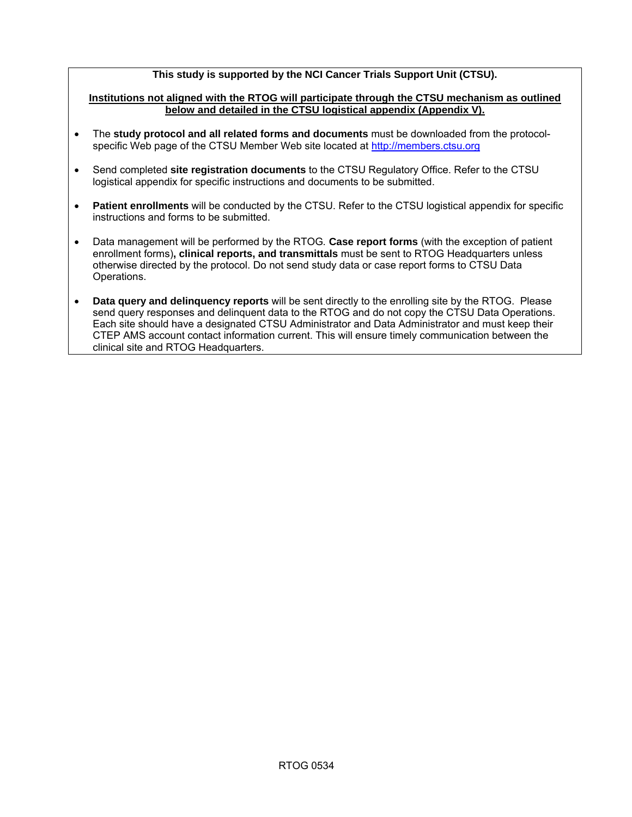### **This study is supported by the NCI Cancer Trials Support Unit (CTSU).**

### **Institutions not aligned with the RTOG will participate through the CTSU mechanism as outlined below and detailed in the CTSU logistical appendix (Appendix V).**

- The **study protocol and all related forms and documents** must be downloaded from the protocolspecific Web page of the CTSU Member Web site located at http://members.ctsu.org
- Send completed **site registration documents** to the CTSU Regulatory Office. Refer to the CTSU logistical appendix for specific instructions and documents to be submitted.
- **Patient enrollments** will be conducted by the CTSU. Refer to the CTSU logistical appendix for specific instructions and forms to be submitted.
- Data management will be performed by the RTOG*.* **Case report forms** (with the exception of patient enrollment forms)**, clinical reports, and transmittals** must be sent to RTOG Headquarters unless otherwise directed by the protocol. Do not send study data or case report forms to CTSU Data Operations.
- **Data query and delinquency reports** will be sent directly to the enrolling site by the RTOG. Please send query responses and delinquent data to the RTOG and do not copy the CTSU Data Operations. Each site should have a designated CTSU Administrator and Data Administrator and must keep their CTEP AMS account contact information current. This will ensure timely communication between the clinical site and RTOG Headquarters.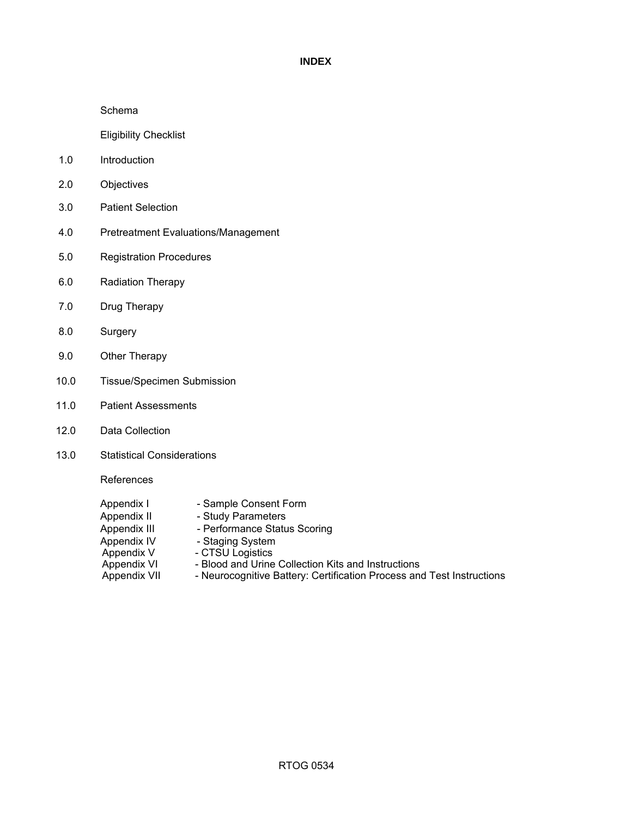### **INDEX**

### Schema

Eligibility Checklist

- 1.0 Introduction
- 2.0 Objectives
- 3.0 Patient Selection
- 4.0 Pretreatment Evaluations/Management
- 5.0 Registration Procedures
- 6.0 Radiation Therapy
- 7.0 Drug Therapy
- 8.0 Surgery
- 9.0 Other Therapy
- 10.0 Tissue/Specimen Submission
- 11.0 Patient Assessments
- 12.0 Data Collection
- 13.0 Statistical Considerations

References

| Appendix I   | - Sample Consent Form                                                 |
|--------------|-----------------------------------------------------------------------|
| Appendix II  | - Study Parameters                                                    |
| Appendix III | - Performance Status Scoring                                          |
| Appendix IV  | - Staging System                                                      |
| Appendix V   | - CTSU Logistics                                                      |
| Appendix VI  | - Blood and Urine Collection Kits and Instructions                    |
| Appendix VII | - Neurocognitive Battery: Certification Process and Test Instructions |
|              |                                                                       |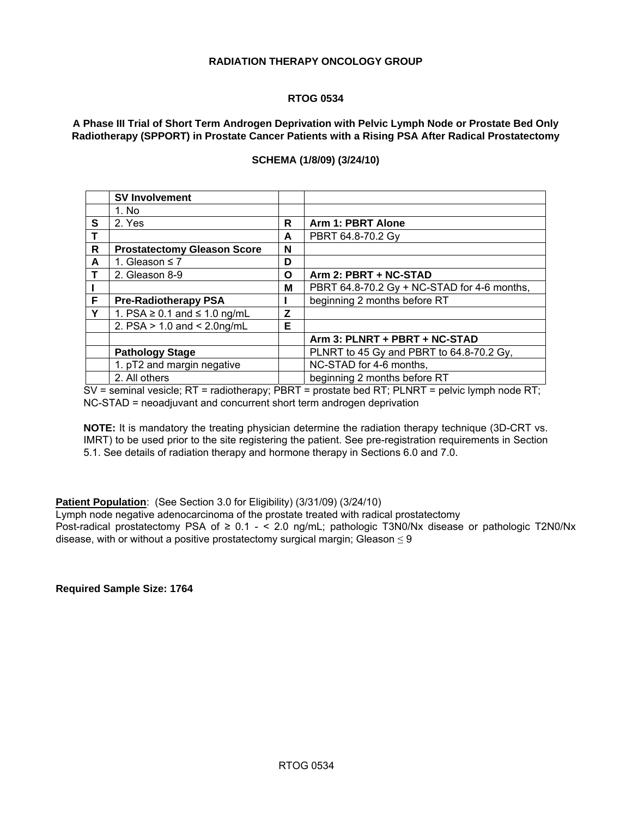### **RADIATION THERAPY ONCOLOGY GROUP**

### **RTOG 0534**

**A Phase III Trial of Short Term Androgen Deprivation with Pelvic Lymph Node or Prostate Bed Only Radiotherapy (SPPORT) in Prostate Cancer Patients with a Rising PSA After Radical Prostatectomy** 

|             | <b>SV Involvement</b>                  |   |                                             |
|-------------|----------------------------------------|---|---------------------------------------------|
|             | 1. No                                  |   |                                             |
| S           | 2. Yes                                 | R | <b>Arm 1: PBRT Alone</b>                    |
|             |                                        | A | PBRT 64.8-70.2 Gy                           |
| R           | <b>Prostatectomy Gleason Score</b>     | N |                                             |
| A           | 1. Gleason $\leq 7$                    | D |                                             |
| $\mathbf T$ | 2. Gleason 8-9                         | O | Arm 2: PBRT + NC-STAD                       |
|             |                                        | M | PBRT 64.8-70.2 Gy + NC-STAD for 4-6 months, |
| F           | <b>Pre-Radiotherapy PSA</b>            |   | beginning 2 months before RT                |
| Y           | 1. PSA $\geq$ 0.1 and $\leq$ 1.0 ng/mL | Z |                                             |
|             | 2. $PSA > 1.0$ and < 2.0ng/mL          | Е |                                             |
|             |                                        |   | Arm 3: PLNRT + PBRT + NC-STAD               |
|             | <b>Pathology Stage</b>                 |   | PLNRT to 45 Gy and PBRT to 64.8-70.2 Gy,    |
|             | 1. pT2 and margin negative             |   | NC-STAD for 4-6 months,                     |
|             | 2. All others                          |   | beginning 2 months before RT                |

### **SCHEMA (1/8/09) (3/24/10)**

SV = seminal vesicle; RT = radiotherapy; PBRT = prostate bed RT; PLNRT = pelvic lymph node RT; NC-STAD = neoadjuvant and concurrent short term androgen deprivation

**NOTE:** It is mandatory the treating physician determine the radiation therapy technique (3D-CRT vs. IMRT) to be used prior to the site registering the patient. See pre-registration requirements in Section 5.1. See details of radiation therapy and hormone therapy in Sections 6.0 and 7.0.

### **Patient Population:** (See Section 3.0 for Eligibility) (3/31/09) (3/24/10)

Lymph node negative adenocarcinoma of the prostate treated with radical prostatectomy Post-radical prostatectomy PSA of ≥ 0.1 - < 2.0 ng/mL; pathologic T3N0/Nx disease or pathologic T2N0/Nx disease, with or without a positive prostatectomy surgical margin; Gleason  $\leq 9$ 

**Required Sample Size: 1764**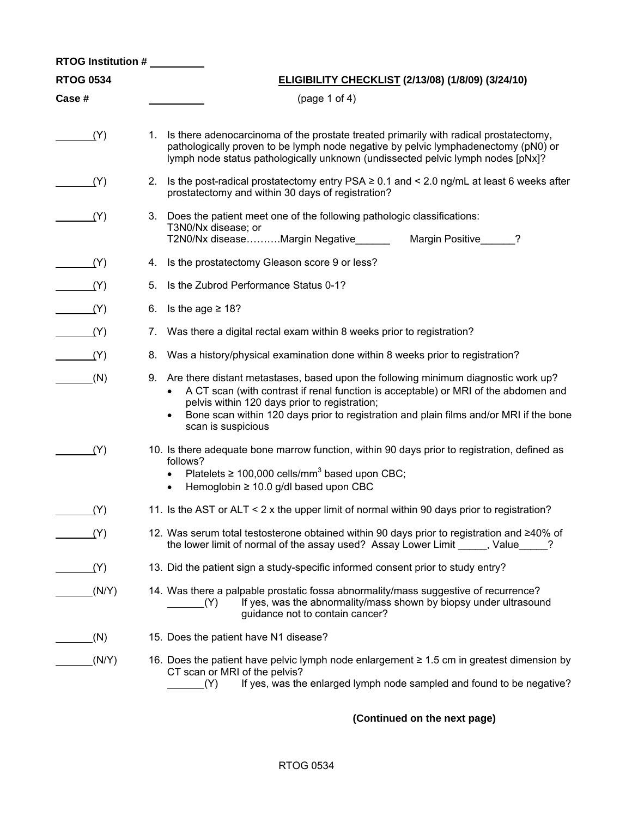| RTOG Institution # |                                                                                                                                                                                                                                                                                                                                                 |  |  |  |  |  |
|--------------------|-------------------------------------------------------------------------------------------------------------------------------------------------------------------------------------------------------------------------------------------------------------------------------------------------------------------------------------------------|--|--|--|--|--|
| <b>RTOG 0534</b>   | ELIGIBILITY CHECKLIST (2/13/08) (1/8/09) (3/24/10)                                                                                                                                                                                                                                                                                              |  |  |  |  |  |
| Case #             | (page 1 of 4)                                                                                                                                                                                                                                                                                                                                   |  |  |  |  |  |
| (Y)                | 1. Is there adenocarcinoma of the prostate treated primarily with radical prostatectomy,<br>pathologically proven to be lymph node negative by pelvic lymphadenectomy (pN0) or<br>lymph node status pathologically unknown (undissected pelvic lymph nodes [pNx]?                                                                               |  |  |  |  |  |
| (Y)                | Is the post-radical prostatectomy entry PSA ≥ 0.1 and < 2.0 ng/mL at least 6 weeks after<br>2.<br>prostatectomy and within 30 days of registration?                                                                                                                                                                                             |  |  |  |  |  |
| (Y)                | 3. Does the patient meet one of the following pathologic classifications:<br>T3N0/Nx disease; or<br>T2N0/Nx diseaseMargin Negative______<br>Margin Positive 2                                                                                                                                                                                   |  |  |  |  |  |
| (Y)                | Is the prostatectomy Gleason score 9 or less?<br>4.                                                                                                                                                                                                                                                                                             |  |  |  |  |  |
| (Y)                | Is the Zubrod Performance Status 0-1?<br>5.                                                                                                                                                                                                                                                                                                     |  |  |  |  |  |
| (Y)                | 6.<br>Is the age ≥ 18?                                                                                                                                                                                                                                                                                                                          |  |  |  |  |  |
| (Y)                | Was there a digital rectal exam within 8 weeks prior to registration?<br>7.                                                                                                                                                                                                                                                                     |  |  |  |  |  |
| (Y)                | Was a history/physical examination done within 8 weeks prior to registration?<br>8.                                                                                                                                                                                                                                                             |  |  |  |  |  |
| (N)                | 9. Are there distant metastases, based upon the following minimum diagnostic work up?<br>• A CT scan (with contrast if renal function is acceptable) or MRI of the abdomen and<br>pelvis within 120 days prior to registration;<br>Bone scan within 120 days prior to registration and plain films and/or MRI if the bone<br>scan is suspicious |  |  |  |  |  |
| (Y)                | 10. Is there adequate bone marrow function, within 90 days prior to registration, defined as<br>follows?<br>Platelets $\geq 100,000$ cells/mm <sup>3</sup> based upon CBC;<br>$\bullet$<br>Hemoglobin $\geq 10.0$ g/dl based upon CBC<br>$\bullet$                                                                                              |  |  |  |  |  |
| (Y)                | 11. Is the AST or ALT < 2 x the upper limit of normal within 90 days prior to registration?                                                                                                                                                                                                                                                     |  |  |  |  |  |
| (Y)                | 12. Was serum total testosterone obtained within 90 days prior to registration and ≥40% of<br>the lower limit of normal of the assay used? Assay Lower Limit _____, Value____                                                                                                                                                                   |  |  |  |  |  |
| (Y)                | 13. Did the patient sign a study-specific informed consent prior to study entry?                                                                                                                                                                                                                                                                |  |  |  |  |  |
| (N/Y)              | 14. Was there a palpable prostatic fossa abnormality/mass suggestive of recurrence?<br>If yes, was the abnormality/mass shown by biopsy under ultrasound<br>(Y)<br>guidance not to contain cancer?                                                                                                                                              |  |  |  |  |  |
| (N)                | 15. Does the patient have N1 disease?                                                                                                                                                                                                                                                                                                           |  |  |  |  |  |
| (N/Y)              | 16. Does the patient have pelvic lymph node enlargement ≥ 1.5 cm in greatest dimension by<br>CT scan or MRI of the pelvis?<br>If yes, was the enlarged lymph node sampled and found to be negative?<br>(Y)                                                                                                                                      |  |  |  |  |  |

# **(Continued on the next page)**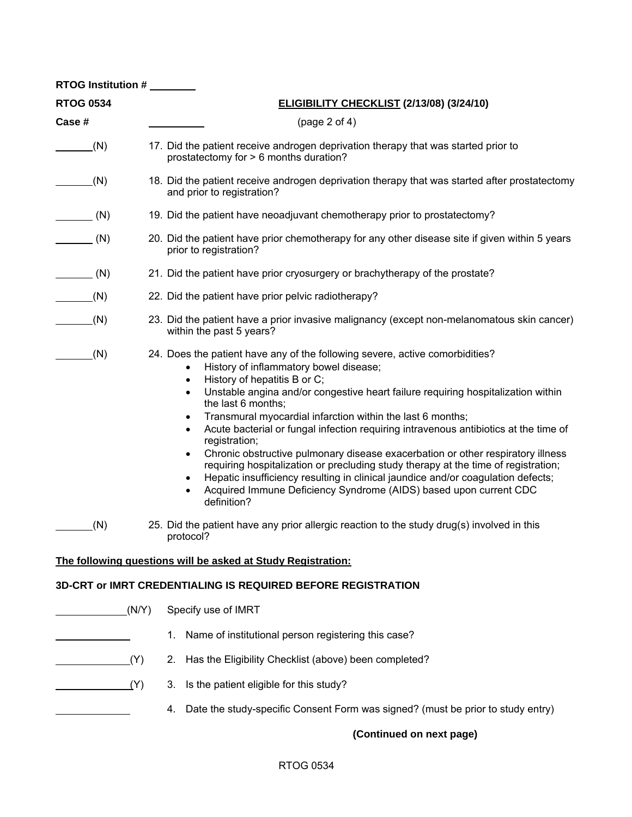| <b>RTOG Institution #</b> |       |                                                                                                                                                                                                                                                                                                                                                                                                                                                                                                                                                                                                                                                                                                                                                                                                                                                                             |  |  |  |  |
|---------------------------|-------|-----------------------------------------------------------------------------------------------------------------------------------------------------------------------------------------------------------------------------------------------------------------------------------------------------------------------------------------------------------------------------------------------------------------------------------------------------------------------------------------------------------------------------------------------------------------------------------------------------------------------------------------------------------------------------------------------------------------------------------------------------------------------------------------------------------------------------------------------------------------------------|--|--|--|--|
| <b>RTOG 0534</b>          |       | ELIGIBILITY CHECKLIST (2/13/08) (3/24/10)                                                                                                                                                                                                                                                                                                                                                                                                                                                                                                                                                                                                                                                                                                                                                                                                                                   |  |  |  |  |
| Case #                    |       | (page 2 of 4)                                                                                                                                                                                                                                                                                                                                                                                                                                                                                                                                                                                                                                                                                                                                                                                                                                                               |  |  |  |  |
| (N)                       |       | 17. Did the patient receive androgen deprivation therapy that was started prior to<br>prostatectomy for > 6 months duration?                                                                                                                                                                                                                                                                                                                                                                                                                                                                                                                                                                                                                                                                                                                                                |  |  |  |  |
| (N)                       |       | 18. Did the patient receive androgen deprivation therapy that was started after prostatectomy<br>and prior to registration?                                                                                                                                                                                                                                                                                                                                                                                                                                                                                                                                                                                                                                                                                                                                                 |  |  |  |  |
| (N)                       |       | 19. Did the patient have neoadjuvant chemotherapy prior to prostatectomy?                                                                                                                                                                                                                                                                                                                                                                                                                                                                                                                                                                                                                                                                                                                                                                                                   |  |  |  |  |
| (N)                       |       | 20. Did the patient have prior chemotherapy for any other disease site if given within 5 years<br>prior to registration?                                                                                                                                                                                                                                                                                                                                                                                                                                                                                                                                                                                                                                                                                                                                                    |  |  |  |  |
| (N)                       |       | 21. Did the patient have prior cryosurgery or brachytherapy of the prostate?                                                                                                                                                                                                                                                                                                                                                                                                                                                                                                                                                                                                                                                                                                                                                                                                |  |  |  |  |
| (N)                       |       | 22. Did the patient have prior pelvic radiotherapy?                                                                                                                                                                                                                                                                                                                                                                                                                                                                                                                                                                                                                                                                                                                                                                                                                         |  |  |  |  |
| (N)                       |       | 23. Did the patient have a prior invasive malignancy (except non-melanomatous skin cancer)<br>within the past 5 years?                                                                                                                                                                                                                                                                                                                                                                                                                                                                                                                                                                                                                                                                                                                                                      |  |  |  |  |
| (N)                       |       | 24. Does the patient have any of the following severe, active comorbidities?<br>History of inflammatory bowel disease;<br>History of hepatitis B or C;<br>$\bullet$<br>Unstable angina and/or congestive heart failure requiring hospitalization within<br>$\bullet$<br>the last 6 months;<br>Transmural myocardial infarction within the last 6 months;<br>٠<br>Acute bacterial or fungal infection requiring intravenous antibiotics at the time of<br>$\bullet$<br>registration;<br>Chronic obstructive pulmonary disease exacerbation or other respiratory illness<br>$\bullet$<br>requiring hospitalization or precluding study therapy at the time of registration;<br>Hepatic insufficiency resulting in clinical jaundice and/or coagulation defects;<br>$\bullet$<br>Acquired Immune Deficiency Syndrome (AIDS) based upon current CDC<br>$\bullet$<br>definition? |  |  |  |  |
| (N)                       |       | 25. Did the patient have any prior allergic reaction to the study drug(s) involved in this<br>protocol?                                                                                                                                                                                                                                                                                                                                                                                                                                                                                                                                                                                                                                                                                                                                                                     |  |  |  |  |
|                           |       | The following questions will be asked at Study Registration:                                                                                                                                                                                                                                                                                                                                                                                                                                                                                                                                                                                                                                                                                                                                                                                                                |  |  |  |  |
|                           |       | <b>3D-CRT or IMRT CREDENTIALING IS REQUIRED BEFORE REGISTRATION</b>                                                                                                                                                                                                                                                                                                                                                                                                                                                                                                                                                                                                                                                                                                                                                                                                         |  |  |  |  |
|                           | (N/Y) | Specify use of IMRT                                                                                                                                                                                                                                                                                                                                                                                                                                                                                                                                                                                                                                                                                                                                                                                                                                                         |  |  |  |  |
|                           |       | Name of institutional person registering this case?<br>1.                                                                                                                                                                                                                                                                                                                                                                                                                                                                                                                                                                                                                                                                                                                                                                                                                   |  |  |  |  |
|                           | (Y)   | Has the Eligibility Checklist (above) been completed?<br>2.                                                                                                                                                                                                                                                                                                                                                                                                                                                                                                                                                                                                                                                                                                                                                                                                                 |  |  |  |  |
|                           | (Y)   | Is the patient eligible for this study?<br>3.                                                                                                                                                                                                                                                                                                                                                                                                                                                                                                                                                                                                                                                                                                                                                                                                                               |  |  |  |  |
|                           |       | Date the study-specific Consent Form was signed? (must be prior to study entry)<br>4.                                                                                                                                                                                                                                                                                                                                                                                                                                                                                                                                                                                                                                                                                                                                                                                       |  |  |  |  |
|                           |       | (Continued on next page)                                                                                                                                                                                                                                                                                                                                                                                                                                                                                                                                                                                                                                                                                                                                                                                                                                                    |  |  |  |  |

# RTOG 0534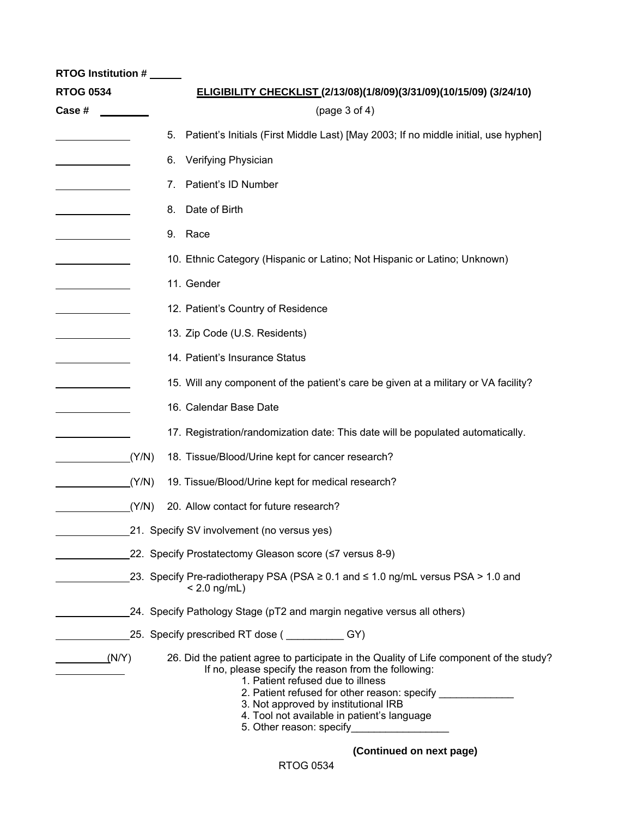| <b>RTOG Institution #</b><br><b>RTOG 0534</b> |    | ELIGIBILITY CHECKLIST (2/13/08)(1/8/09)(3/31/09)(10/15/09) (3/24/10)                                                                                                                                                                                                                                                            |
|-----------------------------------------------|----|---------------------------------------------------------------------------------------------------------------------------------------------------------------------------------------------------------------------------------------------------------------------------------------------------------------------------------|
| Case #                                        |    | (page 3 of 4)                                                                                                                                                                                                                                                                                                                   |
|                                               | 5. | Patient's Initials (First Middle Last) [May 2003; If no middle initial, use hyphen]                                                                                                                                                                                                                                             |
|                                               | 6. | Verifying Physician                                                                                                                                                                                                                                                                                                             |
|                                               | 7. | Patient's ID Number                                                                                                                                                                                                                                                                                                             |
|                                               | 8. | Date of Birth                                                                                                                                                                                                                                                                                                                   |
|                                               | 9. | Race                                                                                                                                                                                                                                                                                                                            |
|                                               |    | 10. Ethnic Category (Hispanic or Latino; Not Hispanic or Latino; Unknown)                                                                                                                                                                                                                                                       |
|                                               |    | 11. Gender                                                                                                                                                                                                                                                                                                                      |
|                                               |    | 12. Patient's Country of Residence                                                                                                                                                                                                                                                                                              |
|                                               |    | 13. Zip Code (U.S. Residents)                                                                                                                                                                                                                                                                                                   |
|                                               |    | 14. Patient's Insurance Status                                                                                                                                                                                                                                                                                                  |
|                                               |    | 15. Will any component of the patient's care be given at a military or VA facility?                                                                                                                                                                                                                                             |
|                                               |    | 16. Calendar Base Date                                                                                                                                                                                                                                                                                                          |
|                                               |    | 17. Registration/randomization date: This date will be populated automatically.                                                                                                                                                                                                                                                 |
| (Y/N)                                         |    | 18. Tissue/Blood/Urine kept for cancer research?                                                                                                                                                                                                                                                                                |
| (Y/N)                                         |    | 19. Tissue/Blood/Urine kept for medical research?                                                                                                                                                                                                                                                                               |
| (Y/N)                                         |    | 20. Allow contact for future research?                                                                                                                                                                                                                                                                                          |
|                                               |    | 21. Specify SV involvement (no versus yes)                                                                                                                                                                                                                                                                                      |
|                                               |    | _22. Specify Prostatectomy Gleason score (≤7 versus 8-9)                                                                                                                                                                                                                                                                        |
|                                               |    | 23. Specify Pre-radiotherapy PSA (PSA ≥ 0.1 and ≤ 1.0 ng/mL versus PSA > 1.0 and<br>$< 2.0$ ng/mL)                                                                                                                                                                                                                              |
|                                               |    | 24. Specify Pathology Stage (pT2 and margin negative versus all others)                                                                                                                                                                                                                                                         |
|                                               |    | 25. Specify prescribed RT dose ( <b>COVERT</b> 1997)                                                                                                                                                                                                                                                                            |
| (N/Y)                                         |    | 26. Did the patient agree to participate in the Quality of Life component of the study?<br>If no, please specify the reason from the following:<br>1. Patient refused due to illness<br>2. Patient refused for other reason: specify ___<br>3. Not approved by institutional IRB<br>4. Tool not available in patient's language |

5. Other reason: specify\_\_\_\_

 **(Continued on next page)**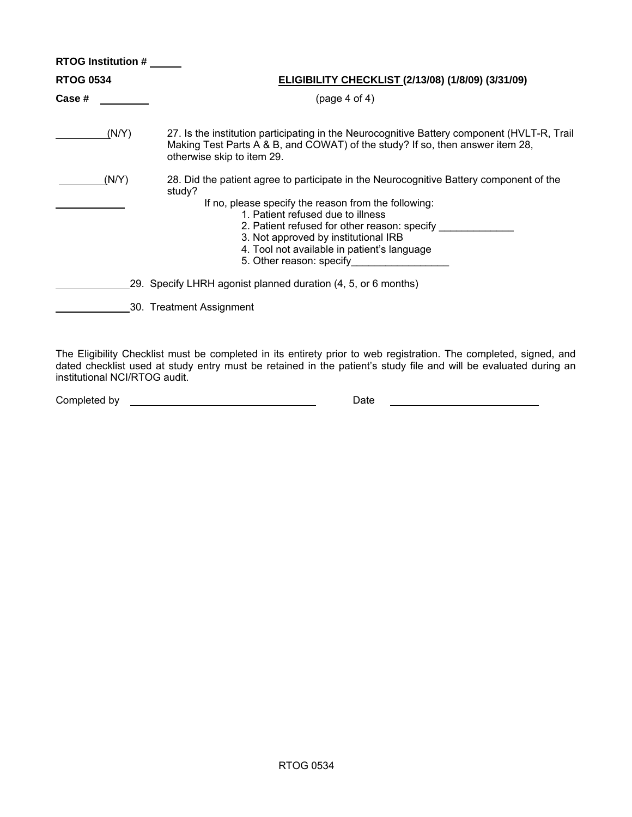|                  | <b>RTOG Institution #</b> |                                                                                                                                                                                                                                                                                                                                                                         |  |  |  |  |
|------------------|---------------------------|-------------------------------------------------------------------------------------------------------------------------------------------------------------------------------------------------------------------------------------------------------------------------------------------------------------------------------------------------------------------------|--|--|--|--|
| <b>RTOG 0534</b> |                           | <b>ELIGIBILITY CHECKLIST (2/13/08) (1/8/09) (3/31/09)</b>                                                                                                                                                                                                                                                                                                               |  |  |  |  |
| Case #           |                           | (page 4 of 4)                                                                                                                                                                                                                                                                                                                                                           |  |  |  |  |
|                  | (N/Y)                     | 27. Is the institution participating in the Neurocognitive Battery component (HVLT-R, Trail<br>Making Test Parts A & B, and COWAT) of the study? If so, then answer item 28,<br>otherwise skip to item 29.                                                                                                                                                              |  |  |  |  |
|                  | (N/Y)                     | 28. Did the patient agree to participate in the Neurocognitive Battery component of the<br>study?<br>If no, please specify the reason from the following:<br>1. Patient refused due to illness<br>2. Patient refused for other reason: specify _____<br>3. Not approved by institutional IRB<br>4. Tool not available in patient's language<br>5. Other reason: specify |  |  |  |  |
|                  |                           | 29. Specify LHRH agonist planned duration (4, 5, or 6 months)                                                                                                                                                                                                                                                                                                           |  |  |  |  |
|                  |                           | 30. Treatment Assignment                                                                                                                                                                                                                                                                                                                                                |  |  |  |  |

The Eligibility Checklist must be completed in its entirety prior to web registration. The completed, signed, and dated checklist used at study entry must be retained in the patient's study file and will be evaluated during an institutional NCI/RTOG audit.

| Completed by |  |
|--------------|--|
|              |  |

Late by Date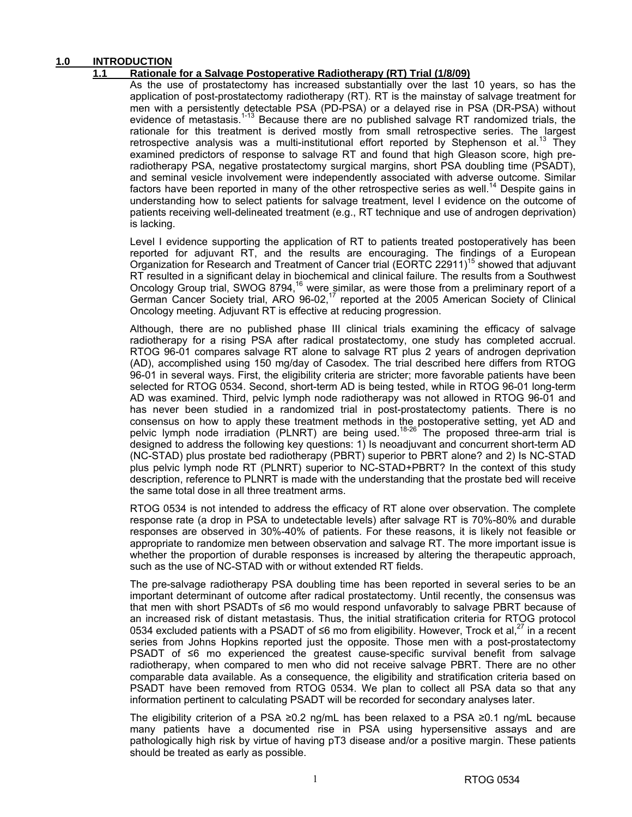### **1.0 INTRODUCTION**

### **1.1 Rationale for a Salvage Postoperative Radiotherapy (RT) Trial (1/8/09)**

 As the use of prostatectomy has increased substantially over the last 10 years, so has the application of post-prostatectomy radiotherapy (RT). RT is the mainstay of salvage treatment for men with a persistently detectable PSA (PD-PSA) or a delayed rise in PSA (DR-PSA) without evidence of metastasis.<sup>1-13</sup> Because there are no published salvage RT randomized trials, the rationale for this treatment is derived mostly from small retrospective series. The largest retrospective analysis was a multi-institutional effort reported by Stephenson et al.<sup>13</sup> They examined predictors of response to salvage RT and found that high Gleason score, high preradiotherapy PSA, negative prostatectomy surgical margins, short PSA doubling time (PSADT), and seminal vesicle involvement were independently associated with adverse outcome. Similar factors have been reported in many of the other retrospective series as well.<sup>14</sup> Despite gains in understanding how to select patients for salvage treatment, level I evidence on the outcome of patients receiving well-delineated treatment (e.g., RT technique and use of androgen deprivation) is lacking.

Level I evidence supporting the application of RT to patients treated postoperatively has been reported for adjuvant RT, and the results are encouraging. The findings of a European Organization for Research and Treatment of Cancer trial (EORTC 22911)<sup>15</sup> showed that adjuvant RT resulted in a significant delay in biochemical and clinical failure. The results from a Southwest Oncology Group trial, SWOG 8794,<sup>16</sup> were similar, as were those from a preliminary report of a German Cancer Society trial, ARO 96-02,<sup>17</sup> reported at the 2005 American Society of Clinical Oncology meeting. Adjuvant RT is effective at reducing progression.

Although, there are no published phase III clinical trials examining the efficacy of salvage radiotherapy for a rising PSA after radical prostatectomy, one study has completed accrual. RTOG 96-01 compares salvage RT alone to salvage RT plus 2 years of androgen deprivation (AD), accomplished using 150 mg/day of Casodex. The trial described here differs from RTOG 96-01 in several ways. First, the eligibility criteria are stricter; more favorable patients have been selected for RTOG 0534. Second, short-term AD is being tested, while in RTOG 96-01 long-term AD was examined. Third, pelvic lymph node radiotherapy was not allowed in RTOG 96-01 and has never been studied in a randomized trial in post-prostatectomy patients. There is no consensus on how to apply these treatment methods in the postoperative setting, yet AD and pelvic lymph node irradiation (PLNRT) are being used.<sup>18-26</sup> The proposed three-arm trial is designed to address the following key questions: 1) Is neoadjuvant and concurrent short-term AD (NC-STAD) plus prostate bed radiotherapy (PBRT) superior to PBRT alone? and 2) Is NC-STAD plus pelvic lymph node RT (PLNRT) superior to NC-STAD+PBRT? In the context of this study description, reference to PLNRT is made with the understanding that the prostate bed will receive the same total dose in all three treatment arms.

RTOG 0534 is not intended to address the efficacy of RT alone over observation. The complete response rate (a drop in PSA to undetectable levels) after salvage RT is 70%-80% and durable responses are observed in 30%-40% of patients. For these reasons, it is likely not feasible or appropriate to randomize men between observation and salvage RT. The more important issue is whether the proportion of durable responses is increased by altering the therapeutic approach, such as the use of NC-STAD with or without extended RT fields.

The pre-salvage radiotherapy PSA doubling time has been reported in several series to be an important determinant of outcome after radical prostatectomy. Until recently, the consensus was that men with short PSADTs of ≤6 mo would respond unfavorably to salvage PBRT because of an increased risk of distant metastasis. Thus, the initial stratification criteria for RTOG protocol 0534 excluded patients with a PSADT of ≤6 mo from eligibility. However, Trock et al,<sup>27</sup> in a recent series from Johns Hopkins reported just the opposite. Those men with a post-prostatectomy PSADT of ≤6 mo experienced the greatest cause-specific survival benefit from salvage radiotherapy, when compared to men who did not receive salvage PBRT. There are no other comparable data available. As a consequence, the eligibility and stratification criteria based on PSADT have been removed from RTOG 0534. We plan to collect all PSA data so that any information pertinent to calculating PSADT will be recorded for secondary analyses later.

The eligibility criterion of a PSA ≥0.2 ng/mL has been relaxed to a PSA ≥0.1 ng/mL because many patients have a documented rise in PSA using hypersensitive assays and are pathologically high risk by virtue of having pT3 disease and/or a positive margin. These patients should be treated as early as possible.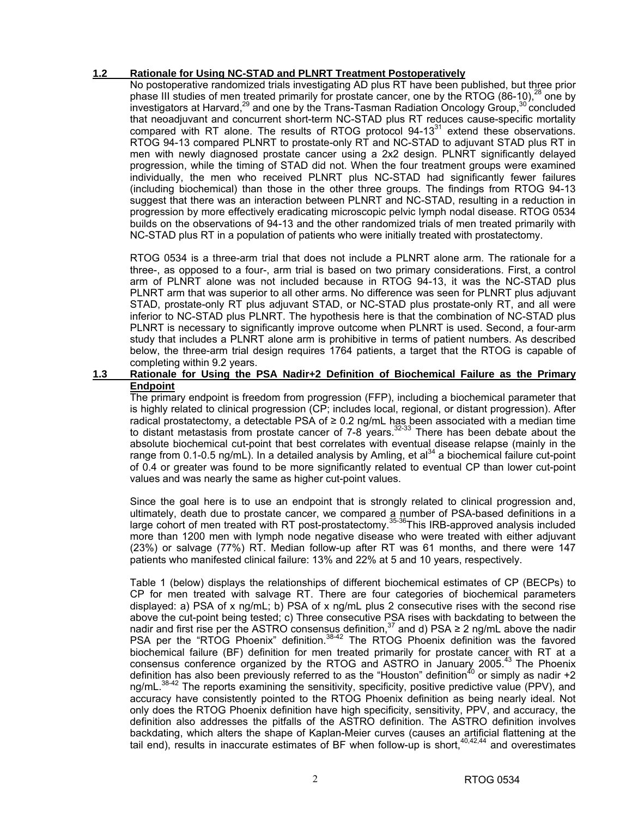### **1.2 Rationale for Using NC-STAD and PLNRT Treatment Postoperatively**

 No postoperative randomized trials investigating AD plus RT have been published, but three prior phase III studies of men treated primarily for prostate cancer, one by the RTOG (86-10),<sup>28</sup> one by investigators at Harvard,<sup>29</sup> and one by the Trans-Tasman Radiation Oncology Group,<sup>30</sup> concluded that neoadjuvant and concurrent short-term NC-STAD plus RT reduces cause-specific mortality compared with RT alone. The results of RTOG protocol 94-13<sup>31</sup> extend these observations. RTOG 94-13 compared PLNRT to prostate-only RT and NC-STAD to adjuvant STAD plus RT in men with newly diagnosed prostate cancer using a 2x2 design. PLNRT significantly delayed progression, while the timing of STAD did not. When the four treatment groups were examined individually, the men who received PLNRT plus NC-STAD had significantly fewer failures (including biochemical) than those in the other three groups. The findings from RTOG 94-13 suggest that there was an interaction between PLNRT and NC-STAD, resulting in a reduction in progression by more effectively eradicating microscopic pelvic lymph nodal disease. RTOG 0534 builds on the observations of 94-13 and the other randomized trials of men treated primarily with NC-STAD plus RT in a population of patients who were initially treated with prostatectomy.

 RTOG 0534 is a three-arm trial that does not include a PLNRT alone arm. The rationale for a three-, as opposed to a four-, arm trial is based on two primary considerations. First, a control arm of PLNRT alone was not included because in RTOG 94-13, it was the NC-STAD plus PLNRT arm that was superior to all other arms. No difference was seen for PLNRT plus adjuvant STAD, prostate-only RT plus adjuvant STAD, or NC-STAD plus prostate-only RT, and all were inferior to NC-STAD plus PLNRT. The hypothesis here is that the combination of NC-STAD plus PLNRT is necessary to significantly improve outcome when PLNRT is used. Second, a four-arm study that includes a PLNRT alone arm is prohibitive in terms of patient numbers. As described below, the three-arm trial design requires 1764 patients, a target that the RTOG is capable of completing within 9.2 years.

### **1.3 Rationale for Using the PSA Nadir+2 Definition of Biochemical Failure as the Primary Endpoint**

 The primary endpoint is freedom from progression (FFP), including a biochemical parameter that is highly related to clinical progression (CP; includes local, regional, or distant progression). After radical prostatectomy, a detectable PSA of ≥ 0.2 ng/mL has been associated with a median time to distant metastasis from prostate cancer of  $7-8$  years.<sup>32-33</sup> There has been debate about the absolute biochemical cut-point that best correlates with eventual disease relapse (mainly in the range from 0.1-0.5 ng/mL). In a detailed analysis by Amling, et al<sup>34</sup> a biochemical failure cut-point of 0.4 or greater was found to be more significantly related to eventual CP than lower cut-point values and was nearly the same as higher cut-point values.

 Since the goal here is to use an endpoint that is strongly related to clinical progression and, ultimately, death due to prostate cancer, we compared a number of PSA-based definitions in a large cohort of men treated with RT post-prostatectomy.35-36This IRB-approved analysis included more than 1200 men with lymph node negative disease who were treated with either adjuvant (23%) or salvage (77%) RT. Median follow-up after RT was 61 months, and there were 147 patients who manifested clinical failure: 13% and 22% at 5 and 10 years, respectively.

 Table 1 (below) displays the relationships of different biochemical estimates of CP (BECPs) to CP for men treated with salvage RT. There are four categories of biochemical parameters displayed: a) PSA of x ng/mL; b) PSA of x ng/mL plus 2 consecutive rises with the second rise above the cut-point being tested; c) Three consecutive PSA rises with backdating to between the nadir and first rise per the ASTRO consensus definition,<sup>37</sup> and d) PSA  $\geq 2$  ng/mL above the nadir PSA per the "RTOG Phoenix" definition.<sup>38-42</sup> The RTOG Phoenix definition was the favored biochemical failure (BF) definition for men treated primarily for prostate cancer with RT at a consensus conference organized by the RTOG and ASTRO in January 2005.<sup>43</sup> The Phoenix definition has also been previously referred to as the "Houston" definition<sup>40</sup> or simply as nadir  $+2$ ng/mL.<sup>38-42</sup> The reports examining the sensitivity, specificity, positive predictive value (PPV), and accuracy have consistently pointed to the RTOG Phoenix definition as being nearly ideal. Not only does the RTOG Phoenix definition have high specificity, sensitivity, PPV, and accuracy, the definition also addresses the pitfalls of the ASTRO definition. The ASTRO definition involves backdating, which alters the shape of Kaplan-Meier curves (causes an artificial flattening at the tail end), results in inaccurate estimates of BF when follow-up is short,  $40,42,44$  and overestimates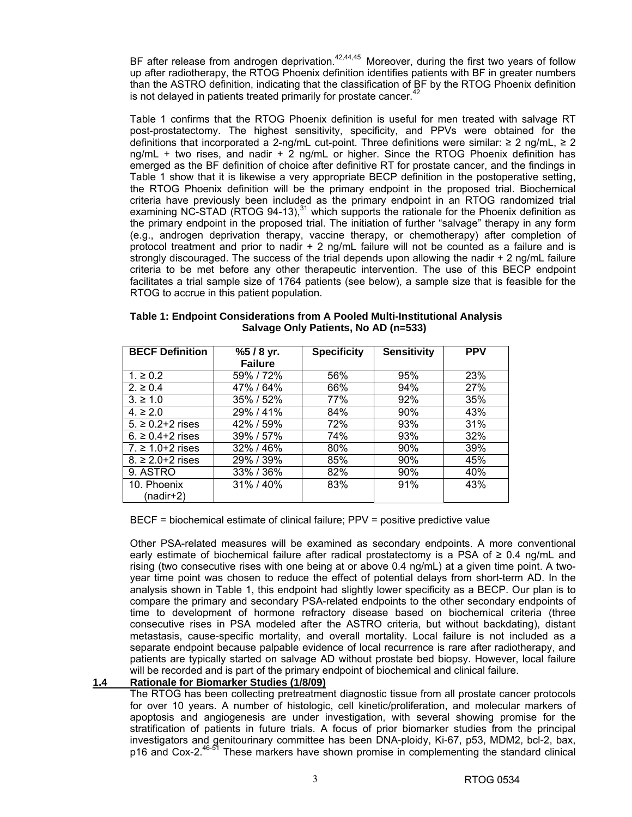BF after release from androgen deprivation.<sup>42,44,45</sup> Moreover, during the first two years of follow up after radiotherapy, the RTOG Phoenix definition identifies patients with BF in greater numbers than the ASTRO definition, indicating that the classification of BF by the RTOG Phoenix definition is not delayed in patients treated primarily for prostate cancer.<sup>42</sup>

 Table 1 confirms that the RTOG Phoenix definition is useful for men treated with salvage RT post-prostatectomy. The highest sensitivity, specificity, and PPVs were obtained for the definitions that incorporated a 2-ng/mL cut-point. Three definitions were similar: ≥ 2 ng/mL, ≥ 2 ng/mL + two rises, and nadir + 2 ng/mL or higher. Since the RTOG Phoenix definition has emerged as the BF definition of choice after definitive RT for prostate cancer, and the findings in Table 1 show that it is likewise a very appropriate BECP definition in the postoperative setting, the RTOG Phoenix definition will be the primary endpoint in the proposed trial. Biochemical criteria have previously been included as the primary endpoint in an RTOG randomized trial examining NC-STAD (RTOG 94-13),<sup>31</sup> which supports the rationale for the Phoenix definition as the primary endpoint in the proposed trial. The initiation of further "salvage" therapy in any form (e.g., androgen deprivation therapy, vaccine therapy, or chemotherapy) after completion of protocol treatment and prior to nadir + 2 ng/mL failure will not be counted as a failure and is strongly discouraged. The success of the trial depends upon allowing the nadir + 2 ng/mL failure criteria to be met before any other therapeutic intervention. The use of this BECP endpoint facilitates a trial sample size of 1764 patients (see below), a sample size that is feasible for the RTOG to accrue in this patient population.

| <b>BECF Definition</b> | $%5/8$ yr.      | <b>Specificity</b> | <b>Sensitivity</b> | <b>PPV</b> |
|------------------------|-----------------|--------------------|--------------------|------------|
|                        | <b>Failure</b>  |                    |                    |            |
| $1. \ge 0.2$           | 59% / 72%       | 56%                | 95%                | 23%        |
| $2 \ge 0.4$            | 47% / 64%       | 66%                | 94%                | 27%        |
| $3. \ge 1.0$           | 35%/52%         | 77%                | 92%                | 35%        |
| $4. \ge 2.0$           | 29%/41%         | 84%                | 90%                | 43%        |
| $5. \ge 0.2 + 2$ rises | 42% / 59%       | 72%                | 93%                | 31%        |
| $6. \ge 0.4 + 2$ rises | 39%/57%         | 74%                | 93%                | 32%        |
| $7 \ge 1.0 + 2$ rises  | 32%/46%         | 80%                | 90%                | 39%        |
| $8. \ge 2.0 + 2$ rises | 29% / 39%       | 85%                | 90%                | 45%        |
| 9. ASTRO               | 33%/36%         | 82%                | 90%                | 40%        |
| 10. Phoenix            | $31\%$ / $40\%$ | 83%                | 91%                | 43%        |
| (nadir+2)              |                 |                    |                    |            |

**Table 1: Endpoint Considerations from A Pooled Multi-Institutional Analysis Salvage Only Patients, No AD (n=533)** 

BECF = biochemical estimate of clinical failure; PPV = positive predictive value

 Other PSA-related measures will be examined as secondary endpoints. A more conventional early estimate of biochemical failure after radical prostatectomy is a PSA of  $\geq 0.4$  ng/mL and rising (two consecutive rises with one being at or above 0.4 ng/mL) at a given time point. A twoyear time point was chosen to reduce the effect of potential delays from short-term AD. In the analysis shown in Table 1, this endpoint had slightly lower specificity as a BECP. Our plan is to compare the primary and secondary PSA-related endpoints to the other secondary endpoints of time to development of hormone refractory disease based on biochemical criteria (three consecutive rises in PSA modeled after the ASTRO criteria, but without backdating), distant metastasis, cause-specific mortality, and overall mortality. Local failure is not included as a separate endpoint because palpable evidence of local recurrence is rare after radiotherapy, and patients are typically started on salvage AD without prostate bed biopsy. However, local failure will be recorded and is part of the primary endpoint of biochemical and clinical failure.

### **1.4 Rationale for Biomarker Studies (1/8/09)**

 The RTOG has been collecting pretreatment diagnostic tissue from all prostate cancer protocols for over 10 years. A number of histologic, cell kinetic/proliferation, and molecular markers of apoptosis and angiogenesis are under investigation, with several showing promise for the stratification of patients in future trials. A focus of prior biomarker studies from the principal investigators and genitourinary committee has been DNA-ploidy, Ki-67, p53, MDM2, bcl-2, bax, p16 and Cox-2.<sup>46-51</sup> These markers have shown promise in complementing the standard clinical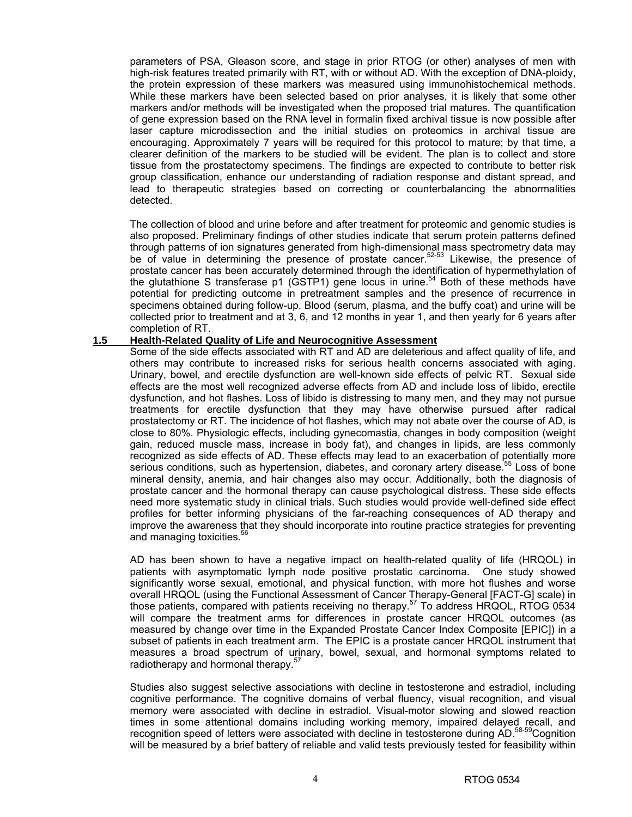parameters of PSA, Gleason score, and stage in prior RTOG (or other) analyses of men with high-risk features treated primarily with RT, with or without AD. With the exception of DNA-ploidy, the protein expression of these markers was measured using immunohistochemical methods. While these markers have been selected based on prior analyses, it is likely that some other markers and/or methods will be investigated when the proposed trial matures. The quantification of gene expression based on the RNA level in formalin fixed archival tissue is now possible after laser capture microdissection and the initial studies on proteomics in archival tissue are encouraging. Approximately 7 years will be required for this protocol to mature; by that time, a clearer definition of the markers to be studied will be evident. The plan is to collect and store tissue from the prostatectomy specimens. The findings are expected to contribute to better risk group classification, enhance our understanding of radiation response and distant spread, and lead to therapeutic strategies based on correcting or counterbalancing the abnormalities detected.

 The collection of blood and urine before and after treatment for proteomic and genomic studies is also proposed. Preliminary findings of other studies indicate that serum protein patterns defined through patterns of ion signatures generated from high-dimensional mass spectrometry data may be of value in determining the presence of prostate cancer.<sup>52-53</sup> Likewise, the presence of prostate cancer has been accurately determined through the identification of hypermethylation of the glutathione S transferase p1 (GSTP1) gene locus in urine.<sup>54</sup> Both of these methods have potential for predicting outcome in pretreatment samples and the presence of recurrence in specimens obtained during follow-up. Blood (serum, plasma, and the buffy coat) and urine will be collected prior to treatment and at 3, 6, and 12 months in year 1, and then yearly for 6 years after completion of RT.

#### **1.5 Health-Related Quality of Life and Neurocognitive Assessment**

Some of the side effects associated with RT and AD are deleterious and affect quality of life, and others may contribute to increased risks for serious health concerns associated with aging. Urinary, bowel, and erectile dysfunction are well-known side effects of pelvic RT. Sexual side effects are the most well recognized adverse effects from AD and include loss of libido, erectile dysfunction, and hot flashes. Loss of libido is distressing to many men, and they may not pursue treatments for erectile dysfunction that they may have otherwise pursued after radical prostatectomy or RT. The incidence of hot flashes, which may not abate over the course of AD, is close to 80%. Physiologic effects, including gynecomastia, changes in body composition (weight gain, reduced muscle mass, increase in body fat), and changes in lipids, are less commonly recognized as side effects of AD. These effects may lead to an exacerbation of potentially more serious conditions, such as hypertension, diabetes, and coronary artery disease.<sup>55</sup> Loss of bone mineral density, anemia, and hair changes also may occur. Additionally, both the diagnosis of prostate cancer and the hormonal therapy can cause psychological distress. These side effects need more systematic study in clinical trials. Such studies would provide well-defined side effect profiles for better informing physicians of the far-reaching consequences of AD therapy and improve the awareness that they should incorporate into routine practice strategies for preventing and managing toxicities.<sup>36</sup>

 AD has been shown to have a negative impact on health-related quality of life (HRQOL) in patients with asymptomatic lymph node positive prostatic carcinoma. One study showed significantly worse sexual, emotional, and physical function, with more hot flushes and worse overall HRQOL (using the Functional Assessment of Cancer Therapy-General [FACT-G] scale) in those patients, compared with patients receiving no therapy.<sup>57</sup> To address HRQOL, RTOG 0534 will compare the treatment arms for differences in prostate cancer HRQOL outcomes (as measured by change over time in the Expanded Prostate Cancer Index Composite [EPIC]) in a subset of patients in each treatment arm. The EPIC is a prostate cancer HRQOL instrument that measures a broad spectrum of urinary, bowel, sexual, and hormonal symptoms related to radiotherapy and hormonal therapy.<sup>57</sup>

 Studies also suggest selective associations with decline in testosterone and estradiol, including cognitive performance. The cognitive domains of verbal fluency, visual recognition, and visual memory were associated with decline in estradiol. Visual-motor slowing and slowed reaction times in some attentional domains including working memory, impaired delayed recall, and recognition speed of letters were associated with decline in testosterone during AD.<sup>58-59</sup>Cognition will be measured by a brief battery of reliable and valid tests previously tested for feasibility within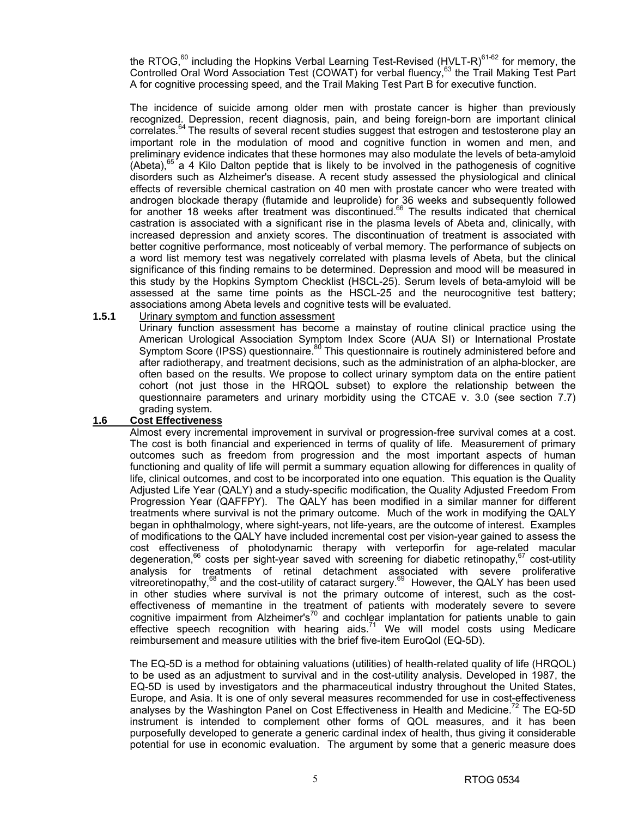the RTOG, $^{60}$  including the Hopkins Verbal Learning Test-Revised (HVLT-R) $^{61-62}$  for memory, the Controlled Oral Word Association Test (COWAT) for verbal fluency,<sup>63</sup> the Trail Making Test Part A for cognitive processing speed, and the Trail Making Test Part B for executive function.

 The incidence of suicide among older men with prostate cancer is higher than previously recognized. Depression, recent diagnosis, pain, and being foreign-born are important clinical correlates.64 The results of several recent studies suggest that estrogen and testosterone play an important role in the modulation of mood and cognitive function in women and men, and preliminary evidence indicates that these hormones may also modulate the levels of beta-amyloid (Abeta),<sup>65</sup> a 4 Kilo Dalton peptide that is likely to be involved in the pathogenesis of cognitive disorders such as Alzheimer's disease. A recent study assessed the physiological and clinical effects of reversible chemical castration on 40 men with prostate cancer who were treated with androgen blockade therapy (flutamide and leuprolide) for 36 weeks and subsequently followed for another 18 weeks after treatment was discontinued.<sup>66</sup> The results indicated that chemical castration is associated with a significant rise in the plasma levels of Abeta and, clinically, with increased depression and anxiety scores. The discontinuation of treatment is associated with better cognitive performance, most noticeably of verbal memory. The performance of subjects on a word list memory test was negatively correlated with plasma levels of Abeta, but the clinical significance of this finding remains to be determined. Depression and mood will be measured in this study by the Hopkins Symptom Checklist (HSCL-25). Serum levels of beta-amyloid will be assessed at the same time points as the HSCL-25 and the neurocognitive test battery; associations among Abeta levels and cognitive tests will be evaluated.

### **1.5.1** Urinary symptom and function assessment

Urinary function assessment has become a mainstay of routine clinical practice using the American Urological Association Symptom Index Score (AUA SI) or International Prostate Symptom Score (IPSS) questionnaire.<sup>80</sup> This questionnaire is routinely administered before and after radiotherapy, and treatment decisions, such as the administration of an alpha-blocker, are often based on the results. We propose to collect urinary symptom data on the entire patient cohort (not just those in the HRQOL subset) to explore the relationship between the questionnaire parameters and urinary morbidity using the CTCAE v. 3.0 (see section 7.7) grading system.

### **1.6 Cost Effectiveness**

 Almost every incremental improvement in survival or progression-free survival comes at a cost. The cost is both financial and experienced in terms of quality of life. Measurement of primary outcomes such as freedom from progression and the most important aspects of human functioning and quality of life will permit a summary equation allowing for differences in quality of life, clinical outcomes, and cost to be incorporated into one equation. This equation is the Quality Adjusted Life Year (QALY) and a study-specific modification, the Quality Adjusted Freedom From Progression Year (QAFFPY). The QALY has been modified in a similar manner for different treatments where survival is not the primary outcome. Much of the work in modifying the QALY began in ophthalmology, where sight-years, not life-years, are the outcome of interest. Examples of modifications to the QALY have included incremental cost per vision-year gained to assess the cost effectiveness of photodynamic therapy with verteporfin for age-related macular degeneration,  $66$  costs per sight-year saved with screening for diabetic retinopathy,  $67$  cost-utility analysis for treatments of retinal detachment associated with severe proliferative vitreoretinopathy,68 and the cost-utility of cataract surgery.69 However, the QALY has been used in other studies where survival is not the primary outcome of interest, such as the costeffectiveness of memantine in the treatment of patients with moderately severe to severe cognitive impairment from Alzheimer's<sup>70</sup> and cochlear implantation for patients unable to gain effective speech recognition with hearing aids.<sup>71</sup> We will model costs using Medicare reimbursement and measure utilities with the brief five-item EuroQol (EQ-5D).

 The EQ-5D is a method for obtaining valuations (utilities) of health-related quality of life (HRQOL) to be used as an adjustment to survival and in the cost-utility analysis. Developed in 1987, the EQ-5D is used by investigators and the pharmaceutical industry throughout the United States, Europe, and Asia. It is one of only several measures recommended for use in cost-effectiveness analyses by the Washington Panel on Cost Effectiveness in Health and Medicine.<sup>72</sup> The EQ-5D instrument is intended to complement other forms of QOL measures, and it has been purposefully developed to generate a generic cardinal index of health, thus giving it considerable potential for use in economic evaluation. The argument by some that a generic measure does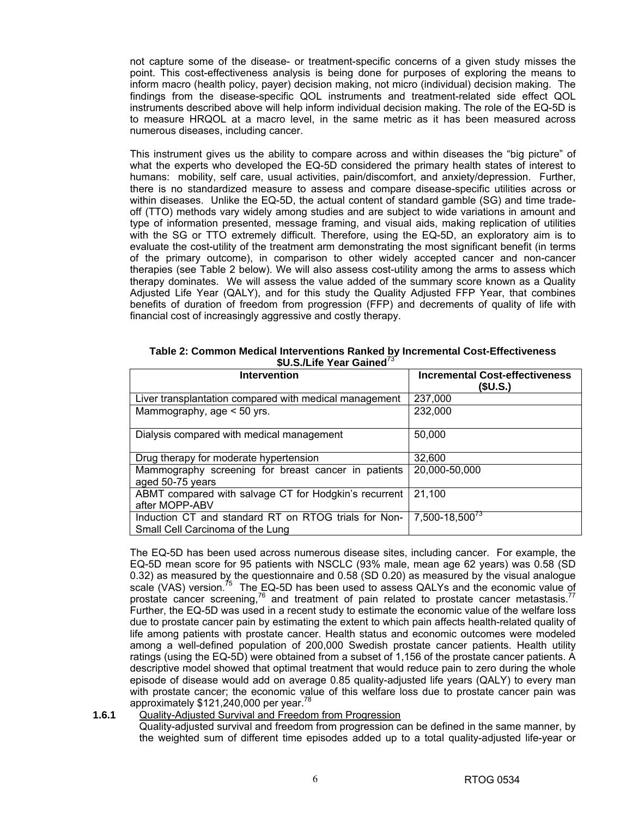not capture some of the disease- or treatment-specific concerns of a given study misses the point. This cost-effectiveness analysis is being done for purposes of exploring the means to inform macro (health policy, payer) decision making, not micro (individual) decision making. The findings from the disease-specific QOL instruments and treatment-related side effect QOL instruments described above will help inform individual decision making. The role of the EQ-5D is to measure HRQOL at a macro level, in the same metric as it has been measured across numerous diseases, including cancer.

 This instrument gives us the ability to compare across and within diseases the "big picture" of what the experts who developed the EQ-5D considered the primary health states of interest to humans: mobility, self care, usual activities, pain/discomfort, and anxiety/depression. Further, there is no standardized measure to assess and compare disease-specific utilities across or within diseases. Unlike the EQ-5D, the actual content of standard gamble (SG) and time tradeoff (TTO) methods vary widely among studies and are subject to wide variations in amount and type of information presented, message framing, and visual aids, making replication of utilities with the SG or TTO extremely difficult. Therefore, using the EQ-5D, an exploratory aim is to evaluate the cost-utility of the treatment arm demonstrating the most significant benefit (in terms of the primary outcome), in comparison to other widely accepted cancer and non-cancer therapies (see Table 2 below). We will also assess cost-utility among the arms to assess which therapy dominates. We will assess the value added of the summary score known as a Quality Adjusted Life Year (QALY), and for this study the Quality Adjusted FFP Year, that combines benefits of duration of freedom from progression (FFP) and decrements of quality of life with financial cost of increasingly aggressive and costly therapy.

| *********************                                                                    |                                                   |  |  |  |  |
|------------------------------------------------------------------------------------------|---------------------------------------------------|--|--|--|--|
| Intervention                                                                             | <b>Incremental Cost-effectiveness</b><br>(\$U.S.) |  |  |  |  |
| Liver transplantation compared with medical management                                   | 237,000                                           |  |  |  |  |
| Mammography, age < 50 yrs.                                                               | 232,000                                           |  |  |  |  |
| Dialysis compared with medical management                                                | 50,000                                            |  |  |  |  |
| Drug therapy for moderate hypertension                                                   | 32,600                                            |  |  |  |  |
| Mammography screening for breast cancer in patients<br>aged 50-75 years                  | 20,000-50,000                                     |  |  |  |  |
| ABMT compared with salvage CT for Hodgkin's recurrent<br>after MOPP-ABV                  | 21,100                                            |  |  |  |  |
| Induction CT and standard RT on RTOG trials for Non-<br>Small Cell Carcinoma of the Lung | $7,500 - 18,5003$                                 |  |  |  |  |

 **Table 2: Common Medical Interventions Ranked by Incremental Cost-Effectiveness \$U.S./Life Year Gained**<sup>73</sup>

 The EQ-5D has been used across numerous disease sites, including cancer. For example, the EQ-5D mean score for 95 patients with NSCLC (93% male, mean age 62 years) was 0.58 (SD 0.32) as measured by the questionnaire and 0.58 (SD 0.20) as measured by the visual analogue scale (VAS) version.<sup>75</sup> The EQ-5D has been used to assess QALYs and the economic value of prostate cancer screening,<sup>76</sup> and treatment of pain related to prostate cancer metastasis.<sup>7</sup> Further, the EQ-5D was used in a recent study to estimate the economic value of the welfare loss due to prostate cancer pain by estimating the extent to which pain affects health-related quality of life among patients with prostate cancer. Health status and economic outcomes were modeled among a well-defined population of 200,000 Swedish prostate cancer patients. Health utility ratings (using the EQ-5D) were obtained from a subset of 1,156 of the prostate cancer patients. A descriptive model showed that optimal treatment that would reduce pain to zero during the whole episode of disease would add on average 0.85 quality-adjusted life years (QALY) to every man with prostate cancer; the economic value of this welfare loss due to prostate cancer pain was approximately  $$121,240,000$  per year.<sup>78</sup>

**1.6.1** Quality-Adjusted Survival and Freedom from Progression Quality-adjusted survival and freedom from progression can be defined in the same manner, by

the weighted sum of different time episodes added up to a total quality-adjusted life-year or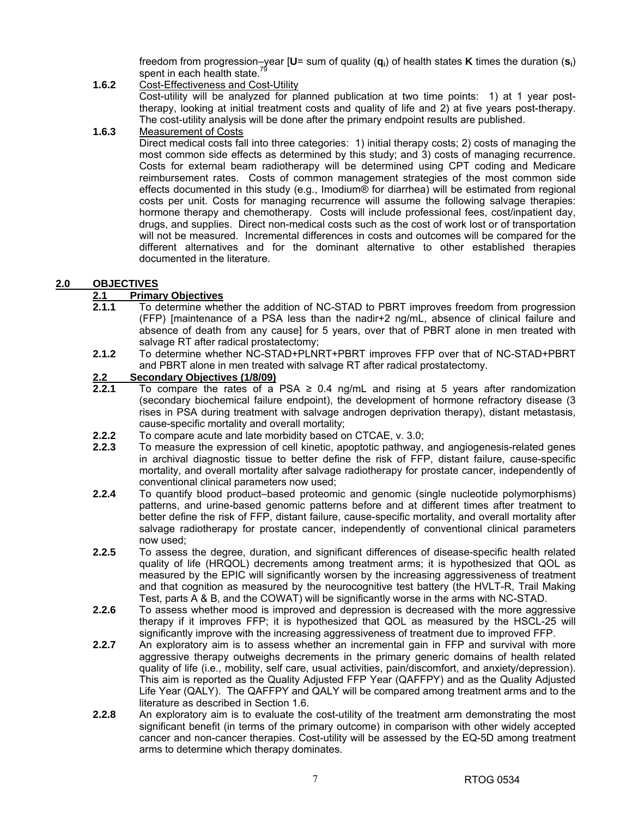freedom from progression–year [**U**= sum of quality (**qi**) of health states **K** times the duration (**si**) spent in each health state.<sup>7</sup>

**1.6.2** Cost-Effectiveness and Cost-Utility Cost-utility will be analyzed for planned publication at two time points: 1) at 1 year posttherapy, looking at initial treatment costs and quality of life and 2) at five years post-therapy. The cost-utility analysis will be done after the primary endpoint results are published.

### **1.6.3** Measurement of Costs

 Direct medical costs fall into three categories: 1) initial therapy costs; 2) costs of managing the most common side effects as determined by this study; and 3) costs of managing recurrence. Costs for external beam radiotherapy will be determined using CPT coding and Medicare reimbursement rates. Costs of common management strategies of the most common side effects documented in this study (e.g., Imodium® for diarrhea) will be estimated from regional costs per unit. Costs for managing recurrence will assume the following salvage therapies: hormone therapy and chemotherapy. Costs will include professional fees, cost/inpatient day, drugs, and supplies. Direct non-medical costs such as the cost of work lost or of transportation will not be measured. Incremental differences in costs and outcomes will be compared for the different alternatives and for the dominant alternative to other established therapies documented in the literature.

### **2.0 OBJECTIVES**

### **2.1 Primary Objectives**

- **2.1.1** To determine whether the addition of NC-STAD to PBRT improves freedom from progression (FFP) [maintenance of a PSA less than the nadir+2 ng/mL, absence of clinical failure and absence of death from any cause] for 5 years, over that of PBRT alone in men treated with salvage RT after radical prostatectomy;
- **2.1.2** To determine whether NC-STAD+PLNRT+PBRT improves FFP over that of NC-STAD+PBRT and PBRT alone in men treated with salvage RT after radical prostatectomy.

# **2.2 Secondary Objectives (1/8/09)**

- **2.2.1** To compare the rates of a PSA ≥ 0.4 ng/mL and rising at 5 years after randomization (secondary biochemical failure endpoint), the development of hormone refractory disease (3 rises in PSA during treatment with salvage androgen deprivation therapy), distant metastasis, cause-specific mortality and overall mortality;
- **2.2.2** To compare acute and late morbidity based on CTCAE, v. 3.0;
- **2.2.3** To measure the expression of cell kinetic, apoptotic pathway, and angiogenesis-related genes in archival diagnostic tissue to better define the risk of FFP, distant failure, cause-specific mortality, and overall mortality after salvage radiotherapy for prostate cancer, independently of conventional clinical parameters now used;
- **2.2.4** To quantify blood product–based proteomic and genomic (single nucleotide polymorphisms) patterns, and urine-based genomic patterns before and at different times after treatment to better define the risk of FFP, distant failure, cause-specific mortality, and overall mortality after salvage radiotherapy for prostate cancer, independently of conventional clinical parameters now used;
- **2.2.5** To assess the degree, duration, and significant differences of disease-specific health related quality of life (HRQOL) decrements among treatment arms; it is hypothesized that QOL as measured by the EPIC will significantly worsen by the increasing aggressiveness of treatment and that cognition as measured by the neurocognitive test battery (the HVLT-R, Trail Making Test, parts A & B, and the COWAT) will be significantly worse in the arms with NC-STAD.
- **2.2.6** To assess whether mood is improved and depression is decreased with the more aggressive therapy if it improves FFP; it is hypothesized that QOL as measured by the HSCL-25 will significantly improve with the increasing aggressiveness of treatment due to improved FFP.
- **2.2.7** An exploratory aim is to assess whether an incremental gain in FFP and survival with more aggressive therapy outweighs decrements in the primary generic domains of health related quality of life (i.e., mobility, self care, usual activities, pain/discomfort, and anxiety/depression). This aim is reported as the Quality Adjusted FFP Year (QAFFPY) and as the Quality Adjusted Life Year (QALY). The QAFFPY and QALY will be compared among treatment arms and to the literature as described in Section 1.6.
- **2.2.8** An exploratory aim is to evaluate the cost-utility of the treatment arm demonstrating the most significant benefit (in terms of the primary outcome) in comparison with other widely accepted cancer and non-cancer therapies. Cost-utility will be assessed by the EQ-5D among treatment arms to determine which therapy dominates.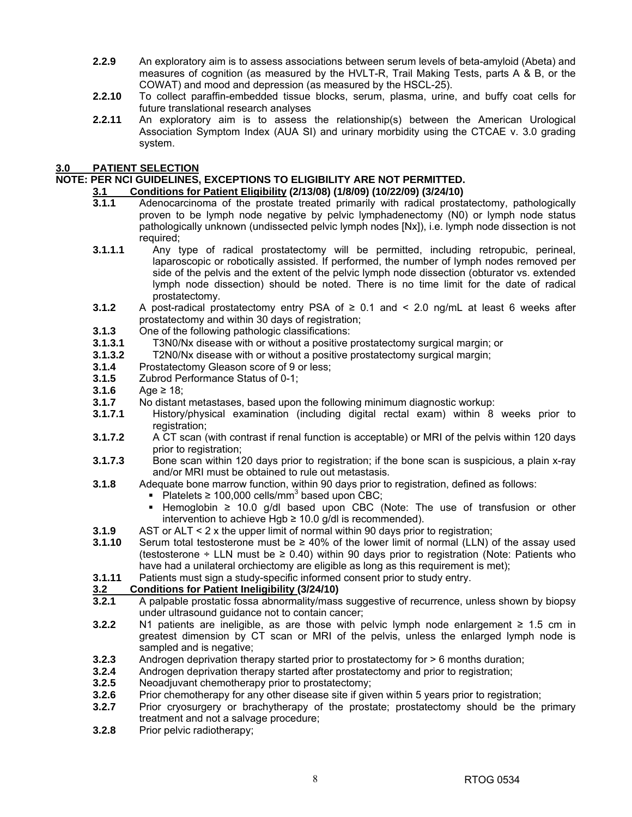- **2.2.9** An exploratory aim is to assess associations between serum levels of beta-amyloid (Abeta) and measures of cognition (as measured by the HVLT-R, Trail Making Tests, parts A & B, or the COWAT) and mood and depression (as measured by the HSCL-25).
- **2.2.10** To collect paraffin-embedded tissue blocks, serum, plasma, urine, and buffy coat cells for future translational research analyses
- **2.2.11** An exploratory aim is to assess the relationship(s) between the American Urological Association Symptom Index (AUA SI) and urinary morbidity using the CTCAE v. 3.0 grading system.

### **3.0 PATIENT SELECTION**

### **NOTE: PER NCI GUIDELINES, EXCEPTIONS TO ELIGIBILITY ARE NOT PERMITTED.**

### **3.1 Conditions for Patient Eligibility (2/13/08) (1/8/09) (10/22/09) (3/24/10)**

- **3.1.1** Adenocarcinoma of the prostate treated primarily with radical prostatectomy, pathologically proven to be lymph node negative by pelvic lymphadenectomy (N0) or lymph node status pathologically unknown (undissected pelvic lymph nodes [Nx]), i.e. lymph node dissection is not required;
- **3.1.1.1** Any type of radical prostatectomy will be permitted, including retropubic, perineal, laparoscopic or robotically assisted. If performed, the number of lymph nodes removed per side of the pelvis and the extent of the pelvic lymph node dissection (obturator vs. extended lymph node dissection) should be noted. There is no time limit for the date of radical prostatectomy.
- **3.1.2** A post-radical prostatectomy entry PSA of ≥ 0.1 and < 2.0 ng/mL at least 6 weeks after prostatectomy and within 30 days of registration;
- **3.1.3** One of the following pathologic classifications:
- **3.1.3.1** T3N0/Nx disease with or without a positive prostatectomy surgical margin; or
- **3.1.3.2** T2N0/Nx disease with or without a positive prostatectomy surgical margin;
- **3.1.4** Prostatectomy Gleason score of 9 or less;
- **3.1.5** Zubrod Performance Status of 0-1;
- **3.1.6** Age ≥ 18;
- **3.1.7** No distant metastases, based upon the following minimum diagnostic workup:
- **3.1.7.1** History/physical examination (including digital rectal exam) within 8 weeks prior to registration;
- **3.1.7.2** A CT scan (with contrast if renal function is acceptable) or MRI of the pelvis within 120 days prior to registration;
- **3.1.7.3** Bone scan within 120 days prior to registration; if the bone scan is suspicious, a plain x-ray and/or MRI must be obtained to rule out metastasis.
- **3.1.8** Adequate bone marrow function, within 90 days prior to registration, defined as follows:
	- Platelets  $\geq 100,000$  cells/mm<sup>3</sup> based upon CBC;
	- Hemoglobin ≥ 10.0 g/dl based upon CBC (Note: The use of transfusion or other intervention to achieve Hgb  $\geq$  10.0 g/dl is recommended).
- **3.1.9** AST or ALT < 2 x the upper limit of normal within 90 days prior to registration;
- **3.1.10** Serum total testosterone must be ≥ 40% of the lower limit of normal (LLN) of the assay used (testosterone  $\div$  LLN must be  $\geq$  0.40) within 90 days prior to registration (Note: Patients who have had a unilateral orchiectomy are eligible as long as this requirement is met);
- **3.1.11** Patients must sign a study-specific informed consent prior to study entry.

### **3.2 Conditions for Patient Ineligibility (3/24/10)**

- **3.2.1** A palpable prostatic fossa abnormality/mass suggestive of recurrence, unless shown by biopsy under ultrasound guidance not to contain cancer;
- **3.2.2** N1 patients are ineligible, as are those with pelvic lymph node enlargement ≥ 1.5 cm in greatest dimension by CT scan or MRI of the pelvis, unless the enlarged lymph node is sampled and is negative;
- **3.2.3** Androgen deprivation therapy started prior to prostatectomy for > 6 months duration;
- **3.2.4** Androgen deprivation therapy started after prostatectomy and prior to registration;
- **3.2.5** Neoadjuvant chemotherapy prior to prostatectomy;
- **3.2.6** Prior chemotherapy for any other disease site if given within 5 years prior to registration;
- **3.2.7** Prior cryosurgery or brachytherapy of the prostate; prostatectomy should be the primary treatment and not a salvage procedure;
- **3.2.8** Prior pelvic radiotherapy;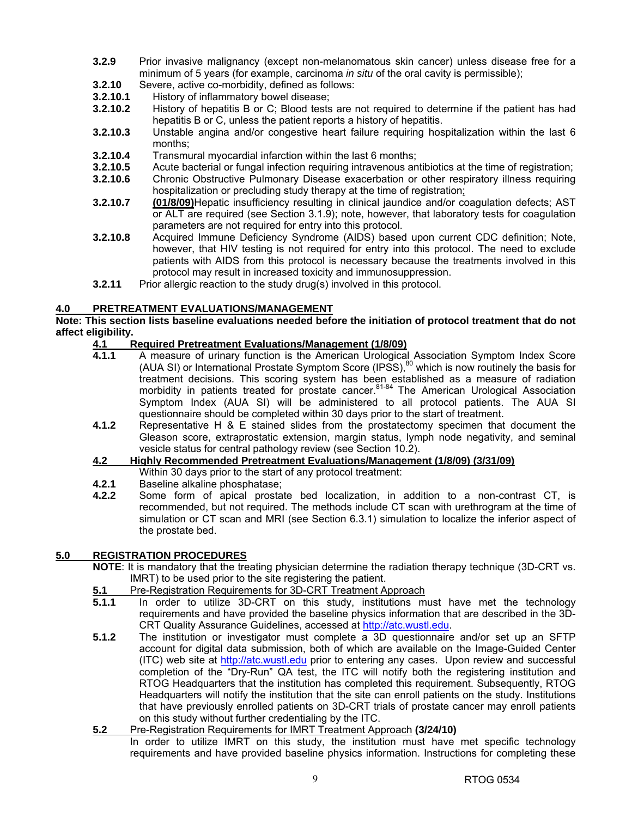- **3.2.9** Prior invasive malignancy (except non-melanomatous skin cancer) unless disease free for a minimum of 5 years (for example, carcinoma *in situ* of the oral cavity is permissible);
- **3.2.10** Severe, active co-morbidity, defined as follows:<br>**3.2.10.1** History of inflammatory bowel disease:
- **3.2.10.1** History of inflammatory bowel disease;
- **3.2.10.2** History of hepatitis B or C; Blood tests are not required to determine if the patient has had hepatitis B or C, unless the patient reports a history of hepatitis.
- **3.2.10.3** Unstable angina and/or congestive heart failure requiring hospitalization within the last 6 months;
- **3.2.10.4** Transmural myocardial infarction within the last 6 months;
- **3.2.10.5** Acute bacterial or fungal infection requiring intravenous antibiotics at the time of registration;
- **3.2.10.6** Chronic Obstructive Pulmonary Disease exacerbation or other respiratory illness requiring hospitalization or precluding study therapy at the time of registration;
- **3.2.10.7 (01/8/09)**Hepatic insufficiency resulting in clinical jaundice and/or coagulation defects; AST or ALT are required (see Section 3.1.9); note, however, that laboratory tests for coagulation parameters are not required for entry into this protocol.
- **3.2.10.8** Acquired Immune Deficiency Syndrome (AIDS) based upon current CDC definition; Note, however, that HIV testing is not required for entry into this protocol. The need to exclude patients with AIDS from this protocol is necessary because the treatments involved in this protocol may result in increased toxicity and immunosuppression.
- **3.2.11** Prior allergic reaction to the study drug(s) involved in this protocol.

### **4.0 PRETREATMENT EVALUATIONS/MANAGEMENT**

### **Note: This section lists baseline evaluations needed before the initiation of protocol treatment that do not affect eligibility.**

### **4.1 Required Pretreatment Evaluations/Management (1/8/09)**

- **4.1.1** A measure of urinary function is the American Urological Association Symptom Index Score (AUA SI) or International Prostate Symptom Score (IPSS),<sup>80</sup> which is now routinely the basis for treatment decisions. This scoring system has been established as a measure of radiation morbidity in patients treated for prostate cancer.<sup>81-84</sup> The American Urological Association Symptom Index (AUA SI) will be administered to all protocol patients. The AUA SI questionnaire should be completed within 30 days prior to the start of treatment.
- **4.1.2** Representative H & E stained slides from the prostatectomy specimen that document the Gleason score, extraprostatic extension, margin status, lymph node negativity, and seminal vesicle status for central pathology review (see Section 10.2).
- **4.2 Highly Recommended Pretreatment Evaluations/Management (1/8/09) (3/31/09)**
- Within 30 days prior to the start of any protocol treatment:
- **4.2.1** Baseline alkaline phosphatase;
- **4.2.2** Some form of apical prostate bed localization, in addition to a non-contrast CT, is recommended, but not required. The methods include CT scan with urethrogram at the time of simulation or CT scan and MRI (see Section 6.3.1) simulation to localize the inferior aspect of the prostate bed.

### **5.0 REGISTRATION PROCEDURES**

**NOTE**: It is mandatory that the treating physician determine the radiation therapy technique (3D-CRT vs. IMRT) to be used prior to the site registering the patient.

- **5.1** Pre-Registration Requirements for 3D-CRT Treatment Approach
- **5.1.1** In order to utilize 3D-CRT on this study, institutions must have met the technology requirements and have provided the baseline physics information that are described in the 3D-CRT Quality Assurance Guidelines, accessed at http://atc.wustl.edu.
- **5.1.2** The institution or investigator must complete a 3D questionnaire and/or set up an SFTP account for digital data submission, both of which are available on the Image-Guided Center (ITC) web site at http://atc.wustl.edu prior to entering any cases. Upon review and successful completion of the "Dry-Run" QA test, the ITC will notify both the registering institution and RTOG Headquarters that the institution has completed this requirement. Subsequently, RTOG Headquarters will notify the institution that the site can enroll patients on the study. Institutions that have previously enrolled patients on 3D-CRT trials of prostate cancer may enroll patients on this study without further credentialing by the ITC.
- **5.2** Pre-Registration Requirements for IMRT Treatment Approach **(3/24/10)**

In order to utilize IMRT on this study, the institution must have met specific technology requirements and have provided baseline physics information. Instructions for completing these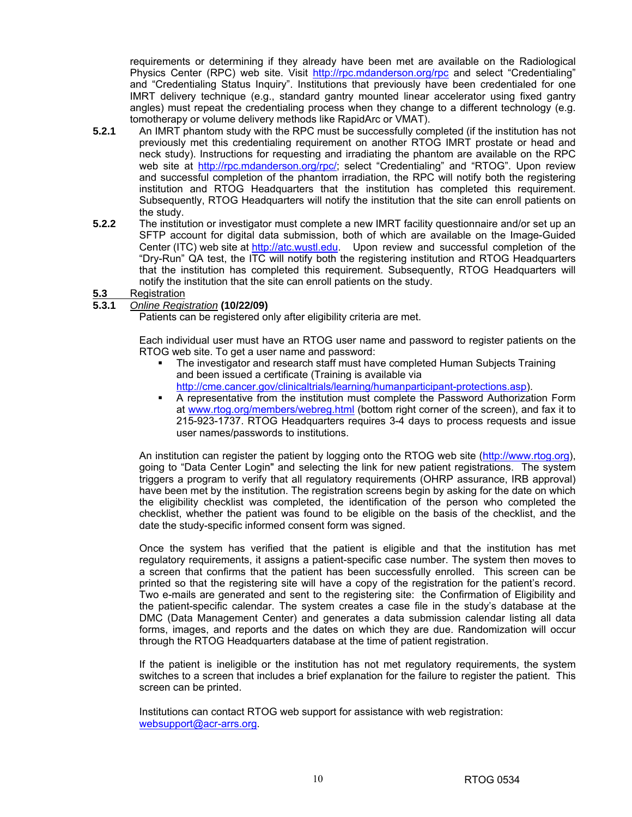requirements or determining if they already have been met are available on the Radiological Physics Center (RPC) web site. Visit http://rpc.mdanderson.org/rpc and select "Credentialing" and "Credentialing Status Inquiry". Institutions that previously have been credentialed for one IMRT delivery technique (e.g., standard gantry mounted linear accelerator using fixed gantry angles) must repeat the credentialing process when they change to a different technology (e.g. tomotherapy or volume delivery methods like RapidArc or VMAT).

- **5.2.1** An IMRT phantom study with the RPC must be successfully completed (if the institution has not previously met this credentialing requirement on another RTOG IMRT prostate or head and neck study). Instructions for requesting and irradiating the phantom are available on the RPC web site at http://rpc.mdanderson.org/rpc/; select "Credentialing" and "RTOG". Upon review and successful completion of the phantom irradiation, the RPC will notify both the registering institution and RTOG Headquarters that the institution has completed this requirement. Subsequently, RTOG Headquarters will notify the institution that the site can enroll patients on the study.
- **5.2.2** The institution or investigator must complete a new IMRT facility questionnaire and/or set up an SFTP account for digital data submission, both of which are available on the Image-Guided Center (ITC) web site at http://atc.wustl.edu. Upon review and successful completion of the "Dry-Run" QA test, the ITC will notify both the registering institution and RTOG Headquarters that the institution has completed this requirement. Subsequently, RTOG Headquarters will notify the institution that the site can enroll patients on the study.

### **5.3** Registration

### **5.3.1** *Online Registration* **(10/22/09)**

Patients can be registered only after eligibility criteria are met.

Each individual user must have an RTOG user name and password to register patients on the RTOG web site. To get a user name and password:

- The investigator and research staff must have completed Human Subjects Training and been issued a certificate (Training is available via http://cme.cancer.gov/clinicaltrials/learning/humanparticipant-protections.asp).
- A representative from the institution must complete the Password Authorization Form at www.rtog.org/members/webreg.html (bottom right corner of the screen), and fax it to 215-923-1737. RTOG Headquarters requires 3-4 days to process requests and issue user names/passwords to institutions.

An institution can register the patient by logging onto the RTOG web site (http://www.rtog.org), going to "Data Center Login" and selecting the link for new patient registrations. The system triggers a program to verify that all regulatory requirements (OHRP assurance, IRB approval) have been met by the institution. The registration screens begin by asking for the date on which the eligibility checklist was completed, the identification of the person who completed the checklist, whether the patient was found to be eligible on the basis of the checklist, and the date the study-specific informed consent form was signed.

Once the system has verified that the patient is eligible and that the institution has met regulatory requirements, it assigns a patient-specific case number. The system then moves to a screen that confirms that the patient has been successfully enrolled. This screen can be printed so that the registering site will have a copy of the registration for the patient's record. Two e-mails are generated and sent to the registering site: the Confirmation of Eligibility and the patient-specific calendar. The system creates a case file in the study's database at the DMC (Data Management Center) and generates a data submission calendar listing all data forms, images, and reports and the dates on which they are due. Randomization will occur through the RTOG Headquarters database at the time of patient registration.

 If the patient is ineligible or the institution has not met regulatory requirements, the system switches to a screen that includes a brief explanation for the failure to register the patient. This screen can be printed.

Institutions can contact RTOG web support for assistance with web registration: websupport@acr-arrs.org.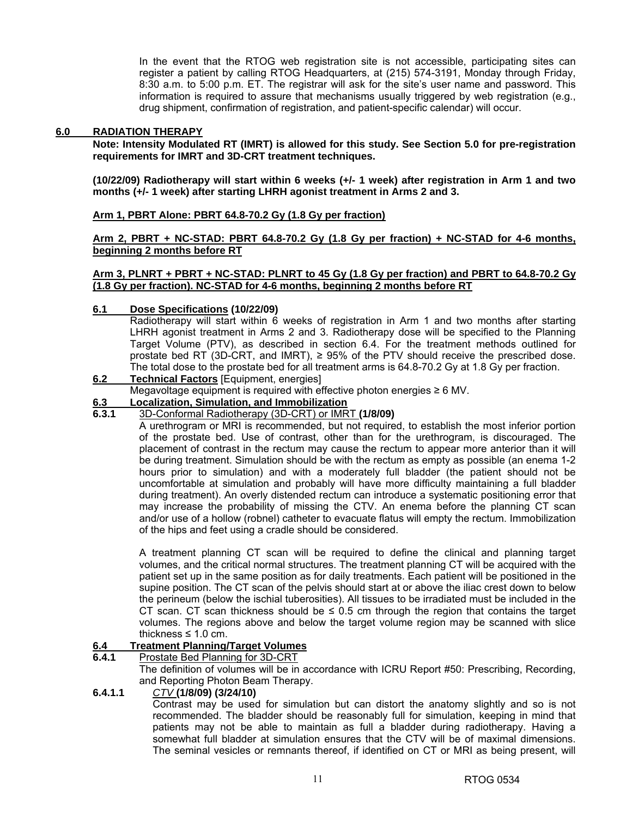In the event that the RTOG web registration site is not accessible, participating sites can register a patient by calling RTOG Headquarters, at (215) 574-3191, Monday through Friday, 8:30 a.m. to 5:00 p.m. ET. The registrar will ask for the site's user name and password. This information is required to assure that mechanisms usually triggered by web registration (e.g., drug shipment, confirmation of registration, and patient-specific calendar) will occur.

### **6.0 RADIATION THERAPY**

**Note: Intensity Modulated RT (IMRT) is allowed for this study. See Section 5.0 for pre-registration requirements for IMRT and 3D-CRT treatment techniques.** 

**(10/22/09) Radiotherapy will start within 6 weeks (+/- 1 week) after registration in Arm 1 and two months (+/- 1 week) after starting LHRH agonist treatment in Arms 2 and 3.** 

### **Arm 1, PBRT Alone: PBRT 64.8-70.2 Gy (1.8 Gy per fraction)**

**Arm 2, PBRT + NC-STAD: PBRT 64.8-70.2 Gy (1.8 Gy per fraction) + NC-STAD for 4-6 months, beginning 2 months before RT**

### **Arm 3, PLNRT + PBRT + NC-STAD: PLNRT to 45 Gy (1.8 Gy per fraction) and PBRT to 64.8-70.2 Gy (1.8 Gy per fraction). NC-STAD for 4-6 months, beginning 2 months before RT**

### **6.1 Dose Specifications (10/22/09)**

 Radiotherapy will start within 6 weeks of registration in Arm 1 and two months after starting LHRH agonist treatment in Arms 2 and 3. Radiotherapy dose will be specified to the Planning Target Volume (PTV), as described in section 6.4. For the treatment methods outlined for prostate bed RT (3D-CRT, and IMRT),  $\ge$  95% of the PTV should receive the prescribed dose. The total dose to the prostate bed for all treatment arms is 64.8-70.2 Gy at 1.8 Gy per fraction.

# **6.2 Technical Factors** [Equipment, energies]

Megavoltage equipment is required with effective photon energies ≥ 6 MV.

# **6.3 Localization, Simulation, and Immobilization**

#### **6.3.1** 3D-Conformal Radiotherapy (3D-CRT) or IMRT **(1/8/09)**

 A urethrogram or MRI is recommended, but not required, to establish the most inferior portion of the prostate bed. Use of contrast, other than for the urethrogram, is discouraged. The placement of contrast in the rectum may cause the rectum to appear more anterior than it will be during treatment. Simulation should be with the rectum as empty as possible (an enema 1-2 hours prior to simulation) and with a moderately full bladder (the patient should not be uncomfortable at simulation and probably will have more difficulty maintaining a full bladder during treatment). An overly distended rectum can introduce a systematic positioning error that may increase the probability of missing the CTV. An enema before the planning CT scan and/or use of a hollow (robnel) catheter to evacuate flatus will empty the rectum. Immobilization of the hips and feet using a cradle should be considered.

 A treatment planning CT scan will be required to define the clinical and planning target volumes, and the critical normal structures. The treatment planning CT will be acquired with the patient set up in the same position as for daily treatments. Each patient will be positioned in the supine position. The CT scan of the pelvis should start at or above the iliac crest down to below the perineum (below the ischial tuberosities). All tissues to be irradiated must be included in the CT scan. CT scan thickness should be  $\leq$  0.5 cm through the region that contains the target volumes. The regions above and below the target volume region may be scanned with slice thickness  $\leq 1.0$  cm.

# **6.4 Treatment Planning/Target Volumes**<br>**6.4.1** Prostate Bed Planning for 3D-CRT

**Prostate Bed Planning for 3D-CRT**  The definition of volumes will be in accordance with ICRU Report #50: Prescribing, Recording, and Reporting Photon Beam Therapy.

### **6.4.1.1** *CTV* **(1/8/09) (3/24/10)**

 Contrast may be used for simulation but can distort the anatomy slightly and so is not recommended. The bladder should be reasonably full for simulation, keeping in mind that patients may not be able to maintain as full a bladder during radiotherapy. Having a somewhat full bladder at simulation ensures that the CTV will be of maximal dimensions. The seminal vesicles or remnants thereof, if identified on CT or MRI as being present, will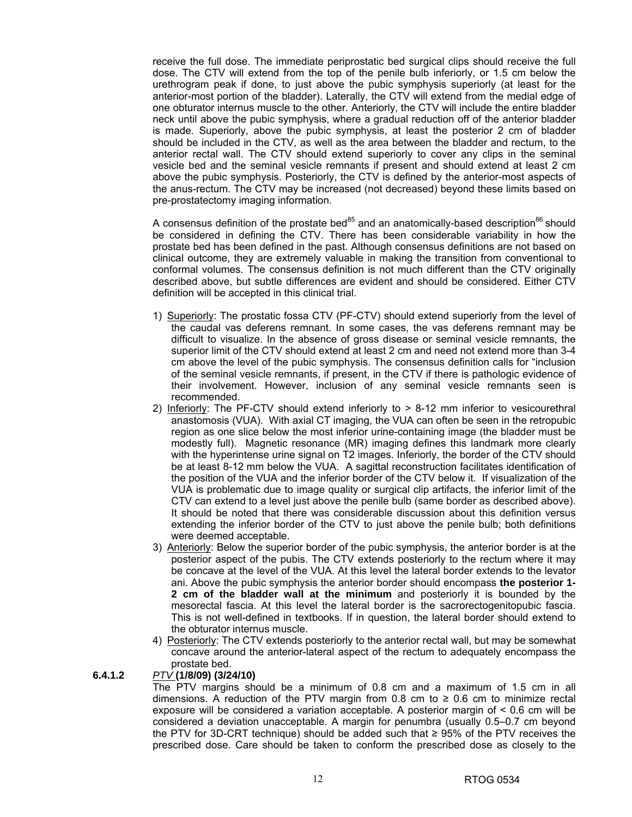receive the full dose. The immediate periprostatic bed surgical clips should receive the full dose. The CTV will extend from the top of the penile bulb inferiorly, or 1.5 cm below the urethrogram peak if done, to just above the pubic symphysis superiorly (at least for the anterior-most portion of the bladder). Laterally, the CTV will extend from the medial edge of one obturator internus muscle to the other. Anteriorly, the CTV will include the entire bladder neck until above the pubic symphysis, where a gradual reduction off of the anterior bladder is made. Superiorly, above the pubic symphysis, at least the posterior 2 cm of bladder should be included in the CTV, as well as the area between the bladder and rectum, to the anterior rectal wall. The CTV should extend superiorly to cover any clips in the seminal vesicle bed and the seminal vesicle remnants if present and should extend at least 2 cm above the pubic symphysis. Posteriorly, the CTV is defined by the anterior-most aspects of the anus-rectum. The CTV may be increased (not decreased) beyond these limits based on pre-prostatectomy imaging information.

A consensus definition of the prostate bed<sup>85</sup> and an anatomically-based description<sup>86</sup> should be considered in defining the CTV. There has been considerable variability in how the prostate bed has been defined in the past. Although consensus definitions are not based on clinical outcome, they are extremely valuable in making the transition from conventional to conformal volumes. The consensus definition is not much different than the CTV originally described above, but subtle differences are evident and should be considered. Either CTV definition will be accepted in this clinical trial.

- 1) Superiorly: The prostatic fossa CTV (PF-CTV) should extend superiorly from the level of the caudal vas deferens remnant. In some cases, the vas deferens remnant may be difficult to visualize. In the absence of gross disease or seminal vesicle remnants, the superior limit of the CTV should extend at least 2 cm and need not extend more than 3-4 cm above the level of the pubic symphysis. The consensus definition calls for "inclusion of the seminal vesicle remnants, if present, in the CTV if there is pathologic evidence of their involvement. However, inclusion of any seminal vesicle remnants seen is recommended.
- 2) Inferiorly: The PF-CTV should extend inferiorly to > 8-12 mm inferior to vesicourethral anastomosis (VUA). With axial CT imaging, the VUA can often be seen in the retropubic region as one slice below the most inferior urine-containing image (the bladder must be modestly full). Magnetic resonance (MR) imaging defines this landmark more clearly with the hyperintense urine signal on T2 images. Inferiorly, the border of the CTV should be at least 8-12 mm below the VUA. A sagittal reconstruction facilitates identification of the position of the VUA and the inferior border of the CTV below it. If visualization of the VUA is problematic due to image quality or surgical clip artifacts, the inferior limit of the CTV can extend to a level just above the penile bulb (same border as described above). It should be noted that there was considerable discussion about this definition versus extending the inferior border of the CTV to just above the penile bulb; both definitions were deemed acceptable.
- 3) Anteriorly: Below the superior border of the pubic symphysis, the anterior border is at the posterior aspect of the pubis. The CTV extends posteriorly to the rectum where it may be concave at the level of the VUA. At this level the lateral border extends to the levator ani. Above the pubic symphysis the anterior border should encompass **the posterior 1- 2 cm of the bladder wall at the minimum** and posteriorly it is bounded by the mesorectal fascia. At this level the lateral border is the sacrorectogenitopubic fascia. This is not well-defined in textbooks. If in question, the lateral border should extend to the obturator internus muscle.
- 4) Posteriorly: The CTV extends posteriorly to the anterior rectal wall, but may be somewhat concave around the anterior-lateral aspect of the rectum to adequately encompass the prostate bed.

### **6.4.1.2** *PTV* **(1/8/09) (3/24/10)**

 The PTV margins should be a minimum of 0.8 cm and a maximum of 1.5 cm in all dimensions. A reduction of the PTV margin from 0.8 cm to ≥ 0.6 cm to minimize rectal exposure will be considered a variation acceptable. A posterior margin of < 0.6 cm will be considered a deviation unacceptable. A margin for penumbra (usually 0.5–0.7 cm beyond the PTV for 3D-CRT technique) should be added such that ≥ 95% of the PTV receives the prescribed dose. Care should be taken to conform the prescribed dose as closely to the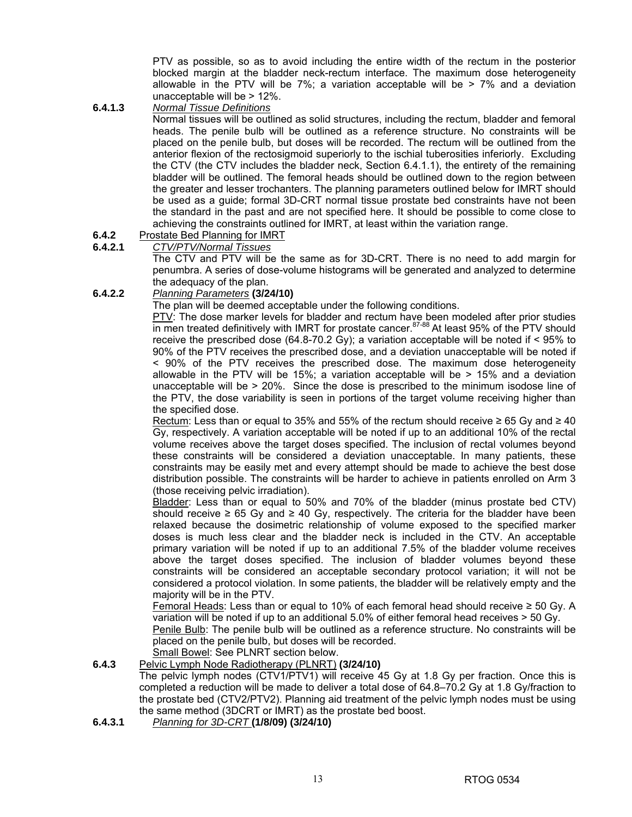PTV as possible, so as to avoid including the entire width of the rectum in the posterior blocked margin at the bladder neck-rectum interface. The maximum dose heterogeneity allowable in the PTV will be  $7\%$ ; a variation acceptable will be  $> 7\%$  and a deviation unacceptable will be > 12%.

**6.4.1.3** *Normal Tissue Definitions*

 Normal tissues will be outlined as solid structures, including the rectum, bladder and femoral heads. The penile bulb will be outlined as a reference structure. No constraints will be placed on the penile bulb, but doses will be recorded. The rectum will be outlined from the anterior flexion of the rectosigmoid superiorly to the ischial tuberosities inferiorly. Excluding the CTV (the CTV includes the bladder neck, Section 6.4.1.1), the entirety of the remaining bladder will be outlined. The femoral heads should be outlined down to the region between the greater and lesser trochanters. The planning parameters outlined below for IMRT should be used as a guide; formal 3D-CRT normal tissue prostate bed constraints have not been the standard in the past and are not specified here. It should be possible to come close to achieving the constraints outlined for IMRT, at least within the variation range.

### **6.4.2** Prostate Bed Planning for IMRT

### **6.4.2.1** *CTV/PTV/Normal Tissues*

 The CTV and PTV will be the same as for 3D-CRT. There is no need to add margin for penumbra. A series of dose-volume histograms will be generated and analyzed to determine the adequacy of the plan.

### **6.4.2.2** *Planning Parameters* **(3/24/10)**

The plan will be deemed acceptable under the following conditions.

PTV: The dose marker levels for bladder and rectum have been modeled after prior studies  $\overline{\text{in}}$  men treated definitively with IMRT for prostate cancer.<sup>87-88</sup> At least 95% of the PTV should receive the prescribed dose (64.8-70.2 Gy); a variation acceptable will be noted if  $\leq 95\%$  to 90% of the PTV receives the prescribed dose, and a deviation unacceptable will be noted if < 90% of the PTV receives the prescribed dose. The maximum dose heterogeneity allowable in the PTV will be 15%; a variation acceptable will be > 15% and a deviation unacceptable will be > 20%. Since the dose is prescribed to the minimum isodose line of the PTV, the dose variability is seen in portions of the target volume receiving higher than the specified dose.

Rectum: Less than or equal to 35% and 55% of the rectum should receive  $\geq 65$  Gy and  $\geq 40$ Gy, respectively. A variation acceptable will be noted if up to an additional 10% of the rectal volume receives above the target doses specified. The inclusion of rectal volumes beyond these constraints will be considered a deviation unacceptable. In many patients, these constraints may be easily met and every attempt should be made to achieve the best dose distribution possible. The constraints will be harder to achieve in patients enrolled on Arm 3 (those receiving pelvic irradiation).

 Bladder: Less than or equal to 50% and 70% of the bladder (minus prostate bed CTV) should receive  $\geq 65$  Gy and  $\geq 40$  Gy, respectively. The criteria for the bladder have been relaxed because the dosimetric relationship of volume exposed to the specified marker doses is much less clear and the bladder neck is included in the CTV. An acceptable primary variation will be noted if up to an additional 7.5% of the bladder volume receives above the target doses specified. The inclusion of bladder volumes beyond these constraints will be considered an acceptable secondary protocol variation; it will not be considered a protocol violation. In some patients, the bladder will be relatively empty and the majority will be in the PTV.

 Femoral Heads: Less than or equal to 10% of each femoral head should receive ≥ 50 Gy. A variation will be noted if up to an additional 5.0% of either femoral head receives > 50 Gy.

 Penile Bulb: The penile bulb will be outlined as a reference structure. No constraints will be placed on the penile bulb, but doses will be recorded.

Small Bowel: See PLNRT section below.

### **6.4.3** Pelvic Lymph Node Radiotherapy (PLNRT) **(3/24/10)**

 The pelvic lymph nodes (CTV1/PTV1) will receive 45 Gy at 1.8 Gy per fraction. Once this is completed a reduction will be made to deliver a total dose of 64.8–70.2 Gy at 1.8 Gy/fraction to the prostate bed (CTV2/PTV2). Planning aid treatment of the pelvic lymph nodes must be using the same method (3DCRT or IMRT) as the prostate bed boost.

**6.4.3.1** *Planning for 3D-CRT* **(1/8/09) (3/24/10)**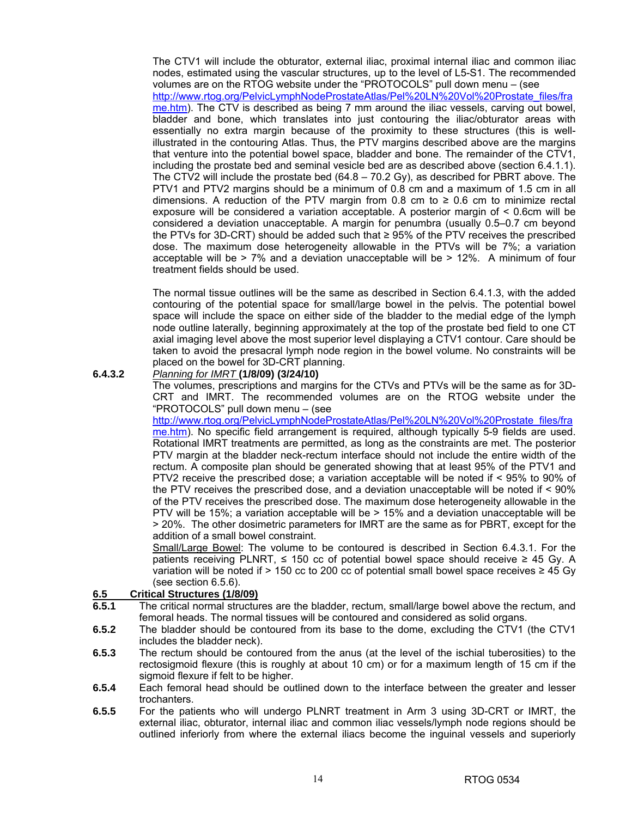The CTV1 will include the obturator, external iliac, proximal internal iliac and common iliac nodes, estimated using the vascular structures, up to the level of L5-S1. The recommended volumes are on the RTOG website under the "PROTOCOLS" pull down menu – (see http://www.rtog.org/PelvicLymphNodeProstateAtlas/Pel%20LN%20Vol%20Prostate\_files/fra me.htm). The CTV is described as being 7 mm around the iliac vessels, carving out bowel, bladder and bone, which translates into just contouring the iliac/obturator areas with essentially no extra margin because of the proximity to these structures (this is wellillustrated in the contouring Atlas. Thus, the PTV margins described above are the margins that venture into the potential bowel space, bladder and bone. The remainder of the CTV1, including the prostate bed and seminal vesicle bed are as described above (section 6.4.1.1). The CTV2 will include the prostate bed (64.8 – 70.2 Gy), as described for PBRT above. The PTV1 and PTV2 margins should be a minimum of 0.8 cm and a maximum of 1.5 cm in all dimensions. A reduction of the PTV margin from 0.8 cm to  $\geq$  0.6 cm to minimize rectal exposure will be considered a variation acceptable. A posterior margin of < 0.6cm will be considered a deviation unacceptable. A margin for penumbra (usually 0.5–0.7 cm beyond the PTVs for 3D-CRT) should be added such that  $≥$  95% of the PTV receives the prescribed dose. The maximum dose heterogeneity allowable in the PTVs will be 7%; a variation acceptable will be  $> 7\%$  and a deviation unacceptable will be  $> 12\%$ . A minimum of four treatment fields should be used.

 The normal tissue outlines will be the same as described in Section 6.4.1.3, with the added contouring of the potential space for small/large bowel in the pelvis. The potential bowel space will include the space on either side of the bladder to the medial edge of the lymph node outline laterally, beginning approximately at the top of the prostate bed field to one CT axial imaging level above the most superior level displaying a CTV1 contour. Care should be taken to avoid the presacral lymph node region in the bowel volume. No constraints will be placed on the bowel for 3D-CRT planning.

### **6.4.3.2** *Planning for IMRT* **(1/8/09) (3/24/10)**

 The volumes, prescriptions and margins for the CTVs and PTVs will be the same as for 3D-CRT and IMRT. The recommended volumes are on the RTOG website under the "PROTOCOLS" pull down menu – (see

http://www.rtog.org/PelvicLymphNodeProstateAtlas/Pel%20LN%20Vol%20Prostate\_files/fra me.htm). No specific field arrangement is required, although typically 5-9 fields are used. Rotational IMRT treatments are permitted, as long as the constraints are met. The posterior PTV margin at the bladder neck-rectum interface should not include the entire width of the rectum. A composite plan should be generated showing that at least 95% of the PTV1 and PTV2 receive the prescribed dose; a variation acceptable will be noted if < 95% to 90% of the PTV receives the prescribed dose, and a deviation unacceptable will be noted if < 90% of the PTV receives the prescribed dose. The maximum dose heterogeneity allowable in the PTV will be 15%; a variation acceptable will be > 15% and a deviation unacceptable will be > 20%. The other dosimetric parameters for IMRT are the same as for PBRT, except for the addition of a small bowel constraint.

 Small/Large Bowel: The volume to be contoured is described in Section 6.4.3.1. For the patients receiving PLNRT,  $≤$  150 cc of potential bowel space should receive  $≥$  45 Gy. A variation will be noted if > 150 cc to 200 cc of potential small bowel space receives  $\geq$  45 Gy (see section 6.5.6).

### **6.5 Critical Structures (1/8/09)**

- **6.5.1** The critical normal structures are the bladder, rectum, small/large bowel above the rectum, and femoral heads. The normal tissues will be contoured and considered as solid organs.
- **6.5.2** The bladder should be contoured from its base to the dome, excluding the CTV1 (the CTV1 includes the bladder neck).
- **6.5.3** The rectum should be contoured from the anus (at the level of the ischial tuberosities) to the rectosigmoid flexure (this is roughly at about 10 cm) or for a maximum length of 15 cm if the sigmoid flexure if felt to be higher.
- **6.5.4** Each femoral head should be outlined down to the interface between the greater and lesser trochanters.
- **6.5.5** For the patients who will undergo PLNRT treatment in Arm 3 using 3D-CRT or IMRT, the external iliac, obturator, internal iliac and common iliac vessels/lymph node regions should be outlined inferiorly from where the external iliacs become the inguinal vessels and superiorly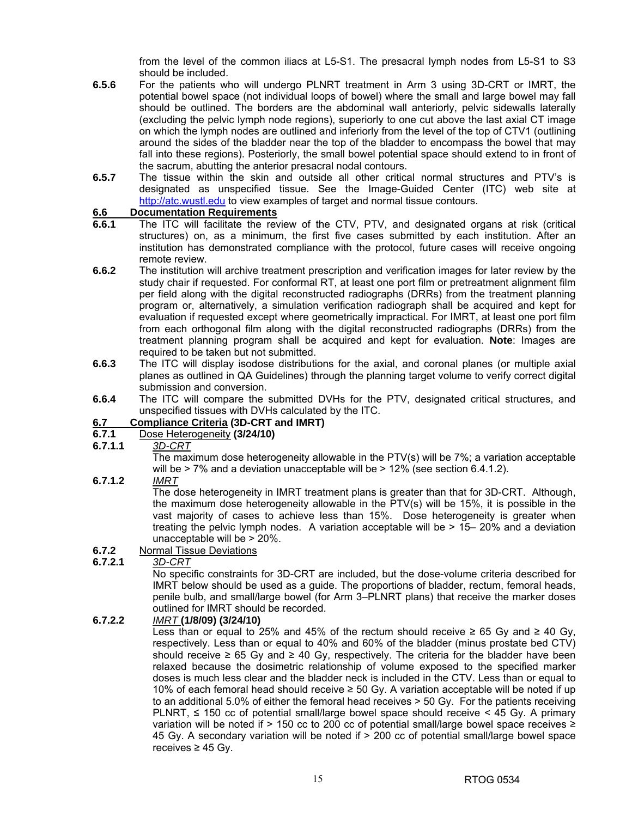from the level of the common iliacs at L5-S1. The presacral lymph nodes from L5-S1 to S3 should be included.

- **6.5.6** For the patients who will undergo PLNRT treatment in Arm 3 using 3D-CRT or IMRT, the potential bowel space (not individual loops of bowel) where the small and large bowel may fall should be outlined. The borders are the abdominal wall anteriorly, pelvic sidewalls laterally (excluding the pelvic lymph node regions), superiorly to one cut above the last axial CT image on which the lymph nodes are outlined and inferiorly from the level of the top of CTV1 (outlining around the sides of the bladder near the top of the bladder to encompass the bowel that may fall into these regions). Posteriorly, the small bowel potential space should extend to in front of the sacrum, abutting the anterior presacral nodal contours.
- **6.5.7** The tissue within the skin and outside all other critical normal structures and PTV's is designated as unspecified tissue. See the Image-Guided Center (ITC) web site at http://atc.wustl.edu to view examples of target and normal tissue contours.

### **6.6 Documentation Requirements**

- **6.6.1** The ITC will facilitate the review of the CTV, PTV, and designated organs at risk (critical structures) on, as a minimum, the first five cases submitted by each institution. After an institution has demonstrated compliance with the protocol, future cases will receive ongoing remote review.
- **6.6.2** The institution will archive treatment prescription and verification images for later review by the study chair if requested. For conformal RT, at least one port film or pretreatment alignment film per field along with the digital reconstructed radiographs (DRRs) from the treatment planning program or, alternatively, a simulation verification radiograph shall be acquired and kept for evaluation if requested except where geometrically impractical. For IMRT, at least one port film from each orthogonal film along with the digital reconstructed radiographs (DRRs) from the treatment planning program shall be acquired and kept for evaluation. **Note**: Images are required to be taken but not submitted.
- **6.6.3** The ITC will display isodose distributions for the axial, and coronal planes (or multiple axial planes as outlined in QA Guidelines) through the planning target volume to verify correct digital submission and conversion.
- **6.6.4** The ITC will compare the submitted DVHs for the PTV, designated critical structures, and unspecified tissues with DVHs calculated by the ITC.

# **6.7 Compliance Criteria (3D-CRT and IMRT)**

### **6.7.1** Dose Heterogeneity **(3/24/10)**

### **6.7.1.1** *3D-CRT*

 The maximum dose heterogeneity allowable in the PTV(s) will be 7%; a variation acceptable will be  $>$  7% and a deviation unacceptable will be  $>$  12% (see section 6.4.1.2).

### **6.7.1.2** *IMRT*

 The dose heterogeneity in IMRT treatment plans is greater than that for 3D-CRT. Although, the maximum dose heterogeneity allowable in the PTV(s) will be 15%, it is possible in the vast majority of cases to achieve less than 15%. Dose heterogeneity is greater when treating the pelvic lymph nodes. A variation acceptable will be > 15– 20% and a deviation unacceptable will be > 20%.

### **6.7.2** Normal Tissue Deviations

### **6.7.2.1** *3D-CRT*

 No specific constraints for 3D-CRT are included, but the dose-volume criteria described for IMRT below should be used as a guide. The proportions of bladder, rectum, femoral heads, penile bulb, and small/large bowel (for Arm 3–PLNRT plans) that receive the marker doses outlined for IMRT should be recorded.

### **6.7.2.2** *IMRT* **(1/8/09) (3/24/10)**

Less than or equal to 25% and 45% of the rectum should receive ≥ 65 Gy and ≥ 40 Gy. respectively. Less than or equal to 40% and 60% of the bladder (minus prostate bed CTV) should receive  $\geq 65$  Gy and  $\geq 40$  Gy, respectively. The criteria for the bladder have been relaxed because the dosimetric relationship of volume exposed to the specified marker doses is much less clear and the bladder neck is included in the CTV. Less than or equal to 10% of each femoral head should receive ≥ 50 Gy. A variation acceptable will be noted if up to an additional 5.0% of either the femoral head receives > 50 Gy. For the patients receiving PLNRT,  $\leq$  150 cc of potential small/large bowel space should receive  $\leq$  45 Gy. A primary variation will be noted if > 150 cc to 200 cc of potential small/large bowel space receives ≥ 45 Gy. A secondary variation will be noted if > 200 cc of potential small/large bowel space receives  $≥$  45 Gy.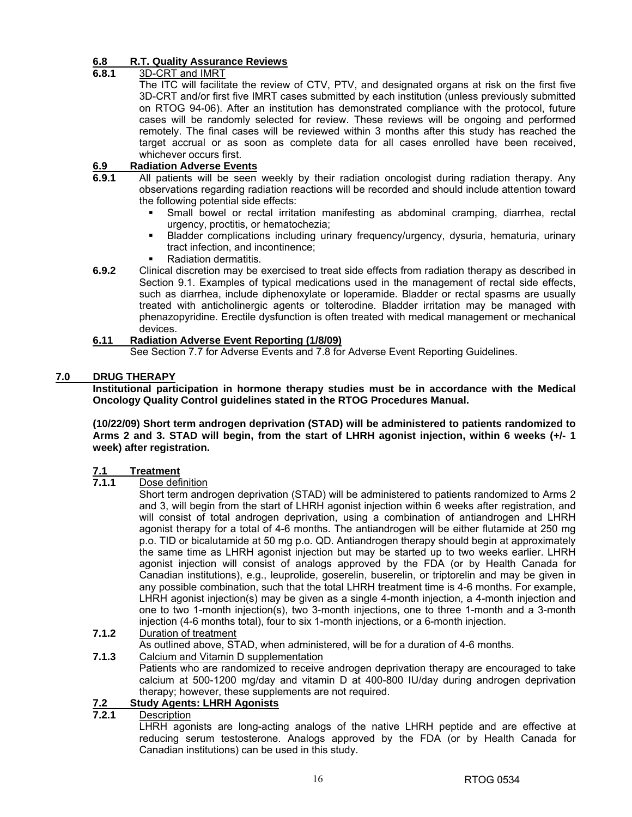### **6.8 R.T. Quality Assurance Reviews**

### **6.8.1** 3D-CRT and IMRT

 The ITC will facilitate the review of CTV, PTV, and designated organs at risk on the first five 3D-CRT and/or first five IMRT cases submitted by each institution (unless previously submitted on RTOG 94-06). After an institution has demonstrated compliance with the protocol, future cases will be randomly selected for review. These reviews will be ongoing and performed remotely. The final cases will be reviewed within 3 months after this study has reached the target accrual or as soon as complete data for all cases enrolled have been received, whichever occurs first.

### **6.9 Radiation Adverse Events**

- **6.9.1** All patients will be seen weekly by their radiation oncologist during radiation therapy. Any observations regarding radiation reactions will be recorded and should include attention toward the following potential side effects:
	- Small bowel or rectal irritation manifesting as abdominal cramping, diarrhea, rectal urgency, proctitis, or hematochezia;
	- Bladder complications including urinary frequency/urgency, dysuria, hematuria, urinary tract infection, and incontinence;
	- Radiation dermatitis.
- **6.9.2** Clinical discretion may be exercised to treat side effects from radiation therapy as described in Section 9.1. Examples of typical medications used in the management of rectal side effects, such as diarrhea, include diphenoxylate or loperamide. Bladder or rectal spasms are usually treated with anticholinergic agents or tolterodine. Bladder irritation may be managed with phenazopyridine. Erectile dysfunction is often treated with medical management or mechanical devices.

## **6.11 Radiation Adverse Event Reporting (1/8/09)**

See Section 7.7 for Adverse Events and 7.8 for Adverse Event Reporting Guidelines.

## **7.0 DRUG THERAPY**

**Institutional participation in hormone therapy studies must be in accordance with the Medical Oncology Quality Control guidelines stated in the RTOG Procedures Manual.** 

**(10/22/09) Short term androgen deprivation (STAD) will be administered to patients randomized to Arms 2 and 3. STAD will begin, from the start of LHRH agonist injection, within 6 weeks (+/- 1 week) after registration.** 

### **7.1 Treatment**

### **7.1.1** Dose definition

 Short term androgen deprivation (STAD) will be administered to patients randomized to Arms 2 and 3, will begin from the start of LHRH agonist injection within 6 weeks after registration, and will consist of total androgen deprivation, using a combination of antiandrogen and LHRH agonist therapy for a total of 4-6 months. The antiandrogen will be either flutamide at 250 mg p.o. TID or bicalutamide at 50 mg p.o. QD. Antiandrogen therapy should begin at approximately the same time as LHRH agonist injection but may be started up to two weeks earlier. LHRH agonist injection will consist of analogs approved by the FDA (or by Health Canada for Canadian institutions), e.g., leuprolide, goserelin, buserelin, or triptorelin and may be given in any possible combination, such that the total LHRH treatment time is 4-6 months. For example, LHRH agonist injection(s) may be given as a single 4-month injection, a 4-month injection and one to two 1-month injection(s), two 3-month injections, one to three 1-month and a 3-month injection (4-6 months total), four to six 1-month injections, or a 6-month injection.

- **7.1.2** Duration of treatment
- As outlined above, STAD, when administered, will be for a duration of 4-6 months.
- **7.1.3** Calcium and Vitamin D supplementation Patients who are randomized to receive androgen deprivation therapy are encouraged to take calcium at 500-1200 mg/day and vitamin D at 400-800 IU/day during androgen deprivation therapy; however, these supplements are not required.

# **7.2 Study Agents: LHRH Agonists**

### **7.2.1** Description

 LHRH agonists are long-acting analogs of the native LHRH peptide and are effective at reducing serum testosterone. Analogs approved by the FDA (or by Health Canada for Canadian institutions) can be used in this study.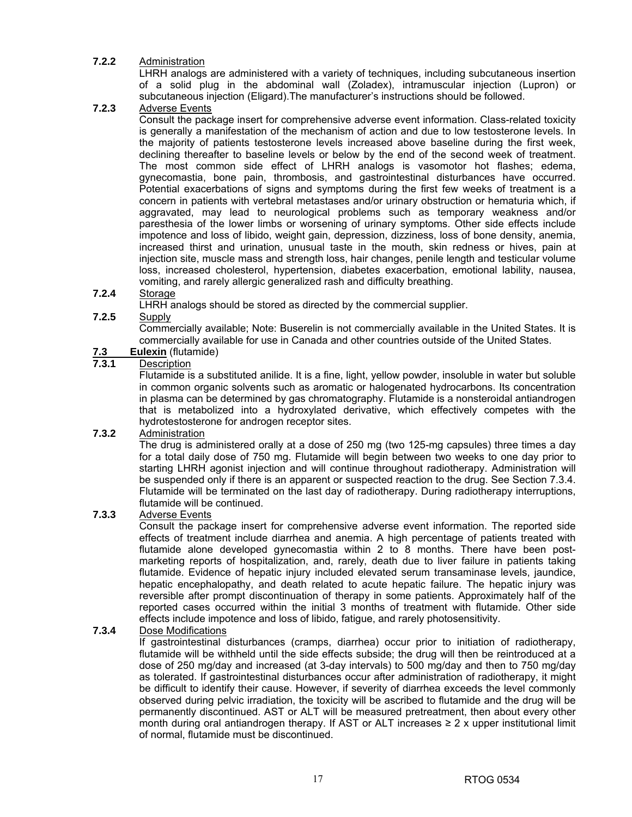### **7.2.2** Administration

LHRH analogs are administered with a variety of techniques, including subcutaneous insertion of a solid plug in the abdominal wall (Zoladex), intramuscular injection (Lupron) or subcutaneous injection (Eligard).The manufacturer's instructions should be followed.

### **7.2.3** Adverse Events

 Consult the package insert for comprehensive adverse event information. Class-related toxicity is generally a manifestation of the mechanism of action and due to low testosterone levels. In the majority of patients testosterone levels increased above baseline during the first week, declining thereafter to baseline levels or below by the end of the second week of treatment. The most common side effect of LHRH analogs is vasomotor hot flashes; edema, gynecomastia, bone pain, thrombosis, and gastrointestinal disturbances have occurred. Potential exacerbations of signs and symptoms during the first few weeks of treatment is a concern in patients with vertebral metastases and/or urinary obstruction or hematuria which, if aggravated, may lead to neurological problems such as temporary weakness and/or paresthesia of the lower limbs or worsening of urinary symptoms. Other side effects include impotence and loss of libido, weight gain, depression, dizziness, loss of bone density, anemia, increased thirst and urination, unusual taste in the mouth, skin redness or hives, pain at injection site, muscle mass and strength loss, hair changes, penile length and testicular volume loss, increased cholesterol, hypertension, diabetes exacerbation, emotional lability, nausea, vomiting, and rarely allergic generalized rash and difficulty breathing.

### **7.2.4** Storage

LHRH analogs should be stored as directed by the commercial supplier.

### **7.2.5** Supply

 Commercially available; Note: Buserelin is not commercially available in the United States. It is commercially available for use in Canada and other countries outside of the United States.

# 7.3 Eulexin (flutamide)<br>7.3.1 Description

### **7.3.1** Description

 Flutamide is a substituted anilide. It is a fine, light, yellow powder, insoluble in water but soluble in common organic solvents such as aromatic or halogenated hydrocarbons. Its concentration in plasma can be determined by gas chromatography. Flutamide is a nonsteroidal antiandrogen that is metabolized into a hydroxylated derivative, which effectively competes with the hydrotestosterone for androgen receptor sites.

### **7.3.2** Administration

 The drug is administered orally at a dose of 250 mg (two 125-mg capsules) three times a day for a total daily dose of 750 mg. Flutamide will begin between two weeks to one day prior to starting LHRH agonist injection and will continue throughout radiotherapy. Administration will be suspended only if there is an apparent or suspected reaction to the drug. See Section 7.3.4. Flutamide will be terminated on the last day of radiotherapy. During radiotherapy interruptions, flutamide will be continued.

### **7.3.3** Adverse Events

 Consult the package insert for comprehensive adverse event information. The reported side effects of treatment include diarrhea and anemia. A high percentage of patients treated with flutamide alone developed gynecomastia within 2 to 8 months. There have been postmarketing reports of hospitalization, and, rarely, death due to liver failure in patients taking flutamide. Evidence of hepatic injury included elevated serum transaminase levels, jaundice, hepatic encephalopathy, and death related to acute hepatic failure. The hepatic injury was reversible after prompt discontinuation of therapy in some patients. Approximately half of the reported cases occurred within the initial 3 months of treatment with flutamide. Other side effects include impotence and loss of libido, fatigue, and rarely photosensitivity.

### **7.3.4** Dose Modifications

 If gastrointestinal disturbances (cramps, diarrhea) occur prior to initiation of radiotherapy, flutamide will be withheld until the side effects subside; the drug will then be reintroduced at a dose of 250 mg/day and increased (at 3-day intervals) to 500 mg/day and then to 750 mg/day as tolerated. If gastrointestinal disturbances occur after administration of radiotherapy, it might be difficult to identify their cause. However, if severity of diarrhea exceeds the level commonly observed during pelvic irradiation, the toxicity will be ascribed to flutamide and the drug will be permanently discontinued. AST or ALT will be measured pretreatment, then about every other month during oral antiandrogen therapy. If AST or ALT increases  $\geq 2$  x upper institutional limit of normal, flutamide must be discontinued.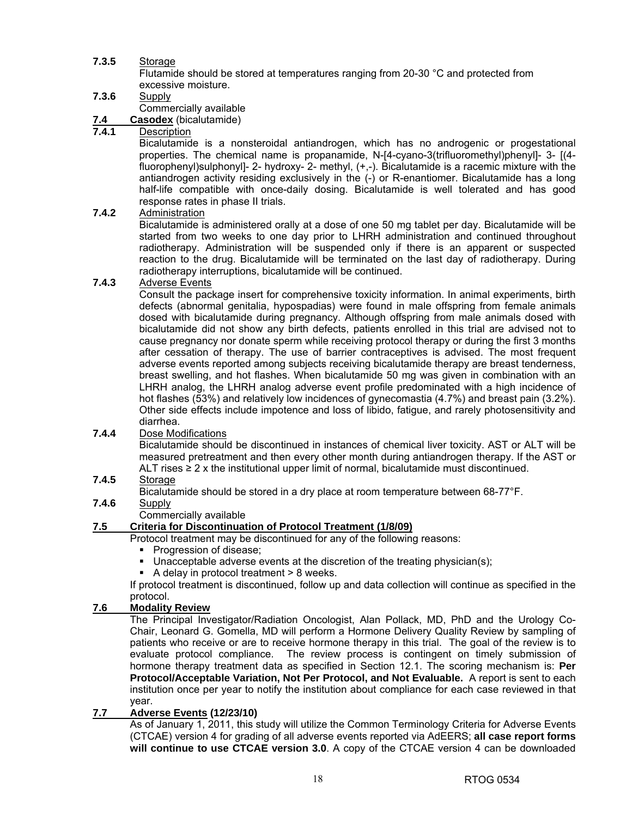# **7.3.5** Storage

 Flutamide should be stored at temperatures ranging from 20-30 °C and protected from excessive moisture.

### **7.3.6** Supply

Commercially available

# **7.4 Casodex** (bicalutamide)

# **7.4.1** Description

 Bicalutamide is a nonsteroidal antiandrogen, which has no androgenic or progestational properties. The chemical name is propanamide, N-[4-cyano-3(trifluoromethyl)phenyl]- 3- [(4 fluorophenyl)sulphonyl]- 2- hydroxy- 2- methyl, (+,-). Bicalutamide is a racemic mixture with the antiandrogen activity residing exclusively in the (-) or R-enantiomer. Bicalutamide has a long half-life compatible with once-daily dosing. Bicalutamide is well tolerated and has good response rates in phase II trials.

### **7.4.2** Administration

 Bicalutamide is administered orally at a dose of one 50 mg tablet per day. Bicalutamide will be started from two weeks to one day prior to LHRH administration and continued throughout radiotherapy. Administration will be suspended only if there is an apparent or suspected reaction to the drug. Bicalutamide will be terminated on the last day of radiotherapy. During radiotherapy interruptions, bicalutamide will be continued.

### **7.4.3** Adverse Events

 Consult the package insert for comprehensive toxicity information. In animal experiments, birth defects (abnormal genitalia, hypospadias) were found in male offspring from female animals dosed with bicalutamide during pregnancy. Although offspring from male animals dosed with bicalutamide did not show any birth defects, patients enrolled in this trial are advised not to cause pregnancy nor donate sperm while receiving protocol therapy or during the first 3 months after cessation of therapy. The use of barrier contraceptives is advised. The most frequent adverse events reported among subjects receiving bicalutamide therapy are breast tenderness, breast swelling, and hot flashes. When bicalutamide 50 mg was given in combination with an LHRH analog, the LHRH analog adverse event profile predominated with a high incidence of hot flashes (53%) and relatively low incidences of gynecomastia (4.7%) and breast pain (3.2%). Other side effects include impotence and loss of libido, fatigue, and rarely photosensitivity and diarrhea.

### **7.4.4** Dose Modifications

 Bicalutamide should be discontinued in instances of chemical liver toxicity. AST or ALT will be measured pretreatment and then every other month during antiandrogen therapy. If the AST or ALT rises  $\geq 2$  x the institutional upper limit of normal, bicalutamide must discontinued.

# **7.4.5** Storage

Bicalutamide should be stored in a dry place at room temperature between 68-77°F.

### **7.4.6** Supply

Commercially available

# **7.5 Criteria for Discontinuation of Protocol Treatment (1/8/09)**

Protocol treatment may be discontinued for any of the following reasons:

- Progression of disease;
- Unacceptable adverse events at the discretion of the treating physician(s);
- $\blacksquare$  A delay in protocol treatment  $> 8$  weeks.

 If protocol treatment is discontinued, follow up and data collection will continue as specified in the protocol.

### **7.6 Modality Review**

The Principal Investigator/Radiation Oncologist, Alan Pollack, MD, PhD and the Urology Co-Chair, Leonard G. Gomella, MD will perform a Hormone Delivery Quality Review by sampling of patients who receive or are to receive hormone therapy in this trial. The goal of the review is to evaluate protocol compliance. The review process is contingent on timely submission of hormone therapy treatment data as specified in Section 12.1. The scoring mechanism is: **Per Protocol/Acceptable Variation, Not Per Protocol, and Not Evaluable.** A report is sent to each institution once per year to notify the institution about compliance for each case reviewed in that year.

### **7.7 Adverse Events (12/23/10)**

As of January 1, 2011, this study will utilize the Common Terminology Criteria for Adverse Events (CTCAE) version 4 for grading of all adverse events reported via AdEERS; **all case report forms will continue to use CTCAE version 3.0**. A copy of the CTCAE version 4 can be downloaded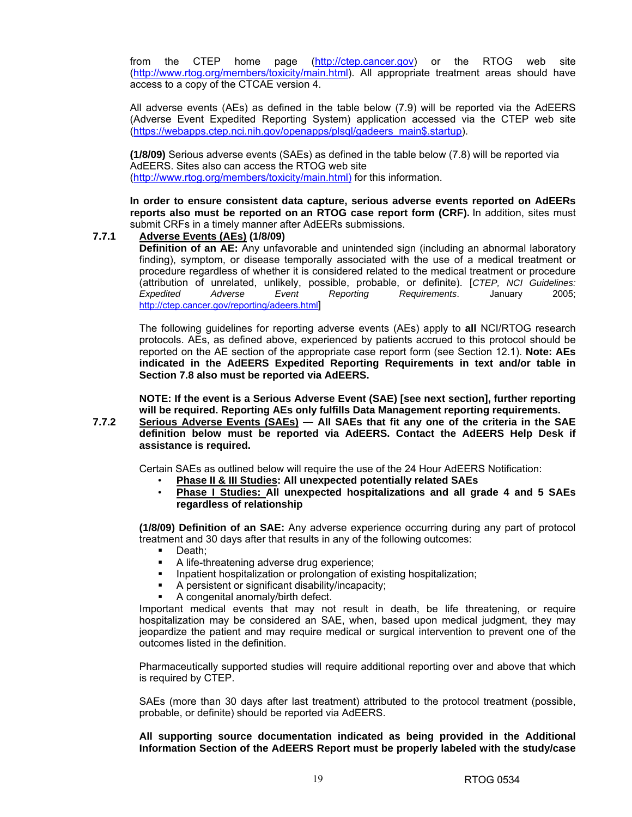from the CTEP home page (http://ctep.cancer.gov) or the RTOG web site (http://www.rtog.org/members/toxicity/main.html). All appropriate treatment areas should have access to a copy of the CTCAE version 4.

All adverse events (AEs) as defined in the table below (7.9) will be reported via the AdEERS (Adverse Event Expedited Reporting System) application accessed via the CTEP web site (https://webapps.ctep.nci.nih.gov/openapps/plsql/gadeers\_main\$.startup).

**(1/8/09)** Serious adverse events (SAEs) as defined in the table below (7.8) will be reported via AdEERS. Sites also can access the RTOG web site (http://www.rtog.org/members/toxicity/main.html) for this information.

**In order to ensure consistent data capture, serious adverse events reported on AdEERs reports also must be reported on an RTOG case report form (CRF).** In addition, sites must submit CRFs in a timely manner after AdEERs submissions.

### **7.7.1 Adverse Events (AEs) (1/8/09)**

**Definition of an AE:** Any unfavorable and unintended sign (including an abnormal laboratory finding), symptom, or disease temporally associated with the use of a medical treatment or procedure regardless of whether it is considered related to the medical treatment or procedure (attribution of unrelated, unlikely, possible, probable, or definite). [*CTEP, NCI Guidelines: Expedited Adverse Event Reporting Requirements*. January 2005; http://ctep.cancer.gov/reporting/adeers.html]

The following guidelines for reporting adverse events (AEs) apply to **all** NCI/RTOG research protocols. AEs, as defined above, experienced by patients accrued to this protocol should be reported on the AE section of the appropriate case report form (see Section 12.1). **Note: AEs indicated in the AdEERS Expedited Reporting Requirements in text and/or table in Section 7.8 also must be reported via AdEERS.**

**NOTE: If the event is a Serious Adverse Event (SAE) [see next section], further reporting will be required. Reporting AEs only fulfills Data Management reporting requirements.** 

**7.7.2 Serious Adverse Events (SAEs) — All SAEs that fit any one of the criteria in the SAE definition below must be reported via AdEERS. Contact the AdEERS Help Desk if assistance is required.** 

Certain SAEs as outlined below will require the use of the 24 Hour AdEERS Notification:

- **Phase II & III Studies: All unexpected potentially related SAEs**
- **Phase I Studies: All unexpected hospitalizations and all grade 4 and 5 SAEs regardless of relationship**

**(1/8/09) Definition of an SAE:** Any adverse experience occurring during any part of protocol treatment and 30 days after that results in any of the following outcomes:

- Death;
- A life-threatening adverse drug experience;
- Inpatient hospitalization or prolongation of existing hospitalization;
- A persistent or significant disability/incapacity;
- A congenital anomaly/birth defect.

Important medical events that may not result in death, be life threatening, or require hospitalization may be considered an SAE, when, based upon medical judgment, they may jeopardize the patient and may require medical or surgical intervention to prevent one of the outcomes listed in the definition.

Pharmaceutically supported studies will require additional reporting over and above that which is required by CTEP.

SAEs (more than 30 days after last treatment) attributed to the protocol treatment (possible, probable, or definite) should be reported via AdEERS.

**All supporting source documentation indicated as being provided in the Additional Information Section of the AdEERS Report must be properly labeled with the study/case**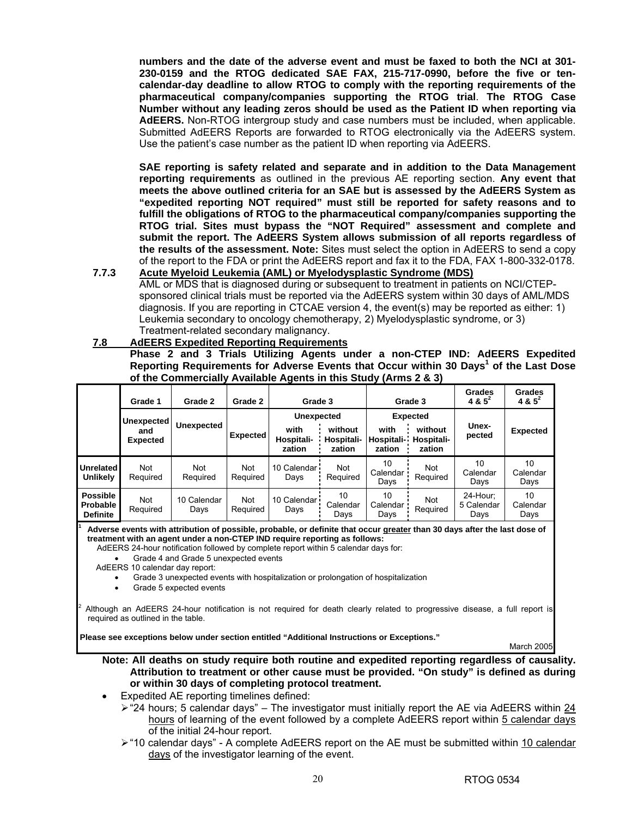**numbers and the date of the adverse event and must be faxed to both the NCI at 301- 230-0159 and the RTOG dedicated SAE FAX, 215-717-0990, before the five or tencalendar-day deadline to allow RTOG to comply with the reporting requirements of the pharmaceutical company/companies supporting the RTOG trial**. **The RTOG Case Number without any leading zeros should be used as the Patient ID when reporting via AdEERS.** Non-RTOG intergroup study and case numbers must be included, when applicable. Submitted AdEERS Reports are forwarded to RTOG electronically via the AdEERS system. Use the patient's case number as the patient ID when reporting via AdEERS.

**SAE reporting is safety related and separate and in addition to the Data Management reporting requirements** as outlined in the previous AE reporting section. **Any event that meets the above outlined criteria for an SAE but is assessed by the AdEERS System as "expedited reporting NOT required" must still be reported for safety reasons and to fulfill the obligations of RTOG to the pharmaceutical company/companies supporting the RTOG trial. Sites must bypass the "NOT Required" assessment and complete and submit the report. The AdEERS System allows submission of all reports regardless of the results of the assessment. Note:** Sites must select the option in AdEERS to send a copy of the report to the FDA or print the AdEERS report and fax it to the FDA, FAX 1-800-332-0178.

**7.7.3 Acute Myeloid Leukemia (AML) or Myelodysplastic Syndrome (MDS)** AML or MDS that is diagnosed during or subsequent to treatment in patients on NCI/CTEPsponsored clinical trials must be reported via the AdEERS system within 30 days of AML/MDS diagnosis. If you are reporting in CTCAE version 4, the event(s) may be reported as either: 1) Leukemia secondary to oncology chemotherapy, 2) Myelodysplastic syndrome, or 3) Treatment-related secondary malignancy.

#### **7.8 AdEERS Expedited Reporting Requirements**

 **Phase 2 and 3 Trials Utilizing Agents under a non-CTEP IND: AdEERS Expedited Reporting Requirements for Adverse Events that Occur within 30 Days<sup>1</sup> of the Last Dose of the Commercially Available Agents in this Study (Arms 2 & 3)**

|                                                       | Grade 1                                     | Grade 2                | Grade 2                | Grade 3                                           |                                 |                              | Grade 3                                            | Grades<br>4 & $5^2$            | Grades<br>4 & $5^2$    |
|-------------------------------------------------------|---------------------------------------------|------------------------|------------------------|---------------------------------------------------|---------------------------------|------------------------------|----------------------------------------------------|--------------------------------|------------------------|
|                                                       | <b>Unexpected</b><br>and<br><b>Expected</b> | <b>Unexpected</b>      | <b>Expected</b>        | <b>Unexpected</b><br>with<br>Hospitali-<br>zation | without<br>Hospitali-<br>zation | with<br>Hospitali-<br>zation | <b>Expected</b><br>without<br>Hospitali-<br>zation | Unex-<br>pected                | <b>Expected</b>        |
| <b>Unrelated</b><br><b>Unlikely</b>                   | Not<br>Required                             | <b>Not</b><br>Required | <b>Not</b><br>Required | 10 Calendar<br>Davs                               | Not<br>Required                 | 10<br>Calendar<br>Davs       | Not<br>Required                                    | 10<br>Calendar<br>Days         | 10<br>Calendar<br>Days |
| <b>Possible</b><br><b>Probable</b><br><b>Definite</b> | Not<br>Required                             | 10 Calendar<br>Days    | <b>Not</b><br>Required | 10 Calendar i<br>Days                             | 10<br>Calendar<br>Days          | 10<br>Calendar<br>Days       | Not<br>Required                                    | 24-Hour:<br>5 Calendar<br>Days | 10<br>Calendar<br>Days |

 **Adverse events with attribution of possible, probable, or definite that occur greater than 30 days after the last dose of treatment with an agent under a non-CTEP IND require reporting as follows:** 

AdEERS 24-hour notification followed by complete report within 5 calendar days for:

• Grade 4 and Grade 5 unexpected events

AdEERS 10 calendar day report:

**1**

• Grade 3 unexpected events with hospitalization or prolongation of hospitalization

Grade 5 expected events

2 Although an AdEERS 24-hour notification is not required for death clearly related to progressive disease, a full report is required as outlined in the table.

**Please see exceptions below under section entitled "Additional Instructions or Exceptions."** 

March 2005

### **Note: All deaths on study require both routine and expedited reporting regardless of causality. Attribution to treatment or other cause must be provided. "On study" is defined as during or within 30 days of completing protocol treatment.**

- Expedited AE reporting timelines defined:
	- $\triangleright$  "24 hours; 5 calendar days" The investigator must initially report the AE via AdEERS within 24 hours of learning of the event followed by a complete AdEERS report within 5 calendar days of the initial 24-hour report.
	- ¾ "10 calendar days" A complete AdEERS report on the AE must be submitted within 10 calendar days of the investigator learning of the event.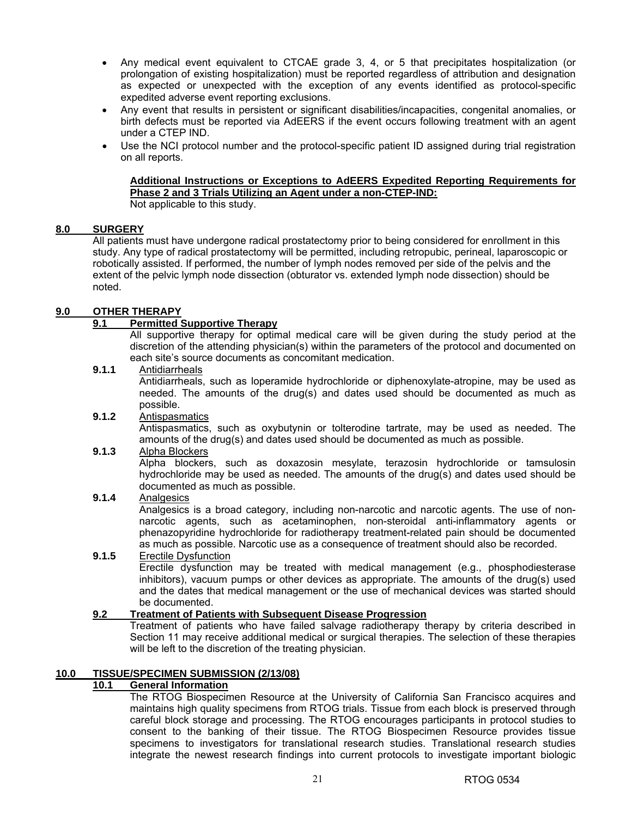- Any medical event equivalent to CTCAE grade 3, 4, or 5 that precipitates hospitalization (or prolongation of existing hospitalization) must be reported regardless of attribution and designation as expected or unexpected with the exception of any events identified as protocol-specific expedited adverse event reporting exclusions.
- Any event that results in persistent or significant disabilities/incapacities, congenital anomalies, or birth defects must be reported via AdEERS if the event occurs following treatment with an agent under a CTEP IND.
- Use the NCI protocol number and the protocol-specific patient ID assigned during trial registration on all reports.

# **Additional Instructions or Exceptions to AdEERS Expedited Reporting Requirements for Phase 2 and 3 Trials Utilizing an Agent under a non-CTEP-IND:**

Not applicable to this study.

## **8.0 SURGERY**

All patients must have undergone radical prostatectomy prior to being considered for enrollment in this study. Any type of radical prostatectomy will be permitted, including retropubic, perineal, laparoscopic or robotically assisted. If performed, the number of lymph nodes removed per side of the pelvis and the extent of the pelvic lymph node dissection (obturator vs. extended lymph node dissection) should be noted.

### **9.0 OTHER THERAPY**

## **9.1 Permitted Supportive Therapy**

 All supportive therapy for optimal medical care will be given during the study period at the discretion of the attending physician(s) within the parameters of the protocol and documented on each site's source documents as concomitant medication.

### **9.1.1** Antidiarrheals

 Antidiarrheals, such as loperamide hydrochloride or diphenoxylate-atropine, may be used as needed. The amounts of the drug(s) and dates used should be documented as much as possible.

### **9.1.2** Antispasmatics

 Antispasmatics, such as oxybutynin or tolterodine tartrate, may be used as needed. The amounts of the drug(s) and dates used should be documented as much as possible.

### **9.1.3** Alpha Blockers

 Alpha blockers, such as doxazosin mesylate, terazosin hydrochloride or tamsulosin hydrochloride may be used as needed. The amounts of the drug(s) and dates used should be documented as much as possible.

### **9.1.4** Analgesics

 Analgesics is a broad category, including non-narcotic and narcotic agents. The use of nonnarcotic agents, such as acetaminophen, non-steroidal anti-inflammatory agents or phenazopyridine hydrochloride for radiotherapy treatment-related pain should be documented as much as possible. Narcotic use as a consequence of treatment should also be recorded.

### **9.1.5** Erectile Dysfunction

 Erectile dysfunction may be treated with medical management (e.g., phosphodiesterase inhibitors), vacuum pumps or other devices as appropriate. The amounts of the drug(s) used and the dates that medical management or the use of mechanical devices was started should be documented.

### **9.2 Treatment of Patients with Subsequent Disease Progression**

 Treatment of patients who have failed salvage radiotherapy therapy by criteria described in Section 11 may receive additional medical or surgical therapies. The selection of these therapies will be left to the discretion of the treating physician.

### **10.0 TISSUE/SPECIMEN SUBMISSION (2/13/08)**

### **10.1 General Information**

The RTOG Biospecimen Resource at the University of California San Francisco acquires and maintains high quality specimens from RTOG trials. Tissue from each block is preserved through careful block storage and processing. The RTOG encourages participants in protocol studies to consent to the banking of their tissue. The RTOG Biospecimen Resource provides tissue specimens to investigators for translational research studies. Translational research studies integrate the newest research findings into current protocols to investigate important biologic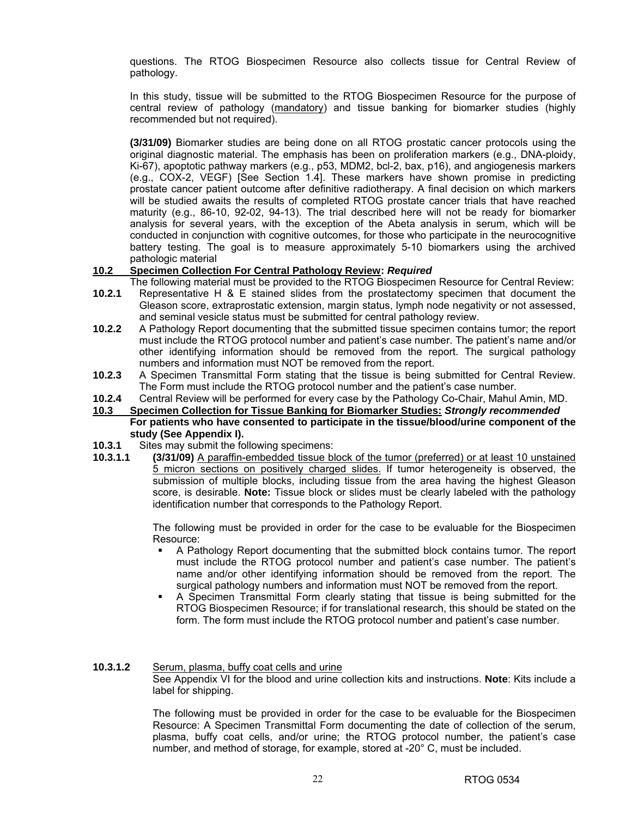questions. The RTOG Biospecimen Resource also collects tissue for Central Review of pathology.

In this study, tissue will be submitted to the RTOG Biospecimen Resource for the purpose of central review of pathology (mandatory) and tissue banking for biomarker studies (highly recommended but not required).

**(3/31/09)** Biomarker studies are being done on all RTOG prostatic cancer protocols using the original diagnostic material. The emphasis has been on proliferation markers (e.g., DNA-ploidy, Ki-67), apoptotic pathway markers (e.g., p53, MDM2, bcl-2, bax, p16), and angiogenesis markers (e.g., COX-2, VEGF) [See Section 1.4]. These markers have shown promise in predicting prostate cancer patient outcome after definitive radiotherapy. A final decision on which markers will be studied awaits the results of completed RTOG prostate cancer trials that have reached maturity (e.g., 86-10, 92-02, 94-13). The trial described here will not be ready for biomarker analysis for several years, with the exception of the Abeta analysis in serum, which will be conducted in conjunction with cognitive outcomes, for those who participate in the neurocognitive battery testing. The goal is to measure approximately 5-10 biomarkers using the archived pathologic material

### **10.2 Specimen Collection For Central Pathology Review:** *Required*

- The following material must be provided to the RTOG Biospecimen Resource for Central Review: **10.2.1** Representative H & E stained slides from the prostatectomy specimen that document the
- Gleason score, extraprostatic extension, margin status, lymph node negativity or not assessed, and seminal vesicle status must be submitted for central pathology review.
- **10.2.2** A Pathology Report documenting that the submitted tissue specimen contains tumor; the report must include the RTOG protocol number and patient's case number. The patient's name and/or other identifying information should be removed from the report. The surgical pathology numbers and information must NOT be removed from the report.
- **10.2.3** A Specimen Transmittal Form stating that the tissue is being submitted for Central Review. The Form must include the RTOG protocol number and the patient's case number.
- **10.2.4** Central Review will be performed for every case by the Pathology Co-Chair, Mahul Amin, MD.
- **10.3 Specimen Collection for Tissue Banking for Biomarker Studies:** *Strongly recommended* **For patients who have consented to participate in the tissue/blood/urine component of the study (See Appendix I).**
- **10.3.1** Sites may submit the following specimens:
- **10.3.1.1 (3/31/09)** A paraffin-embedded tissue block of the tumor (preferred) or at least 10 unstained 5 micron sections on positively charged slides. If tumor heterogeneity is observed, the submission of multiple blocks, including tissue from the area having the highest Gleason score, is desirable. **Note:** Tissue block or slides must be clearly labeled with the pathology identification number that corresponds to the Pathology Report.

The following must be provided in order for the case to be evaluable for the Biospecimen Resource:

- A Pathology Report documenting that the submitted block contains tumor. The report must include the RTOG protocol number and patient's case number. The patient's name and/or other identifying information should be removed from the report. The surgical pathology numbers and information must NOT be removed from the report.
- A Specimen Transmittal Form clearly stating that tissue is being submitted for the RTOG Biospecimen Resource; if for translational research, this should be stated on the form. The form must include the RTOG protocol number and patient's case number.
- **10.3.1.2** Serum, plasma, buffy coat cells and urine See Appendix VI for the blood and urine collection kits and instructions. **Note**: Kits include a label for shipping.

 The following must be provided in order for the case to be evaluable for the Biospecimen Resource: A Specimen Transmittal Form documenting the date of collection of the serum, plasma, buffy coat cells, and/or urine; the RTOG protocol number, the patient's case number, and method of storage, for example, stored at -20° C, must be included.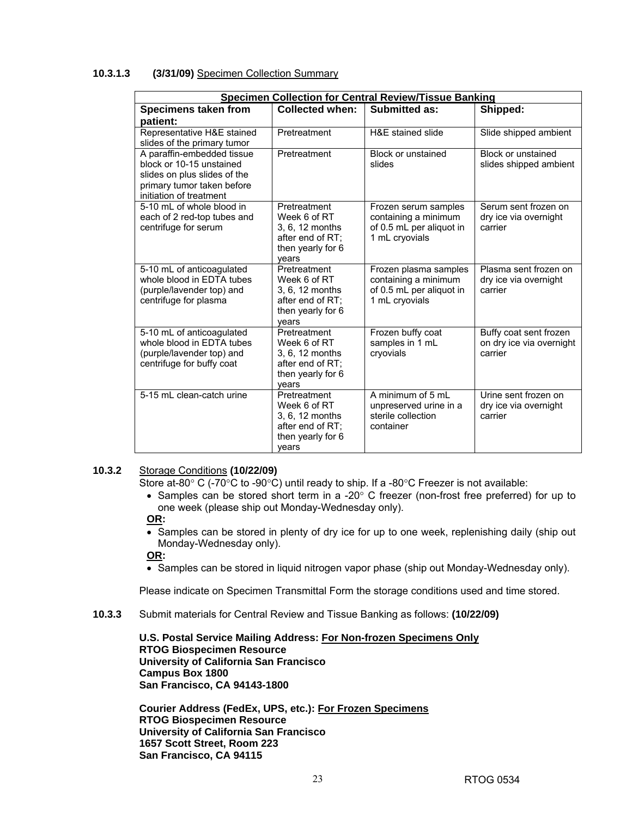### **10.3.1.3 (3/31/09)** Specimen Collection Summary

| <b>Specimen Collection for Central Review/Tissue Banking</b>                                                                                    |                                                                                                   |                                                                                             |                                                               |  |  |  |
|-------------------------------------------------------------------------------------------------------------------------------------------------|---------------------------------------------------------------------------------------------------|---------------------------------------------------------------------------------------------|---------------------------------------------------------------|--|--|--|
| Specimens taken from                                                                                                                            | <b>Collected when:</b>                                                                            | <b>Submitted as:</b>                                                                        | Shipped:                                                      |  |  |  |
| patient:                                                                                                                                        |                                                                                                   |                                                                                             |                                                               |  |  |  |
| Representative H&E stained<br>slides of the primary tumor                                                                                       | Pretreatment                                                                                      | H&E stained slide                                                                           | Slide shipped ambient                                         |  |  |  |
| A paraffin-embedded tissue<br>block or 10-15 unstained<br>slides on plus slides of the<br>primary tumor taken before<br>initiation of treatment | Pretreatment                                                                                      | Block or unstained<br>slides                                                                | Block or unstained<br>slides shipped ambient                  |  |  |  |
| 5-10 mL of whole blood in<br>each of 2 red-top tubes and<br>centrifuge for serum                                                                | Pretreatment<br>Week 6 of RT<br>3, 6, 12 months<br>after end of RT:<br>then yearly for 6<br>vears | Frozen serum samples<br>containing a minimum<br>of 0.5 mL per aliquot in<br>1 mL cryovials  | Serum sent frozen on<br>dry ice via overnight<br>carrier      |  |  |  |
| 5-10 mL of anticoagulated<br>whole blood in EDTA tubes<br>(purple/lavender top) and<br>centrifuge for plasma                                    | Pretreatment<br>Week 6 of RT<br>3, 6, 12 months<br>after end of RT:<br>then yearly for 6<br>vears | Frozen plasma samples<br>containing a minimum<br>of 0.5 mL per aliquot in<br>1 mL cryovials | Plasma sent frozen on<br>dry ice via overnight<br>carrier     |  |  |  |
| 5-10 mL of anticoagulated<br>whole blood in EDTA tubes<br>(purple/lavender top) and<br>centrifuge for buffy coat                                | Pretreatment<br>Week 6 of RT<br>3, 6, 12 months<br>after end of RT;<br>then yearly for 6<br>vears | Frozen buffy coat<br>samples in 1 mL<br>cryovials                                           | Buffy coat sent frozen<br>on dry ice via overnight<br>carrier |  |  |  |
| 5-15 mL clean-catch urine                                                                                                                       | Pretreatment<br>Week 6 of RT<br>3.6.12 months<br>after end of RT:<br>then yearly for 6<br>vears   | A minimum of 5 mL<br>unpreserved urine in a<br>sterile collection<br>container              | Urine sent frozen on<br>dry ice via overnight<br>carrier      |  |  |  |

### **10.3.2** Storage Conditions **(10/22/09)**

Store at-80 $\textdegree$  C (-70 $\textdegree$ C to -90 $\textdegree$ C) until ready to ship. If a -80 $\textdegree$ C Freezer is not available:

• Samples can be stored short term in a -20 $\degree$  C freezer (non-frost free preferred) for up to one week (please ship out Monday-Wednesday only).

### **OR:**

• Samples can be stored in plenty of dry ice for up to one week, replenishing daily (ship out Monday-Wednesday only).

**OR:** 

• Samples can be stored in liquid nitrogen vapor phase (ship out Monday-Wednesday only).

Please indicate on Specimen Transmittal Form the storage conditions used and time stored.

**10.3.3** Submit materials for Central Review and Tissue Banking as follows: **(10/22/09)** 

**U.S. Postal Service Mailing Address: For Non-frozen Specimens Only RTOG Biospecimen Resource University of California San Francisco Campus Box 1800 San Francisco, CA 94143-1800** 

**Courier Address (FedEx, UPS, etc.): For Frozen Specimens RTOG Biospecimen Resource University of California San Francisco 1657 Scott Street, Room 223 San Francisco, CA 94115**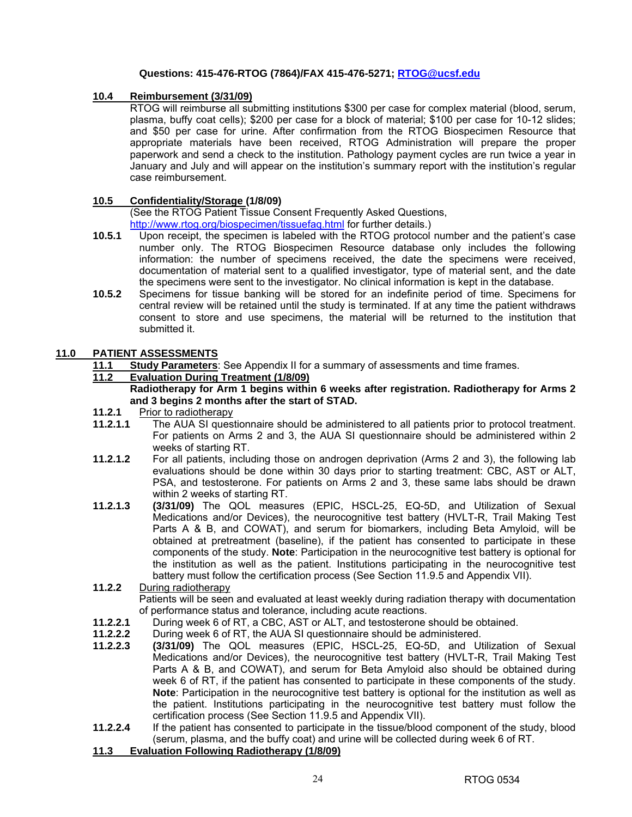### **Questions: 415-476-RTOG (7864)/FAX 415-476-5271; RTOG@ucsf.edu**

### **10.4 Reimbursement (3/31/09)**

RTOG will reimburse all submitting institutions \$300 per case for complex material (blood, serum, plasma, buffy coat cells); \$200 per case for a block of material; \$100 per case for 10-12 slides; and \$50 per case for urine. After confirmation from the RTOG Biospecimen Resource that appropriate materials have been received, RTOG Administration will prepare the proper paperwork and send a check to the institution. Pathology payment cycles are run twice a year in January and July and will appear on the institution's summary report with the institution's regular case reimbursement.

### **10.5 Confidentiality/Storage (1/8/09)**

(See the RTOG Patient Tissue Consent Frequently Asked Questions, http://www.rtog.org/biospecimen/tissuefaq.html for further details.)

- **10.5.1** Upon receipt, the specimen is labeled with the RTOG protocol number and the patient's case number only. The RTOG Biospecimen Resource database only includes the following information: the number of specimens received, the date the specimens were received, documentation of material sent to a qualified investigator, type of material sent, and the date the specimens were sent to the investigator. No clinical information is kept in the database.
- **10.5.2** Specimens for tissue banking will be stored for an indefinite period of time. Specimens for central review will be retained until the study is terminated. If at any time the patient withdraws consent to store and use specimens, the material will be returned to the institution that submitted it.

### **11.0 PATIENT ASSESSMENTS**

**11.1 Study Parameters**: See Appendix II for a summary of assessments and time frames.

### **11.2 Evaluation During Treatment (1/8/09)**

- **Radiotherapy for Arm 1 begins within 6 weeks after registration. Radiotherapy for Arms 2 and 3 begins 2 months after the start of STAD.**
- **11.2.1** Prior to radiotherapy
- **11.2.1.1** The AUA SI questionnaire should be administered to all patients prior to protocol treatment. For patients on Arms 2 and 3, the AUA SI questionnaire should be administered within 2 weeks of starting RT.
- **11.2.1.2** For all patients, including those on androgen deprivation (Arms 2 and 3), the following lab evaluations should be done within 30 days prior to starting treatment: CBC, AST or ALT, PSA, and testosterone. For patients on Arms 2 and 3, these same labs should be drawn within 2 weeks of starting RT.
- **11.2.1.3 (3/31/09)** The QOL measures (EPIC, HSCL-25, EQ-5D, and Utilization of Sexual Medications and/or Devices), the neurocognitive test battery (HVLT-R, Trail Making Test Parts A & B, and COWAT), and serum for biomarkers, including Beta Amyloid, will be obtained at pretreatment (baseline), if the patient has consented to participate in these components of the study. **Note**: Participation in the neurocognitive test battery is optional for the institution as well as the patient. Institutions participating in the neurocognitive test battery must follow the certification process (See Section 11.9.5 and Appendix VII).
- **11.2.2** During radiotherapy Patients will be seen and evaluated at least weekly during radiation therapy with documentation
- of performance status and tolerance, including acute reactions.
- **11.2.2.1** During week 6 of RT, a CBC, AST or ALT, and testosterone should be obtained.
- **11.2.2.2** During week 6 of RT, the AUA SI questionnaire should be administered.
- **11.2.2.3 (3/31/09)** The QOL measures (EPIC, HSCL-25, EQ-5D, and Utilization of Sexual Medications and/or Devices), the neurocognitive test battery (HVLT-R, Trail Making Test Parts A & B, and COWAT), and serum for Beta Amyloid also should be obtained during week 6 of RT, if the patient has consented to participate in these components of the study. **Note**: Participation in the neurocognitive test battery is optional for the institution as well as the patient. Institutions participating in the neurocognitive test battery must follow the certification process (See Section 11.9.5 and Appendix VII).
- **11.2.2.4** If the patient has consented to participate in the tissue/blood component of the study, blood (serum, plasma, and the buffy coat) and urine will be collected during week 6 of RT.
- **11.3 Evaluation Following Radiotherapy (1/8/09)**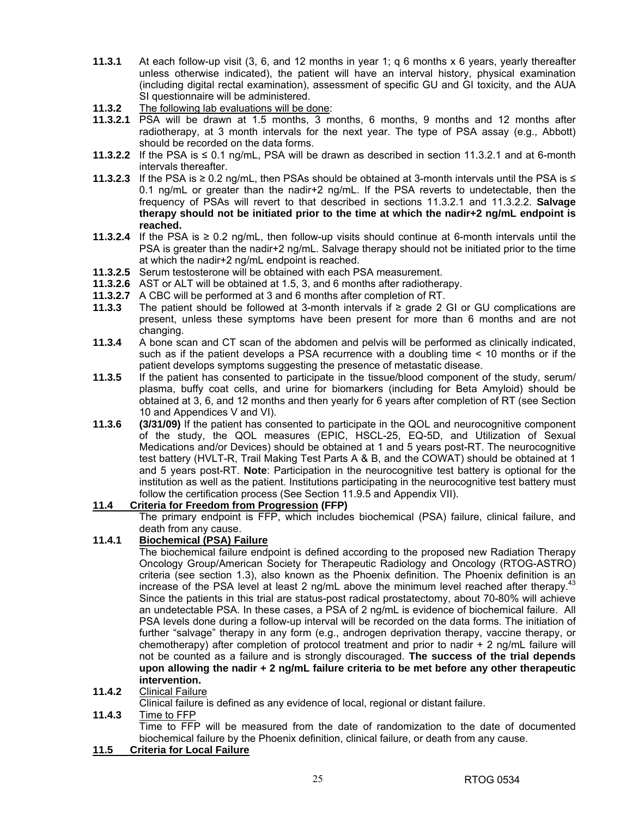- **11.3.1** At each follow-up visit (3, 6, and 12 months in year 1; q 6 months x 6 years, yearly thereafter unless otherwise indicated), the patient will have an interval history, physical examination (including digital rectal examination), assessment of specific GU and GI toxicity, and the AUA SI questionnaire will be administered.
- **11.3.2** The following lab evaluations will be done:
- **11.3.2.1** PSA will be drawn at 1.5 months, 3 months, 6 months, 9 months and 12 months after radiotherapy, at 3 month intervals for the next year. The type of PSA assay (e.g., Abbott) should be recorded on the data forms.
- **11.3.2.2** If the PSA is ≤ 0.1 ng/mL, PSA will be drawn as described in section 11.3.2.1 and at 6-month intervals thereafter.
- **11.3.2.3** If the PSA is ≥ 0.2 ng/mL, then PSAs should be obtained at 3-month intervals until the PSA is ≤ 0.1 ng/mL or greater than the nadir+2 ng/mL. If the PSA reverts to undetectable, then the frequency of PSAs will revert to that described in sections 11.3.2.1 and 11.3.2.2. **Salvage therapy should not be initiated prior to the time at which the nadir+2 ng/mL endpoint is reached.**
- **11.3.2.4** If the PSA is ≥ 0.2 ng/mL, then follow-up visits should continue at 6-month intervals until the PSA is greater than the nadir+2 ng/mL. Salvage therapy should not be initiated prior to the time at which the nadir+2 ng/mL endpoint is reached.
- **11.3.2.5** Serum testosterone will be obtained with each PSA measurement.
- **11.3.2.6** AST or ALT will be obtained at 1.5, 3, and 6 months after radiotherapy.
- **11.3.2.7** A CBC will be performed at 3 and 6 months after completion of RT.
- **11.3.3** The patient should be followed at 3-month intervals if ≥ grade 2 GI or GU complications are present, unless these symptoms have been present for more than 6 months and are not changing.
- **11.3.4** A bone scan and CT scan of the abdomen and pelvis will be performed as clinically indicated, such as if the patient develops a PSA recurrence with a doubling time < 10 months or if the patient develops symptoms suggesting the presence of metastatic disease.
- **11.3.5** If the patient has consented to participate in the tissue/blood component of the study, serum/ plasma, buffy coat cells, and urine for biomarkers (including for Beta Amyloid) should be obtained at 3, 6, and 12 months and then yearly for 6 years after completion of RT (see Section 10 and Appendices V and VI).
- **11.3.6 (3/31/09)** If the patient has consented to participate in the QOL and neurocognitive component of the study, the QOL measures (EPIC, HSCL-25, EQ-5D, and Utilization of Sexual Medications and/or Devices) should be obtained at 1 and 5 years post-RT. The neurocognitive test battery (HVLT-R, Trail Making Test Parts A & B, and the COWAT) should be obtained at 1 and 5 years post-RT. **Note**: Participation in the neurocognitive test battery is optional for the institution as well as the patient. Institutions participating in the neurocognitive test battery must follow the certification process (See Section 11.9.5 and Appendix VII).

### **11.4 Criteria for Freedom from Progression (FFP)**

 The primary endpoint is FFP, which includes biochemical (PSA) failure, clinical failure, and death from any cause.

### **11.4.1 Biochemical (PSA) Failure**

The biochemical failure endpoint is defined according to the proposed new Radiation Therapy Oncology Group/American Society for Therapeutic Radiology and Oncology (RTOG-ASTRO) criteria (see section 1.3), also known as the Phoenix definition. The Phoenix definition is an increase of the PSA level at least 2 ng/mL above the minimum level reached after therapy.<sup>4</sup> Since the patients in this trial are status-post radical prostatectomy, about 70-80% will achieve an undetectable PSA. In these cases, a PSA of 2 ng/mL is evidence of biochemical failure. All PSA levels done during a follow-up interval will be recorded on the data forms. The initiation of further "salvage" therapy in any form (e.g., androgen deprivation therapy, vaccine therapy, or chemotherapy) after completion of protocol treatment and prior to nadir + 2 ng/mL failure will not be counted as a failure and is strongly discouraged. **The success of the trial depends upon allowing the nadir + 2 ng/mL failure criteria to be met before any other therapeutic intervention.**

### **11.4.2** Clinical Failure

Clinical failure is defined as any evidence of local, regional or distant failure.<br>11.4.3 Time to FFP

**11.4.3** Time to FFP

 Time to FFP will be measured from the date of randomization to the date of documented biochemical failure by the Phoenix definition, clinical failure, or death from any cause.

### **11.5 Criteria for Local Failure**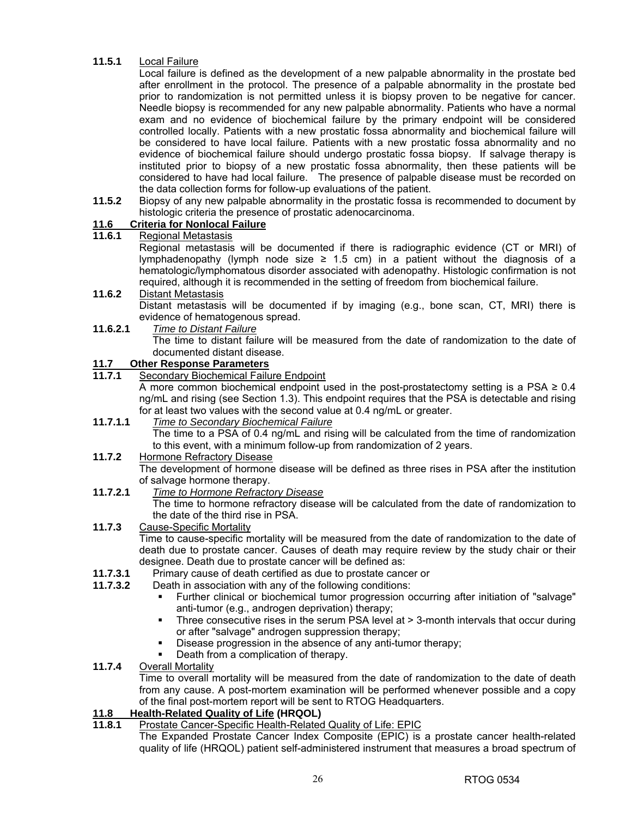### **11.5.1** Local Failure

 Local failure is defined as the development of a new palpable abnormality in the prostate bed after enrollment in the protocol. The presence of a palpable abnormality in the prostate bed prior to randomization is not permitted unless it is biopsy proven to be negative for cancer. Needle biopsy is recommended for any new palpable abnormality. Patients who have a normal exam and no evidence of biochemical failure by the primary endpoint will be considered controlled locally. Patients with a new prostatic fossa abnormality and biochemical failure will be considered to have local failure. Patients with a new prostatic fossa abnormality and no evidence of biochemical failure should undergo prostatic fossa biopsy. If salvage therapy is instituted prior to biopsy of a new prostatic fossa abnormality, then these patients will be considered to have had local failure. The presence of palpable disease must be recorded on the data collection forms for follow-up evaluations of the patient.

**11.5.2** Biopsy of any new palpable abnormality in the prostatic fossa is recommended to document by histologic criteria the presence of prostatic adenocarcinoma.

## **11.6 Criteria for Nonlocal Failure**

### **11.6.1** Regional Metastasis

 Regional metastasis will be documented if there is radiographic evidence (CT or MRI) of lymphadenopathy (lymph node size  $\geq$  1.5 cm) in a patient without the diagnosis of a hematologic/lymphomatous disorder associated with adenopathy. Histologic confirmation is not required, although it is recommended in the setting of freedom from biochemical failure.

## **11.6.2** Distant Metastasis

 Distant metastasis will be documented if by imaging (e.g., bone scan, CT, MRI) there is evidence of hematogenous spread.

**11.6.2.1** *Time to Distant Failure* The time to distant failure will be measured from the date of randomization to the date of documented distant disease.

**11.7 Other Response Parameters Secondary Biochemical Failure Endpoint** 

A more common biochemical endpoint used in the post-prostatectomy setting is a PSA  $\geq 0.4$ ng/mL and rising (see Section 1.3). This endpoint requires that the PSA is detectable and rising for at least two values with the second value at 0.4 ng/mL or greater.

### **11.7.1.1** *Time to Secondary Biochemical Failure*

 The time to a PSA of 0.4 ng/mL and rising will be calculated from the time of randomization to this event, with a minimum follow-up from randomization of 2 years.

**11.7.2** Hormone Refractory Disease

 The development of hormone disease will be defined as three rises in PSA after the institution of salvage hormone therapy.

**11.7.2.1** *Time to Hormone Refractory Disease*

 The time to hormone refractory disease will be calculated from the date of randomization to the date of the third rise in PSA.

- **11.7.3** Cause-Specific Mortality Time to cause-specific mortality will be measured from the date of randomization to the date of death due to prostate cancer. Causes of death may require review by the study chair or their designee. Death due to prostate cancer will be defined as:
- **11.7.3.1** Primary cause of death certified as due to prostate cancer or
- **11.7.3.2** Death in association with any of the following conditions:
	- Further clinical or biochemical tumor progression occurring after initiation of "salvage" anti-tumor (e.g., androgen deprivation) therapy;
	- Three consecutive rises in the serum PSA level at > 3-month intervals that occur during or after "salvage" androgen suppression therapy;
	- Disease progression in the absence of any anti-tumor therapy;
	- Death from a complication of therapy.

### **11.7.4** Overall Mortality

 Time to overall mortality will be measured from the date of randomization to the date of death from any cause. A post-mortem examination will be performed whenever possible and a copy of the final post-mortem report will be sent to RTOG Headquarters.

### **11.8 Health-Related Quality of Life (HRQOL)**

**11.8.1** Prostate Cancer-Specific Health-Related Quality of Life: EPIC

 The Expanded Prostate Cancer Index Composite (EPIC) is a prostate cancer health-related quality of life (HRQOL) patient self-administered instrument that measures a broad spectrum of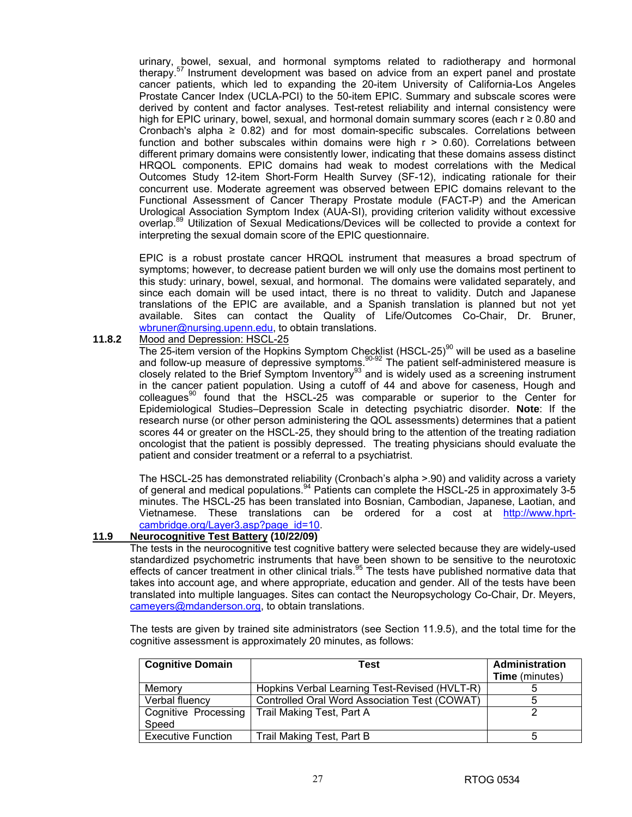urinary, bowel, sexual, and hormonal symptoms related to radiotherapy and hormonal therapy.<sup>57</sup> Instrument development was based on advice from an expert panel and prostate cancer patients, which led to expanding the 20-item University of California-Los Angeles Prostate Cancer Index (UCLA-PCI) to the 50-item EPIC. Summary and subscale scores were derived by content and factor analyses. Test-retest reliability and internal consistency were high for EPIC urinary, bowel, sexual, and hormonal domain summary scores (each r ≥ 0.80 and Cronbach's alpha  $\geq 0.82$ ) and for most domain-specific subscales. Correlations between function and bother subscales within domains were high  $r > 0.60$ ). Correlations between different primary domains were consistently lower, indicating that these domains assess distinct HRQOL components. EPIC domains had weak to modest correlations with the Medical Outcomes Study 12-item Short-Form Health Survey (SF-12), indicating rationale for their concurrent use. Moderate agreement was observed between EPIC domains relevant to the Functional Assessment of Cancer Therapy Prostate module (FACT-P) and the American Urological Association Symptom Index (AUA-SI), providing criterion validity without excessive overlap.89 Utilization of Sexual Medications/Devices will be collected to provide a context for interpreting the sexual domain score of the EPIC questionnaire.

 EPIC is a robust prostate cancer HRQOL instrument that measures a broad spectrum of symptoms; however, to decrease patient burden we will only use the domains most pertinent to this study: urinary, bowel, sexual, and hormonal. The domains were validated separately, and since each domain will be used intact, there is no threat to validity. Dutch and Japanese translations of the EPIC are available, and a Spanish translation is planned but not yet available. Sites can contact the Quality of Life/Outcomes Co-Chair, Dr. Bruner, wbruner@nursing.upenn.edu, to obtain translations.

## **11.8.2** Mood and Depression: HSCL-25

The 25-item version of the Hopkins Symptom Checklist (HSCL-25)<sup>90</sup> will be used as a baseline and follow-up measure of depressive symptoms.  $90-92$  The patient self-administered measure is closely related to the Brief Symptom Inventory<sup>93</sup> and is widely used as a screening instrument in the cancer patient population. Using a cutoff of 44 and above for caseness, Hough and  $colleaques<sup>90</sup>$  found that the HSCL-25 was comparable or superior to the Center for Epidemiological Studies–Depression Scale in detecting psychiatric disorder. **Note**: If the research nurse (or other person administering the QOL assessments) determines that a patient scores 44 or greater on the HSCL-25, they should bring to the attention of the treating radiation oncologist that the patient is possibly depressed. The treating physicians should evaluate the patient and consider treatment or a referral to a psychiatrist.

 The HSCL-25 has demonstrated reliability (Cronbach's alpha >.90) and validity across a variety of general and medical populations.<sup>94</sup> Patients can complete the HSCL-25 in approximately 3-5 minutes. The HSCL-25 has been translated into Bosnian, Cambodian, Japanese, Laotian, and Vietnamese. These translations can be ordered for a cost at http://www.hprtcambridge.org/Layer3.asp?page\_id=10.

### **11.9 Neurocognitive Test Battery (10/22/09)**

 The tests in the neurocognitive test cognitive battery were selected because they are widely-used standardized psychometric instruments that have been shown to be sensitive to the neurotoxic effects of cancer treatment in other clinical trials.<sup>95</sup> The tests have published normative data that takes into account age, and where appropriate, education and gender. All of the tests have been translated into multiple languages. Sites can contact the Neuropsychology Co-Chair, Dr. Meyers, cameyers@mdanderson.org, to obtain translations.

 The tests are given by trained site administrators (see Section 11.9.5), and the total time for the cognitive assessment is approximately 20 minutes, as follows:

| <b>Cognitive Domain</b>   | Test                                             | Administration        |
|---------------------------|--------------------------------------------------|-----------------------|
|                           |                                                  | <b>Time</b> (minutes) |
| Memory                    | Hopkins Verbal Learning Test-Revised (HVLT-R)    |                       |
| Verbal fluency            | Controlled Oral Word Association Test (COWAT)    |                       |
|                           | Cognitive Processing   Trail Making Test, Part A |                       |
| Speed                     |                                                  |                       |
| <b>Executive Function</b> | Trail Making Test, Part B                        |                       |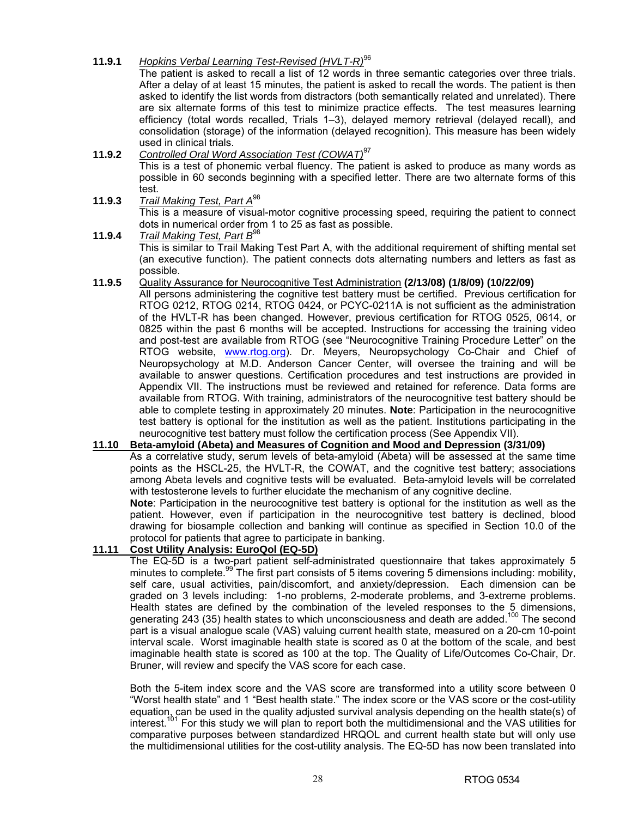### **11.9.1** *Bopkins Verbal Learning Test-Revised (HVLT-R)*<sup>96</sup>

 The patient is asked to recall a list of 12 words in three semantic categories over three trials. After a delay of at least 15 minutes, the patient is asked to recall the words. The patient is then asked to identify the list words from distractors (both semantically related and unrelated). There are six alternate forms of this test to minimize practice effects. The test measures learning efficiency (total words recalled, Trials 1–3), delayed memory retrieval (delayed recall), and consolidation (storage) of the information (delayed recognition). This measure has been widely used in clinical trials.

#### **11.9.2** *Controlled Oral Word Association Test (COWAT)*<sup>97</sup> This is a test of phonemic verbal fluency. The patient is asked to produce as many words as possible in 60 seconds beginning with a specified letter. There are two alternate forms of this test.

**11.9.3** *Trail Making Test, Part A*<sup>98</sup> This is a measure of visual-motor cognitive processing speed, requiring the patient to connect dots in numerical order from 1 to 25 as fast as possible.

### **11.9.4** *Trail Making Test, Part B*<sup>98</sup>

 This is similar to Trail Making Test Part A, with the additional requirement of shifting mental set (an executive function). The patient connects dots alternating numbers and letters as fast as possible.

### **11.9.5** Quality Assurance for Neurocognitive Test Administration **(2/13/08) (1/8/09) (10/22/09)**

All persons administering the cognitive test battery must be certified. Previous certification for RTOG 0212, RTOG 0214, RTOG 0424, or PCYC-0211A is not sufficient as the administration of the HVLT-R has been changed. However, previous certification for RTOG 0525, 0614, or 0825 within the past 6 months will be accepted. Instructions for accessing the training video and post-test are available from RTOG (see "Neurocognitive Training Procedure Letter" on the RTOG website, www.rtog.org). Dr. Meyers, Neuropsychology Co-Chair and Chief of Neuropsychology at M.D. Anderson Cancer Center, will oversee the training and will be available to answer questions. Certification procedures and test instructions are provided in Appendix VII. The instructions must be reviewed and retained for reference. Data forms are available from RTOG. With training, administrators of the neurocognitive test battery should be able to complete testing in approximately 20 minutes. **Note**: Participation in the neurocognitive test battery is optional for the institution as well as the patient. Institutions participating in the neurocognitive test battery must follow the certification process (See Appendix VII).

# **11.10 Beta-amyloid (Abeta) and Measures of Cognition and Mood and Depression (3/31/09)**

 As a correlative study, serum levels of beta-amyloid (Abeta) will be assessed at the same time points as the HSCL-25, the HVLT-R, the COWAT, and the cognitive test battery; associations among Abeta levels and cognitive tests will be evaluated. Beta-amyloid levels will be correlated with testosterone levels to further elucidate the mechanism of any cognitive decline.

**Note**: Participation in the neurocognitive test battery is optional for the institution as well as the patient. However, even if participation in the neurocognitive test battery is declined, blood drawing for biosample collection and banking will continue as specified in Section 10.0 of the protocol for patients that agree to participate in banking.

# **11.11 Cost Utility Analysis: EuroQol (EQ-5D)**

 The EQ-5D is a two-part patient self-administrated questionnaire that takes approximately 5 minutes to complete.<sup>99</sup> The first part consists of 5 items covering 5 dimensions including: mobility, self care, usual activities, pain/discomfort, and anxiety/depression. Each dimension can be graded on 3 levels including: 1-no problems, 2-moderate problems, and 3-extreme problems. Health states are defined by the combination of the leveled responses to the 5 dimensions, generating 243 (35) health states to which unconsciousness and death are added.<sup>100</sup> The second part is a visual analogue scale (VAS) valuing current health state, measured on a 20-cm 10-point interval scale. Worst imaginable health state is scored as 0 at the bottom of the scale, and best imaginable health state is scored as 100 at the top. The Quality of Life/Outcomes Co-Chair, Dr. Bruner, will review and specify the VAS score for each case.

 Both the 5-item index score and the VAS score are transformed into a utility score between 0 "Worst health state" and 1 "Best health state." The index score or the VAS score or the cost-utility equation, can be used in the quality adjusted survival analysis depending on the health state(s) of interest.<sup>101</sup> For this study we will plan to report both the multidimensional and the VAS utilities for comparative purposes between standardized HRQOL and current health state but will only use the multidimensional utilities for the cost-utility analysis. The EQ-5D has now been translated into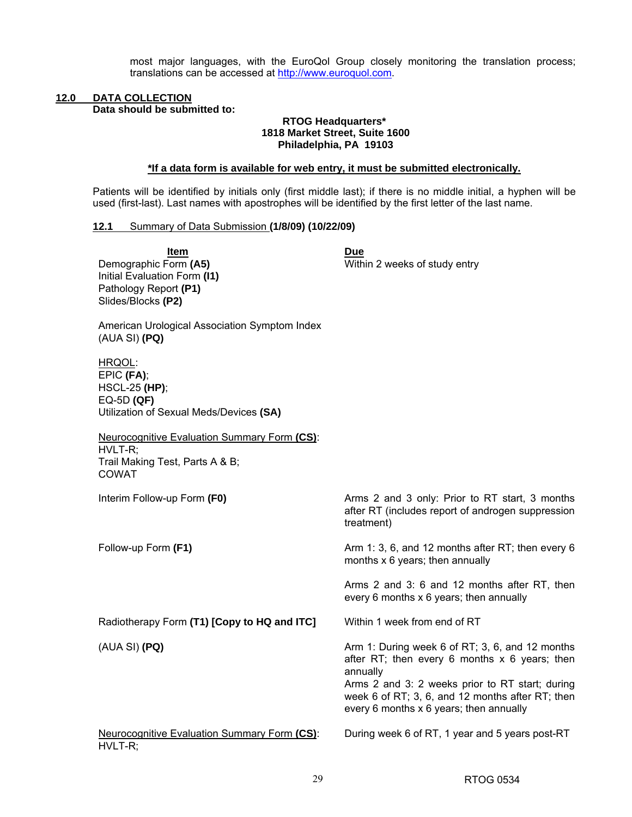most major languages, with the EuroQol Group closely monitoring the translation process; translations can be accessed at http://www.euroquol.com.

# **12.0 DATA COLLECTION**

**Data should be submitted to:** 

### **RTOG Headquarters\* 1818 Market Street, Suite 1600 Philadelphia, PA 19103**

### **\*If a data form is available for web entry, it must be submitted electronically.**

Patients will be identified by initials only (first middle last); if there is no middle initial, a hyphen will be used (first-last). Last names with apostrophes will be identified by the first letter of the last name.

### **12.1** Summary of Data Submission **(1/8/09) (10/22/09)**

| Item<br>Demographic Form (A5)<br>Initial Evaluation Form (I1)<br>Pathology Report (P1)<br>Slides/Blocks (P2)<br>American Urological Association Symptom Index<br>(AUA SI) (PQ)<br>HRQOL:<br>EPIC (FA);<br><b>HSCL-25 (HP);</b><br>$EQ-5D(QF)$<br>Utilization of Sexual Meds/Devices (SA)<br><b>Neurocognitive Evaluation Summary Form (CS):</b> | <b>Due</b><br>Within 2 weeks of study entry                                                                                                                                                                                                                      |
|-------------------------------------------------------------------------------------------------------------------------------------------------------------------------------------------------------------------------------------------------------------------------------------------------------------------------------------------------|------------------------------------------------------------------------------------------------------------------------------------------------------------------------------------------------------------------------------------------------------------------|
| HVLT-R;<br>Trail Making Test, Parts A & B;<br>COWAT                                                                                                                                                                                                                                                                                             |                                                                                                                                                                                                                                                                  |
| Interim Follow-up Form (F0)                                                                                                                                                                                                                                                                                                                     | Arms 2 and 3 only: Prior to RT start, 3 months<br>after RT (includes report of androgen suppression<br>treatment)                                                                                                                                                |
| Follow-up Form (F1)                                                                                                                                                                                                                                                                                                                             | Arm 1: 3, 6, and 12 months after RT; then every 6<br>months x 6 years; then annually                                                                                                                                                                             |
|                                                                                                                                                                                                                                                                                                                                                 | Arms 2 and 3: 6 and 12 months after RT, then<br>every 6 months x 6 years; then annually                                                                                                                                                                          |
| Radiotherapy Form (T1) [Copy to HQ and ITC]                                                                                                                                                                                                                                                                                                     | Within 1 week from end of RT                                                                                                                                                                                                                                     |
| (AUA SI) (PQ)                                                                                                                                                                                                                                                                                                                                   | Arm 1: During week 6 of RT; 3, 6, and 12 months<br>after RT; then every 6 months $x$ 6 years; then<br>annually<br>Arms 2 and 3: 2 weeks prior to RT start; during<br>week 6 of RT; 3, 6, and 12 months after RT; then<br>every 6 months x 6 years; then annually |
| <b>Neurocognitive Evaluation Summary Form (CS):</b><br>HVLT-R;                                                                                                                                                                                                                                                                                  | During week 6 of RT, 1 year and 5 years post-RT                                                                                                                                                                                                                  |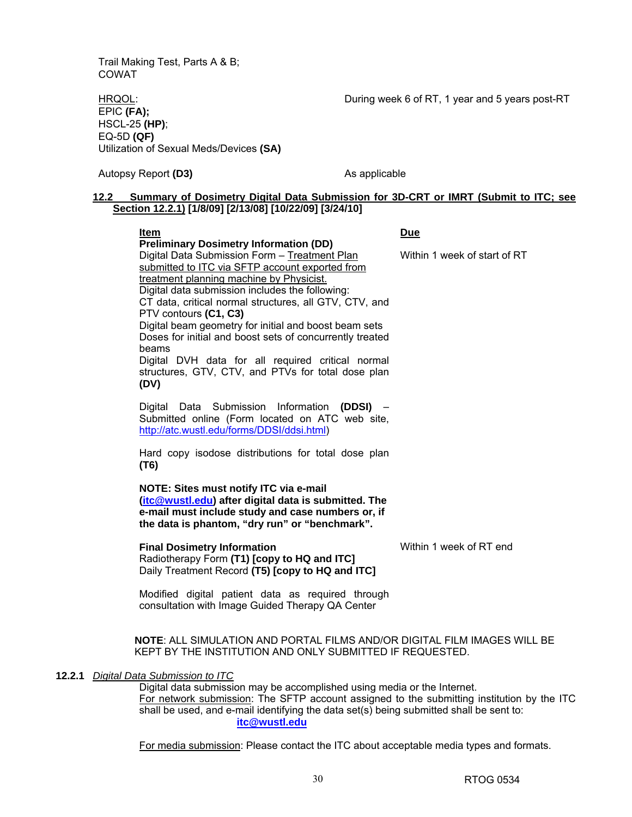Trail Making Test, Parts A & B; COWAT

During week 6 of RT, 1 year and 5 years post-RT

HRQOL: EPIC **(FA);** HSCL-25 **(HP)**; EQ-5D **(QF)** Utilization of Sexual Meds/Devices **(SA)**

Autopsy Report (D3) Autopsy Report (D3) As applicable

### **12.2 Summary of Dosimetry Digital Data Submission for 3D-CRT or IMRT (Submit to ITC; see Section 12.2.1) [1/8/09] [2/13/08] [10/22/09] [3/24/10]**

|        | Item                                                                                                                                                                                                                                                                                                                                                                                                                                                                                                                                                                                 | <b>Due</b>                   |
|--------|--------------------------------------------------------------------------------------------------------------------------------------------------------------------------------------------------------------------------------------------------------------------------------------------------------------------------------------------------------------------------------------------------------------------------------------------------------------------------------------------------------------------------------------------------------------------------------------|------------------------------|
|        | <b>Preliminary Dosimetry Information (DD)</b><br>Digital Data Submission Form - Treatment Plan<br>submitted to ITC via SFTP account exported from<br>treatment planning machine by Physicist.<br>Digital data submission includes the following:<br>CT data, critical normal structures, all GTV, CTV, and<br>PTV contours (C1, C3)<br>Digital beam geometry for initial and boost beam sets<br>Doses for initial and boost sets of concurrently treated<br>beams<br>Digital DVH data for all required critical normal<br>structures, GTV, CTV, and PTVs for total dose plan<br>(DV) | Within 1 week of start of RT |
|        | Digital Data Submission Information (DDSI) -<br>Submitted online (Form located on ATC web site,<br>http://atc.wustl.edu/forms/DDSI/ddsi.html)                                                                                                                                                                                                                                                                                                                                                                                                                                        |                              |
|        | Hard copy isodose distributions for total dose plan<br>(T6)                                                                                                                                                                                                                                                                                                                                                                                                                                                                                                                          |                              |
|        | NOTE: Sites must notify ITC via e-mail<br>(itc@wustl.edu) after digital data is submitted. The<br>e-mail must include study and case numbers or, if<br>the data is phantom, "dry run" or "benchmark".                                                                                                                                                                                                                                                                                                                                                                                |                              |
|        | <b>Final Dosimetry Information</b><br>Radiotherapy Form (T1) [copy to HQ and ITC]<br>Daily Treatment Record (T5) [copy to HQ and ITC]                                                                                                                                                                                                                                                                                                                                                                                                                                                | Within 1 week of RT end      |
|        | Modified digital patient data as required through<br>consultation with Image Guided Therapy QA Center                                                                                                                                                                                                                                                                                                                                                                                                                                                                                |                              |
|        | NOTE: ALL SIMULATION AND PORTAL FILMS AND/OR DIGITAL FILM IMAGES WILL BE<br>KEPT BY THE INSTITUTION AND ONLY SUBMITTED IF REQUESTED.                                                                                                                                                                                                                                                                                                                                                                                                                                                 |                              |
| 12.2.1 | Digital Data Submission to ITC<br>Digital data submission may be accomplished using media or the Internet.<br>For network submission: The SFTP account assigned to the submitting institution by the ITC<br>shall be used, and e-mail identifying the data set(s) being submitted shall be sent to:<br>itc@wustl.edu                                                                                                                                                                                                                                                                 |                              |

For media submission: Please contact the ITC about acceptable media types and formats.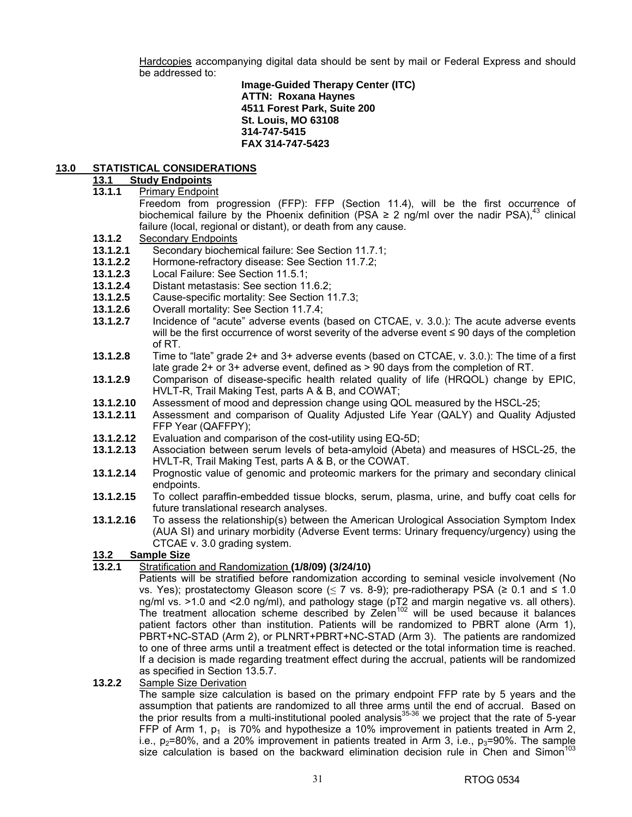Hardcopies accompanying digital data should be sent by mail or Federal Express and should be addressed to:

**Image-Guided Therapy Center (ITC) ATTN: Roxana Haynes 4511 Forest Park, Suite 200 St. Louis, MO 63108 314-747-5415 FAX 314-747-5423** 

### **13.0 STATISTICAL CONSIDERATIONS**

#### **13.1 Study Endpoints**

**13.1.1** Primary Endpoint

 Freedom from progression (FFP): FFP (Section 11.4), will be the first occurrence of biochemical failure by the Phoenix definition (PSA  $\geq$  2 ng/ml over the nadir PSA),<sup>43</sup> clinical failure (local, regional or distant), or death from any cause.

- **13.1.2 Secondary Endpoints**<br>**13.1.2.1** Secondary biochen
- **13.1.2.1** Secondary biochemical failure: See Section 11.7.1;
- **13.1.2.2** Hormone-refractory disease: See Section 11.7.2;
- **13.1.2.3** Local Failure: See Section 11.5.1;
- **13.1.2.4** Distant metastasis: See section 11.6.2;
- **13.1.2.5** Cause-specific mortality: See Section 11.7.3;
- **13.1.2.6** Overall mortality: See Section 11.7.4;
- **13.1.2.7** Incidence of "acute" adverse events (based on CTCAE, v. 3.0.): The acute adverse events will be the first occurrence of worst severity of the adverse event ≤ 90 days of the completion of RT.
- **13.1.2.8** Time to "late" grade 2+ and 3+ adverse events (based on CTCAE, v. 3.0.): The time of a first late grade 2+ or 3+ adverse event, defined as > 90 days from the completion of RT.
- **13.1.2.9** Comparison of disease-specific health related quality of life (HRQOL) change by EPIC, HVLT-R, Trail Making Test, parts A & B, and COWAT;
- **13.1.2.10** Assessment of mood and depression change using QOL measured by the HSCL-25;
- **13.1.2.11** Assessment and comparison of Quality Adjusted Life Year (QALY) and Quality Adjusted FFP Year (QAFFPY);
- **13.1.2.12** Evaluation and comparison of the cost-utility using EQ-5D;
- **13.1.2.13** Association between serum levels of beta-amyloid (Abeta) and measures of HSCL-25, the HVLT-R, Trail Making Test, parts A & B, or the COWAT.
- **13.1.2.14** Prognostic value of genomic and proteomic markers for the primary and secondary clinical endpoints.
- **13.1.2.15** To collect paraffin-embedded tissue blocks, serum, plasma, urine, and buffy coat cells for future translational research analyses.
- **13.1.2.16** To assess the relationship(s) between the American Urological Association Symptom Index (AUA SI) and urinary morbidity (Adverse Event terms: Urinary frequency/urgency) using the CTCAE v. 3.0 grading system.

### **13.2 Sample Size**

- **13.2.1** Stratification and Randomization **(1/8/09) (3/24/10)** 
	- Patients will be stratified before randomization according to seminal vesicle involvement (No vs. Yes); prostatectomy Gleason score ( $\leq$  7 vs. 8-9); pre-radiotherapy PSA ( $\geq$  0.1 and  $\leq$  1.0 ng/ml vs. >1.0 and <2.0 ng/ml), and pathology stage (pT2 and margin negative vs. all others). The treatment allocation scheme described by Zelen<sup>102</sup> will be used because it balances patient factors other than institution. Patients will be randomized to PBRT alone (Arm 1), PBRT+NC-STAD (Arm 2), or PLNRT+PBRT+NC-STAD (Arm 3). The patients are randomized to one of three arms until a treatment effect is detected or the total information time is reached. If a decision is made regarding treatment effect during the accrual, patients will be randomized as specified in Section 13.5.7.

### **13.2.2** Sample Size Derivation

 The sample size calculation is based on the primary endpoint FFP rate by 5 years and the assumption that patients are randomized to all three arms until the end of accrual. Based on the prior results from a multi-institutional pooled analysis $35-36$  we project that the rate of 5-year FFP of Arm 1,  $p_1$  is 70% and hypothesize a 10% improvement in patients treated in Arm 2, i.e.,  $p_2$ =80%, and a 20% improvement in patients treated in Arm 3, i.e.,  $p_3$ =90%. The sample size calculation is based on the backward elimination decision rule in Chen and Simon<sup>1</sup>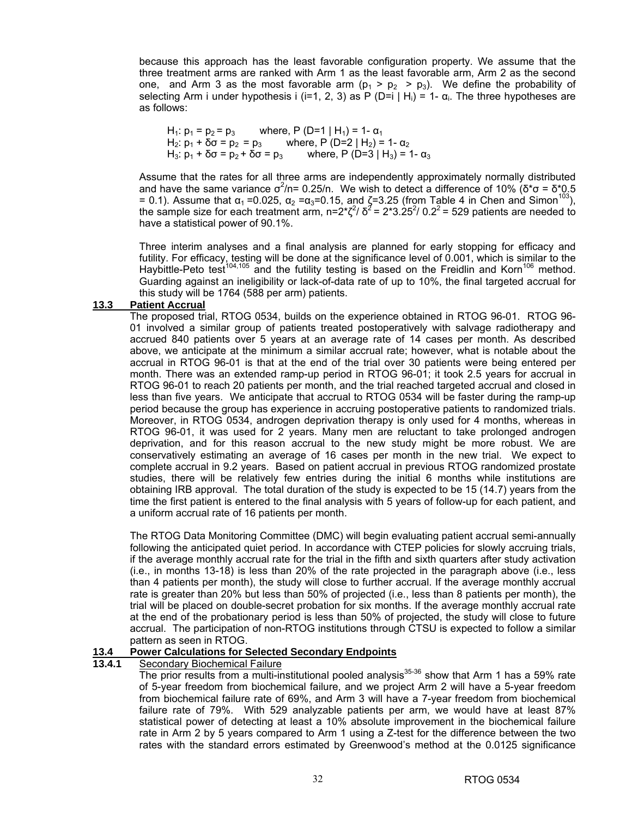because this approach has the least favorable configuration property. We assume that the three treatment arms are ranked with Arm 1 as the least favorable arm, Arm 2 as the second one, and Arm 3 as the most favorable arm  $(p_1 > p_2 > p_3)$ . We define the probability of selecting Arm i under hypothesis i (i=1, 2, 3) as P (D=i | H<sub>i</sub>) = 1-  $\alpha_i$ . The three hypotheses are as follows:

H<sub>1</sub>:  $p_1 = p_2 = p_3$  where, P (D=1 | H<sub>1</sub>) = 1-  $\alpha_1$  $H_2$ :  $p_1$  + δσ =  $p_2$  =  $p_3$  where, P (D=2 | H<sub>2</sub>) = 1- α<sub>2</sub>  $H_3$ :  $p_1$  + δσ =  $p_2$  + δσ =  $p_3$  where, P (D=3 |  $H_3$ ) = 1- α<sub>3</sub>

Assume that the rates for all three arms are independently approximately normally distributed and have the same variance  $\sigma^2$ /n= 0.25/n. We wish to detect a difference of 10% (δ\*σ = δ\*0.5 = 0.1). Assume that  $\alpha_1$  = 0.025,  $\alpha_2$  =  $\alpha_3$ = 0.15, and  $\zeta$ = 3.25 (from Table 4 in Chen and Simon<sup>103</sup>) the sample size for each treatment arm, n=2<sup>\*</sup> $\zeta^2$ /  $\delta^2$  = 2\*3.25<sup>2</sup>/ 0.2<sup>2</sup> = 529 patients are needed to have a statistical power of 90.1%.

Three interim analyses and a final analysis are planned for early stopping for efficacy and futility. For efficacy, testing will be done at the significance level of 0.001, which is similar to the Haybittle-Peto test<sup>104,105</sup> and the futility testing is based on the Freidlin and Korn<sup>106</sup> method. Guarding against an ineligibility or lack-of-data rate of up to 10%, the final targeted accrual for this study will be 1764 (588 per arm) patients.

#### **13.3 Patient Accrual**

 The proposed trial, RTOG 0534, builds on the experience obtained in RTOG 96-01. RTOG 96- 01 involved a similar group of patients treated postoperatively with salvage radiotherapy and accrued 840 patients over 5 years at an average rate of 14 cases per month. As described above, we anticipate at the minimum a similar accrual rate; however, what is notable about the accrual in RTOG 96-01 is that at the end of the trial over 30 patients were being entered per month. There was an extended ramp-up period in RTOG 96-01; it took 2.5 years for accrual in RTOG 96-01 to reach 20 patients per month, and the trial reached targeted accrual and closed in less than five years. We anticipate that accrual to RTOG 0534 will be faster during the ramp-up period because the group has experience in accruing postoperative patients to randomized trials. Moreover, in RTOG 0534, androgen deprivation therapy is only used for 4 months, whereas in RTOG 96-01, it was used for 2 years. Many men are reluctant to take prolonged androgen deprivation, and for this reason accrual to the new study might be more robust. We are conservatively estimating an average of 16 cases per month in the new trial. We expect to complete accrual in 9.2 years. Based on patient accrual in previous RTOG randomized prostate studies, there will be relatively few entries during the initial 6 months while institutions are obtaining IRB approval. The total duration of the study is expected to be 15 (14.7) years from the time the first patient is entered to the final analysis with 5 years of follow-up for each patient, and a uniform accrual rate of 16 patients per month.

 The RTOG Data Monitoring Committee (DMC) will begin evaluating patient accrual semi-annually following the anticipated quiet period. In accordance with CTEP policies for slowly accruing trials, if the average monthly accrual rate for the trial in the fifth and sixth quarters after study activation (i.e., in months 13-18) is less than 20% of the rate projected in the paragraph above (i.e., less than 4 patients per month), the study will close to further accrual. If the average monthly accrual rate is greater than 20% but less than 50% of projected (i.e., less than 8 patients per month), the trial will be placed on double-secret probation for six months. If the average monthly accrual rate at the end of the probationary period is less than 50% of projected, the study will close to future accrual. The participation of non-RTOG institutions through CTSU is expected to follow a similar pattern as seen in RTOG.

### **13.4 Power Calculations for Selected Secondary Endpoints**

### **13.4.1** Secondary Biochemical Failure

The prior results from a multi-institutional pooled analysis $35-36$  show that Arm 1 has a 59% rate of 5-year freedom from biochemical failure, and we project Arm 2 will have a 5-year freedom from biochemical failure rate of 69%, and Arm 3 will have a 7-year freedom from biochemical failure rate of 79%. With 529 analyzable patients per arm, we would have at least 87% statistical power of detecting at least a 10% absolute improvement in the biochemical failure rate in Arm 2 by 5 years compared to Arm 1 using a Z-test for the difference between the two rates with the standard errors estimated by Greenwood's method at the 0.0125 significance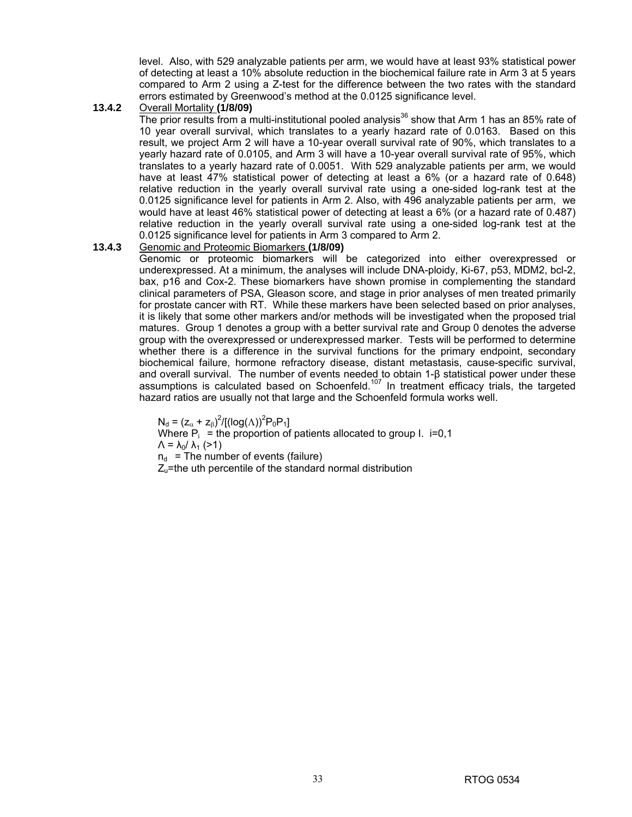level. Also, with 529 analyzable patients per arm, we would have at least 93% statistical power of detecting at least a 10% absolute reduction in the biochemical failure rate in Arm 3 at 5 years compared to Arm 2 using a Z-test for the difference between the two rates with the standard errors estimated by Greenwood's method at the 0.0125 significance level.

### **13.4.2** Overall Mortality **(1/8/09)**

The prior results from a multi-institutional pooled analysis<sup>36</sup> show that Arm 1 has an 85% rate of 10 year overall survival, which translates to a yearly hazard rate of 0.0163. Based on this result, we project Arm 2 will have a 10-year overall survival rate of 90%, which translates to a yearly hazard rate of 0.0105, and Arm 3 will have a 10-year overall survival rate of 95%, which translates to a yearly hazard rate of 0.0051. With 529 analyzable patients per arm, we would have at least 47% statistical power of detecting at least a 6% (or a hazard rate of 0.648) relative reduction in the yearly overall survival rate using a one-sided log-rank test at the 0.0125 significance level for patients in Arm 2. Also, with 496 analyzable patients per arm, we would have at least 46% statistical power of detecting at least a 6% (or a hazard rate of 0.487) relative reduction in the yearly overall survival rate using a one-sided log-rank test at the 0.0125 significance level for patients in Arm 3 compared to Arm 2.

### **13.4.3** Genomic and Proteomic Biomarkers **(1/8/09)**

 Genomic or proteomic biomarkers will be categorized into either overexpressed or underexpressed. At a minimum, the analyses will include DNA-ploidy, Ki-67, p53, MDM2, bcl-2, bax, p16 and Cox-2. These biomarkers have shown promise in complementing the standard clinical parameters of PSA, Gleason score, and stage in prior analyses of men treated primarily for prostate cancer with RT. While these markers have been selected based on prior analyses, it is likely that some other markers and/or methods will be investigated when the proposed trial matures. Group 1 denotes a group with a better survival rate and Group 0 denotes the adverse group with the overexpressed or underexpressed marker. Tests will be performed to determine whether there is a difference in the survival functions for the primary endpoint, secondary biochemical failure, hormone refractory disease, distant metastasis, cause-specific survival, and overall survival. The number of events needed to obtain 1-β statistical power under these assumptions is calculated based on Schoenfeld.107 In treatment efficacy trials, the targeted hazard ratios are usually not that large and the Schoenfeld formula works well.

 $N_d = (z_\alpha + z_\beta)^2 / [(log(\Lambda))^2 P_0 P_1]$ Where  $P_i$  = the proportion of patients allocated to group I. i=0,1  $Λ = λ_0/λ_1$  (>1)  $n_d$  = The number of events (failure)  $Z<sub>u</sub>$ =the uth percentile of the standard normal distribution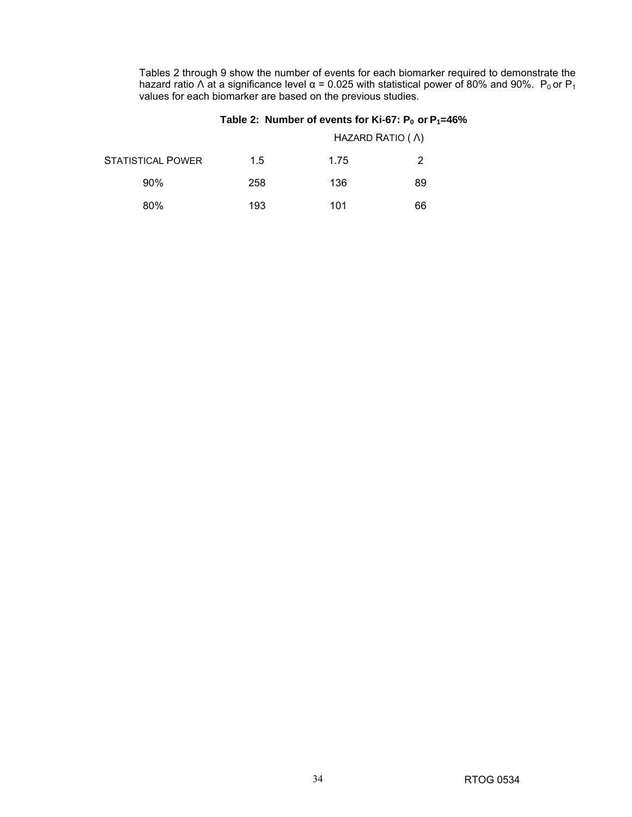Tables 2 through 9 show the number of events for each biomarker required to demonstrate the hazard ratio Λ at a significance level  $\alpha$  = 0.025 with statistical power of 80% and 90%.  $P_0$  or  $P_1$ values for each biomarker are based on the previous studies.

### Table 2: Number of events for Ki-67:  $P_0$  or  $P_1$ =46%

|                          |     |      | HAZARD RATIO ( A) |
|--------------------------|-----|------|-------------------|
| <b>STATISTICAL POWER</b> | 1.5 | 1.75 | 2                 |
| $90\%$                   | 258 | 136  | 89                |
| 80%                      | 193 | 101  | 66                |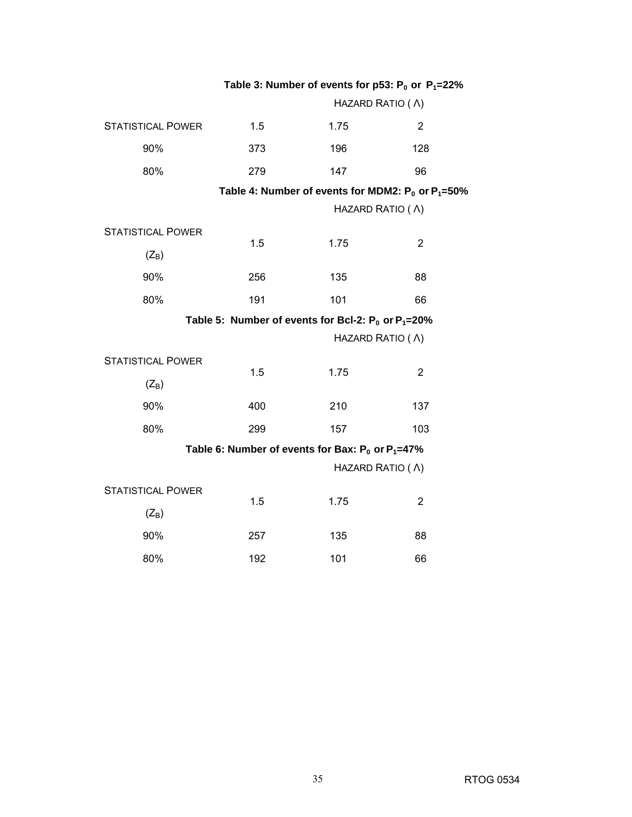|                          | Table 3: Number of events for p53: $P_0$ or $P_1 = 22\%$ |                                                            |                                                           |
|--------------------------|----------------------------------------------------------|------------------------------------------------------------|-----------------------------------------------------------|
|                          | HAZARD RATIO ( A)                                        |                                                            |                                                           |
| <b>STATISTICAL POWER</b> | 1.5                                                      | 1.75                                                       | $\overline{2}$                                            |
| 90%                      | 373                                                      | 196                                                        | 128                                                       |
| 80%                      | 279                                                      | 147                                                        | 96                                                        |
|                          |                                                          |                                                            | Table 4: Number of events for MDM2: $P_0$ or $P_1 = 50\%$ |
|                          |                                                          | HAZARD RATIO ( A)                                          |                                                           |
| <b>STATISTICAL POWER</b> | 1.5                                                      | 1.75                                                       | $\overline{2}$                                            |
| $(Z_B)$                  |                                                          |                                                            |                                                           |
| 90%                      | 256                                                      | 135                                                        | 88                                                        |
| 80%                      | 191                                                      | 101                                                        | 66                                                        |
|                          |                                                          | Table 5: Number of events for Bcl-2: $P_0$ or $P_1 = 20\%$ |                                                           |
|                          |                                                          | HAZARD RATIO ( A)                                          |                                                           |
| <b>STATISTICAL POWER</b> | 1.5                                                      |                                                            |                                                           |
| $(Z_B)$                  |                                                          | 1.75                                                       | 2                                                         |
| 90%                      | 400                                                      | 210                                                        | 137                                                       |
| 80%                      | 299                                                      | 157                                                        | 103                                                       |
|                          |                                                          | Table 6: Number of events for Bax: $P_0$ or $P_1 = 47\%$   |                                                           |
|                          |                                                          | HAZARD RATIO ( A)                                          |                                                           |
| <b>STATISTICAL POWER</b> | 1.5                                                      | 1.75                                                       | 2                                                         |
| $(Z_B)$                  |                                                          |                                                            |                                                           |
| 90%                      | 257                                                      | 135                                                        | 88                                                        |
| 80%                      | 192                                                      | 101                                                        | 66                                                        |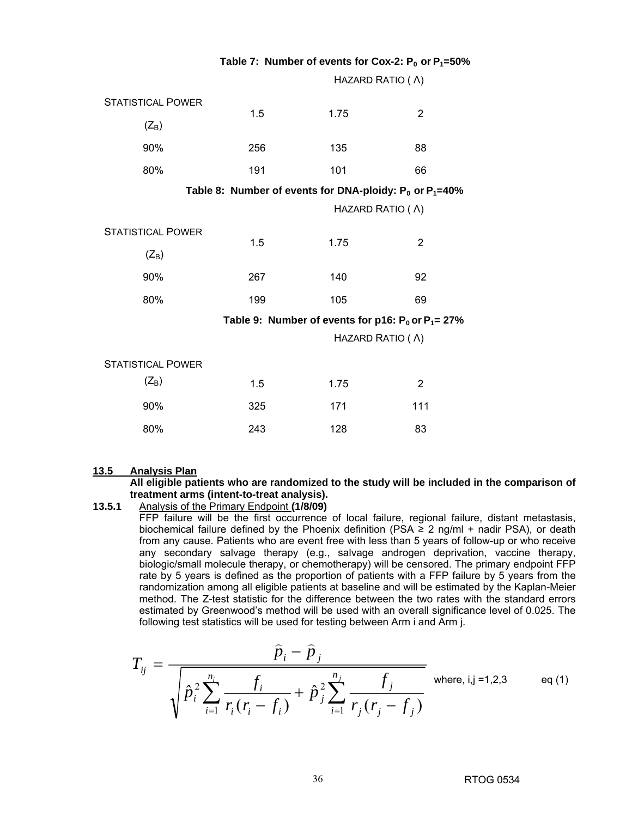|                          |     |                                                                 | Table 7: Number of events for Cox-2: $P_0$ or $P_1 = 50\%$ |  |
|--------------------------|-----|-----------------------------------------------------------------|------------------------------------------------------------|--|
|                          |     | HAZARD RATIO ( A)                                               |                                                            |  |
| <b>STATISTICAL POWER</b> |     |                                                                 |                                                            |  |
| $(Z_B)$                  | 1.5 | 1.75                                                            | $\overline{2}$                                             |  |
| 90%                      | 256 | 135                                                             | 88                                                         |  |
| 80%                      | 191 | 101                                                             | 66                                                         |  |
|                          |     | Table 8: Number of events for DNA-ploidy: $P_0$ or $P_1 = 40\%$ |                                                            |  |
|                          |     | HAZARD RATIO ( A)                                               |                                                            |  |
| <b>STATISTICAL POWER</b> |     |                                                                 |                                                            |  |
| $(Z_B)$                  | 1.5 | 1.75                                                            | 2                                                          |  |
| 90%                      | 267 | 140                                                             | 92                                                         |  |
| 80%                      | 199 | 105                                                             | 69                                                         |  |
|                          |     |                                                                 | Table 9: Number of events for p16: $P_0$ or $P_1 = 27\%$   |  |
|                          |     | HAZARD RATIO ( A)                                               |                                                            |  |
| <b>STATISTICAL POWER</b> |     |                                                                 |                                                            |  |
| $(Z_B)$                  | 1.5 | 1.75                                                            | $\overline{2}$                                             |  |
| 90%                      | 325 | 171                                                             | 111                                                        |  |
| 80%                      | 243 | 128                                                             | 83                                                         |  |

 **Table 7: Number of events for Cox-2: P0 or P1=50%** 

#### **13.5 Analysis Plan**

**All eligible patients who are randomized to the study will be included in the comparison of treatment arms (intent-to-treat analysis).** 

### **13.5.1** Analysis of the Primary Endpoint **(1/8/09)**

 FFP failure will be the first occurrence of local failure, regional failure, distant metastasis, biochemical failure defined by the Phoenix definition (PSA  $\geq$  2 ng/ml + nadir PSA), or death from any cause. Patients who are event free with less than 5 years of follow-up or who receive any secondary salvage therapy (e.g., salvage androgen deprivation, vaccine therapy, biologic/small molecule therapy, or chemotherapy) will be censored. The primary endpoint FFP rate by 5 years is defined as the proportion of patients with a FFP failure by 5 years from the randomization among all eligible patients at baseline and will be estimated by the Kaplan-Meier method. The Z-test statistic for the difference between the two rates with the standard errors estimated by Greenwood's method will be used with an overall significance level of 0.025. The following test statistics will be used for testing between Arm i and Arm j.

$$
T_{ij} = \frac{\hat{p}_i - \hat{p}_j}{\sqrt{\hat{p}_i^2 \sum_{i=1}^{n_i} \frac{f_i}{r_i (r_i - f_i)} + \hat{p}_j^2 \sum_{i=1}^{n_j} \frac{f_j}{r_j (r_j - f_j)}} \text{ where, i,j = 1,2,3 \text{ eq (1)}}
$$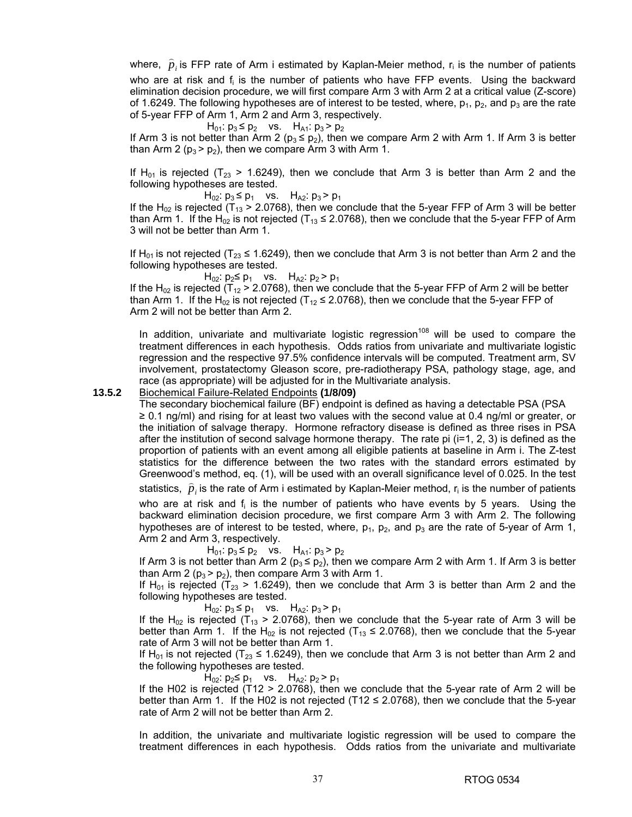where,  $\hat{p}_i$  is FFP rate of Arm i estimated by Kaplan-Meier method,  $\mathsf{r}_i$  is the number of patients who are at risk and f<sub>i</sub> is the number of patients who have FFP events. Using the backward elimination decision procedure, we will first compare Arm 3 with Arm 2 at a critical value (Z-score) of 1.6249. The following hypotheses are of interest to be tested, where,  $p_1$ ,  $p_2$ , and  $p_3$  are the rate of 5-year FFP of Arm 1, Arm 2 and Arm 3, respectively.

 $H_{01}$ :  $p_3 \leq p_2$  vs.  $H_{A1}$ :  $p_3 > p_2$ If Arm 3 is not better than Arm 2 ( $p_3 \leq p_2$ ), then we compare Arm 2 with Arm 1. If Arm 3 is better than Arm 2 ( $p_3$  >  $p_2$ ), then we compare Arm 3 with Arm 1.

If H<sub>01</sub> is rejected (T<sub>23</sub> > 1.6249), then we conclude that Arm 3 is better than Arm 2 and the following hypotheses are tested.

 $H_{02}$ :  $p_3$  ≤  $p_1$  vs.  $H_{A2}$ :  $p_3$  >  $p_1$ 

If the H<sub>02</sub> is rejected (T<sub>13</sub> > 2.0768), then we conclude that the 5-year FFP of Arm 3 will be better than Arm 1. If the H<sub>02</sub> is not rejected (T<sub>13</sub> ≤ 2.0768), then we conclude that the 5-year FFP of Arm 3 will not be better than Arm 1.

If H<sub>01</sub> is not rejected (T<sub>23</sub> ≤ 1.6249), then we conclude that Arm 3 is not better than Arm 2 and the following hypotheses are tested.

 $H_{02}$ :  $p_2$ ≤  $p_1$  vs.  $H_{A2}$ :  $p_2$  >  $p_1$ 

If the H<sub>02</sub> is rejected (T<sub>12</sub> > 2.0768), then we conclude that the 5-year FFP of Arm 2 will be better than Arm 1. If the H<sub>02</sub> is not rejected (T<sub>12</sub> ≤ 2.0768), then we conclude that the 5-year FFP of Arm 2 will not be better than Arm 2.

In addition, univariate and multivariate logistic regression<sup>108</sup> will be used to compare the treatment differences in each hypothesis. Odds ratios from univariate and multivariate logistic regression and the respective 97.5% confidence intervals will be computed. Treatment arm, SV involvement, prostatectomy Gleason score, pre-radiotherapy PSA, pathology stage, age, and race (as appropriate) will be adjusted for in the Multivariate analysis.

**13.5.2** Biochemical Failure-Related Endpoints **(1/8/09)**

 The secondary biochemical failure (BF) endpoint is defined as having a detectable PSA (PSA ≥ 0.1 ng/ml) and rising for at least two values with the second value at 0.4 ng/ml or greater, or the initiation of salvage therapy. Hormone refractory disease is defined as three rises in PSA after the institution of second salvage hormone therapy. The rate pi (i=1, 2, 3) is defined as the proportion of patients with an event among all eligible patients at baseline in Arm i. The Z-test statistics for the difference between the two rates with the standard errors estimated by Greenwood's method, eq. (1), will be used with an overall significance level of 0.025. In the test statistics,  $\hat{p}_i$  is the rate of Arm i estimated by Kaplan-Meier method,  $r_i$  is the number of patients who are at risk and f<sub>i</sub> is the number of patients who have events by 5 years. Using the backward elimination decision procedure, we first compare Arm 3 with Arm 2. The following

hypotheses are of interest to be tested, where,  $p_1$ ,  $p_2$ , and  $p_3$  are the rate of 5-year of Arm 1, Arm 2 and Arm 3, respectively.

 $H_{01}$ :  $p_3 \leq p_2$  vs.  $H_{A1}$ :  $p_3 > p_2$ 

If Arm 3 is not better than Arm 2 ( $p_3 \le p_2$ ), then we compare Arm 2 with Arm 1. If Arm 3 is better than Arm 2 ( $p_3$  >  $p_2$ ), then compare Arm 3 with Arm 1.

If H<sub>01</sub> is rejected (T<sub>23</sub> > 1.6249), then we conclude that Arm 3 is better than Arm 2 and the following hypotheses are tested.

 $H_{02}$ :  $p_3 \leq p_1$  vs.  $H_{A2}$ :  $p_3 > p_1$ 

If the H<sub>02</sub> is rejected (T<sub>13</sub> > 2.0768), then we conclude that the 5-year rate of Arm 3 will be better than Arm 1. If the H<sub>02</sub> is not rejected (T<sub>13</sub>  $\leq$  2.0768), then we conclude that the 5-year rate of Arm 3 will not be better than Arm 1.

If H<sub>01</sub> is not rejected (T<sub>23</sub>  $\leq$  1.6249), then we conclude that Arm 3 is not better than Arm 2 and the following hypotheses are tested.

 $H_{02}$ :  $p_2$ ≤  $p_1$  vs.  $H_{A2}$ :  $p_2 > p_1$ 

If the H02 is rejected (T12 > 2.0768), then we conclude that the 5-year rate of Arm 2 will be better than Arm 1. If the H02 is not rejected (T12  $\leq$  2.0768), then we conclude that the 5-year rate of Arm 2 will not be better than Arm 2.

In addition, the univariate and multivariate logistic regression will be used to compare the treatment differences in each hypothesis. Odds ratios from the univariate and multivariate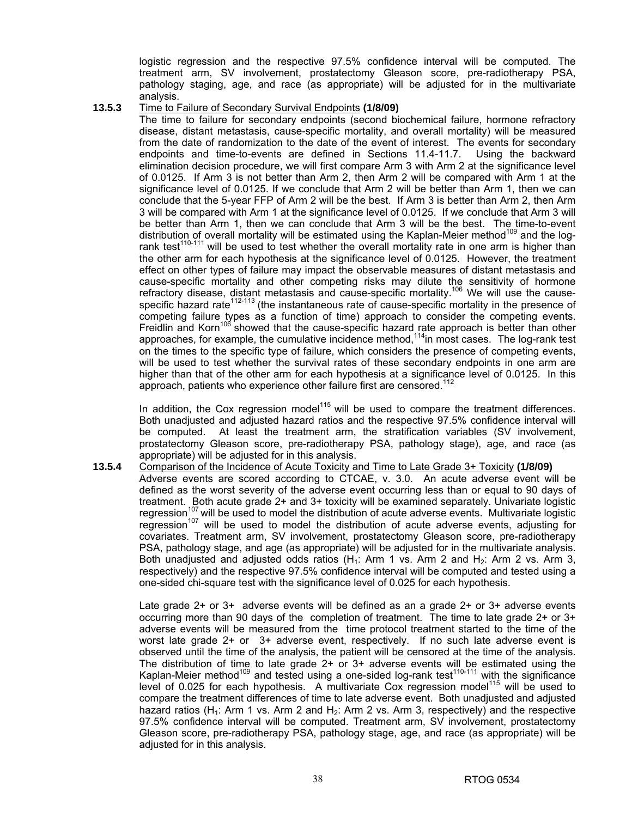logistic regression and the respective 97.5% confidence interval will be computed. The treatment arm, SV involvement, prostatectomy Gleason score, pre-radiotherapy PSA, pathology staging, age, and race (as appropriate) will be adjusted for in the multivariate analysis.

#### **13.5.3** Time to Failure of Secondary Survival Endpoints **(1/8/09)**

 The time to failure for secondary endpoints (second biochemical failure, hormone refractory disease, distant metastasis, cause-specific mortality, and overall mortality) will be measured from the date of randomization to the date of the event of interest. The events for secondary endpoints and time-to-events are defined in Sections 11.4-11.7. Using the backward elimination decision procedure, we will first compare Arm 3 with Arm 2 at the significance level of 0.0125. If Arm 3 is not better than Arm 2, then Arm 2 will be compared with Arm 1 at the significance level of 0.0125. If we conclude that Arm 2 will be better than Arm 1, then we can conclude that the 5-year FFP of Arm 2 will be the best. If Arm 3 is better than Arm 2, then Arm 3 will be compared with Arm 1 at the significance level of 0.0125. If we conclude that Arm 3 will be better than Arm 1, then we can conclude that Arm 3 will be the best. The time-to-event distribution of overall mortality will be estimated using the Kaplan-Meier method<sup>109</sup> and the logrank test<sup>110-111</sup> will be used to test whether the overall mortality rate in one arm is higher than the other arm for each hypothesis at the significance level of 0.0125. However, the treatment effect on other types of failure may impact the observable measures of distant metastasis and cause-specific mortality and other competing risks may dilute the sensitivity of hormone refractory disease, distant metastasis and cause-specific mortality.<sup>106</sup> We will use the causespecific hazard rate<sup>112-113</sup> (the instantaneous rate of cause-specific mortality in the presence of competing failure types as a function of time) approach to consider the competing events. Freidlin and Korn<sup>106</sup> showed that the cause-specific hazard rate approach is better than other approaches, for example, the cumulative incidence method,<sup>114</sup>in most cases. The log-rank test on the times to the specific type of failure, which considers the presence of competing events, will be used to test whether the survival rates of these secondary endpoints in one arm are higher than that of the other arm for each hypothesis at a significance level of 0.0125. In this approach, patients who experience other failure first are censored.<sup>112</sup>

In addition, the Cox regression model<sup>115</sup> will be used to compare the treatment differences. Both unadjusted and adjusted hazard ratios and the respective 97.5% confidence interval will be computed. At least the treatment arm, the stratification variables (SV involvement, prostatectomy Gleason score, pre-radiotherapy PSA, pathology stage), age, and race (as appropriate) will be adjusted for in this analysis.

**13.5.4** Comparison of the Incidence of Acute Toxicity and Time to Late Grade 3+ Toxicity **(1/8/09)**  Adverse events are scored according to CTCAE, v. 3.0. An acute adverse event will be defined as the worst severity of the adverse event occurring less than or equal to 90 days of treatment. Both acute grade 2+ and 3+ toxicity will be examined separately. Univariate logistic regression<sup>107</sup> will be used to model the distribution of acute adverse events. Multivariate logistic regression<sup>107</sup> will be used to model the distribution of acute adverse events, adjusting for covariates. Treatment arm, SV involvement, prostatectomy Gleason score, pre-radiotherapy PSA, pathology stage, and age (as appropriate) will be adjusted for in the multivariate analysis. Both unadjusted and adjusted odds ratios  $(H_1: Arm 1$  vs. Arm 2 and  $H_2: Arm 2$  vs. Arm 3, respectively) and the respective 97.5% confidence interval will be computed and tested using a one-sided chi-square test with the significance level of 0.025 for each hypothesis.

 Late grade 2+ or 3+ adverse events will be defined as an a grade 2+ or 3+ adverse events occurring more than 90 days of the completion of treatment. The time to late grade 2+ or 3+ adverse events will be measured from the time protocol treatment started to the time of the worst late grade 2+ or 3+ adverse event, respectively. If no such late adverse event is observed until the time of the analysis, the patient will be censored at the time of the analysis. The distribution of time to late grade 2+ or 3+ adverse events will be estimated using the Kaplan-Meier method<sup>109</sup> and tested using a one-sided log-rank test<sup>110-111</sup> with the significance level of 0.025 for each hypothesis. A multivariate  $\cos$  regression model<sup>115</sup> will be used to compare the treatment differences of time to late adverse event. Both unadjusted and adjusted hazard ratios (H<sub>1</sub>: Arm 1 vs. Arm 2 and H<sub>2</sub>: Arm 2 vs. Arm 3, respectively) and the respective 97.5% confidence interval will be computed. Treatment arm, SV involvement, prostatectomy Gleason score, pre-radiotherapy PSA, pathology stage, age, and race (as appropriate) will be adjusted for in this analysis.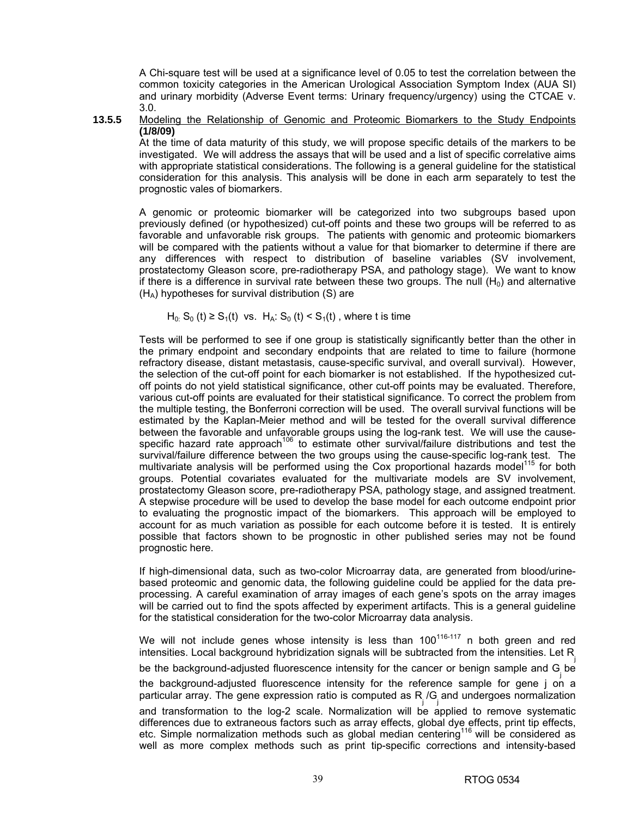A Chi-square test will be used at a significance level of 0.05 to test the correlation between the common toxicity categories in the American Urological Association Symptom Index (AUA SI) and urinary morbidity (Adverse Event terms: Urinary frequency/urgency) using the CTCAE v. 3.0.

#### **13.5.5** Modeling the Relationship of Genomic and Proteomic Biomarkers to the Study Endpoints **(1/8/09)**

 At the time of data maturity of this study, we will propose specific details of the markers to be investigated. We will address the assays that will be used and a list of specific correlative aims with appropriate statistical considerations. The following is a general guideline for the statistical consideration for this analysis. This analysis will be done in each arm separately to test the prognostic vales of biomarkers.

 A genomic or proteomic biomarker will be categorized into two subgroups based upon previously defined (or hypothesized) cut-off points and these two groups will be referred to as favorable and unfavorable risk groups. The patients with genomic and proteomic biomarkers will be compared with the patients without a value for that biomarker to determine if there are any differences with respect to distribution of baseline variables (SV involvement, prostatectomy Gleason score, pre-radiotherapy PSA, and pathology stage). We want to know if there is a difference in survival rate between these two groups. The null  $(H<sub>0</sub>)$  and alternative  $(H_A)$  hypotheses for survival distribution (S) are

 $H_0$ : S<sub>0</sub> (t) ≥ S<sub>1</sub>(t) vs. H<sub>A</sub>: S<sub>0</sub> (t) < S<sub>1</sub>(t), where t is time

 Tests will be performed to see if one group is statistically significantly better than the other in the primary endpoint and secondary endpoints that are related to time to failure (hormone refractory disease, distant metastasis, cause-specific survival, and overall survival). However, the selection of the cut-off point for each biomarker is not established. If the hypothesized cutoff points do not yield statistical significance, other cut-off points may be evaluated. Therefore, various cut-off points are evaluated for their statistical significance. To correct the problem from the multiple testing, the Bonferroni correction will be used. The overall survival functions will be estimated by the Kaplan-Meier method and will be tested for the overall survival difference between the favorable and unfavorable groups using the log-rank test. We will use the causespecific hazard rate approach<sup>106</sup> to estimate other survival/failure distributions and test the survival/failure difference between the two groups using the cause-specific log-rank test. The multivariate analysis will be performed using the Cox proportional hazards model<sup>115</sup> for both groups. Potential covariates evaluated for the multivariate models are SV involvement, prostatectomy Gleason score, pre-radiotherapy PSA, pathology stage, and assigned treatment. A stepwise procedure will be used to develop the base model for each outcome endpoint prior to evaluating the prognostic impact of the biomarkers. This approach will be employed to account for as much variation as possible for each outcome before it is tested. It is entirely possible that factors shown to be prognostic in other published series may not be found prognostic here.

If high-dimensional data, such as two-color Microarray data, are generated from blood/urinebased proteomic and genomic data, the following guideline could be applied for the data preprocessing. A careful examination of array images of each gene's spots on the array images will be carried out to find the spots affected by experiment artifacts. This is a general guideline for the statistical consideration for the two-color Microarray data analysis.

We will not include genes whose intensity is less than  $100^{116-117}$  n both green and red intensities. Local background hybridization signals will be subtracted from the intensities. Let R be the background-adjusted fluorescence intensity for the cancer or benign sample and  $G_j$  be the background-adjusted fluorescence intensity for the reference sample for gene j on a particular array. The gene expression ratio is computed as  $R_{j}^{\text{}}/G_{j}^{\text{}}$  and undergoes normalization and transformation to the log-2 scale. Normalization will be applied to remove systematic differences due to extraneous factors such as array effects, global dye effects, print tip effects, etc. Simple normalization methods such as global median centering<sup>116</sup> will be considered as well as more complex methods such as print tip-specific corrections and intensity-based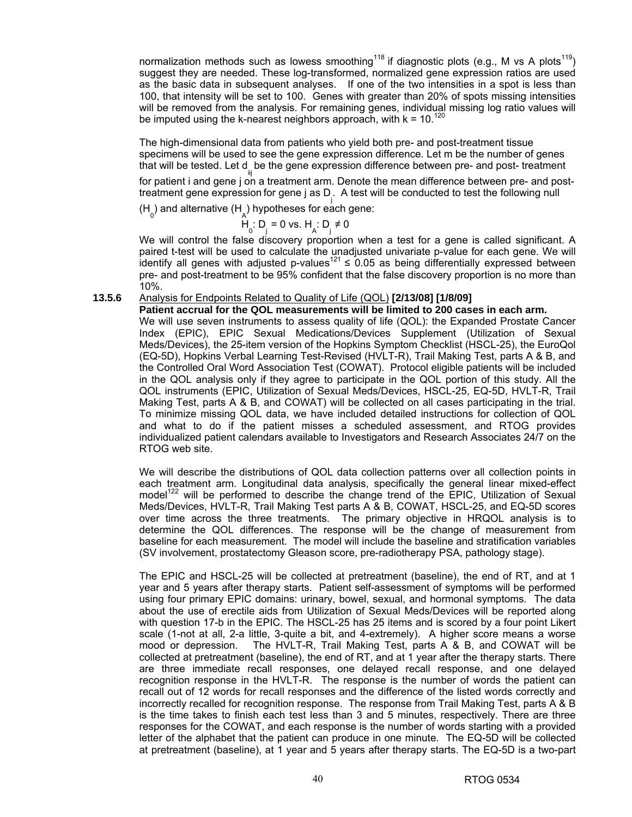normalization methods such as lowess smoothing<sup>118</sup> if diagnostic plots (e.g., M vs A plots<sup>119</sup>) suggest they are needed. These log-transformed, normalized gene expression ratios are used as the basic data in subsequent analyses. If one of the two intensities in a spot is less than 100, that intensity will be set to 100. Genes with greater than 20% of spots missing intensities will be removed from the analysis. For remaining genes, individual missing log ratio values will be imputed using the k-nearest neighbors approach, with  $k = 10^{120}$ 

The high-dimensional data from patients who yield both pre- and post-treatment tissue specimens will be used to see the gene expression difference. Let m be the number of genes that will be tested. Let d<sub>iij</sub> be the gene expression difference between pre- and post- treatment for patient i and gene j on a treatment arm. Denote the mean difference between pre- and posttreatment gene expression for gene j as D<sub>j</sub>. A test will be conducted to test the following null

 $(H_0)$  and alternative (H<sub>A</sub>) hypotheses for each gene:

RTOG web site.

 $H_0: D_j = 0$  vs.  $H_A: D_j \neq 0$ 

 We will control the false discovery proportion when a test for a gene is called significant. A paired t-test will be used to calculate the unadjusted univariate p-value for each gene. We will identify all genes with adjusted p-values<sup>121</sup>  $\leq$  0.05 as being differentially expressed between pre- and post-treatment to be 95% confident that the false discovery proportion is no more than 10%.

**13.5.6** Analysis for Endpoints Related to Quality of Life (QOL) **[2/13/08] [1/8/09]**

**Patient accrual for the QOL measurements will be limited to 200 cases in each arm.**  We will use seven instruments to assess quality of life (QOL): the Expanded Prostate Cancer Index (EPIC), EPIC Sexual Medications/Devices Supplement (Utilization of Sexual Meds/Devices), the 25-item version of the Hopkins Symptom Checklist (HSCL-25), the EuroQol (EQ-5D), Hopkins Verbal Learning Test-Revised (HVLT-R), Trail Making Test, parts A & B, and the Controlled Oral Word Association Test (COWAT). Protocol eligible patients will be included in the QOL analysis only if they agree to participate in the QOL portion of this study. All the QOL instruments (EPIC, Utilization of Sexual Meds/Devices, HSCL-25, EQ-5D, HVLT-R, Trail Making Test, parts A & B, and COWAT) will be collected on all cases participating in the trial. To minimize missing QOL data, we have included detailed instructions for collection of QOL and what to do if the patient misses a scheduled assessment, and RTOG provides

 We will describe the distributions of QOL data collection patterns over all collection points in each treatment arm. Longitudinal data analysis, specifically the general linear mixed-effect model<sup>122</sup> will be performed to describe the change trend of the EPIC, Utilization of Sexual Meds/Devices, HVLT-R, Trail Making Test parts A & B, COWAT, HSCL-25, and EQ-5D scores over time across the three treatments. The primary objective in HRQOL analysis is to determine the QOL differences. The response will be the change of measurement from baseline for each measurement. The model will include the baseline and stratification variables (SV involvement, prostatectomy Gleason score, pre-radiotherapy PSA, pathology stage).

individualized patient calendars available to Investigators and Research Associates 24/7 on the

 The EPIC and HSCL-25 will be collected at pretreatment (baseline), the end of RT, and at 1 year and 5 years after therapy starts. Patient self-assessment of symptoms will be performed using four primary EPIC domains: urinary, bowel, sexual, and hormonal symptoms. The data about the use of erectile aids from Utilization of Sexual Meds/Devices will be reported along with question 17-b in the EPIC. The HSCL-25 has 25 items and is scored by a four point Likert scale (1-not at all, 2-a little, 3-quite a bit, and 4-extremely). A higher score means a worse mood or depression. The HVLT-R, Trail Making Test, parts A & B, and COWAT will be collected at pretreatment (baseline), the end of RT, and at 1 year after the therapy starts. There are three immediate recall responses, one delayed recall response, and one delayed recognition response in the HVLT-R. The response is the number of words the patient can recall out of 12 words for recall responses and the difference of the listed words correctly and incorrectly recalled for recognition response. The response from Trail Making Test, parts A & B is the time takes to finish each test less than 3 and 5 minutes, respectively. There are three responses for the COWAT, and each response is the number of words starting with a provided letter of the alphabet that the patient can produce in one minute. The EQ-5D will be collected at pretreatment (baseline), at 1 year and 5 years after therapy starts. The EQ-5D is a two-part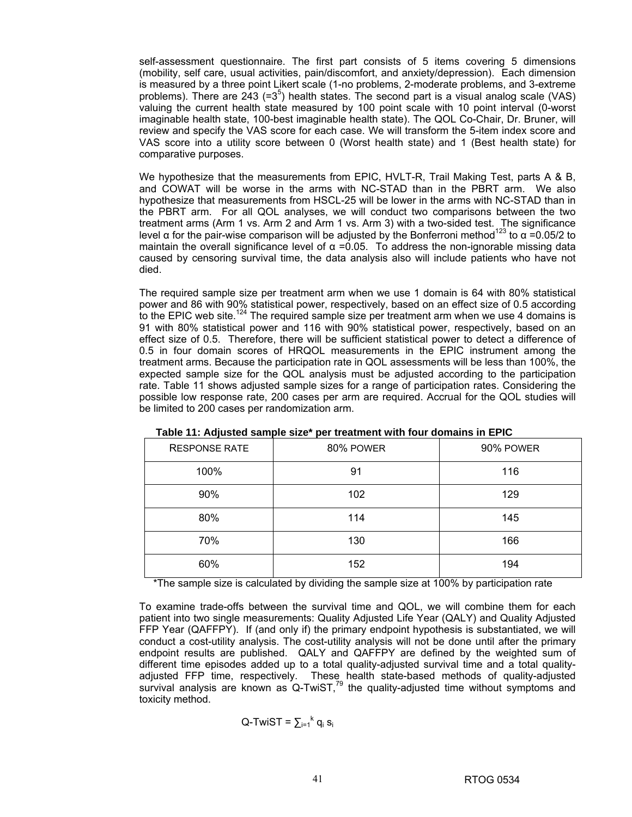self-assessment questionnaire. The first part consists of 5 items covering 5 dimensions (mobility, self care, usual activities, pain/discomfort, and anxiety/depression). Each dimension is measured by a three point Likert scale (1-no problems, 2-moderate problems, and 3-extreme problems). There are  $243$  (= $3<sup>5</sup>$ ) health states. The second part is a visual analog scale (VAS) valuing the current health state measured by 100 point scale with 10 point interval (0-worst imaginable health state, 100-best imaginable health state). The QOL Co-Chair, Dr. Bruner, will review and specify the VAS score for each case. We will transform the 5-item index score and VAS score into a utility score between 0 (Worst health state) and 1 (Best health state) for comparative purposes.

We hypothesize that the measurements from EPIC, HVLT-R, Trail Making Test, parts A & B, and COWAT will be worse in the arms with NC-STAD than in the PBRT arm. We also hypothesize that measurements from HSCL-25 will be lower in the arms with NC-STAD than in the PBRT arm. For all QOL analyses, we will conduct two comparisons between the two treatment arms (Arm 1 vs. Arm 2 and Arm 1 vs. Arm 3) with a two-sided test. The significance level α for the pair-wise comparison will be adjusted by the Bonferroni method<sup>123</sup> to α = 0.05/2 to maintain the overall significance level of  $\alpha$  =0.05. To address the non-ignorable missing data caused by censoring survival time, the data analysis also will include patients who have not died.

 The required sample size per treatment arm when we use 1 domain is 64 with 80% statistical power and 86 with 90% statistical power, respectively, based on an effect size of 0.5 according to the EPIC web site.<sup>124</sup> The required sample size per treatment arm when we use 4 domains is 91 with 80% statistical power and 116 with 90% statistical power, respectively, based on an effect size of 0.5. Therefore, there will be sufficient statistical power to detect a difference of 0.5 in four domain scores of HRQOL measurements in the EPIC instrument among the treatment arms. Because the participation rate in QOL assessments will be less than 100%, the expected sample size for the QOL analysis must be adjusted according to the participation rate. Table 11 shows adjusted sample sizes for a range of participation rates. Considering the possible low response rate, 200 cases per arm are required. Accrual for the QOL studies will be limited to 200 cases per randomization arm.

| <b>RESPONSE RATE</b> | 80% POWER<br>90% POWER |     |
|----------------------|------------------------|-----|
| 100%                 | 91                     | 116 |
| 90%                  | 102                    | 129 |
| 80%                  | 114                    | 145 |
| 70%                  | 130                    | 166 |
| 60%                  | 152                    | 194 |

**Table 11: Adjusted sample size\* per treatment with four domains in EPIC**

\*The sample size is calculated by dividing the sample size at 100% by participation rate

 To examine trade-offs between the survival time and QOL, we will combine them for each patient into two single measurements: Quality Adjusted Life Year (QALY) and Quality Adjusted FFP Year (QAFFPY). If (and only if) the primary endpoint hypothesis is substantiated, we will conduct a cost-utility analysis. The cost-utility analysis will not be done until after the primary endpoint results are published. QALY and QAFFPY are defined by the weighted sum of different time episodes added up to a total quality-adjusted survival time and a total qualityadjusted FFP time, respectively. These health state-based methods of quality-adjusted survival analysis are known as  $Q$ -TwiST,<sup>79</sup> the quality-adjusted time without symptoms and toxicity method.

$$
Q-TwiST = \sum_{i=1}^{k} q_i s_i
$$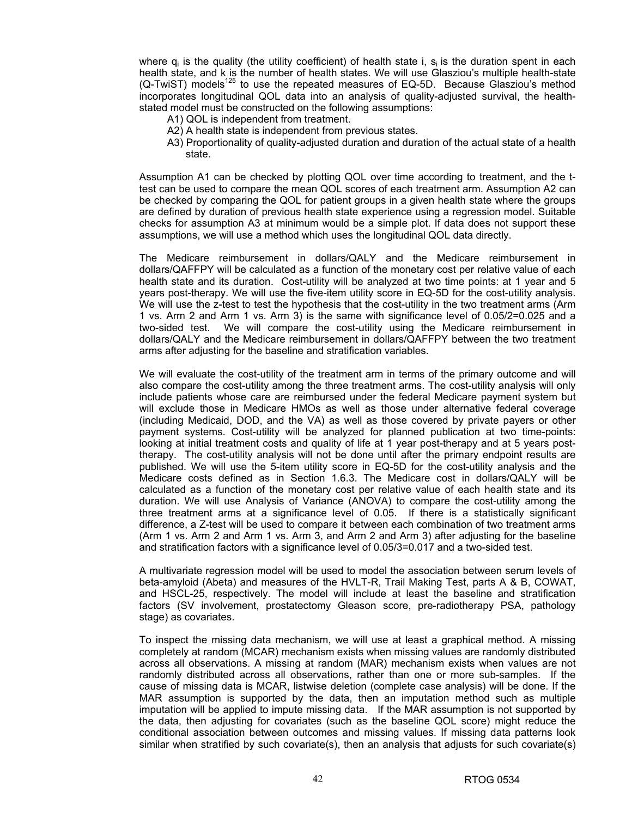where  $q_i$  is the quality (the utility coefficient) of health state i,  $s_i$  is the duration spent in each health state, and k is the number of health states. We will use Glasziou's multiple health-state  $(Q-TwIST)$  models<sup>125</sup> to use the repeated measures of EQ-5D. Because Glasziou's method incorporates longitudinal QOL data into an analysis of quality-adjusted survival, the healthstated model must be constructed on the following assumptions:

- A1) QOL is independent from treatment.
- A2) A health state is independent from previous states.
- A3) Proportionality of quality-adjusted duration and duration of the actual state of a health state.

 Assumption A1 can be checked by plotting QOL over time according to treatment, and the ttest can be used to compare the mean QOL scores of each treatment arm. Assumption A2 can be checked by comparing the QOL for patient groups in a given health state where the groups are defined by duration of previous health state experience using a regression model. Suitable checks for assumption A3 at minimum would be a simple plot. If data does not support these assumptions, we will use a method which uses the longitudinal QOL data directly.

 The Medicare reimbursement in dollars/QALY and the Medicare reimbursement in dollars/QAFFPY will be calculated as a function of the monetary cost per relative value of each health state and its duration. Cost-utility will be analyzed at two time points: at 1 year and 5 years post-therapy. We will use the five-item utility score in EQ-5D for the cost-utility analysis. We will use the z-test to test the hypothesis that the cost-utility in the two treatment arms (Arm 1 vs. Arm 2 and Arm 1 vs. Arm 3) is the same with significance level of 0.05/2=0.025 and a two-sided test. We will compare the cost-utility using the Medicare reimbursement in dollars/QALY and the Medicare reimbursement in dollars/QAFFPY between the two treatment arms after adjusting for the baseline and stratification variables.

 We will evaluate the cost-utility of the treatment arm in terms of the primary outcome and will also compare the cost-utility among the three treatment arms. The cost-utility analysis will only include patients whose care are reimbursed under the federal Medicare payment system but will exclude those in Medicare HMOs as well as those under alternative federal coverage (including Medicaid, DOD, and the VA) as well as those covered by private payers or other payment systems. Cost-utility will be analyzed for planned publication at two time-points: looking at initial treatment costs and quality of life at 1 year post-therapy and at 5 years posttherapy. The cost-utility analysis will not be done until after the primary endpoint results are published. We will use the 5-item utility score in EQ-5D for the cost-utility analysis and the Medicare costs defined as in Section 1.6.3. The Medicare cost in dollars/QALY will be calculated as a function of the monetary cost per relative value of each health state and its duration. We will use Analysis of Variance (ANOVA) to compare the cost-utility among the three treatment arms at a significance level of 0.05. If there is a statistically significant difference, a Z-test will be used to compare it between each combination of two treatment arms (Arm 1 vs. Arm 2 and Arm 1 vs. Arm 3, and Arm 2 and Arm 3) after adjusting for the baseline and stratification factors with a significance level of 0.05/3=0.017 and a two-sided test.

 A multivariate regression model will be used to model the association between serum levels of beta-amyloid (Abeta) and measures of the HVLT-R, Trail Making Test, parts A & B, COWAT, and HSCL-25, respectively. The model will include at least the baseline and stratification factors (SV involvement, prostatectomy Gleason score, pre-radiotherapy PSA, pathology stage) as covariates.

 To inspect the missing data mechanism, we will use at least a graphical method. A missing completely at random (MCAR) mechanism exists when missing values are randomly distributed across all observations. A missing at random (MAR) mechanism exists when values are not randomly distributed across all observations, rather than one or more sub-samples. If the cause of missing data is MCAR, listwise deletion (complete case analysis) will be done. If the MAR assumption is supported by the data, then an imputation method such as multiple imputation will be applied to impute missing data. If the MAR assumption is not supported by the data, then adjusting for covariates (such as the baseline QOL score) might reduce the conditional association between outcomes and missing values. If missing data patterns look similar when stratified by such covariate(s), then an analysis that adjusts for such covariate(s)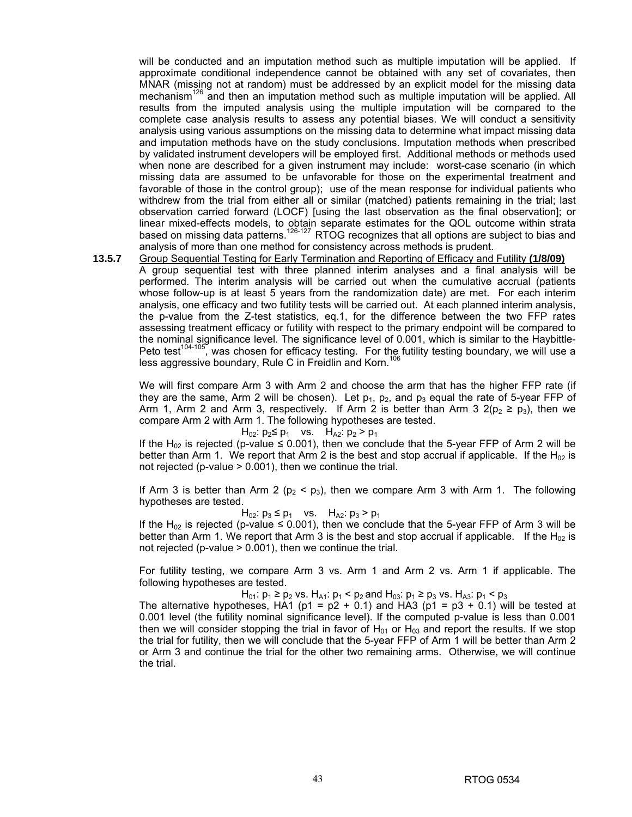will be conducted and an imputation method such as multiple imputation will be applied. If approximate conditional independence cannot be obtained with any set of covariates, then MNAR (missing not at random) must be addressed by an explicit model for the missing data mechanism<sup>126</sup> and then an imputation method such as multiple imputation will be applied. All results from the imputed analysis using the multiple imputation will be compared to the complete case analysis results to assess any potential biases. We will conduct a sensitivity analysis using various assumptions on the missing data to determine what impact missing data and imputation methods have on the study conclusions. Imputation methods when prescribed by validated instrument developers will be employed first. Additional methods or methods used when none are described for a given instrument may include: worst-case scenario (in which missing data are assumed to be unfavorable for those on the experimental treatment and favorable of those in the control group); use of the mean response for individual patients who withdrew from the trial from either all or similar (matched) patients remaining in the trial; last observation carried forward (LOCF) [using the last observation as the final observation]; or linear mixed-effects models, to obtain separate estimates for the QOL outcome within strata based on missing data patterns.<sup>126-127</sup> RTOG recognizes that all options are subject to bias and analysis of more than one method for consistency across methods is prudent.

**13.5.7** Group Sequential Testing for Early Termination and Reporting of Efficacy and Futility **(1/8/09)**

 A group sequential test with three planned interim analyses and a final analysis will be performed. The interim analysis will be carried out when the cumulative accrual (patients whose follow-up is at least 5 years from the randomization date) are met. For each interim analysis, one efficacy and two futility tests will be carried out. At each planned interim analysis, the p-value from the Z-test statistics, eq.1, for the difference between the two FFP rates assessing treatment efficacy or futility with respect to the primary endpoint will be compared to the nominal significance level. The significance level of 0.001, which is similar to the Haybittle-Peto test<sup>104-105</sup>, was chosen for efficacy testing. For the futility testing boundary, we will use a less aggressive boundary, Rule C in Freidlin and Korn.<sup>106</sup>

We will first compare Arm 3 with Arm 2 and choose the arm that has the higher FFP rate (if they are the same, Arm 2 will be chosen). Let  $p_1$ ,  $p_2$ , and  $p_3$  equal the rate of 5-year FFP of Arm 1, Arm 2 and Arm 3, respectively. If Arm 2 is better than Arm 3  $2(p_2 \ge p_3)$ , then we compare Arm 2 with Arm 1. The following hypotheses are tested.

$$
H_{02}
$$
:  $p_2 \le p_1$  vs.  $H_{A2}$ :  $p_2 > p_1$ 

If the H<sub>02</sub> is rejected (p-value  $\leq$  0.001), then we conclude that the 5-year FFP of Arm 2 will be better than Arm 1. We report that Arm 2 is the best and stop accrual if applicable. If the  $H_{02}$  is not rejected (p-value > 0.001), then we continue the trial.

If Arm 3 is better than Arm 2 ( $p_2$  <  $p_3$ ), then we compare Arm 3 with Arm 1. The following hypotheses are tested.

 $H_{02}$ :  $p_3 \leq p_1$  vs.  $H_{A2}$ :  $p_3 > p_1$ 

If the H<sub>02</sub> is rejected (p-value ≤ 0.001), then we conclude that the 5-year FFP of Arm 3 will be better than Arm 1. We report that Arm 3 is the best and stop accrual if applicable. If the H<sub>02</sub> is not rejected (p-value > 0.001), then we continue the trial.

For futility testing, we compare Arm 3 vs. Arm 1 and Arm 2 vs. Arm 1 if applicable. The following hypotheses are tested.

H<sub>01</sub>:  $p_1$  ≥  $p_2$  vs. H<sub>A1</sub>:  $p_1$  <  $p_2$  and H<sub>03</sub>:  $p_1$  ≥  $p_3$  vs. H<sub>A3</sub>:  $p_1$  <  $p_3$ 

The alternative hypotheses, HA1 ( $p1 = p2 + 0.1$ ) and HA3 ( $p1 = p3 + 0.1$ ) will be tested at 0.001 level (the futility nominal significance level). If the computed p-value is less than 0.001 then we will consider stopping the trial in favor of  $H_{01}$  or  $H_{03}$  and report the results. If we stop the trial for futility, then we will conclude that the 5-year FFP of Arm 1 will be better than Arm 2 or Arm 3 and continue the trial for the other two remaining arms. Otherwise, we will continue the trial.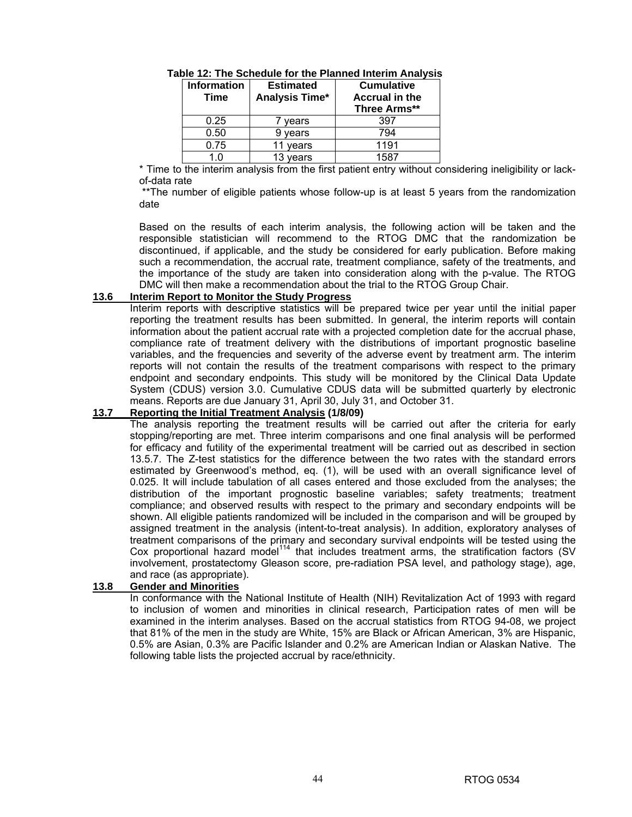| <b>Information</b><br><b>Time</b> | <b>Estimated</b><br>Analysis Time* | <b>Cumulative</b><br><b>Accrual in the</b><br>Three Arms** |
|-----------------------------------|------------------------------------|------------------------------------------------------------|
| 0.25                              | vears                              | 397                                                        |
| 0.50                              | years                              | 794                                                        |
| 0.75                              | years                              | 1191                                                       |
| 1 በ                               | 13 years                           | 1587                                                       |

**Table 12: The Schedule for the Planned Interim Analysis** 

\* Time to the interim analysis from the first patient entry without considering ineligibility or lackof-data rate

\*\*The number of eligible patients whose follow-up is at least 5 years from the randomization date

 Based on the results of each interim analysis, the following action will be taken and the responsible statistician will recommend to the RTOG DMC that the randomization be discontinued, if applicable, and the study be considered for early publication. Before making such a recommendation, the accrual rate, treatment compliance, safety of the treatments, and the importance of the study are taken into consideration along with the p-value. The RTOG DMC will then make a recommendation about the trial to the RTOG Group Chair.

### **13.6 Interim Report to Monitor the Study Progress**

 Interim reports with descriptive statistics will be prepared twice per year until the initial paper reporting the treatment results has been submitted. In general, the interim reports will contain information about the patient accrual rate with a projected completion date for the accrual phase, compliance rate of treatment delivery with the distributions of important prognostic baseline variables, and the frequencies and severity of the adverse event by treatment arm. The interim reports will not contain the results of the treatment comparisons with respect to the primary endpoint and secondary endpoints. This study will be monitored by the Clinical Data Update System (CDUS) version 3.0. Cumulative CDUS data will be submitted quarterly by electronic means. Reports are due January 31, April 30, July 31, and October 31.

### **13.7 Reporting the Initial Treatment Analysis (1/8/09)**

 The analysis reporting the treatment results will be carried out after the criteria for early stopping/reporting are met. Three interim comparisons and one final analysis will be performed for efficacy and futility of the experimental treatment will be carried out as described in section 13.5.7. The Z-test statistics for the difference between the two rates with the standard errors estimated by Greenwood's method, eq. (1), will be used with an overall significance level of 0.025. It will include tabulation of all cases entered and those excluded from the analyses; the distribution of the important prognostic baseline variables; safety treatments; treatment compliance; and observed results with respect to the primary and secondary endpoints will be shown. All eligible patients randomized will be included in the comparison and will be grouped by assigned treatment in the analysis (intent-to-treat analysis). In addition, exploratory analyses of treatment comparisons of the primary and secondary survival endpoints will be tested using the Cox proportional hazard model<sup>114</sup> that includes treatment arms, the stratification factors (SV involvement, prostatectomy Gleason score, pre-radiation PSA level, and pathology stage), age, and race (as appropriate).

### **13.8 Gender and Minorities**

 In conformance with the National Institute of Health (NIH) Revitalization Act of 1993 with regard to inclusion of women and minorities in clinical research, Participation rates of men will be examined in the interim analyses. Based on the accrual statistics from RTOG 94-08, we project that 81% of the men in the study are White, 15% are Black or African American, 3% are Hispanic, 0.5% are Asian, 0.3% are Pacific Islander and 0.2% are American Indian or Alaskan Native. The following table lists the projected accrual by race/ethnicity.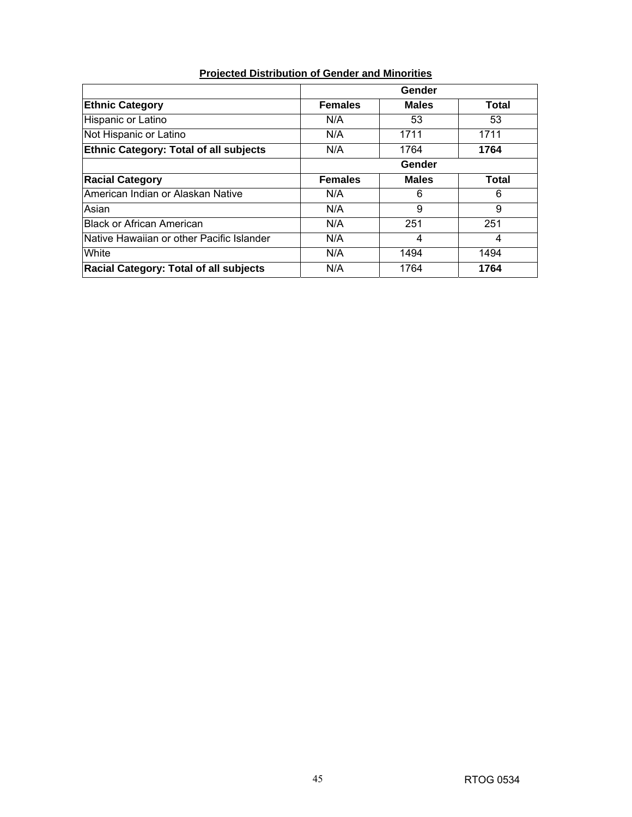# **Projected Distribution of Gender and Minorities**

|                                               | Gender         |              |       |
|-----------------------------------------------|----------------|--------------|-------|
| <b>Ethnic Category</b>                        | <b>Females</b> | <b>Males</b> | Total |
| Hispanic or Latino                            | N/A            | 53           | 53    |
| Not Hispanic or Latino                        | N/A            | 1711         | 1711  |
| <b>Ethnic Category: Total of all subjects</b> | N/A            | 1764         | 1764  |
|                                               | Gender         |              |       |
| <b>Racial Category</b>                        | <b>Females</b> | <b>Males</b> | Total |
| American Indian or Alaskan Native             | N/A            | 6            | 6     |
| Asian                                         | N/A            | 9            | 9     |
| <b>Black or African American</b>              | N/A            | 251          | 251   |
| INative Hawaiian or other Pacific Islander    | N/A            | 4            | 4     |
| White                                         | N/A            | 1494         | 1494  |
| <b>Racial Category: Total of all subjects</b> | N/A            | 1764         | 1764  |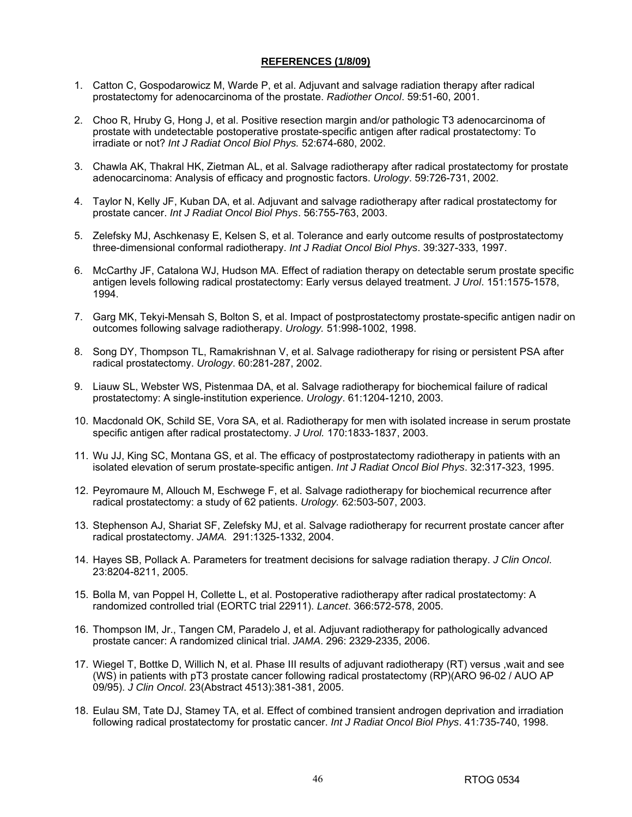### **REFERENCES (1/8/09)**

- 1. Catton C, Gospodarowicz M, Warde P, et al. Adjuvant and salvage radiation therapy after radical prostatectomy for adenocarcinoma of the prostate. *Radiother Oncol*. 59:51-60, 2001.
- 2. Choo R, Hruby G, Hong J, et al. Positive resection margin and/or pathologic T3 adenocarcinoma of prostate with undetectable postoperative prostate-specific antigen after radical prostatectomy: To irradiate or not? *Int J Radiat Oncol Biol Phys.* 52:674-680, 2002.
- 3. Chawla AK, Thakral HK, Zietman AL, et al. Salvage radiotherapy after radical prostatectomy for prostate adenocarcinoma: Analysis of efficacy and prognostic factors. *Urology*. 59:726-731, 2002.
- 4. Taylor N, Kelly JF, Kuban DA, et al. Adjuvant and salvage radiotherapy after radical prostatectomy for prostate cancer. *Int J Radiat Oncol Biol Phys*. 56:755-763, 2003.
- 5. Zelefsky MJ, Aschkenasy E, Kelsen S, et al. Tolerance and early outcome results of postprostatectomy three-dimensional conformal radiotherapy. *Int J Radiat Oncol Biol Phys*. 39:327-333, 1997.
- 6. McCarthy JF, Catalona WJ, Hudson MA. Effect of radiation therapy on detectable serum prostate specific antigen levels following radical prostatectomy: Early versus delayed treatment. *J Urol*. 151:1575-1578, 1994.
- 7. Garg MK, Tekyi-Mensah S, Bolton S, et al. Impact of postprostatectomy prostate-specific antigen nadir on outcomes following salvage radiotherapy. *Urology.* 51:998-1002, 1998.
- 8. Song DY, Thompson TL, Ramakrishnan V, et al. Salvage radiotherapy for rising or persistent PSA after radical prostatectomy. *Urology*. 60:281-287, 2002.
- 9. Liauw SL, Webster WS, Pistenmaa DA, et al. Salvage radiotherapy for biochemical failure of radical prostatectomy: A single-institution experience. *Urology*. 61:1204-1210, 2003.
- 10. Macdonald OK, Schild SE, Vora SA, et al. Radiotherapy for men with isolated increase in serum prostate specific antigen after radical prostatectomy. *J Urol.* 170:1833-1837, 2003.
- 11. Wu JJ, King SC, Montana GS, et al. The efficacy of postprostatectomy radiotherapy in patients with an isolated elevation of serum prostate-specific antigen. *Int J Radiat Oncol Biol Phys*. 32:317-323, 1995.
- 12. Peyromaure M, Allouch M, Eschwege F, et al. Salvage radiotherapy for biochemical recurrence after radical prostatectomy: a study of 62 patients. *Urology.* 62:503-507, 2003.
- 13. Stephenson AJ, Shariat SF, Zelefsky MJ, et al. Salvage radiotherapy for recurrent prostate cancer after radical prostatectomy. *JAMA.* 291:1325-1332, 2004.
- 14. Hayes SB, Pollack A. Parameters for treatment decisions for salvage radiation therapy. *J Clin Oncol*. 23:8204-8211, 2005.
- 15. Bolla M, van Poppel H, Collette L, et al. Postoperative radiotherapy after radical prostatectomy: A randomized controlled trial (EORTC trial 22911). *Lancet*. 366:572-578, 2005.
- 16. Thompson IM, Jr., Tangen CM, Paradelo J, et al. Adjuvant radiotherapy for pathologically advanced prostate cancer: A randomized clinical trial. *JAMA*. 296: 2329-2335, 2006.
- 17. Wiegel T, Bottke D, Willich N, et al. Phase III results of adjuvant radiotherapy (RT) versus ,wait and see (WS) in patients with pT3 prostate cancer following radical prostatectomy (RP)(ARO 96-02 / AUO AP 09/95). *J Clin Oncol*. 23(Abstract 4513):381-381, 2005.
- 18. Eulau SM, Tate DJ, Stamey TA, et al. Effect of combined transient androgen deprivation and irradiation following radical prostatectomy for prostatic cancer. *Int J Radiat Oncol Biol Phys*. 41:735-740, 1998.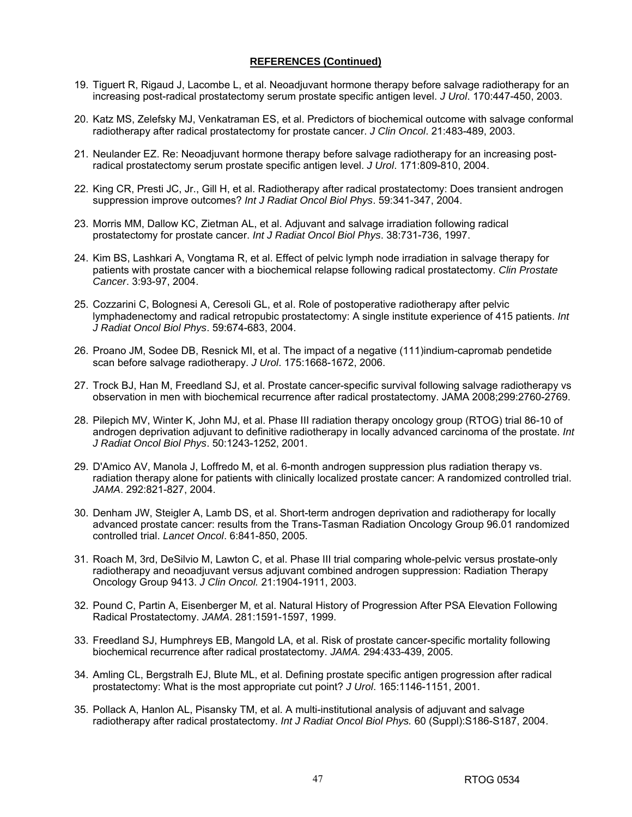- 19. Tiguert R, Rigaud J, Lacombe L, et al. Neoadjuvant hormone therapy before salvage radiotherapy for an increasing post-radical prostatectomy serum prostate specific antigen level. *J Urol*. 170:447-450, 2003.
- 20. Katz MS, Zelefsky MJ, Venkatraman ES, et al. Predictors of biochemical outcome with salvage conformal radiotherapy after radical prostatectomy for prostate cancer. *J Clin Oncol*. 21:483-489, 2003.
- 21. Neulander EZ. Re: Neoadjuvant hormone therapy before salvage radiotherapy for an increasing postradical prostatectomy serum prostate specific antigen level. *J Urol*. 171:809-810, 2004.
- 22. King CR, Presti JC, Jr., Gill H, et al. Radiotherapy after radical prostatectomy: Does transient androgen suppression improve outcomes? *Int J Radiat Oncol Biol Phys*. 59:341-347, 2004.
- 23. Morris MM, Dallow KC, Zietman AL, et al. Adjuvant and salvage irradiation following radical prostatectomy for prostate cancer. *Int J Radiat Oncol Biol Phys*. 38:731-736, 1997.
- 24. Kim BS, Lashkari A, Vongtama R, et al. Effect of pelvic lymph node irradiation in salvage therapy for patients with prostate cancer with a biochemical relapse following radical prostatectomy. *Clin Prostate Cancer*. 3:93-97, 2004.
- 25. Cozzarini C, Bolognesi A, Ceresoli GL, et al. Role of postoperative radiotherapy after pelvic lymphadenectomy and radical retropubic prostatectomy: A single institute experience of 415 patients. *Int J Radiat Oncol Biol Phys*. 59:674-683, 2004.
- 26. Proano JM, Sodee DB, Resnick MI, et al. The impact of a negative (111)indium-capromab pendetide scan before salvage radiotherapy. *J Urol*. 175:1668-1672, 2006.
- 27. Trock BJ, Han M, Freedland SJ, et al. Prostate cancer-specific survival following salvage radiotherapy vs observation in men with biochemical recurrence after radical prostatectomy. JAMA 2008;299:2760-2769.
- 28. Pilepich MV, Winter K, John MJ, et al. Phase III radiation therapy oncology group (RTOG) trial 86-10 of androgen deprivation adjuvant to definitive radiotherapy in locally advanced carcinoma of the prostate. *Int J Radiat Oncol Biol Phys*. 50:1243-1252, 2001.
- 29. D'Amico AV, Manola J, Loffredo M, et al. 6-month androgen suppression plus radiation therapy vs. radiation therapy alone for patients with clinically localized prostate cancer: A randomized controlled trial. *JAMA*. 292:821-827, 2004.
- 30. Denham JW, Steigler A, Lamb DS, et al. Short-term androgen deprivation and radiotherapy for locally advanced prostate cancer: results from the Trans-Tasman Radiation Oncology Group 96.01 randomized controlled trial. *Lancet Oncol*. 6:841-850, 2005.
- 31. Roach M, 3rd, DeSilvio M, Lawton C, et al. Phase III trial comparing whole-pelvic versus prostate-only radiotherapy and neoadjuvant versus adjuvant combined androgen suppression: Radiation Therapy Oncology Group 9413. *J Clin Oncol.* 21:1904-1911, 2003.
- 32. Pound C, Partin A, Eisenberger M, et al. Natural History of Progression After PSA Elevation Following Radical Prostatectomy. *JAMA*. 281:1591-1597, 1999.
- 33. Freedland SJ, Humphreys EB, Mangold LA, et al. Risk of prostate cancer-specific mortality following biochemical recurrence after radical prostatectomy. *JAMA.* 294:433-439, 2005.
- 34. Amling CL, Bergstralh EJ, Blute ML, et al. Defining prostate specific antigen progression after radical prostatectomy: What is the most appropriate cut point? *J Urol*. 165:1146-1151, 2001.
- 35. Pollack A, Hanlon AL, Pisansky TM, et al. A multi-institutional analysis of adjuvant and salvage radiotherapy after radical prostatectomy. *Int J Radiat Oncol Biol Phys.* 60 (Suppl):S186-S187, 2004.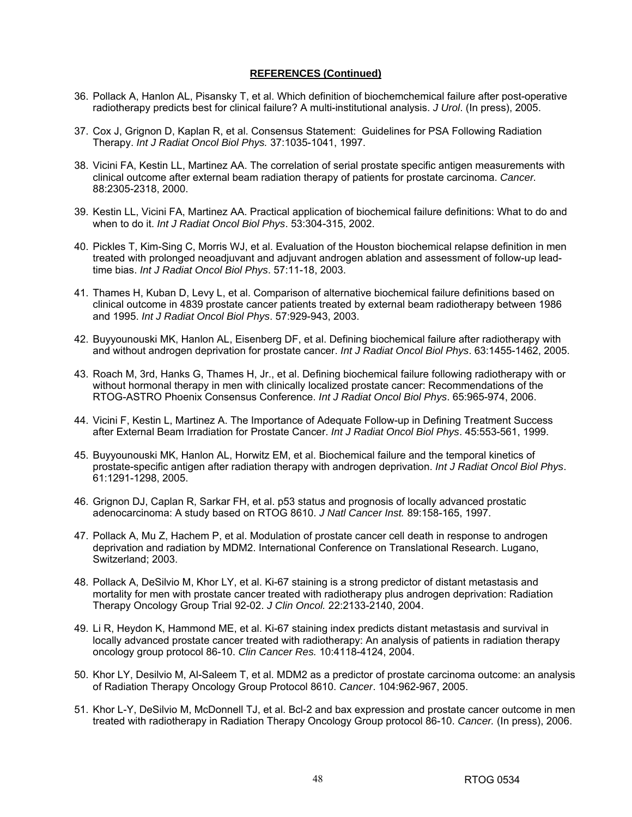- 36. Pollack A, Hanlon AL, Pisansky T, et al. Which definition of biochemchemical failure after post-operative radiotherapy predicts best for clinical failure? A multi-institutional analysis. *J Urol*. (In press), 2005.
- 37. Cox J, Grignon D, Kaplan R, et al. Consensus Statement: Guidelines for PSA Following Radiation Therapy. *Int J Radiat Oncol Biol Phys.* 37:1035-1041, 1997.
- 38. Vicini FA, Kestin LL, Martinez AA. The correlation of serial prostate specific antigen measurements with clinical outcome after external beam radiation therapy of patients for prostate carcinoma. *Cancer.*  88:2305-2318, 2000.
- 39. Kestin LL, Vicini FA, Martinez AA. Practical application of biochemical failure definitions: What to do and when to do it. *Int J Radiat Oncol Biol Phys*. 53:304-315, 2002.
- 40. Pickles T, Kim-Sing C, Morris WJ, et al. Evaluation of the Houston biochemical relapse definition in men treated with prolonged neoadjuvant and adjuvant androgen ablation and assessment of follow-up leadtime bias. *Int J Radiat Oncol Biol Phys*. 57:11-18, 2003.
- 41. Thames H, Kuban D, Levy L, et al. Comparison of alternative biochemical failure definitions based on clinical outcome in 4839 prostate cancer patients treated by external beam radiotherapy between 1986 and 1995. *Int J Radiat Oncol Biol Phys*. 57:929-943, 2003.
- 42. Buyyounouski MK, Hanlon AL, Eisenberg DF, et al. Defining biochemical failure after radiotherapy with and without androgen deprivation for prostate cancer. *Int J Radiat Oncol Biol Phys*. 63:1455-1462, 2005.
- 43. Roach M, 3rd, Hanks G, Thames H, Jr., et al. Defining biochemical failure following radiotherapy with or without hormonal therapy in men with clinically localized prostate cancer: Recommendations of the RTOG-ASTRO Phoenix Consensus Conference. *Int J Radiat Oncol Biol Phys*. 65:965-974, 2006.
- 44. Vicini F, Kestin L, Martinez A. The Importance of Adequate Follow-up in Defining Treatment Success after External Beam Irradiation for Prostate Cancer. *Int J Radiat Oncol Biol Phys*. 45:553-561, 1999.
- 45. Buyyounouski MK, Hanlon AL, Horwitz EM, et al. Biochemical failure and the temporal kinetics of prostate-specific antigen after radiation therapy with androgen deprivation. *Int J Radiat Oncol Biol Phys*. 61:1291-1298, 2005.
- 46. Grignon DJ, Caplan R, Sarkar FH, et al. p53 status and prognosis of locally advanced prostatic adenocarcinoma: A study based on RTOG 8610. *J Natl Cancer Inst.* 89:158-165, 1997.
- 47. Pollack A, Mu Z, Hachem P, et al. Modulation of prostate cancer cell death in response to androgen deprivation and radiation by MDM2. International Conference on Translational Research. Lugano, Switzerland; 2003.
- 48. Pollack A, DeSilvio M, Khor LY, et al. Ki-67 staining is a strong predictor of distant metastasis and mortality for men with prostate cancer treated with radiotherapy plus androgen deprivation: Radiation Therapy Oncology Group Trial 92-02. *J Clin Oncol.* 22:2133-2140, 2004.
- 49. Li R, Heydon K, Hammond ME, et al. Ki-67 staining index predicts distant metastasis and survival in locally advanced prostate cancer treated with radiotherapy: An analysis of patients in radiation therapy oncology group protocol 86-10. *Clin Cancer Res.* 10:4118-4124, 2004.
- 50. Khor LY, Desilvio M, Al-Saleem T, et al. MDM2 as a predictor of prostate carcinoma outcome: an analysis of Radiation Therapy Oncology Group Protocol 8610. *Cancer*. 104:962-967, 2005.
- 51. Khor L-Y, DeSilvio M, McDonnell TJ, et al. Bcl-2 and bax expression and prostate cancer outcome in men treated with radiotherapy in Radiation Therapy Oncology Group protocol 86-10. *Cancer.* (In press), 2006.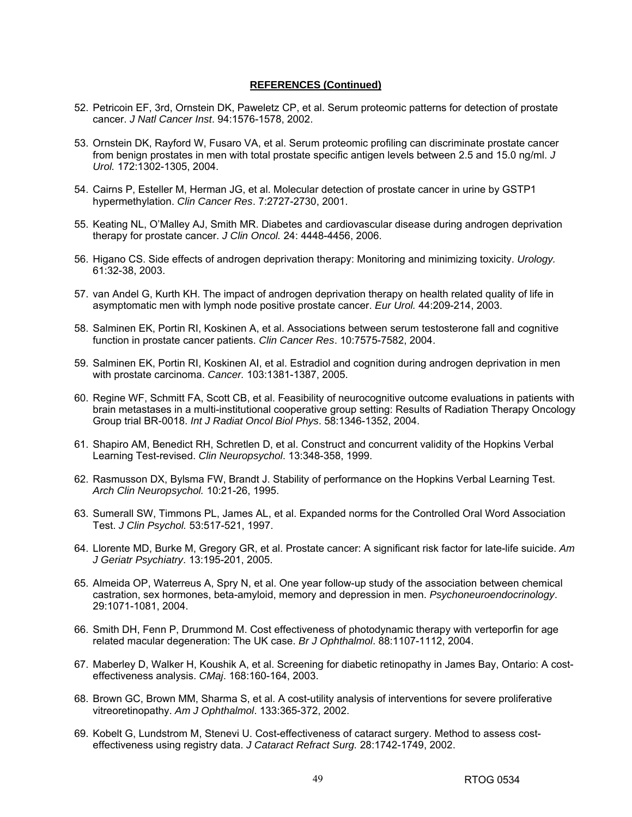- 52. Petricoin EF, 3rd, Ornstein DK, Paweletz CP, et al. Serum proteomic patterns for detection of prostate cancer. *J Natl Cancer Inst*. 94:1576-1578, 2002.
- 53. Ornstein DK, Rayford W, Fusaro VA, et al. Serum proteomic profiling can discriminate prostate cancer from benign prostates in men with total prostate specific antigen levels between 2.5 and 15.0 ng/ml. *J Urol.* 172:1302-1305, 2004.
- 54. Cairns P, Esteller M, Herman JG, et al. Molecular detection of prostate cancer in urine by GSTP1 hypermethylation. *Clin Cancer Res*. 7:2727-2730, 2001.
- 55. Keating NL, O'Malley AJ, Smith MR. Diabetes and cardiovascular disease during androgen deprivation therapy for prostate cancer. *J Clin Oncol.* 24: 4448-4456, 2006.
- 56. Higano CS. Side effects of androgen deprivation therapy: Monitoring and minimizing toxicity. *Urology.* 61:32-38, 2003.
- 57. van Andel G, Kurth KH. The impact of androgen deprivation therapy on health related quality of life in asymptomatic men with lymph node positive prostate cancer. *Eur Urol.* 44:209-214, 2003.
- 58. Salminen EK, Portin RI, Koskinen A, et al. Associations between serum testosterone fall and cognitive function in prostate cancer patients. *Clin Cancer Res*. 10:7575-7582, 2004.
- 59. Salminen EK, Portin RI, Koskinen AI, et al. Estradiol and cognition during androgen deprivation in men with prostate carcinoma. *Cancer.* 103:1381-1387, 2005.
- 60. Regine WF, Schmitt FA, Scott CB, et al. Feasibility of neurocognitive outcome evaluations in patients with brain metastases in a multi-institutional cooperative group setting: Results of Radiation Therapy Oncology Group trial BR-0018. *Int J Radiat Oncol Biol Phys*. 58:1346-1352, 2004.
- 61. Shapiro AM, Benedict RH, Schretlen D, et al. Construct and concurrent validity of the Hopkins Verbal Learning Test-revised. *Clin Neuropsychol*. 13:348-358, 1999.
- 62. Rasmusson DX, Bylsma FW, Brandt J. Stability of performance on the Hopkins Verbal Learning Test. *Arch Clin Neuropsychol.* 10:21-26, 1995.
- 63. Sumerall SW, Timmons PL, James AL, et al. Expanded norms for the Controlled Oral Word Association Test. *J Clin Psychol.* 53:517-521, 1997.
- 64. Llorente MD, Burke M, Gregory GR, et al. Prostate cancer: A significant risk factor for late-life suicide. *Am J Geriatr Psychiatry*. 13:195-201, 2005.
- 65. Almeida OP, Waterreus A, Spry N, et al. One year follow-up study of the association between chemical castration, sex hormones, beta-amyloid, memory and depression in men. *Psychoneuroendocrinology*. 29:1071-1081, 2004.
- 66. Smith DH, Fenn P, Drummond M. Cost effectiveness of photodynamic therapy with verteporfin for age related macular degeneration: The UK case. *Br J Ophthalmol*. 88:1107-1112, 2004.
- 67. Maberley D, Walker H, Koushik A, et al. Screening for diabetic retinopathy in James Bay, Ontario: A costeffectiveness analysis. *CMaj*. 168:160-164, 2003.
- 68. Brown GC, Brown MM, Sharma S, et al. A cost-utility analysis of interventions for severe proliferative vitreoretinopathy. *Am J Ophthalmol*. 133:365-372, 2002.
- 69. Kobelt G, Lundstrom M, Stenevi U. Cost-effectiveness of cataract surgery. Method to assess costeffectiveness using registry data. *J Cataract Refract Surg.* 28:1742-1749, 2002.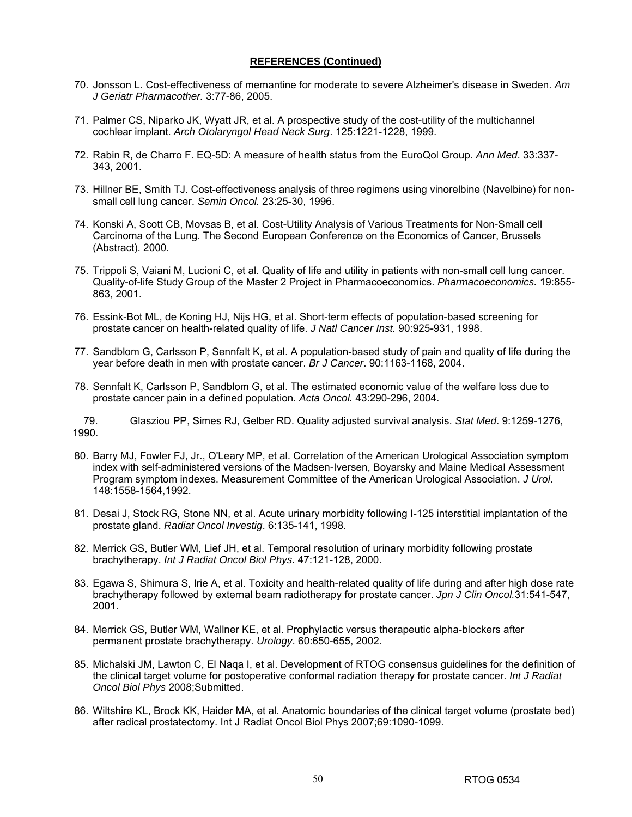- 70. Jonsson L. Cost-effectiveness of memantine for moderate to severe Alzheimer's disease in Sweden. *Am J Geriatr Pharmacother.* 3:77-86, 2005.
- 71. Palmer CS, Niparko JK, Wyatt JR, et al. A prospective study of the cost-utility of the multichannel cochlear implant. *Arch Otolaryngol Head Neck Surg*. 125:1221-1228, 1999.
- 72. Rabin R, de Charro F. EQ-5D: A measure of health status from the EuroQol Group. *Ann Med*. 33:337- 343, 2001.
- 73. Hillner BE, Smith TJ. Cost-effectiveness analysis of three regimens using vinorelbine (Navelbine) for nonsmall cell lung cancer. *Semin Oncol.* 23:25-30, 1996.
- 74. Konski A, Scott CB, Movsas B, et al. Cost-Utility Analysis of Various Treatments for Non-Small cell Carcinoma of the Lung. The Second European Conference on the Economics of Cancer, Brussels (Abstract). 2000.
- 75. Trippoli S, Vaiani M, Lucioni C, et al. Quality of life and utility in patients with non-small cell lung cancer. Quality-of-life Study Group of the Master 2 Project in Pharmacoeconomics. *Pharmacoeconomics.* 19:855- 863, 2001.
- 76. Essink-Bot ML, de Koning HJ, Nijs HG, et al. Short-term effects of population-based screening for prostate cancer on health-related quality of life. *J Natl Cancer Inst.* 90:925-931, 1998.
- 77. Sandblom G, Carlsson P, Sennfalt K, et al. A population-based study of pain and quality of life during the year before death in men with prostate cancer. *Br J Cancer*. 90:1163-1168, 2004.
- 78. Sennfalt K, Carlsson P, Sandblom G, et al. The estimated economic value of the welfare loss due to prostate cancer pain in a defined population. *Acta Oncol.* 43:290-296, 2004.

79. Glasziou PP, Simes RJ, Gelber RD. Quality adjusted survival analysis. *Stat Med*. 9:1259-1276, 1990.

- 80. Barry MJ, Fowler FJ, Jr., O'Leary MP, et al. Correlation of the American Urological Association symptom index with self-administered versions of the Madsen-Iversen, Boyarsky and Maine Medical Assessment Program symptom indexes. Measurement Committee of the American Urological Association. *J Urol*. 148:1558-1564,1992.
- 81. Desai J, Stock RG, Stone NN, et al. Acute urinary morbidity following I-125 interstitial implantation of the prostate gland. *Radiat Oncol Investig*. 6:135-141, 1998.
- 82. Merrick GS, Butler WM, Lief JH, et al. Temporal resolution of urinary morbidity following prostate brachytherapy. *Int J Radiat Oncol Biol Phys.* 47:121-128, 2000.
- 83. Egawa S, Shimura S, Irie A, et al. Toxicity and health-related quality of life during and after high dose rate brachytherapy followed by external beam radiotherapy for prostate cancer. *Jpn J Clin Oncol.*31:541-547, 2001.
- 84. Merrick GS, Butler WM, Wallner KE, et al. Prophylactic versus therapeutic alpha-blockers after permanent prostate brachytherapy. *Urology*. 60:650-655, 2002.
- 85. Michalski JM, Lawton C, El Naqa I, et al. Development of RTOG consensus guidelines for the definition of the clinical target volume for postoperative conformal radiation therapy for prostate cancer. *Int J Radiat Oncol Biol Phys* 2008;Submitted.
- 86. Wiltshire KL, Brock KK, Haider MA, et al. Anatomic boundaries of the clinical target volume (prostate bed) after radical prostatectomy. Int J Radiat Oncol Biol Phys 2007;69:1090-1099.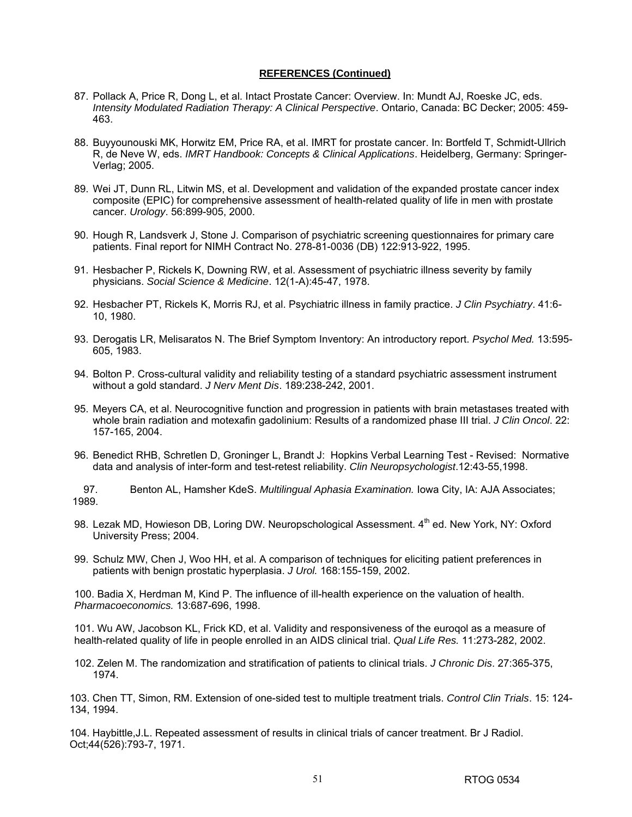- 87. Pollack A, Price R, Dong L, et al. Intact Prostate Cancer: Overview. In: Mundt AJ, Roeske JC, eds. *Intensity Modulated Radiation Therapy: A Clinical Perspective*. Ontario, Canada: BC Decker; 2005: 459- 463.
- 88. Buyyounouski MK, Horwitz EM, Price RA, et al. IMRT for prostate cancer. In: Bortfeld T, Schmidt-Ullrich R, de Neve W, eds. *IMRT Handbook: Concepts & Clinical Applications*. Heidelberg, Germany: Springer-Verlag; 2005.
- 89. Wei JT, Dunn RL, Litwin MS, et al. Development and validation of the expanded prostate cancer index composite (EPIC) for comprehensive assessment of health-related quality of life in men with prostate cancer. *Urology*. 56:899-905, 2000.
- 90. Hough R, Landsverk J, Stone J. Comparison of psychiatric screening questionnaires for primary care patients. Final report for NIMH Contract No. 278-81-0036 (DB) 122:913-922, 1995.
- 91. Hesbacher P, Rickels K, Downing RW, et al. Assessment of psychiatric illness severity by family physicians. *Social Science & Medicine*. 12(1-A):45-47, 1978.
- 92. Hesbacher PT, Rickels K, Morris RJ, et al. Psychiatric illness in family practice. *J Clin Psychiatry*. 41:6- 10, 1980.
- 93. Derogatis LR, Melisaratos N. The Brief Symptom Inventory: An introductory report. *Psychol Med.* 13:595- 605, 1983.
- 94. Bolton P. Cross-cultural validity and reliability testing of a standard psychiatric assessment instrument without a gold standard. *J Nerv Ment Dis*. 189:238-242, 2001.
- 95. Meyers CA, et al. Neurocognitive function and progression in patients with brain metastases treated with whole brain radiation and motexafin gadolinium: Results of a randomized phase III trial. *J Clin Oncol*. 22: 157-165, 2004.
- 96. Benedict RHB, Schretlen D, Groninger L, Brandt J: Hopkins Verbal Learning Test Revised: Normative data and analysis of inter-form and test-retest reliability. *Clin Neuropsychologist*.12:43-55,1998.

97. Benton AL, Hamsher KdeS. *Multilingual Aphasia Examination.* Iowa City, IA: AJA Associates; 1989.

- 98. Lezak MD, Howieson DB, Loring DW. Neuropschological Assessment. 4<sup>th</sup> ed. New York, NY: Oxford University Press; 2004.
- 99. Schulz MW, Chen J, Woo HH, et al. A comparison of techniques for eliciting patient preferences in patients with benign prostatic hyperplasia. *J Urol.* 168:155-159, 2002.

100. Badia X, Herdman M, Kind P. The influence of ill-health experience on the valuation of health. *Pharmacoeconomics.* 13:687-696, 1998.

101. Wu AW, Jacobson KL, Frick KD, et al. Validity and responsiveness of the euroqol as a measure of health-related quality of life in people enrolled in an AIDS clinical trial. *Qual Life Res.* 11:273-282, 2002.

102. Zelen M. The randomization and stratification of patients to clinical trials. *J Chronic Dis*. 27:365-375, 1974.

103. Chen TT, Simon, RM. Extension of one-sided test to multiple treatment trials. *Control Clin Trials*. 15: 124- 134, 1994.

104. Haybittle,J.L. Repeated assessment of results in clinical trials of cancer treatment. Br J Radiol. Oct;44(526):793-7, 1971.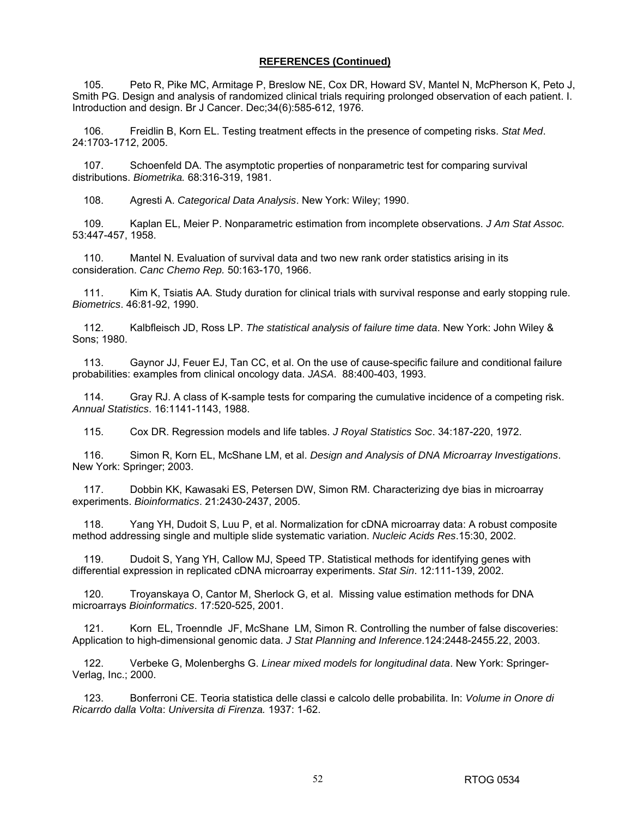105. Peto R, Pike MC, Armitage P, Breslow NE, Cox DR, Howard SV, Mantel N, McPherson K, Peto J, Smith PG. Design and analysis of randomized clinical trials requiring prolonged observation of each patient. I. Introduction and design. Br J Cancer. Dec;34(6):585-612, 1976.

106. Freidlin B, Korn EL. Testing treatment effects in the presence of competing risks. *Stat Med*. 24:1703-1712, 2005.

107. Schoenfeld DA. The asymptotic properties of nonparametric test for comparing survival distributions. *Biometrika.* 68:316-319, 1981.

108. Agresti A. *Categorical Data Analysis*. New York: Wiley; 1990.

109. Kaplan EL, Meier P. Nonparametric estimation from incomplete observations. *J Am Stat Assoc.* 53:447-457, 1958.

110. Mantel N. Evaluation of survival data and two new rank order statistics arising in its consideration. *Canc Chemo Rep.* 50:163-170, 1966.

111. Kim K, Tsiatis AA. Study duration for clinical trials with survival response and early stopping rule. *Biometrics*. 46:81-92, 1990.

112. Kalbfleisch JD, Ross LP. *The statistical analysis of failure time data*. New York: John Wiley & Sons; 1980.

113. Gaynor JJ, Feuer EJ, Tan CC, et al. On the use of cause-specific failure and conditional failure probabilities: examples from clinical oncology data. *JASA*. 88:400-403, 1993.

114. Gray RJ. A class of K-sample tests for comparing the cumulative incidence of a competing risk. *Annual Statistics*. 16:1141-1143, 1988.

115. Cox DR. Regression models and life tables. *J Royal Statistics Soc*. 34:187-220, 1972.

116. Simon R, Korn EL, McShane LM, et al. *Design and Analysis of DNA Microarray Investigations*. New York: Springer; 2003.

117. Dobbin KK, Kawasaki ES, Petersen DW, Simon RM. Characterizing dye bias in microarray experiments. *Bioinformatics*. 21:2430-2437, 2005.

118. Yang YH, Dudoit S, Luu P, et al. Normalization for cDNA microarray data: A robust composite method addressing single and multiple slide systematic variation. *Nucleic Acids Res*.15:30, 2002.

119. Dudoit S, Yang YH, Callow MJ, Speed TP. Statistical methods for identifying genes with differential expression in replicated cDNA microarray experiments. *Stat Sin*. 12:111-139, 2002.

120. Troyanskaya O, Cantor M, Sherlock G, et al. Missing value estimation methods for DNA microarrays *Bioinformatics*. 17:520-525, 2001.

121. Korn EL, Troenndle JF, McShane LM, Simon R. Controlling the number of false discoveries: Application to high-dimensional genomic data. *J Stat Planning and Inference*.124:2448-2455.22, 2003.

122. Verbeke G, Molenberghs G. *Linear mixed models for longitudinal data*. New York: Springer-Verlag, Inc.; 2000.

123. Bonferroni CE. Teoria statistica delle classi e calcolo delle probabilita. In: *Volume in Onore di Ricarrdo dalla Volta*: *Universita di Firenza.* 1937: 1-62.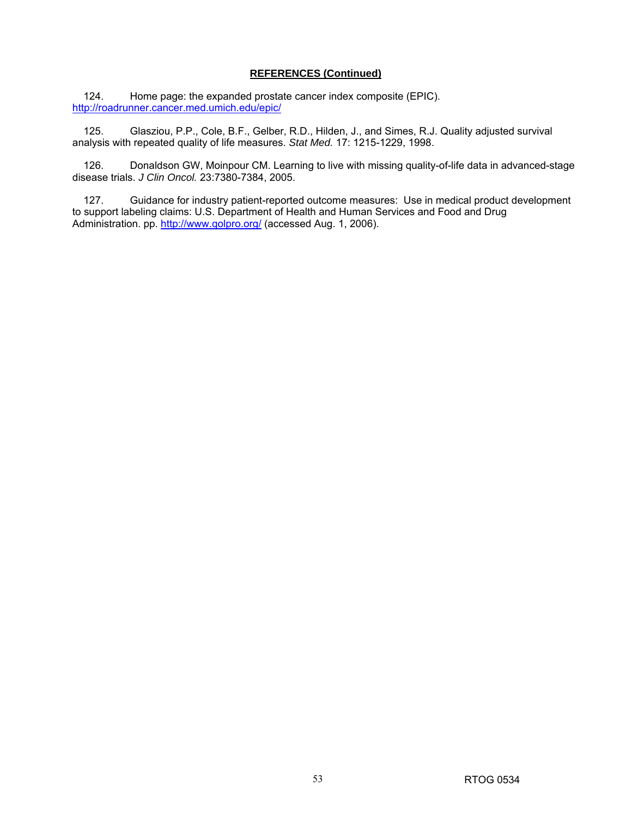124. Home page: the expanded prostate cancer index composite (EPIC). http://roadrunner.cancer.med.umich.edu/epic/

125. Glasziou, P.P., Cole, B.F., Gelber, R.D., Hilden, J., and Simes, R.J. Quality adjusted survival analysis with repeated quality of life measures. *Stat Med.* 17: 1215-1229, 1998.

126. Donaldson GW, Moinpour CM. Learning to live with missing quality-of-life data in advanced-stage disease trials. *J Clin Oncol.* 23:7380-7384, 2005.

127. Guidance for industry patient-reported outcome measures: Use in medical product development to support labeling claims: U.S. Department of Health and Human Services and Food and Drug Administration. pp. http://www.qolpro.org/ (accessed Aug. 1, 2006).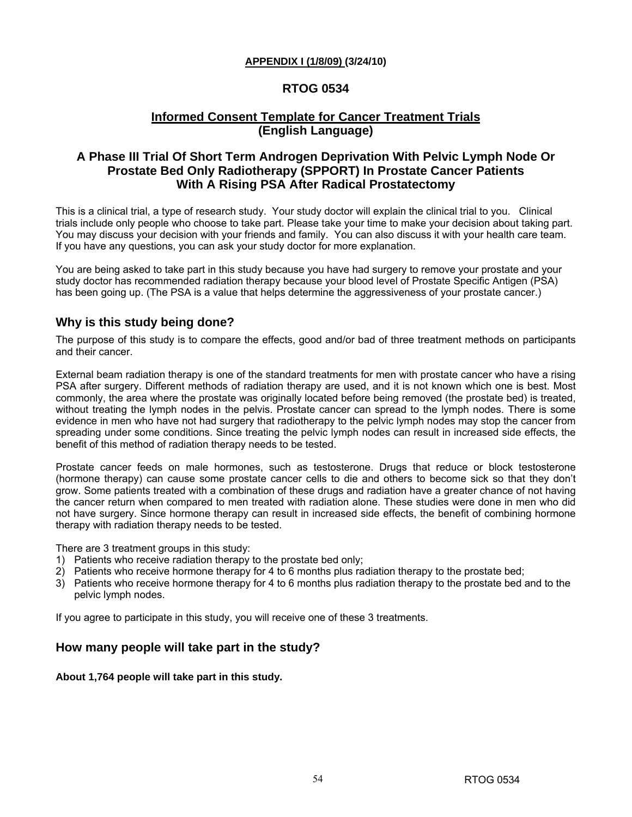### **APPENDIX I (1/8/09) (3/24/10)**

# **RTOG 0534**

# **Informed Consent Template for Cancer Treatment Trials (English Language)**

# **A Phase III Trial Of Short Term Androgen Deprivation With Pelvic Lymph Node Or Prostate Bed Only Radiotherapy (SPPORT) In Prostate Cancer Patients With A Rising PSA After Radical Prostatectomy**

This is a clinical trial, a type of research study. Your study doctor will explain the clinical trial to you. Clinical trials include only people who choose to take part. Please take your time to make your decision about taking part. You may discuss your decision with your friends and family. You can also discuss it with your health care team. If you have any questions, you can ask your study doctor for more explanation.

You are being asked to take part in this study because you have had surgery to remove your prostate and your study doctor has recommended radiation therapy because your blood level of Prostate Specific Antigen (PSA) has been going up. (The PSA is a value that helps determine the aggressiveness of your prostate cancer.)

# **Why is this study being done?**

The purpose of this study is to compare the effects, good and/or bad of three treatment methods on participants and their cancer.

External beam radiation therapy is one of the standard treatments for men with prostate cancer who have a rising PSA after surgery. Different methods of radiation therapy are used, and it is not known which one is best. Most commonly, the area where the prostate was originally located before being removed (the prostate bed) is treated, without treating the lymph nodes in the pelvis. Prostate cancer can spread to the lymph nodes. There is some evidence in men who have not had surgery that radiotherapy to the pelvic lymph nodes may stop the cancer from spreading under some conditions. Since treating the pelvic lymph nodes can result in increased side effects, the benefit of this method of radiation therapy needs to be tested.

Prostate cancer feeds on male hormones, such as testosterone. Drugs that reduce or block testosterone (hormone therapy) can cause some prostate cancer cells to die and others to become sick so that they don't grow. Some patients treated with a combination of these drugs and radiation have a greater chance of not having the cancer return when compared to men treated with radiation alone. These studies were done in men who did not have surgery. Since hormone therapy can result in increased side effects, the benefit of combining hormone therapy with radiation therapy needs to be tested.

There are 3 treatment groups in this study:

- 1) Patients who receive radiation therapy to the prostate bed only;
- 2) Patients who receive hormone therapy for 4 to 6 months plus radiation therapy to the prostate bed;
- 3) Patients who receive hormone therapy for 4 to 6 months plus radiation therapy to the prostate bed and to the pelvic lymph nodes.

If you agree to participate in this study, you will receive one of these 3 treatments.

### **How many people will take part in the study?**

### **About 1,764 people will take part in this study.**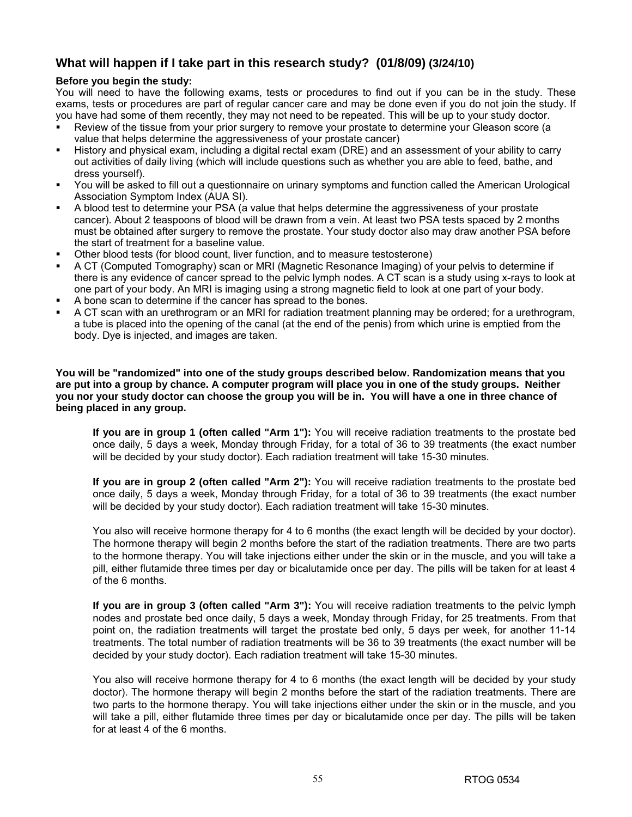# **What will happen if I take part in this research study? (01/8/09) (3/24/10)**

### **Before you begin the study:**

You will need to have the following exams, tests or procedures to find out if you can be in the study. These exams, tests or procedures are part of regular cancer care and may be done even if you do not join the study. If you have had some of them recently, they may not need to be repeated. This will be up to your study doctor.

- Review of the tissue from your prior surgery to remove your prostate to determine your Gleason score (a value that helps determine the aggressiveness of your prostate cancer)
- History and physical exam, including a digital rectal exam (DRE) and an assessment of your ability to carry out activities of daily living (which will include questions such as whether you are able to feed, bathe, and dress yourself).
- You will be asked to fill out a questionnaire on urinary symptoms and function called the American Urological Association Symptom Index (AUA SI).
- A blood test to determine your PSA (a value that helps determine the aggressiveness of your prostate cancer). About 2 teaspoons of blood will be drawn from a vein. At least two PSA tests spaced by 2 months must be obtained after surgery to remove the prostate. Your study doctor also may draw another PSA before the start of treatment for a baseline value.
- Other blood tests (for blood count, liver function, and to measure testosterone)
- A CT (Computed Tomography) scan or MRI (Magnetic Resonance Imaging) of your pelvis to determine if there is any evidence of cancer spread to the pelvic lymph nodes. A CT scan is a study using x-rays to look at one part of your body. An MRI is imaging using a strong magnetic field to look at one part of your body.
- A bone scan to determine if the cancer has spread to the bones.
- A CT scan with an urethrogram or an MRI for radiation treatment planning may be ordered; for a urethrogram, a tube is placed into the opening of the canal (at the end of the penis) from which urine is emptied from the body. Dye is injected, and images are taken.

**You will be "randomized" into one of the study groups described below. Randomization means that you are put into a group by chance. A computer program will place you in one of the study groups. Neither you nor your study doctor can choose the group you will be in. You will have a one in three chance of being placed in any group.** 

**If you are in group 1 (often called "Arm 1"):** You will receive radiation treatments to the prostate bed once daily, 5 days a week, Monday through Friday, for a total of 36 to 39 treatments (the exact number will be decided by your study doctor). Each radiation treatment will take 15-30 minutes.

**If you are in group 2 (often called "Arm 2"):** You will receive radiation treatments to the prostate bed once daily, 5 days a week, Monday through Friday, for a total of 36 to 39 treatments (the exact number will be decided by your study doctor). Each radiation treatment will take 15-30 minutes.

You also will receive hormone therapy for 4 to 6 months (the exact length will be decided by your doctor). The hormone therapy will begin 2 months before the start of the radiation treatments. There are two parts to the hormone therapy. You will take injections either under the skin or in the muscle, and you will take a pill, either flutamide three times per day or bicalutamide once per day. The pills will be taken for at least 4 of the 6 months.

**If you are in group 3 (often called "Arm 3"):** You will receive radiation treatments to the pelvic lymph nodes and prostate bed once daily, 5 days a week, Monday through Friday, for 25 treatments. From that point on, the radiation treatments will target the prostate bed only, 5 days per week, for another 11-14 treatments. The total number of radiation treatments will be 36 to 39 treatments (the exact number will be decided by your study doctor). Each radiation treatment will take 15-30 minutes.

You also will receive hormone therapy for 4 to 6 months (the exact length will be decided by your study doctor). The hormone therapy will begin 2 months before the start of the radiation treatments. There are two parts to the hormone therapy. You will take injections either under the skin or in the muscle, and you will take a pill, either flutamide three times per day or bicalutamide once per day. The pills will be taken for at least 4 of the 6 months.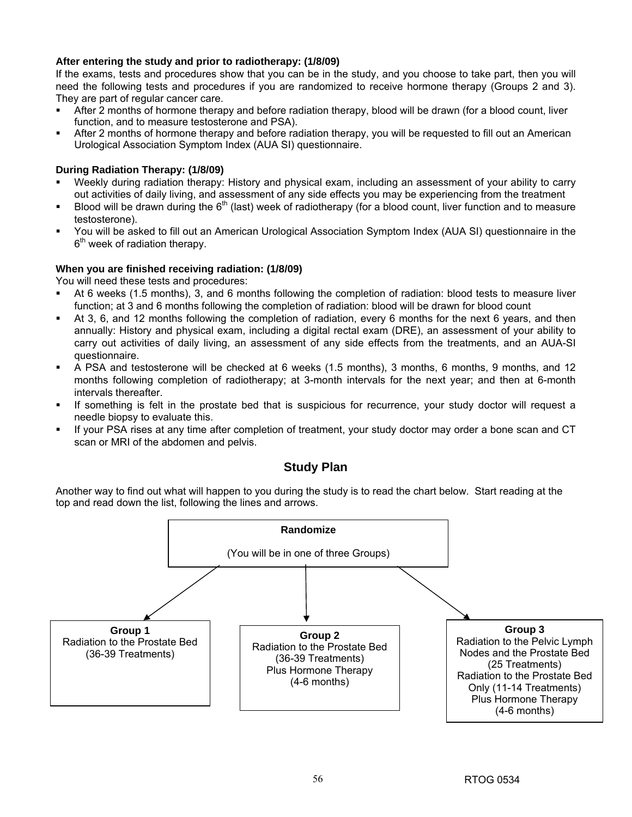### **After entering the study and prior to radiotherapy: (1/8/09)**

If the exams, tests and procedures show that you can be in the study, and you choose to take part, then you will need the following tests and procedures if you are randomized to receive hormone therapy (Groups 2 and 3). They are part of regular cancer care.

- After 2 months of hormone therapy and before radiation therapy, blood will be drawn (for a blood count, liver function, and to measure testosterone and PSA).
- After 2 months of hormone therapy and before radiation therapy, you will be requested to fill out an American Urological Association Symptom Index (AUA SI) questionnaire.

### **During Radiation Therapy: (1/8/09)**

- Weekly during radiation therapy: History and physical exam, including an assessment of your ability to carry out activities of daily living, and assessment of any side effects you may be experiencing from the treatment
- Blood will be drawn during the  $6<sup>th</sup>$  (last) week of radiotherapy (for a blood count, liver function and to measure testosterone).
- You will be asked to fill out an American Urological Association Symptom Index (AUA SI) questionnaire in the  $6<sup>th</sup>$  week of radiation therapy.

### **When you are finished receiving radiation: (1/8/09)**

You will need these tests and procedures:

- At 6 weeks (1.5 months), 3, and 6 months following the completion of radiation: blood tests to measure liver function; at 3 and 6 months following the completion of radiation: blood will be drawn for blood count
- At 3, 6, and 12 months following the completion of radiation, every 6 months for the next 6 years, and then annually: History and physical exam, including a digital rectal exam (DRE), an assessment of your ability to carry out activities of daily living, an assessment of any side effects from the treatments, and an AUA-SI questionnaire.
- A PSA and testosterone will be checked at 6 weeks (1.5 months), 3 months, 6 months, 9 months, and 12 months following completion of radiotherapy; at 3-month intervals for the next year; and then at 6-month intervals thereafter.
- If something is felt in the prostate bed that is suspicious for recurrence, your study doctor will request a needle biopsy to evaluate this.
- If your PSA rises at any time after completion of treatment, your study doctor may order a bone scan and CT scan or MRI of the abdomen and pelvis.

### **Study Plan**

Another way to find out what will happen to you during the study is to read the chart below. Start reading at the top and read down the list, following the lines and arrows.

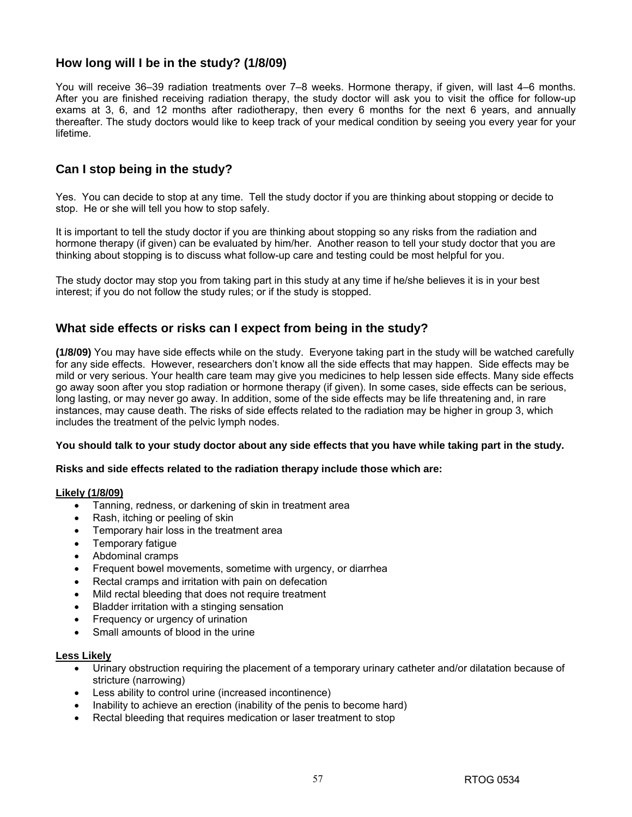# **How long will I be in the study? (1/8/09)**

You will receive 36–39 radiation treatments over 7–8 weeks. Hormone therapy, if given, will last 4–6 months. After you are finished receiving radiation therapy, the study doctor will ask you to visit the office for follow-up exams at 3, 6, and 12 months after radiotherapy, then every 6 months for the next 6 years, and annually thereafter. The study doctors would like to keep track of your medical condition by seeing you every year for your lifetime.

# **Can I stop being in the study?**

Yes. You can decide to stop at any time. Tell the study doctor if you are thinking about stopping or decide to stop. He or she will tell you how to stop safely.

It is important to tell the study doctor if you are thinking about stopping so any risks from the radiation and hormone therapy (if given) can be evaluated by him/her. Another reason to tell your study doctor that you are thinking about stopping is to discuss what follow-up care and testing could be most helpful for you.

The study doctor may stop you from taking part in this study at any time if he/she believes it is in your best interest; if you do not follow the study rules; or if the study is stopped.

# **What side effects or risks can I expect from being in the study?**

**(1/8/09)** You may have side effects while on the study. Everyone taking part in the study will be watched carefully for any side effects. However, researchers don't know all the side effects that may happen. Side effects may be mild or very serious. Your health care team may give you medicines to help lessen side effects. Many side effects go away soon after you stop radiation or hormone therapy (if given). In some cases, side effects can be serious, long lasting, or may never go away. In addition, some of the side effects may be life threatening and, in rare instances, may cause death. The risks of side effects related to the radiation may be higher in group 3, which includes the treatment of the pelvic lymph nodes.

#### **You should talk to your study doctor about any side effects that you have while taking part in the study.**

#### **Risks and side effects related to the radiation therapy include those which are:**

### **Likely (1/8/09)**

- Tanning, redness, or darkening of skin in treatment area
- Rash, itching or peeling of skin
- Temporary hair loss in the treatment area
- Temporary fatigue
- Abdominal cramps
- Frequent bowel movements, sometime with urgency, or diarrhea
- Rectal cramps and irritation with pain on defecation
- Mild rectal bleeding that does not require treatment
- Bladder irritation with a stinging sensation
- Frequency or urgency of urination
- Small amounts of blood in the urine

#### **Less Likely**

- Urinary obstruction requiring the placement of a temporary urinary catheter and/or dilatation because of stricture (narrowing)
- Less ability to control urine (increased incontinence)
- Inability to achieve an erection (inability of the penis to become hard)
- Rectal bleeding that requires medication or laser treatment to stop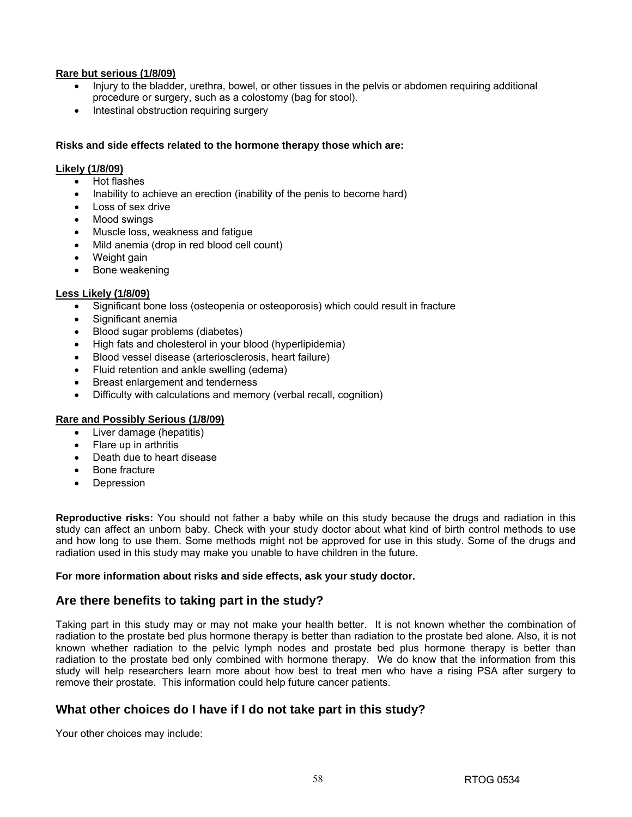### **Rare but serious (1/8/09)**

- Injury to the bladder, urethra, bowel, or other tissues in the pelvis or abdomen requiring additional procedure or surgery, such as a colostomy (bag for stool).
- Intestinal obstruction requiring surgery

### **Risks and side effects related to the hormone therapy those which are:**

#### **Likely (1/8/09)**

- Hot flashes
- Inability to achieve an erection (inability of the penis to become hard)
- Loss of sex drive
- Mood swings
- Muscle loss, weakness and fatigue
- Mild anemia (drop in red blood cell count)
- Weight gain
- Bone weakening

### **Less Likely (1/8/09)**

- Significant bone loss (osteopenia or osteoporosis) which could result in fracture
- Significant anemia
- Blood sugar problems (diabetes)
- High fats and cholesterol in your blood (hyperlipidemia)
- Blood vessel disease (arteriosclerosis, heart failure)
- Fluid retention and ankle swelling (edema)
- Breast enlargement and tenderness
- Difficulty with calculations and memory (verbal recall, cognition)

#### **Rare and Possibly Serious (1/8/09)**

- Liver damage (hepatitis)
- Flare up in arthritis
- Death due to heart disease
- Bone fracture
- **Depression**

**Reproductive risks:** You should not father a baby while on this study because the drugs and radiation in this study can affect an unborn baby. Check with your study doctor about what kind of birth control methods to use and how long to use them. Some methods might not be approved for use in this study. Some of the drugs and radiation used in this study may make you unable to have children in the future.

#### **For more information about risks and side effects, ask your study doctor.**

### **Are there benefits to taking part in the study?**

Taking part in this study may or may not make your health better. It is not known whether the combination of radiation to the prostate bed plus hormone therapy is better than radiation to the prostate bed alone. Also, it is not known whether radiation to the pelvic lymph nodes and prostate bed plus hormone therapy is better than radiation to the prostate bed only combined with hormone therapy. We do know that the information from this study will help researchers learn more about how best to treat men who have a rising PSA after surgery to remove their prostate. This information could help future cancer patients.

# **What other choices do I have if I do not take part in this study?**

Your other choices may include: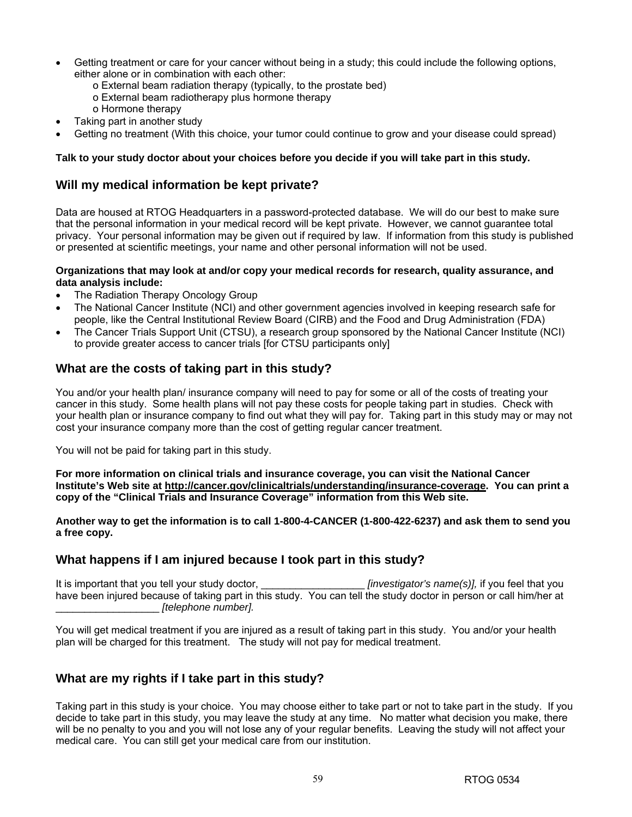- Getting treatment or care for your cancer without being in a study; this could include the following options, either alone or in combination with each other:
	- o External beam radiation therapy (typically, to the prostate bed)
	- o External beam radiotherapy plus hormone therapy
	- o Hormone therapy
- Taking part in another study
- Getting no treatment (With this choice, your tumor could continue to grow and your disease could spread)

### **Talk to your study doctor about your choices before you decide if you will take part in this study.**

# **Will my medical information be kept private?**

Data are housed at RTOG Headquarters in a password-protected database. We will do our best to make sure that the personal information in your medical record will be kept private. However, we cannot guarantee total privacy. Your personal information may be given out if required by law. If information from this study is published or presented at scientific meetings, your name and other personal information will not be used.

### **Organizations that may look at and/or copy your medical records for research, quality assurance, and data analysis include:**

- The Radiation Therapy Oncology Group
- The National Cancer Institute (NCI) and other government agencies involved in keeping research safe for people, like the Central Institutional Review Board (CIRB) and the Food and Drug Administration (FDA)
- The Cancer Trials Support Unit (CTSU), a research group sponsored by the National Cancer Institute (NCI) to provide greater access to cancer trials [for CTSU participants only]

# **What are the costs of taking part in this study?**

You and/or your health plan/ insurance company will need to pay for some or all of the costs of treating your cancer in this study. Some health plans will not pay these costs for people taking part in studies. Check with your health plan or insurance company to find out what they will pay for. Taking part in this study may or may not cost your insurance company more than the cost of getting regular cancer treatment.

You will not be paid for taking part in this study.

**For more information on clinical trials and insurance coverage, you can visit the National Cancer Institute's Web site at http://cancer.gov/clinicaltrials/understanding/insurance-coverage. You can print a copy of the "Clinical Trials and Insurance Coverage" information from this Web site.** 

**Another way to get the information is to call 1-800-4-CANCER (1-800-422-6237) and ask them to send you a free copy.**

# **What happens if I am injured because I took part in this study?**

It is important that you tell your study doctor,  $\blacksquare$  *[investigator's name(s)],* if you feel that you have been injured because of taking part in this study. You can tell the study doctor in person or call him/her at \_\_\_\_\_\_\_\_\_\_\_\_\_\_\_\_\_\_ *[telephone number].*

You will get medical treatment if you are injured as a result of taking part in this study. You and/or your health plan will be charged for this treatment. The study will not pay for medical treatment.

# **What are my rights if I take part in this study?**

Taking part in this study is your choice. You may choose either to take part or not to take part in the study. If you decide to take part in this study, you may leave the study at any time. No matter what decision you make, there will be no penalty to you and you will not lose any of your regular benefits. Leaving the study will not affect your medical care. You can still get your medical care from our institution.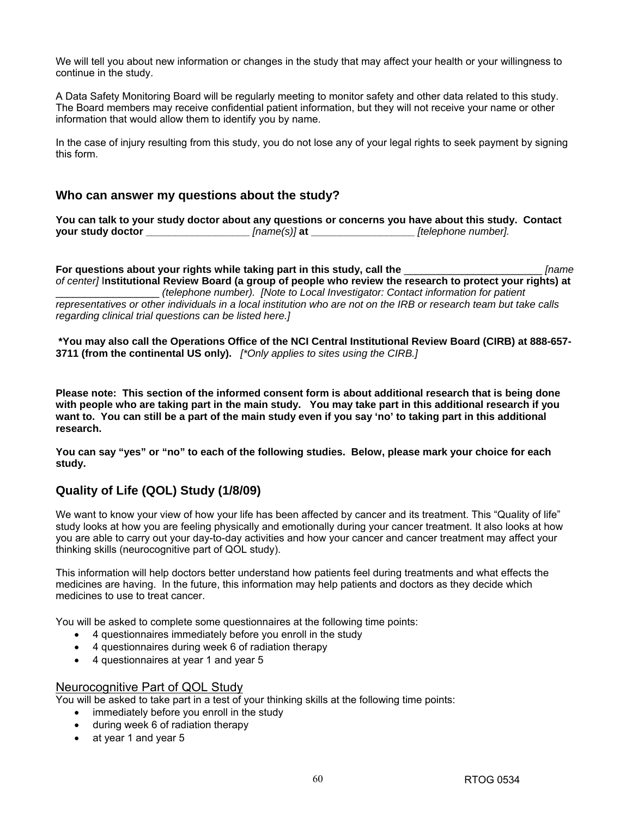We will tell you about new information or changes in the study that may affect your health or your willingness to continue in the study.

A Data Safety Monitoring Board will be regularly meeting to monitor safety and other data related to this study. The Board members may receive confidential patient information, but they will not receive your name or other information that would allow them to identify you by name.

In the case of injury resulting from this study, you do not lose any of your legal rights to seek payment by signing this form.

### **Who can answer my questions about the study?**

**You can talk to your study doctor about any questions or concerns you have about this study. Contact your study doctor \_\_\_\_\_\_\_\_\_\_\_\_\_\_\_\_\_\_** *[name(s)]* **at \_\_\_\_\_\_\_\_\_\_\_\_\_\_\_\_\_\_** *[telephone number].*

**For questions about your rights while taking part in this study, call the** \_\_\_\_\_\_\_\_\_\_\_\_\_\_\_\_\_\_\_\_\_\_\_\_ *[name of center]* I**nstitutional Review Board (a group of people who review the research to protect your rights) at**  \_\_\_\_\_\_\_\_\_\_\_\_\_\_\_\_\_\_ *(telephone number). [Note to Local Investigator: Contact information for patient representatives or other individuals in a local institution who are not on the IRB or research team but take calls regarding clinical trial questions can be listed here.]* 

**\*You may also call the Operations Office of the NCI Central Institutional Review Board (CIRB) at 888-657- 3711 (from the continental US only).** *[\*Only applies to sites using the CIRB.]* 

**Please note: This section of the informed consent form is about additional research that is being done with people who are taking part in the main study. You may take part in this additional research if you want to. You can still be a part of the main study even if you say 'no' to taking part in this additional research.** 

**You can say "yes" or "no" to each of the following studies. Below, please mark your choice for each study.** 

# **Quality of Life (QOL) Study (1/8/09)**

We want to know your view of how your life has been affected by cancer and its treatment. This "Quality of life" study looks at how you are feeling physically and emotionally during your cancer treatment. It also looks at how you are able to carry out your day-to-day activities and how your cancer and cancer treatment may affect your thinking skills (neurocognitive part of QOL study).

This information will help doctors better understand how patients feel during treatments and what effects the medicines are having. In the future, this information may help patients and doctors as they decide which medicines to use to treat cancer.

You will be asked to complete some questionnaires at the following time points:

- 4 questionnaires immediately before you enroll in the study
- 4 questionnaires during week 6 of radiation therapy
- 4 questionnaires at year 1 and year 5

### Neurocognitive Part of QOL Study

You will be asked to take part in a test of your thinking skills at the following time points:

- immediately before you enroll in the study
- during week 6 of radiation therapy
- at year 1 and year 5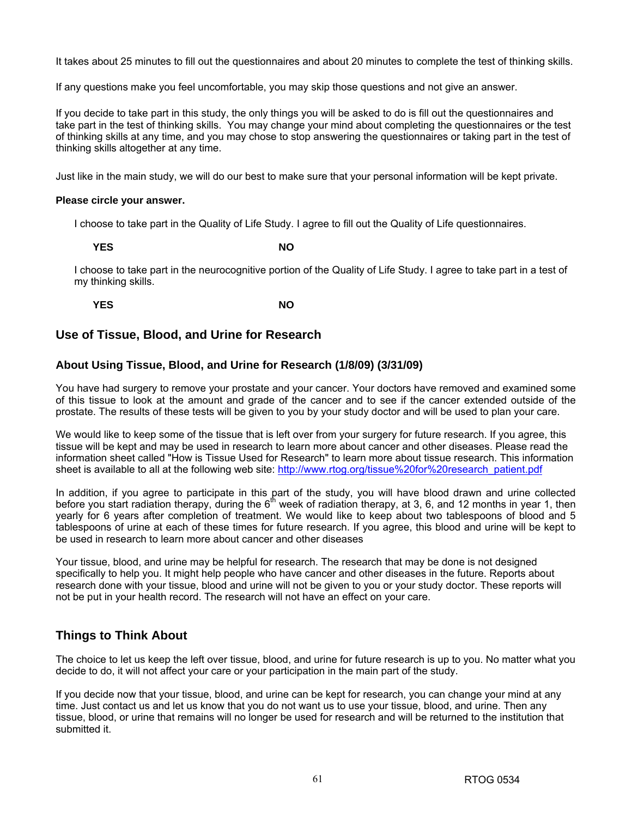It takes about 25 minutes to fill out the questionnaires and about 20 minutes to complete the test of thinking skills.

If any questions make you feel uncomfortable, you may skip those questions and not give an answer.

If you decide to take part in this study, the only things you will be asked to do is fill out the questionnaires and take part in the test of thinking skills. You may change your mind about completing the questionnaires or the test of thinking skills at any time, and you may chose to stop answering the questionnaires or taking part in the test of thinking skills altogether at any time.

Just like in the main study, we will do our best to make sure that your personal information will be kept private.

### **Please circle your answer.**

I choose to take part in the Quality of Life Study. I agree to fill out the Quality of Life questionnaires.

**YES** NO

I choose to take part in the neurocognitive portion of the Quality of Life Study. I agree to take part in a test of my thinking skills.

**YES** NO

# **Use of Tissue, Blood, and Urine for Research**

### **About Using Tissue, Blood, and Urine for Research (1/8/09) (3/31/09)**

You have had surgery to remove your prostate and your cancer. Your doctors have removed and examined some of this tissue to look at the amount and grade of the cancer and to see if the cancer extended outside of the prostate. The results of these tests will be given to you by your study doctor and will be used to plan your care.

We would like to keep some of the tissue that is left over from your surgery for future research. If you agree, this tissue will be kept and may be used in research to learn more about cancer and other diseases. Please read the information sheet called "How is Tissue Used for Research" to learn more about tissue research. This information sheet is available to all at the following web site: http://www.rtog.org/tissue%20for%20research\_patient.pdf

In addition, if you agree to participate in this part of the study, you will have blood drawn and urine collected before you start radiation therapy, during the  $6<sup>th</sup>$  week of radiation therapy, at 3, 6, and 12 months in year 1, then yearly for 6 years after completion of treatment. We would like to keep about two tablespoons of blood and 5 tablespoons of urine at each of these times for future research. If you agree, this blood and urine will be kept to be used in research to learn more about cancer and other diseases

Your tissue, blood, and urine may be helpful for research. The research that may be done is not designed specifically to help you. It might help people who have cancer and other diseases in the future. Reports about research done with your tissue, blood and urine will not be given to you or your study doctor. These reports will not be put in your health record. The research will not have an effect on your care.

# **Things to Think About**

The choice to let us keep the left over tissue, blood, and urine for future research is up to you. No matter what you decide to do, it will not affect your care or your participation in the main part of the study.

If you decide now that your tissue, blood, and urine can be kept for research, you can change your mind at any time. Just contact us and let us know that you do not want us to use your tissue, blood, and urine. Then any tissue, blood, or urine that remains will no longer be used for research and will be returned to the institution that submitted it.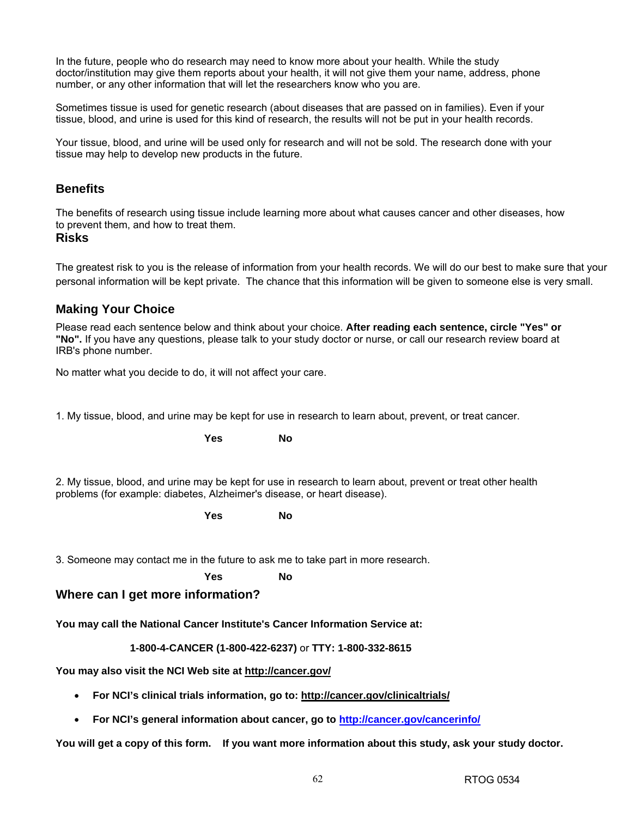In the future, people who do research may need to know more about your health. While the study doctor/institution may give them reports about your health, it will not give them your name, address, phone number, or any other information that will let the researchers know who you are.

Sometimes tissue is used for genetic research (about diseases that are passed on in families). Even if your tissue, blood, and urine is used for this kind of research, the results will not be put in your health records.

Your tissue, blood, and urine will be used only for research and will not be sold. The research done with your tissue may help to develop new products in the future.

### **Benefits**

The benefits of research using tissue include learning more about what causes cancer and other diseases, how to prevent them, and how to treat them.

### **Risks**

The greatest risk to you is the release of information from your health records. We will do our best to make sure that your personal information will be kept private. The chance that this information will be given to someone else is very small.

# **Making Your Choice**

Please read each sentence below and think about your choice. **After reading each sentence, circle "Yes" or "No".** If you have any questions, please talk to your study doctor or nurse, or call our research review board at IRB's phone number.

No matter what you decide to do, it will not affect your care.

**Yes No** 

1. My tissue, blood, and urine may be kept for use in research to learn about, prevent, or treat cancer.

2. My tissue, blood, and urine may be kept for use in research to learn about, prevent or treat other health problems (for example: diabetes, Alzheimer's disease, or heart disease).

*No Yes* No

3. Someone may contact me in the future to ask me to take part in more research.

*No Yes* No

### **Where can I get more information?**

**You may call the National Cancer Institute's Cancer Information Service at:** 

**1-800-4-CANCER (1-800-422-6237)** or **TTY: 1-800-332-8615**

**You may also visit the NCI Web site at http://cancer.gov/**

- **For NCI's clinical trials information, go to: http://cancer.gov/clinicaltrials/**
- **For NCI's general information about cancer, go to http://cancer.gov/cancerinfo/**

**You will get a copy of this form. If you want more information about this study, ask your study doctor.**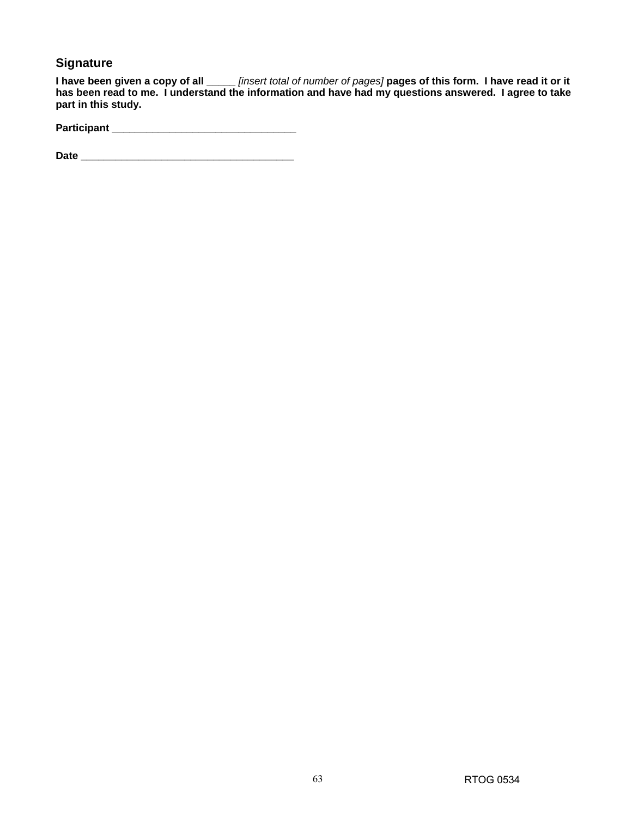# **Signature**

**I have been given a copy of all \_\_\_\_\_** *[insert total of number of pages]* **pages of this form. I have read it or it has been read to me. I understand the information and have had my questions answered. I agree to take part in this study.** 

| Participant |  |
|-------------|--|
|             |  |

**Date \_\_\_\_\_\_\_\_\_\_\_\_\_\_\_\_\_\_\_\_\_\_\_\_\_\_\_\_\_\_\_\_\_\_\_\_\_**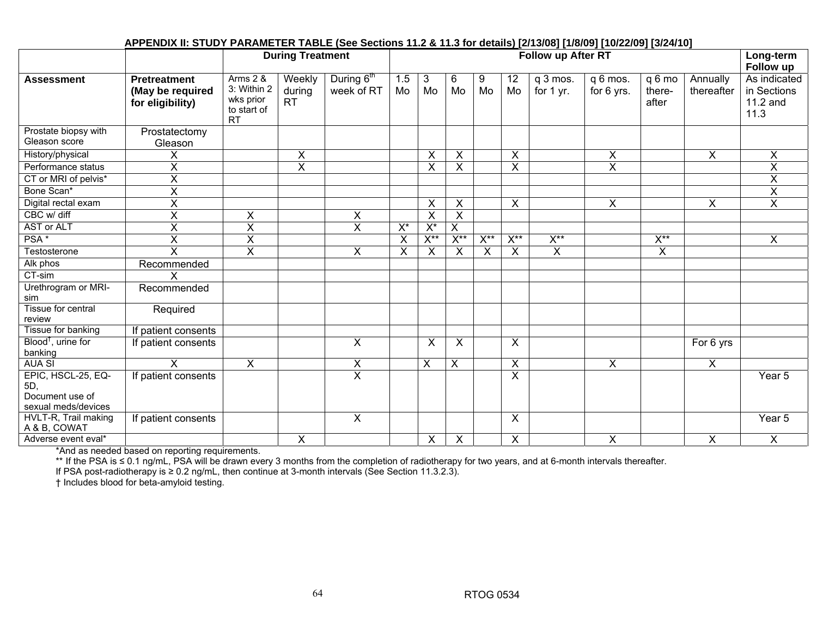#### **During Treatment State Cong-term Follow up After RT Cong-term**  Long-term **Follow up Assessment Pretreatment (May be required for eligibility)**  Arms 2 & 3: Within 2 wks prior to start of RT **Weekly** during RT During  $6<sup>th</sup>$ week of RT 1.5 Mo 3 Mo 6 Mo 9 Mo 12 Mo q 3 mos. for 1 yr. q 6 mos. for 6 yrs. q 6 mo thereafter Annually thereafter As indicated in Sections 11.2 and 11.3 Prostate biopsy with Gleason score Prostatectomy Gleason History/physical X X X X X X X X Performance status X X X X X X X CT or MRI of pelvis\* X X Bone Scan\* X X Digital rectal exam | X | | | | X | | X | | X | X | X CBC w/ diff X X X X X  $\overline{\mathsf{x}}$ AST or ALT X X X X\* X\* X PSA \* | X | X | | X | X\*\* | X\*\* | X\*\* | X\*\* | | X Testosterone X X X X X X X X X X Alk phos Recommended CT-sim X Urethrogram or MRI-sim Recommended Tissue for central review **Required** Tissue for banking | If patient consents Blood†, urine for banking If patient consents  $\begin{vmatrix} \cdot & \cdot & \cdot \\ \cdot & \cdot & \cdot \\ \cdot & \cdot & \cdot \end{vmatrix}$  X  $\begin{vmatrix} x & x & \cdot \\ x & x & \cdot \\ \cdot & \cdot & \cdot \end{vmatrix}$  Tor 6 yrs AUA SI X X X X X X X X EPIC, HSCL-25, EQ-5D, Document use of sexual meds/devices If patient consents X X Year 5 HVLT-R, Trail making A & B, COWAT If patient consents X X Year 5 Adverse event eval\* X X X X X X X

### **APPENDIX II: STUDY PARAMETER TABLE (See Sections 11.2 & 11.3 for details) [2/13/08] [1/8/09] [10/22/09] [3/24/10]**

\*And as needed based on reporting requirements.

\*\* If the PSA is ≤ 0.1 ng/mL, PSA will be drawn every 3 months from the completion of radiotherapy for two years, and at 6-month intervals thereafter.

If PSA post-radiotherapy is ≥ 0.2 ng/mL, then continue at 3-month intervals (See Section 11.3.2.3).

† Includes blood for beta-amyloid testing.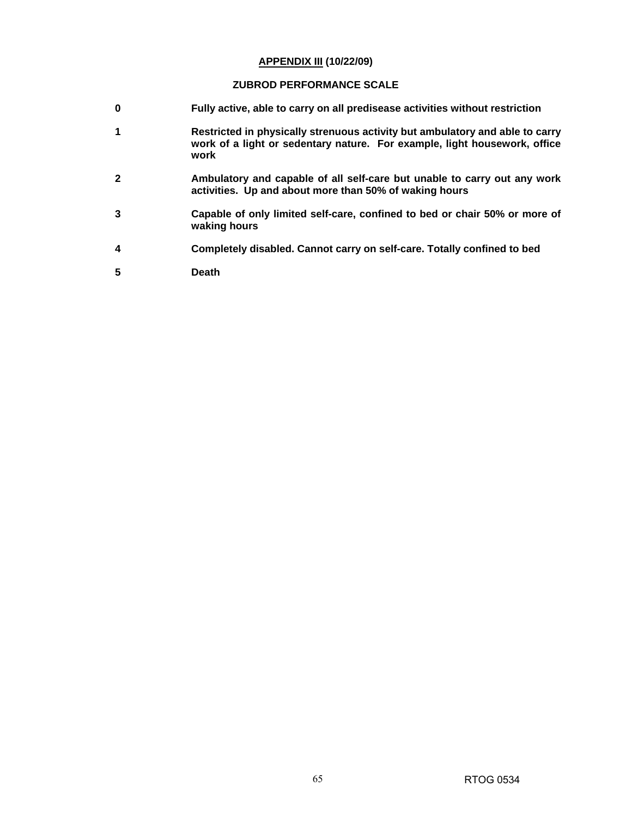#### **APPENDIX III (10/22/09)**

## **ZUBROD PERFORMANCE SCALE**

- **0 Fully active, able to carry on all predisease activities without restriction**
- **1 Restricted in physically strenuous activity but ambulatory and able to carry work of a light or sedentary nature. For example, light housework, office work**
- **2 Ambulatory and capable of all self-care but unable to carry out any work activities. Up and about more than 50% of waking hours**
- **3 Capable of only limited self-care, confined to bed or chair 50% or more of waking hours**
- **4 Completely disabled. Cannot carry on self-care. Totally confined to bed**
- **5 Death**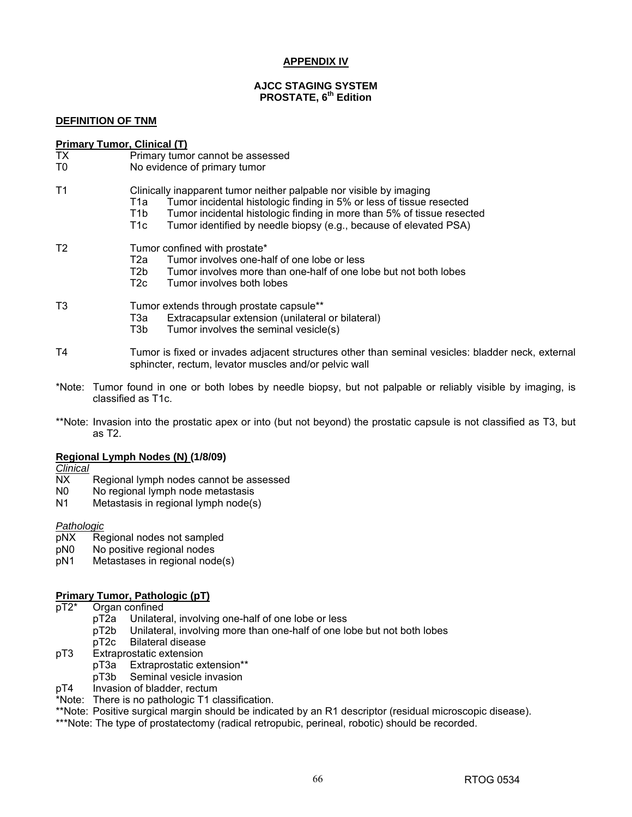## **APPENDIX IV**

#### **AJCC STAGING SYSTEM PROSTATE, 6th Edition**

#### **DEFINITION OF TNM**

#### **Primary Tumor, Clinical (T)**

- TX Primary tumor cannot be assessed
- T0 No evidence of primary tumor
- T1 Clinically inapparent tumor neither palpable nor visible by imaging
	- T1a Tumor incidental histologic finding in 5% or less of tissue resected
	- T1b Tumor incidental histologic finding in more than 5% of tissue resected
	- T1c Tumor identified by needle biopsy (e.g., because of elevated PSA)

#### T2 Tumor confined with prostate\*

- T2a Tumor involves one-half of one lobe or less<br>T2b Tumor involves more than one-half of one k
- T2b Tumor involves more than one-half of one lobe but not both lobes<br>T2c Tumor involves both lobes
- Tumor involves both lobes
- T3 Tumor extends through prostate capsule\*\*
	- T3a Extracapsular extension (unilateral or bilateral)
	- T3b Tumor involves the seminal vesicle(s)
- T4 Tumor is fixed or invades adjacent structures other than seminal vesicles: bladder neck, external sphincter, rectum, levator muscles and/or pelvic wall
- \*Note: Tumor found in one or both lobes by needle biopsy, but not palpable or reliably visible by imaging, is classified as T1c.
- \*\*Note: Invasion into the prostatic apex or into (but not beyond) the prostatic capsule is not classified as T3, but as T2.

#### **Regional Lymph Nodes (N) (1/8/09)**

*Clinical*

- NX Regional lymph nodes cannot be assessed
- N0 No regional lymph node metastasis
- N1 Metastasis in regional lymph node(s)

#### *Pathologic*

- pNX Regional nodes not sampled
- pN0 No positive regional nodes
- pN1 Metastases in regional node(s)

#### **Primary Tumor, Pathologic (pT)**

- pT2\* Organ confined
	- pT2a Unilateral, involving one-half of one lobe or less
	- pT2b Unilateral, involving more than one-half of one lobe but not both lobes
	-
- pT2c Bilateral disease<br>pT3 Extraprostatic extension **Extraprostatic extension** 
	- pT3a Extraprostatic extension\*\*
	- pT3b Seminal vesicle invasion
- pT4 Invasion of bladder, rectum

\*Note: There is no pathologic T1 classification.

\*\*Note: Positive surgical margin should be indicated by an R1 descriptor (residual microscopic disease).

\*\*\*Note: The type of prostatectomy (radical retropubic, perineal, robotic) should be recorded.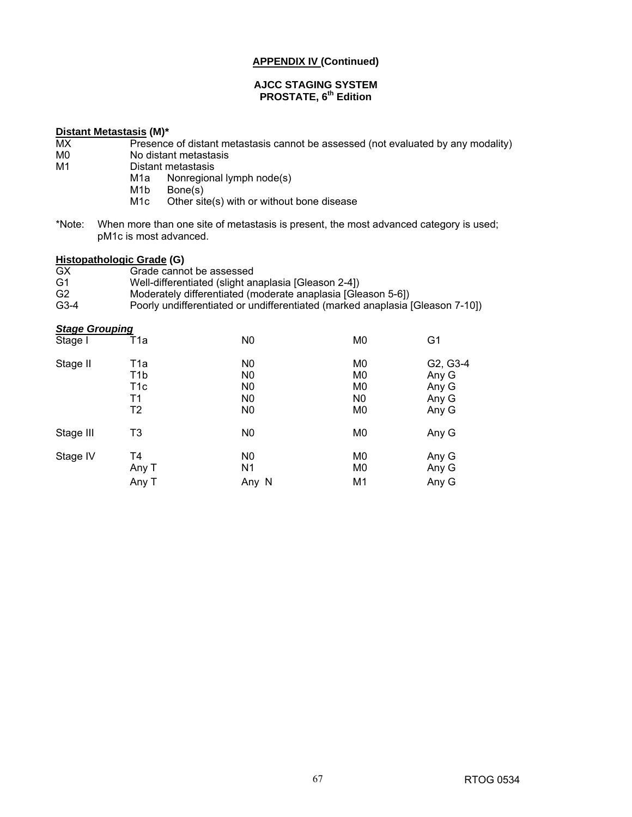#### **AJCC STAGING SYSTEM PROSTATE, 6th Edition**

# **Distant Metastasis (M)\***

- MX Presence of distant metastasis cannot be assessed (not evaluated by any modality)<br>M0 No distant metastasis
- M0 No distant metastasis
- M1 Distant metastasis
	- M1a Nonregional lymph node(s)<br>M1b Bone(s)
		- Bone(s)
	- M1c Other site(s) with or without bone disease
- \*Note: When more than one site of metastasis is present, the most advanced category is used; pM1c is most advanced.

#### **Histopathologic Grade (G)**

- GX Grade cannot be assessed<br>G1 Well-differentiated (slight are
- Well-differentiated (slight anaplasia [Gleason 2-4])
- G2 Moderately differentiated (moderate anaplasia [Gleason 5-6])<br>G3-4 Poorly undifferentiated or undifferentiated (marked anaplasia)
- Poorly undifferentiated or undifferentiated (marked anaplasia [Gleason 7-10])

| <b>Stage Grouping</b> |                                                         |                                                                                        |                                                                                        |                                              |
|-----------------------|---------------------------------------------------------|----------------------------------------------------------------------------------------|----------------------------------------------------------------------------------------|----------------------------------------------|
| Stage I               | T1a                                                     | N <sub>0</sub>                                                                         | M <sub>0</sub>                                                                         | G <sub>1</sub>                               |
| Stage II              | T1a<br>T <sub>1</sub> b<br>T <sub>1</sub> c<br>Τ1<br>T2 | N <sub>0</sub><br>N <sub>0</sub><br>N <sub>0</sub><br>N <sub>0</sub><br>N <sub>0</sub> | M <sub>0</sub><br>M <sub>0</sub><br>M <sub>0</sub><br>N <sub>0</sub><br>M <sub>0</sub> | G2, G3-4<br>Any G<br>Any G<br>Any G<br>Any G |
| Stage III             | T3                                                      | N <sub>0</sub>                                                                         | M <sub>0</sub>                                                                         | Any G                                        |
| Stage IV              | T4<br>Any T<br>Any T                                    | N <sub>0</sub><br>N <sub>1</sub><br>Any N                                              | M <sub>0</sub><br>M <sub>0</sub><br>M <sub>1</sub>                                     | Any G<br>Any G<br>Any G                      |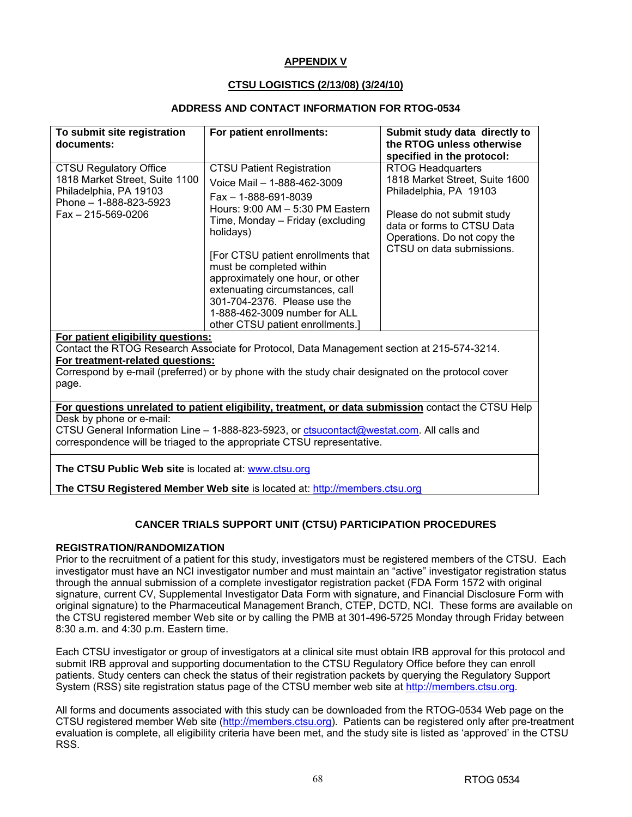## **APPENDIX V**

### **CTSU LOGISTICS (2/13/08) (3/24/10)**

#### **ADDRESS AND CONTACT INFORMATION FOR RTOG-0534**

| To submit site registration<br>documents:                                                                                                       | For patient enrollments:                                                                                                                                                                                                                                                                                                                                                                                                           | Submit study data directly to<br>the RTOG unless otherwise                                                                                                                                                                                 |
|-------------------------------------------------------------------------------------------------------------------------------------------------|------------------------------------------------------------------------------------------------------------------------------------------------------------------------------------------------------------------------------------------------------------------------------------------------------------------------------------------------------------------------------------------------------------------------------------|--------------------------------------------------------------------------------------------------------------------------------------------------------------------------------------------------------------------------------------------|
| <b>CTSU Regulatory Office</b><br>1818 Market Street, Suite 1100<br>Philadelphia, PA 19103<br>Phone - 1-888-823-5923<br>$Fax - 215 - 569 - 0206$ | <b>CTSU Patient Registration</b><br>Voice Mail - 1-888-462-3009<br>$Fax - 1 - 888 - 691 - 8039$<br>Hours: 9:00 AM - 5:30 PM Eastern<br>Time, Monday – Friday (excluding<br>holidays)<br>[For CTSU patient enrollments that<br>must be completed within<br>approximately one hour, or other<br>extenuating circumstances, call<br>301-704-2376. Please use the<br>1-888-462-3009 number for ALL<br>other CTSU patient enrollments.] | specified in the protocol:<br><b>RTOG Headquarters</b><br>1818 Market Street, Suite 1600<br>Philadelphia, PA 19103<br>Please do not submit study<br>data or forms to CTSU Data<br>Operations. Do not copy the<br>CTSU on data submissions. |
| For patient eligibility questions:<br>For treatment-related questions:<br>page.                                                                 | Contact the RTOG Research Associate for Protocol, Data Management section at 215-574-3214.<br>Correspond by e-mail (preferred) or by phone with the study chair designated on the protocol cover                                                                                                                                                                                                                                   |                                                                                                                                                                                                                                            |
| Desk by phone or e-mail:                                                                                                                        | For questions unrelated to patient eligibility, treatment, or data submission contact the CTSU Help                                                                                                                                                                                                                                                                                                                                |                                                                                                                                                                                                                                            |

CTSU General Information Line – 1-888-823-5923, or ctsucontact@westat.com. All calls and correspondence will be triaged to the appropriate CTSU representative.

**The CTSU Public Web site** is located at: www.ctsu.org

**The CTSU Registered Member Web site** is located at: http://members.ctsu.org

## **CANCER TRIALS SUPPORT UNIT (CTSU) PARTICIPATION PROCEDURES**

#### **REGISTRATION/RANDOMIZATION**

Prior to the recruitment of a patient for this study, investigators must be registered members of the CTSU. Each investigator must have an NCI investigator number and must maintain an "active" investigator registration status through the annual submission of a complete investigator registration packet (FDA Form 1572 with original signature, current CV, Supplemental Investigator Data Form with signature, and Financial Disclosure Form with original signature) to the Pharmaceutical Management Branch, CTEP, DCTD, NCI. These forms are available on the CTSU registered member Web site or by calling the PMB at 301-496-5725 Monday through Friday between 8:30 a.m. and 4:30 p.m. Eastern time.

Each CTSU investigator or group of investigators at a clinical site must obtain IRB approval for this protocol and submit IRB approval and supporting documentation to the CTSU Regulatory Office before they can enroll patients. Study centers can check the status of their registration packets by querying the Regulatory Support System (RSS) site registration status page of the CTSU member web site at http://members.ctsu.org.

All forms and documents associated with this study can be downloaded from the RTOG-0534 Web page on the CTSU registered member Web site (http://members.ctsu.org). Patients can be registered only after pre-treatment evaluation is complete, all eligibility criteria have been met, and the study site is listed as 'approved' in the CTSU RSS.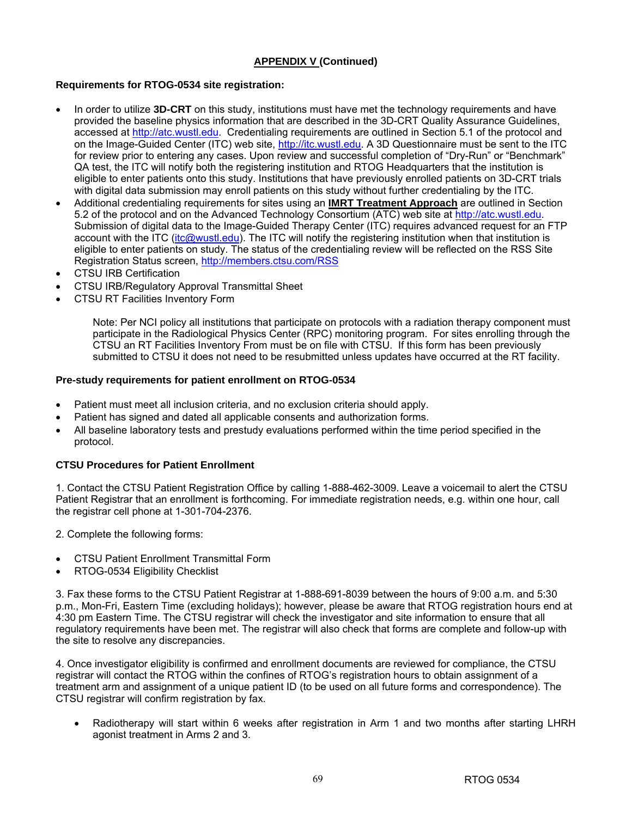# **Requirements for RTOG-0534 site registration:**

- In order to utilize **3D-CRT** on this study, institutions must have met the technology requirements and have provided the baseline physics information that are described in the 3D-CRT Quality Assurance Guidelines, accessed at http://atc.wustl.edu. Credentialing requirements are outlined in Section 5.1 of the protocol and on the Image-Guided Center (ITC) web site, http://itc.wustl.edu. A 3D Questionnaire must be sent to the ITC for review prior to entering any cases. Upon review and successful completion of "Dry-Run" or "Benchmark" QA test, the ITC will notify both the registering institution and RTOG Headquarters that the institution is eligible to enter patients onto this study. Institutions that have previously enrolled patients on 3D-CRT trials with digital data submission may enroll patients on this study without further credentialing by the ITC.
- Additional credentialing requirements for sites using an **IMRT Treatment Approach** are outlined in Section 5.2 of the protocol and on the Advanced Technology Consortium (ATC) web site at http://atc.wustl.edu. Submission of digital data to the Image-Guided Therapy Center (ITC) requires advanced request for an FTP account with the ITC (itc@wustl.edu). The ITC will notify the registering institution when that institution is eligible to enter patients on study. The status of the credentialing review will be reflected on the RSS Site Registration Status screen, http://members.ctsu.com/RSS
- **CTSU IRB Certification**
- CTSU IRB/Regulatory Approval Transmittal Sheet
- CTSU RT Facilities Inventory Form

Note: Per NCI policy all institutions that participate on protocols with a radiation therapy component must participate in the Radiological Physics Center (RPC) monitoring program. For sites enrolling through the CTSU an RT Facilities Inventory From must be on file with CTSU. If this form has been previously submitted to CTSU it does not need to be resubmitted unless updates have occurred at the RT facility.

## **Pre-study requirements for patient enrollment on RTOG-0534**

- Patient must meet all inclusion criteria, and no exclusion criteria should apply.
- Patient has signed and dated all applicable consents and authorization forms.
- All baseline laboratory tests and prestudy evaluations performed within the time period specified in the protocol.

## **CTSU Procedures for Patient Enrollment**

1. Contact the CTSU Patient Registration Office by calling 1-888-462-3009. Leave a voicemail to alert the CTSU Patient Registrar that an enrollment is forthcoming. For immediate registration needs, e.g. within one hour, call the registrar cell phone at 1-301-704-2376.

2. Complete the following forms:

- CTSU Patient Enrollment Transmittal Form
- RTOG-0534 Eligibility Checklist

3. Fax these forms to the CTSU Patient Registrar at 1-888-691-8039 between the hours of 9:00 a.m. and 5:30 p.m., Mon-Fri, Eastern Time (excluding holidays); however, please be aware that RTOG registration hours end at 4:30 pm Eastern Time. The CTSU registrar will check the investigator and site information to ensure that all regulatory requirements have been met. The registrar will also check that forms are complete and follow-up with the site to resolve any discrepancies.

4. Once investigator eligibility is confirmed and enrollment documents are reviewed for compliance, the CTSU registrar will contact the RTOG within the confines of RTOG's registration hours to obtain assignment of a treatment arm and assignment of a unique patient ID (to be used on all future forms and correspondence). The CTSU registrar will confirm registration by fax.

• Radiotherapy will start within 6 weeks after registration in Arm 1 and two months after starting LHRH agonist treatment in Arms 2 and 3.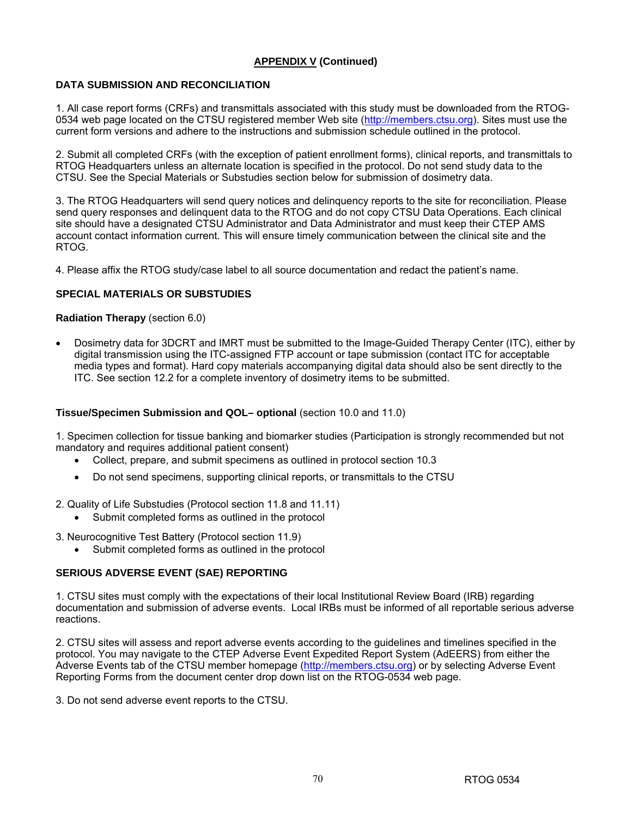# **DATA SUBMISSION AND RECONCILIATION**

1. All case report forms (CRFs) and transmittals associated with this study must be downloaded from the RTOG-0534 web page located on the CTSU registered member Web site (http://members.ctsu.org). Sites must use the current form versions and adhere to the instructions and submission schedule outlined in the protocol.

2. Submit all completed CRFs (with the exception of patient enrollment forms), clinical reports, and transmittals to RTOG Headquarters unless an alternate location is specified in the protocol. Do not send study data to the CTSU. See the Special Materials or Substudies section below for submission of dosimetry data.

3. The RTOG Headquarters will send query notices and delinquency reports to the site for reconciliation. Please send query responses and delinquent data to the RTOG and do not copy CTSU Data Operations. Each clinical site should have a designated CTSU Administrator and Data Administrator and must keep their CTEP AMS account contact information current. This will ensure timely communication between the clinical site and the RTOG.

4. Please affix the RTOG study/case label to all source documentation and redact the patient's name.

## **SPECIAL MATERIALS OR SUBSTUDIES**

## **Radiation Therapy** (section 6.0)

• Dosimetry data for 3DCRT and IMRT must be submitted to the Image-Guided Therapy Center (ITC), either by digital transmission using the ITC-assigned FTP account or tape submission (contact ITC for acceptable media types and format). Hard copy materials accompanying digital data should also be sent directly to the ITC. See section 12.2 for a complete inventory of dosimetry items to be submitted.

#### **Tissue/Specimen Submission and QOL– optional** (section 10.0 and 11.0)

1. Specimen collection for tissue banking and biomarker studies (Participation is strongly recommended but not mandatory and requires additional patient consent)

- Collect, prepare, and submit specimens as outlined in protocol section 10.3
- Do not send specimens, supporting clinical reports, or transmittals to the CTSU
- 2. Quality of Life Substudies (Protocol section 11.8 and 11.11)
	- Submit completed forms as outlined in the protocol
- 3. Neurocognitive Test Battery (Protocol section 11.9)
	- Submit completed forms as outlined in the protocol

## **SERIOUS ADVERSE EVENT (SAE) REPORTING**

1. CTSU sites must comply with the expectations of their local Institutional Review Board (IRB) regarding documentation and submission of adverse events. Local IRBs must be informed of all reportable serious adverse reactions.

2. CTSU sites will assess and report adverse events according to the guidelines and timelines specified in the protocol. You may navigate to the CTEP Adverse Event Expedited Report System (AdEERS) from either the Adverse Events tab of the CTSU member homepage (http://members.ctsu.org) or by selecting Adverse Event Reporting Forms from the document center drop down list on the RTOG-0534 web page.

3. Do not send adverse event reports to the CTSU.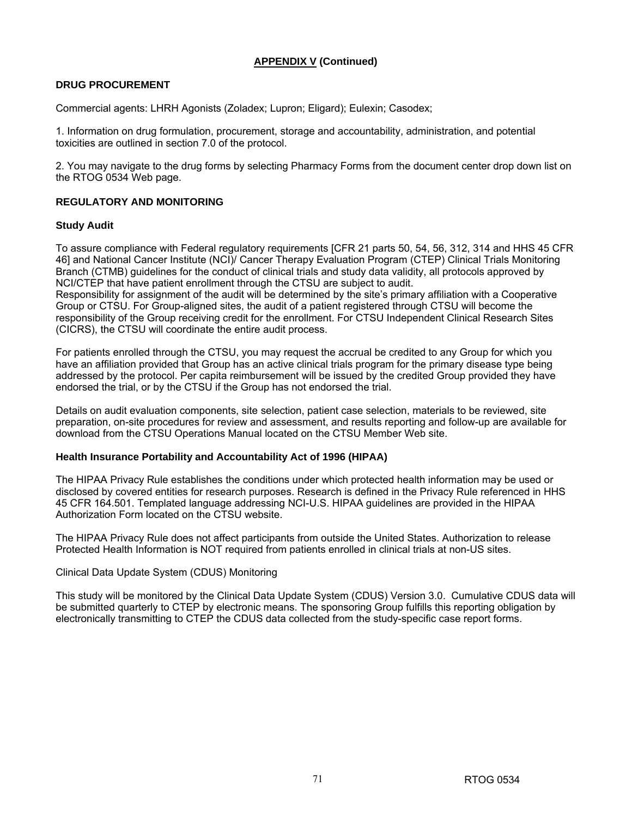## **DRUG PROCUREMENT**

Commercial agents: LHRH Agonists (Zoladex; Lupron; Eligard); Eulexin; Casodex;

1. Information on drug formulation, procurement, storage and accountability, administration, and potential toxicities are outlined in section 7.0 of the protocol.

2. You may navigate to the drug forms by selecting Pharmacy Forms from the document center drop down list on the RTOG 0534 Web page.

## **REGULATORY AND MONITORING**

#### **Study Audit**

To assure compliance with Federal regulatory requirements [CFR 21 parts 50, 54, 56, 312, 314 and HHS 45 CFR 46] and National Cancer Institute (NCI)/ Cancer Therapy Evaluation Program (CTEP) Clinical Trials Monitoring Branch (CTMB) guidelines for the conduct of clinical trials and study data validity, all protocols approved by NCI/CTEP that have patient enrollment through the CTSU are subject to audit.

Responsibility for assignment of the audit will be determined by the site's primary affiliation with a Cooperative Group or CTSU. For Group-aligned sites, the audit of a patient registered through CTSU will become the responsibility of the Group receiving credit for the enrollment. For CTSU Independent Clinical Research Sites (CICRS), the CTSU will coordinate the entire audit process.

For patients enrolled through the CTSU, you may request the accrual be credited to any Group for which you have an affiliation provided that Group has an active clinical trials program for the primary disease type being addressed by the protocol. Per capita reimbursement will be issued by the credited Group provided they have endorsed the trial, or by the CTSU if the Group has not endorsed the trial.

Details on audit evaluation components, site selection, patient case selection, materials to be reviewed, site preparation, on-site procedures for review and assessment, and results reporting and follow-up are available for download from the CTSU Operations Manual located on the CTSU Member Web site.

#### **Health Insurance Portability and Accountability Act of 1996 (HIPAA)**

The HIPAA Privacy Rule establishes the conditions under which protected health information may be used or disclosed by covered entities for research purposes. Research is defined in the Privacy Rule referenced in HHS 45 CFR 164.501. Templated language addressing NCI-U.S. HIPAA guidelines are provided in the HIPAA Authorization Form located on the CTSU website.

The HIPAA Privacy Rule does not affect participants from outside the United States. Authorization to release Protected Health Information is NOT required from patients enrolled in clinical trials at non-US sites.

#### Clinical Data Update System (CDUS) Monitoring

This study will be monitored by the Clinical Data Update System (CDUS) Version 3.0. Cumulative CDUS data will be submitted quarterly to CTEP by electronic means. The sponsoring Group fulfills this reporting obligation by electronically transmitting to CTEP the CDUS data collected from the study-specific case report forms.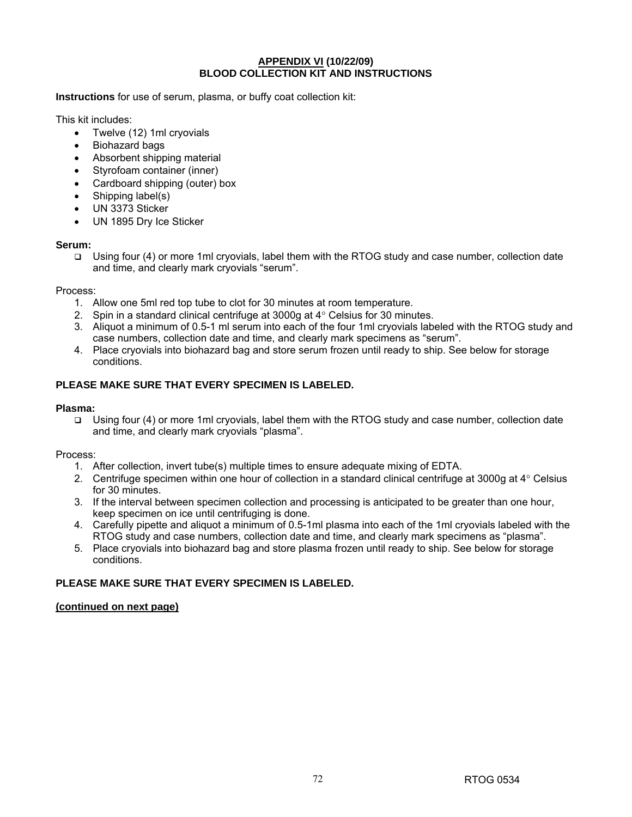#### **APPENDIX VI (10/22/09) BLOOD COLLECTION KIT AND INSTRUCTIONS**

**Instructions** for use of serum, plasma, or buffy coat collection kit:

This kit includes:

- Twelve (12) 1ml cryovials
- Biohazard bags
- Absorbent shipping material
- Styrofoam container (inner)
- Cardboard shipping (outer) box
- Shipping label(s)
- UN 3373 Sticker
- UN 1895 Dry Ice Sticker

### **Serum:**

 Using four (4) or more 1ml cryovials, label them with the RTOG study and case number, collection date and time, and clearly mark cryovials "serum".

#### Process:

- 1. Allow one 5ml red top tube to clot for 30 minutes at room temperature.
- 2. Spin in a standard clinical centrifuge at 3000g at 4° Celsius for 30 minutes.
- 3. Aliquot a minimum of 0.5-1 ml serum into each of the four 1ml cryovials labeled with the RTOG study and case numbers, collection date and time, and clearly mark specimens as "serum".
- 4. Place cryovials into biohazard bag and store serum frozen until ready to ship. See below for storage conditions.

## **PLEASE MAKE SURE THAT EVERY SPECIMEN IS LABELED.**

### **Plasma:**

 Using four (4) or more 1ml cryovials, label them with the RTOG study and case number, collection date and time, and clearly mark cryovials "plasma".

## Process:

- 1. After collection, invert tube(s) multiple times to ensure adequate mixing of EDTA.
- 2. Centrifuge specimen within one hour of collection in a standard clinical centrifuge at 3000g at 4° Celsius for 30 minutes.
- 3. If the interval between specimen collection and processing is anticipated to be greater than one hour, keep specimen on ice until centrifuging is done.
- 4. Carefully pipette and aliquot a minimum of 0.5-1ml plasma into each of the 1ml cryovials labeled with the RTOG study and case numbers, collection date and time, and clearly mark specimens as "plasma".
- 5. Place cryovials into biohazard bag and store plasma frozen until ready to ship. See below for storage conditions.

## **PLEASE MAKE SURE THAT EVERY SPECIMEN IS LABELED.**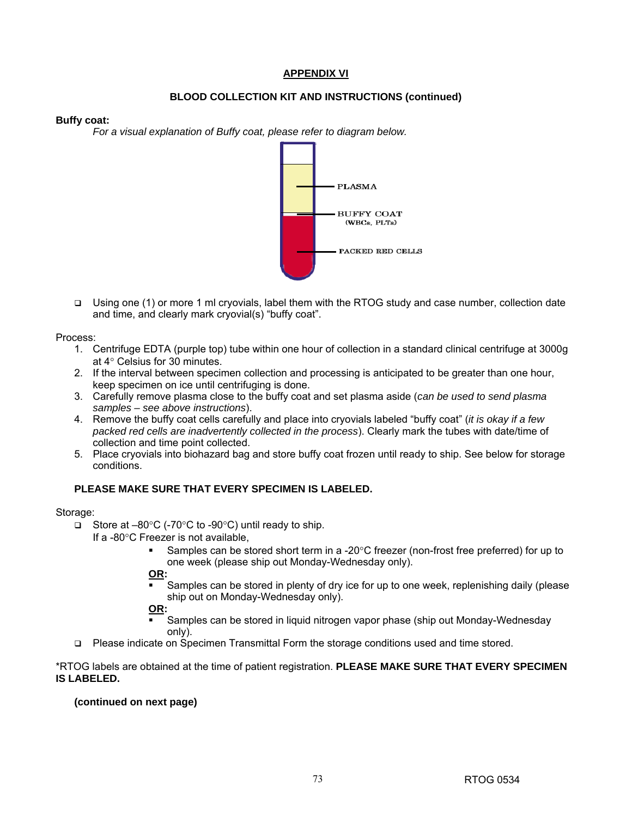# **APPENDIX VI**

# **BLOOD COLLECTION KIT AND INSTRUCTIONS (continued)**

#### **Buffy coat:**

*For a visual explanation of Buffy coat, please refer to diagram below.* 



 Using one (1) or more 1 ml cryovials, label them with the RTOG study and case number, collection date and time, and clearly mark cryovial(s) "buffy coat".

Process:

- 1. Centrifuge EDTA (purple top) tube within one hour of collection in a standard clinical centrifuge at 3000g at 4° Celsius for 30 minutes.
- 2. If the interval between specimen collection and processing is anticipated to be greater than one hour, keep specimen on ice until centrifuging is done.
- 3. Carefully remove plasma close to the buffy coat and set plasma aside (*can be used to send plasma samples – see above instructions*).
- 4. Remove the buffy coat cells carefully and place into cryovials labeled "buffy coat" (*it is okay if a few packed red cells are inadvertently collected in the process*). Clearly mark the tubes with date/time of collection and time point collected.
- 5. Place cryovials into biohazard bag and store buffy coat frozen until ready to ship. See below for storage conditions.

## **PLEASE MAKE SURE THAT EVERY SPECIMEN IS LABELED.**

#### Storage:

- Store at –80°C (-70°C to -90°C) until ready to ship.
	- If a -80°C Freezer is not available,
		- Samples can be stored short term in a -20°C freezer (non-frost free preferred) for up to one week (please ship out Monday-Wednesday only).

**OR:** 

 Samples can be stored in plenty of dry ice for up to one week, replenishing daily (please ship out on Monday-Wednesday only).

**OR:** 

- Samples can be stored in liquid nitrogen vapor phase (ship out Monday-Wednesday only).
- Please indicate on Specimen Transmittal Form the storage conditions used and time stored.

### \*RTOG labels are obtained at the time of patient registration. **PLEASE MAKE SURE THAT EVERY SPECIMEN IS LABELED.**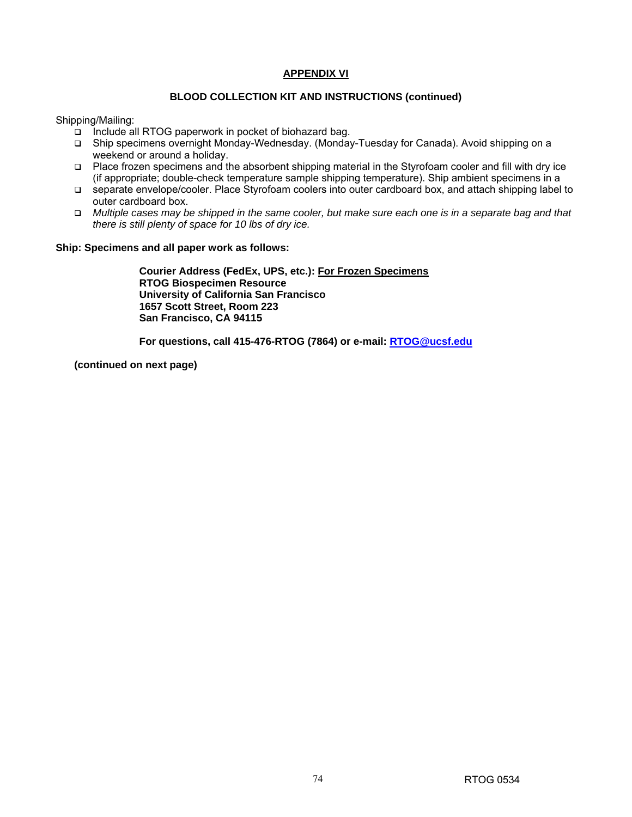# **APPENDIX VI**

## **BLOOD COLLECTION KIT AND INSTRUCTIONS (continued)**

Shipping/Mailing:

- $\Box$  Include all RTOG paperwork in pocket of biohazard bag.
- Ship specimens overnight Monday-Wednesday. (Monday-Tuesday for Canada). Avoid shipping on a weekend or around a holiday.
- Place frozen specimens and the absorbent shipping material in the Styrofoam cooler and fill with dry ice (if appropriate; double-check temperature sample shipping temperature). Ship ambient specimens in a
- separate envelope/cooler. Place Styrofoam coolers into outer cardboard box, and attach shipping label to outer cardboard box.
- *Multiple cases may be shipped in the same cooler, but make sure each one is in a separate bag and that there is still plenty of space for 10 lbs of dry ice.*

#### **Ship: Specimens and all paper work as follows:**

**Courier Address (FedEx, UPS, etc.): For Frozen Specimens RTOG Biospecimen Resource University of California San Francisco 1657 Scott Street, Room 223 San Francisco, CA 94115**

**For questions, call 415-476-RTOG (7864) or e-mail: RTOG@ucsf.edu**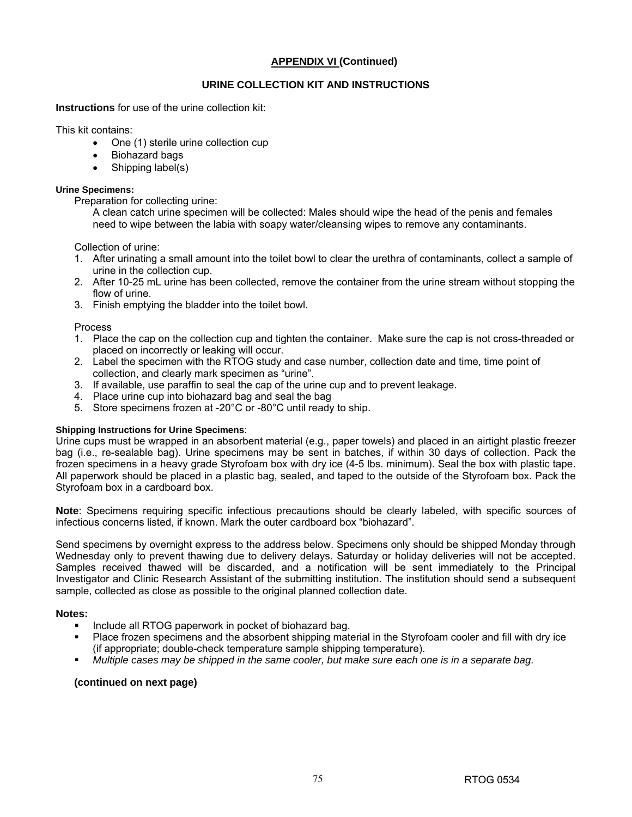## **URINE COLLECTION KIT AND INSTRUCTIONS**

**Instructions** for use of the urine collection kit:

This kit contains:

- One (1) sterile urine collection cup
- Biohazard bags
- Shipping label(s)

#### **Urine Specimens:**

Preparation for collecting urine:

A clean catch urine specimen will be collected: Males should wipe the head of the penis and females need to wipe between the labia with soapy water/cleansing wipes to remove any contaminants.

Collection of urine:

- 1. After urinating a small amount into the toilet bowl to clear the urethra of contaminants, collect a sample of urine in the collection cup.
- 2. After 10-25 mL urine has been collected, remove the container from the urine stream without stopping the flow of urine.
- 3. Finish emptying the bladder into the toilet bowl.

Process

- 1. Place the cap on the collection cup and tighten the container. Make sure the cap is not cross-threaded or placed on incorrectly or leaking will occur.
- 2. Label the specimen with the RTOG study and case number, collection date and time, time point of collection, and clearly mark specimen as "urine".
- 3. If available, use paraffin to seal the cap of the urine cup and to prevent leakage.
- 4. Place urine cup into biohazard bag and seal the bag
- 5. Store specimens frozen at -20°C or -80°C until ready to ship.

#### **Shipping Instructions for Urine Specimens**:

Urine cups must be wrapped in an absorbent material (e.g., paper towels) and placed in an airtight plastic freezer bag (i.e., re-sealable bag). Urine specimens may be sent in batches, if within 30 days of collection. Pack the frozen specimens in a heavy grade Styrofoam box with dry ice (4-5 lbs. minimum). Seal the box with plastic tape. All paperwork should be placed in a plastic bag, sealed, and taped to the outside of the Styrofoam box. Pack the Styrofoam box in a cardboard box.

**Note**: Specimens requiring specific infectious precautions should be clearly labeled, with specific sources of infectious concerns listed, if known. Mark the outer cardboard box "biohazard".

Send specimens by overnight express to the address below. Specimens only should be shipped Monday through Wednesday only to prevent thawing due to delivery delays. Saturday or holiday deliveries will not be accepted. Samples received thawed will be discarded, and a notification will be sent immediately to the Principal Investigator and Clinic Research Assistant of the submitting institution. The institution should send a subsequent sample, collected as close as possible to the original planned collection date.

#### **Notes:**

- **Include all RTOG paperwork in pocket of biohazard bag.**
- Place frozen specimens and the absorbent shipping material in the Styrofoam cooler and fill with dry ice (if appropriate; double-check temperature sample shipping temperature).
- *Multiple cases may be shipped in the same cooler, but make sure each one is in a separate bag.*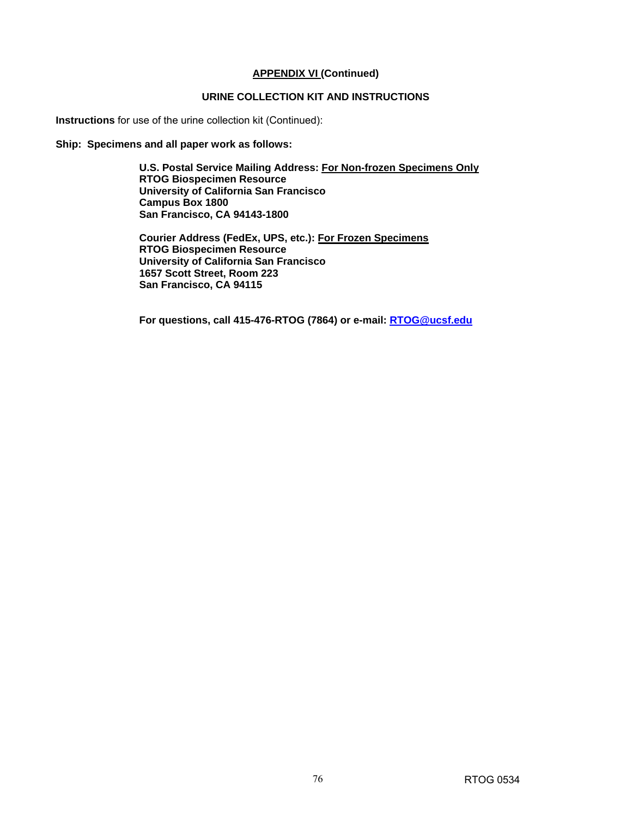# **URINE COLLECTION KIT AND INSTRUCTIONS**

**Instructions** for use of the urine collection kit (Continued):

**Ship: Specimens and all paper work as follows:** 

**U.S. Postal Service Mailing Address: For Non-frozen Specimens Only RTOG Biospecimen Resource University of California San Francisco Campus Box 1800 San Francisco, CA 94143-1800** 

**Courier Address (FedEx, UPS, etc.): For Frozen Specimens RTOG Biospecimen Resource University of California San Francisco 1657 Scott Street, Room 223 San Francisco, CA 94115**

**For questions, call 415-476-RTOG (7864) or e-mail: RTOG@ucsf.edu**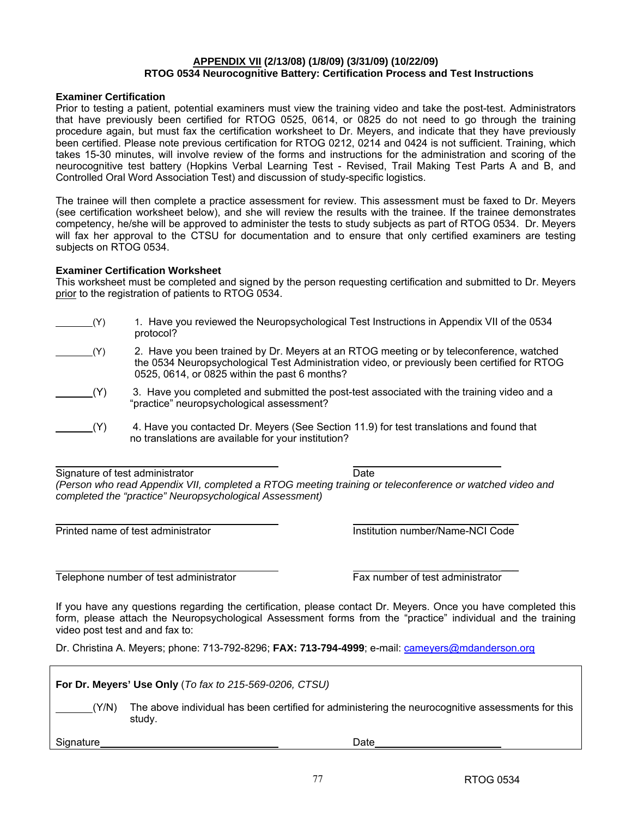## **APPENDIX VII (2/13/08) (1/8/09) (3/31/09) (10/22/09) RTOG 0534 Neurocognitive Battery: Certification Process and Test Instructions**

#### **Examiner Certification**

Prior to testing a patient, potential examiners must view the training video and take the post-test. Administrators that have previously been certified for RTOG 0525, 0614, or 0825 do not need to go through the training procedure again, but must fax the certification worksheet to Dr. Meyers, and indicate that they have previously been certified. Please note previous certification for RTOG 0212, 0214 and 0424 is not sufficient. Training, which takes 15-30 minutes, will involve review of the forms and instructions for the administration and scoring of the neurocognitive test battery (Hopkins Verbal Learning Test - Revised, Trail Making Test Parts A and B, and Controlled Oral Word Association Test) and discussion of study-specific logistics.

The trainee will then complete a practice assessment for review. This assessment must be faxed to Dr. Meyers (see certification worksheet below), and she will review the results with the trainee. If the trainee demonstrates competency, he/she will be approved to administer the tests to study subjects as part of RTOG 0534. Dr. Meyers will fax her approval to the CTSU for documentation and to ensure that only certified examiners are testing subjects on RTOG 0534.

#### **Examiner Certification Worksheet**

This worksheet must be completed and signed by the person requesting certification and submitted to Dr. Meyers prior to the registration of patients to RTOG 0534.

| (Y)          | 1. Have you reviewed the Neuropsychological Test Instructions in Appendix VII of the 0534<br>protocol?                                                                                                                                   |
|--------------|------------------------------------------------------------------------------------------------------------------------------------------------------------------------------------------------------------------------------------------|
| (Y)          | 2. Have you been trained by Dr. Meyers at an RTOG meeting or by teleconference, watched<br>the 0534 Neuropsychological Test Administration video, or previously been certified for RTOG<br>0525, 0614, or 0825 within the past 6 months? |
| $\sqrt{(Y)}$ | 3. Have you completed and submitted the post-test associated with the training video and a<br>"practice" neuropsychological assessment?                                                                                                  |
| (Y)          | 4. Have you contacted Dr. Meyers (See Section 11.9) for test translations and found that<br>no translations are available for your institution?                                                                                          |

 Signature of test administrator **Date** *(Person who read Appendix VII, completed a RTOG meeting training or teleconference or watched video and completed the "practice" Neuropsychological Assessment)* 

\_\_\_

Printed name of test administrator **Institution number/Name-NCI Code** 

Telephone number of test administrator Fax number of test administrator

\_\_\_

If you have any questions regarding the certification, please contact Dr. Meyers. Once you have completed this form, please attach the Neuropsychological Assessment forms from the "practice" individual and the training video post test and and fax to:

Dr. Christina A. Meyers; phone: 713-792-8296; **FAX: 713-794-4999**; e-mail: cameyers@mdanderson.org

| For Dr. Meyers' Use Only (To fax to 215-569-0206, CTSU) |                                                                                                             |  |  |
|---------------------------------------------------------|-------------------------------------------------------------------------------------------------------------|--|--|
| (Y/N)                                                   | The above individual has been certified for administering the neurocognitive assessments for this<br>study. |  |  |
| Signature                                               | Date                                                                                                        |  |  |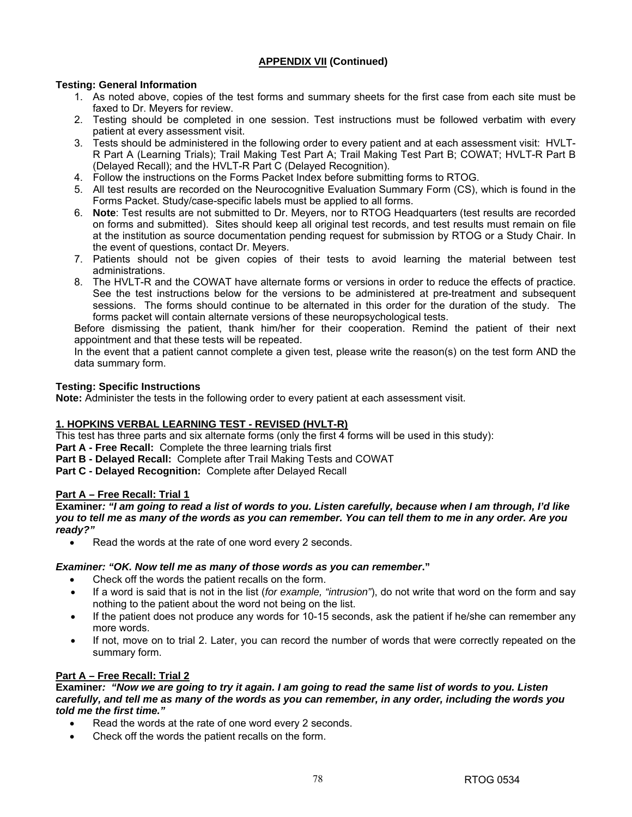## **Testing: General Information**

- 1. As noted above, copies of the test forms and summary sheets for the first case from each site must be faxed to Dr. Meyers for review.
- 2. Testing should be completed in one session. Test instructions must be followed verbatim with every patient at every assessment visit.
- 3. Tests should be administered in the following order to every patient and at each assessment visit: HVLT-R Part A (Learning Trials); Trail Making Test Part A; Trail Making Test Part B; COWAT; HVLT-R Part B (Delayed Recall); and the HVLT-R Part C (Delayed Recognition).
- 4. Follow the instructions on the Forms Packet Index before submitting forms to RTOG.
- 5. All test results are recorded on the Neurocognitive Evaluation Summary Form (CS), which is found in the Forms Packet. Study/case-specific labels must be applied to all forms.
- 6. **Note**: Test results are not submitted to Dr. Meyers, nor to RTOG Headquarters (test results are recorded on forms and submitted). Sites should keep all original test records, and test results must remain on file at the institution as source documentation pending request for submission by RTOG or a Study Chair. In the event of questions, contact Dr. Meyers.
- 7. Patients should not be given copies of their tests to avoid learning the material between test administrations.
- 8. The HVLT-R and the COWAT have alternate forms or versions in order to reduce the effects of practice. See the test instructions below for the versions to be administered at pre-treatment and subsequent sessions. The forms should continue to be alternated in this order for the duration of the study. The forms packet will contain alternate versions of these neuropsychological tests.

Before dismissing the patient, thank him/her for their cooperation. Remind the patient of their next appointment and that these tests will be repeated.

In the event that a patient cannot complete a given test, please write the reason(s) on the test form AND the data summary form.

### **Testing: Specific Instructions**

**Note:** Administer the tests in the following order to every patient at each assessment visit.

## **1. HOPKINS VERBAL LEARNING TEST - REVISED (HVLT-R)**

This test has three parts and six alternate forms (only the first 4 forms will be used in this study):

- **Part A Free Recall:** Complete the three learning trials first
- **Part B Delayed Recall:** Complete after Trail Making Tests and COWAT
- **Part C Delayed Recognition:** Complete after Delayed Recall

## **Part A – Free Recall: Trial 1**

**Examiner***: "I am going to read a list of words to you. Listen carefully, because when I am through, I'd like you to tell me as many of the words as you can remember. You can tell them to me in any order. Are you ready?"*

Read the words at the rate of one word every 2 seconds.

#### *Examiner: "OK. Now tell me as many of those words as you can remember***."**

- Check off the words the patient recalls on the form.
- If a word is said that is not in the list (*for example, "intrusion"*), do not write that word on the form and say nothing to the patient about the word not being on the list.
- If the patient does not produce any words for 10-15 seconds, ask the patient if he/she can remember any more words.
- If not, move on to trial 2. Later, you can record the number of words that were correctly repeated on the summary form.

## **Part A – Free Recall: Trial 2**

**Examiner***: "Now we are going to try it again. I am going to read the same list of words to you. Listen carefully, and tell me as many of the words as you can remember, in any order, including the words you told me the first time."* 

- Read the words at the rate of one word every 2 seconds.
- Check off the words the patient recalls on the form.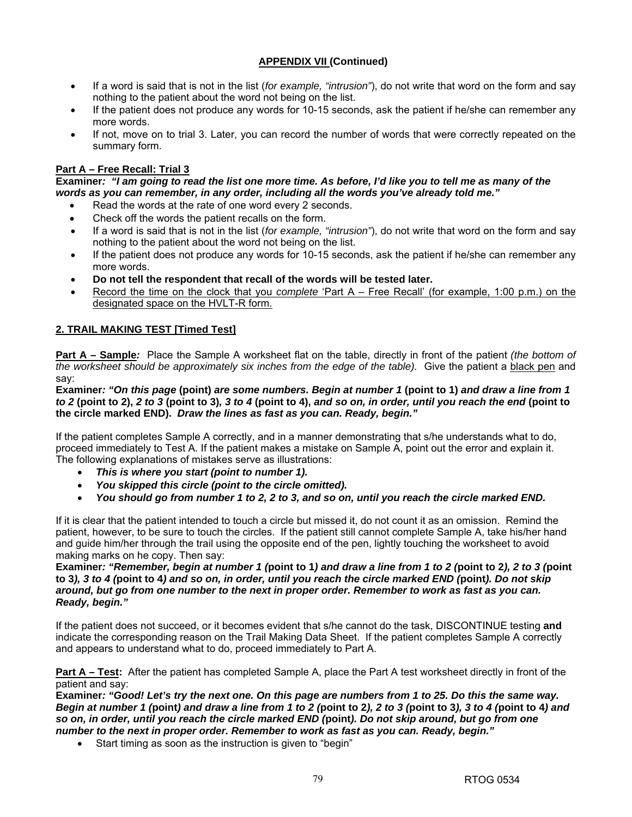- If a word is said that is not in the list (*for example, "intrusion"*), do not write that word on the form and say nothing to the patient about the word not being on the list.
- If the patient does not produce any words for 10-15 seconds, ask the patient if he/she can remember any more words.
- If not, move on to trial 3. Later, you can record the number of words that were correctly repeated on the summary form.

# **Part A – Free Recall: Trial 3**

**Examiner***: "I am going to read the list one more time. As before, I'd like you to tell me as many of the words as you can remember, in any order, including all the words you've already told me."*

- Read the words at the rate of one word every 2 seconds.
- Check off the words the patient recalls on the form.
- If a word is said that is not in the list (*for example, "intrusion"*), do not write that word on the form and say nothing to the patient about the word not being on the list.
- If the patient does not produce any words for 10-15 seconds, ask the patient if he/she can remember any more words.
- **Do not tell the respondent that recall of the words will be tested later.**
- Record the time on the clock that you *complete* 'Part A Free Recall' (for example, 1:00 p.m.) on the designated space on the HVLT-R form.

## **2. TRAIL MAKING TEST [Timed Test]**

**Part A – Sample***:* Place the Sample A worksheet flat on the table, directly in front of the patient *(the bottom of the worksheet should be approximately six inches from the edge of the table).* Give the patient a black pen and say:

**Examiner***: "On this page* **(point)** *are some numbers. Begin at number 1* **(point to 1)** *and draw a line from 1 to 2* **(point to 2),** *2 to 3* **(point to 3)***, 3 to 4* **(point to 4),** *and so on, in order, until you reach the end* **(point to the circle marked END).** *Draw the lines as fast as you can. Ready, begin."* 

If the patient completes Sample A correctly, and in a manner demonstrating that s/he understands what to do, proceed immediately to Test A. If the patient makes a mistake on Sample A, point out the error and explain it. The following explanations of mistakes serve as illustrations:

- *This is where you start (point to number 1).*
- *You skipped this circle (point to the circle omitted).*
- *You should go from number 1 to 2, 2 to 3, and so on, until you reach the circle marked END.*

If it is clear that the patient intended to touch a circle but missed it, do not count it as an omission. Remind the patient, however, to be sure to touch the circles. If the patient still cannot complete Sample A, take his/her hand and guide him/her through the trail using the opposite end of the pen, lightly touching the worksheet to avoid making marks on he copy. Then say:

**Examiner***: "Remember, begin at number 1 (***point to 1***) and draw a line from 1 to 2 (***point to 2***), 2 to 3 (***point to 3***), 3 to 4 (***point to 4***) and so on, in order, until you reach the circle marked END (***point***). Do not skip around, but go from one number to the next in proper order. Remember to work as fast as you can. Ready, begin."*

If the patient does not succeed, or it becomes evident that s/he cannot do the task, DISCONTINUE testing **and**  indicate the corresponding reason on the Trail Making Data Sheet. If the patient completes Sample A correctly and appears to understand what to do, proceed immediately to Part A.

**Part A – Test:** After the patient has completed Sample A, place the Part A test worksheet directly in front of the patient and say:

**Examiner***: "Good! Let's try the next one. On this page are numbers from 1 to 25. Do this the same way. Begin at number 1 (***point***) and draw a line from 1 to 2 (***point to 2***), 2 to 3 (***point to 3***), 3 to 4 (***point to 4***) and so on, in order, until you reach the circle marked END (***point***). Do not skip around, but go from one number to the next in proper order. Remember to work as fast as you can. Ready, begin."* 

• Start timing as soon as the instruction is given to "begin"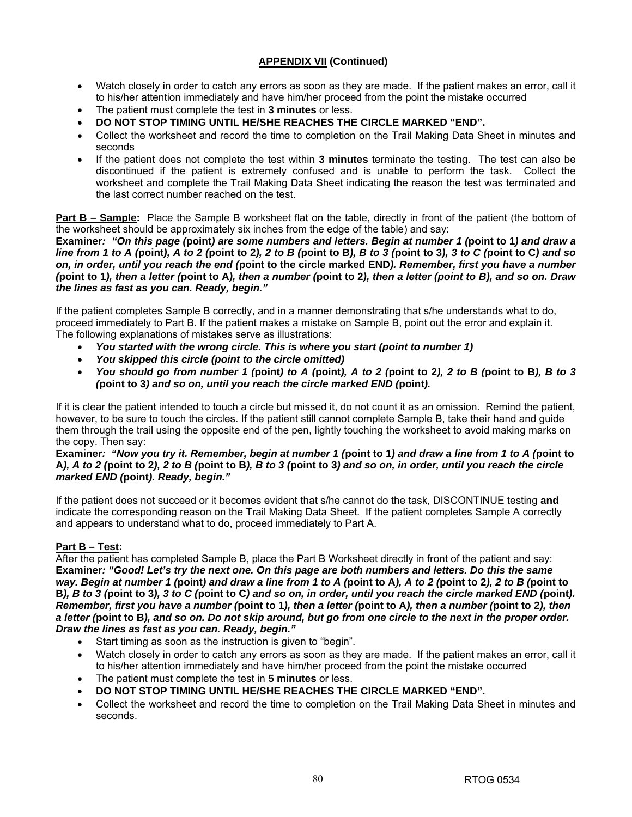- Watch closely in order to catch any errors as soon as they are made. If the patient makes an error, call it to his/her attention immediately and have him/her proceed from the point the mistake occurred
- The patient must complete the test in **3 minutes** or less.
- **DO NOT STOP TIMING UNTIL HE/SHE REACHES THE CIRCLE MARKED "END".**
- Collect the worksheet and record the time to completion on the Trail Making Data Sheet in minutes and seconds
- If the patient does not complete the test within **3 minutes** terminate the testing. The test can also be discontinued if the patient is extremely confused and is unable to perform the task. Collect the worksheet and complete the Trail Making Data Sheet indicating the reason the test was terminated and the last correct number reached on the test.

**Part B – Sample:** Place the Sample B worksheet flat on the table, directly in front of the patient (the bottom of the worksheet should be approximately six inches from the edge of the table) and say:

**Examiner***: "On this page (***point***) are some numbers and letters. Begin at number 1 (***point to 1***) and draw a line from 1 to A (***point***), A to 2 (***point to 2***), 2 to B (***point to B***), B to 3 (***point to 3***), 3 to C (***point to C***) and so on, in order, until you reach the end (***point to the circle marked END***). Remember, first you have a number (***point to 1***), then a letter (***point to A***), then a number (***point to 2***), then a letter (point to B), and so on. Draw the lines as fast as you can. Ready, begin."* 

If the patient completes Sample B correctly, and in a manner demonstrating that s/he understands what to do, proceed immediately to Part B. If the patient makes a mistake on Sample B, point out the error and explain it. The following explanations of mistakes serve as illustrations:

- *You started with the wrong circle. This is where you start (point to number 1)*
- *You skipped this circle (point to the circle omitted)*
- *You should go from number 1 (***point***) to A (***point***), A to 2 (***point to 2***), 2 to B (***point to B***), B to 3 (***point to 3***) and so on, until you reach the circle marked END (***point***).*

If it is clear the patient intended to touch a circle but missed it, do not count it as an omission. Remind the patient, however, to be sure to touch the circles. If the patient still cannot complete Sample B, take their hand and guide them through the trail using the opposite end of the pen, lightly touching the worksheet to avoid making marks on the copy. Then say:

**Examiner***: "Now you try it. Remember, begin at number 1 (***point to 1***) and draw a line from 1 to A (***point to A***), A to 2 (***point to 2***), 2 to B (***point to B***), B to 3 (***point to 3***) and so on, in order, until you reach the circle marked END (***point***). Ready, begin."* 

If the patient does not succeed or it becomes evident that s/he cannot do the task, DISCONTINUE testing **and**  indicate the corresponding reason on the Trail Making Data Sheet. If the patient completes Sample A correctly and appears to understand what to do, proceed immediately to Part A.

# **Part B – Test:**

After the patient has completed Sample B, place the Part B Worksheet directly in front of the patient and say: **Examiner***: "Good! Let's try the next one. On this page are both numbers and letters. Do this the same way. Begin at number 1 (***point***) and draw a line from 1 to A (***point to A***), A to 2 (***point to 2***), 2 to B (***point to B***), B to 3 (***point to 3***), 3 to C (***point to C***) and so on, in order, until you reach the circle marked END (***point***). Remember, first you have a number (***point to 1***), then a letter (***point to A***), then a number (***point to 2***), then a letter (***point to B***), and so on. Do not skip around, but go from one circle to the next in the proper order. Draw the lines as fast as you can. Ready, begin."* 

- Start timing as soon as the instruction is given to "begin".
- Watch closely in order to catch any errors as soon as they are made. If the patient makes an error, call it to his/her attention immediately and have him/her proceed from the point the mistake occurred
- The patient must complete the test in **5 minutes** or less.
- **DO NOT STOP TIMING UNTIL HE/SHE REACHES THE CIRCLE MARKED "END".**
- Collect the worksheet and record the time to completion on the Trail Making Data Sheet in minutes and seconds.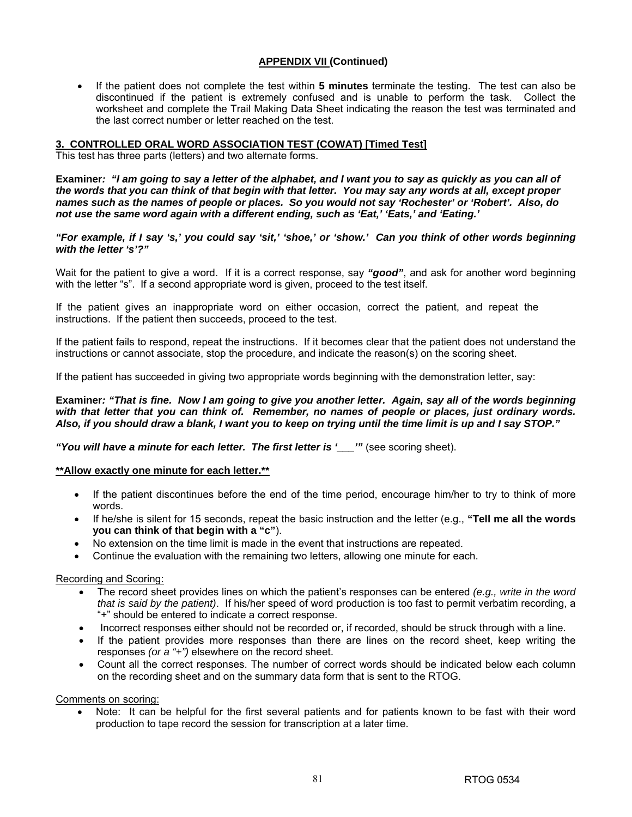• If the patient does not complete the test within **5 minutes** terminate the testing. The test can also be discontinued if the patient is extremely confused and is unable to perform the task. Collect the worksheet and complete the Trail Making Data Sheet indicating the reason the test was terminated and the last correct number or letter reached on the test.

#### **3. CONTROLLED ORAL WORD ASSOCIATION TEST (COWAT) [Timed Test]**

This test has three parts (letters) and two alternate forms.

**Examiner***: "I am going to say a letter of the alphabet, and I want you to say as quickly as you can all of the words that you can think of that begin with that letter. You may say any words at all, except proper names such as the names of people or places. So you would not say 'Rochester' or 'Robert'. Also, do not use the same word again with a different ending, such as 'Eat,' 'Eats,' and 'Eating.'*

*"For example, if I say 's,' you could say 'sit,' 'shoe,' or 'show.' Can you think of other words beginning with the letter 's'?"* 

Wait for the patient to give a word. If it is a correct response, say "good", and ask for another word beginning with the letter "s". If a second appropriate word is given, proceed to the test itself.

If the patient gives an inappropriate word on either occasion, correct the patient, and repeat the instructions. If the patient then succeeds, proceed to the test.

If the patient fails to respond, repeat the instructions. If it becomes clear that the patient does not understand the instructions or cannot associate, stop the procedure, and indicate the reason(s) on the scoring sheet.

If the patient has succeeded in giving two appropriate words beginning with the demonstration letter, say:

**Examiner***: "That is fine. Now I am going to give you another letter. Again, say all of the words beginning with that letter that you can think of. Remember, no names of people or places, just ordinary words. Also, if you should draw a blank, I want you to keep on trying until the time limit is up and I say STOP."* 

*"You will have a minute for each letter. The first letter is '\_\_\_'"* (see scoring sheet).

#### **\*\*Allow exactly one minute for each letter.\*\***

- If the patient discontinues before the end of the time period, encourage him/her to try to think of more words.
- If he/she is silent for 15 seconds, repeat the basic instruction and the letter (e.g., **"Tell me all the words you can think of that begin with a "c"**).
- No extension on the time limit is made in the event that instructions are repeated.
- Continue the evaluation with the remaining two letters, allowing one minute for each.

#### Recording and Scoring:

- The record sheet provides lines on which the patient's responses can be entered *(e.g., write in the word that is said by the patient)*. If his/her speed of word production is too fast to permit verbatim recording, a "+" should be entered to indicate a correct response.
- Incorrect responses either should not be recorded or, if recorded, should be struck through with a line.
- If the patient provides more responses than there are lines on the record sheet, keep writing the responses *(or a "+")* elsewhere on the record sheet.
- Count all the correct responses. The number of correct words should be indicated below each column on the recording sheet and on the summary data form that is sent to the RTOG.

Comments on scoring:

Note: It can be helpful for the first several patients and for patients known to be fast with their word production to tape record the session for transcription at a later time.